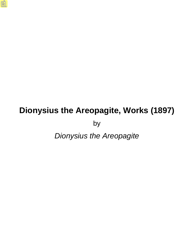# **Dionysius the Areopagite, Works (1897)** by *Dionysius the Areopagite*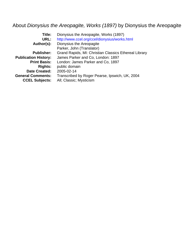### <span id="page-1-0"></span>About *Dionysius the Areopagite, Works (1897)* by Dionysius the Areopagite

| Title:                      | Dionysius the Areopagite, Works (1897)                |
|-----------------------------|-------------------------------------------------------|
| URL:                        | http://www.ccel.org/ccel/dionysius/works.html         |
| Author(s):                  | Dionysius the Areopagite                              |
|                             | Parker, John (Translator)                             |
| <b>Publisher:</b>           | Grand Rapids, MI: Christian Classics Ethereal Library |
| <b>Publication History:</b> | James Parker and Co, London: 1897                     |
| <b>Print Basis:</b>         | London: James Parker and Co, 1897                     |
| <b>Rights:</b>              | public domain                                         |
| Date Created:               | 2005-02-14                                            |
| <b>General Comments:</b>    | Transcribed by Roger Pearse, Ipswich, UK, 2004        |
| <b>CCEL Subjects:</b>       | All; Classic; Mysticism                               |
|                             |                                                       |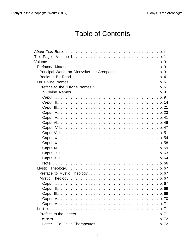## **Table of Contents**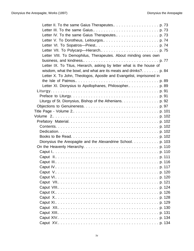| Letter VIII. To Demophilus, Therapeutes. About minding ones own      |
|----------------------------------------------------------------------|
|                                                                      |
| Letter IX. To Titus, Hierarch, asking by letter what is the house of |
| wisdom, what the bowl, and what are its meats and drinks? $p. 84$    |
| Letter X. To John, Theologos, Apostle and Evangelist, imprisoned in  |
|                                                                      |
|                                                                      |
|                                                                      |
|                                                                      |
| Liturgy of St. Dionysius, Bishop of the Athenians. p. 92             |
|                                                                      |
|                                                                      |
|                                                                      |
|                                                                      |
|                                                                      |
|                                                                      |
|                                                                      |
|                                                                      |
|                                                                      |
|                                                                      |
|                                                                      |
|                                                                      |
|                                                                      |
|                                                                      |
|                                                                      |
|                                                                      |
|                                                                      |
|                                                                      |
|                                                                      |
|                                                                      |
|                                                                      |
|                                                                      |
|                                                                      |
|                                                                      |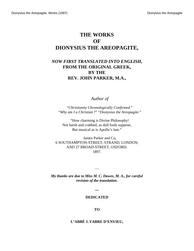### <span id="page-6-0"></span>**THE WORKS OF DIONYSIUS THE AREOPAGITE,**

#### *NOW FIRST TRANSLATED INTO ENGLISH***, FROM THE ORIGINAL GREEK, BY THE REV. JOHN PARKER, M.A.,**

#### *Author of*

"*Christianity Chronologically Confirmed.*" "*Why am I a Christian* ?" "*Dionysius the Areopagite.*"

"How charming is Divine Philosophy! Not harsh and crabbed, as dull fools suppose, But musical as is Apollo's lute."

James Parker and Co, 6 SOUTHAMPTON-STREET, STRAND, LONDON; AND 27 BROAD-STREET, OXFORD. 1897.

*My thanks are due to Miss M. C. Dawes***,** *M. A., for careful revision of the translation.*

### **DEDICATED**

#### **TO**

#### **L'ABBÉ J. FABRE D'ENVIEU,**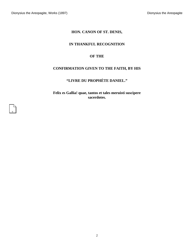#### **HON. CANON OF ST. DENIS,**

#### **IN THANKFUL RECOGNITION**

#### **OF THE**

#### **CONFIRMATION GIVEN TO THE FAITH, BY HIS**

#### **"LIVRE DU PROPHÈTE DANIEL."**

**Felix es Gallia! quae, tantos et tales meruisti suscipere sacerdotes.**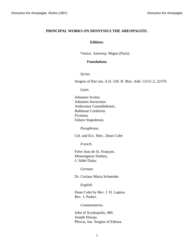#### <span id="page-8-0"></span>**PRINCIPAL WORKS ON DIONYSIUS THE AREOPAGITE.**

#### *Editions.*

Venice. Antwerp. Migne (Paris).

#### *Translations.*

*Syriac.*

Sergius of Ras'ain, A.D. 530. B. Mus. Add. 12151-2, 22370.

*Latin.*

Johannes Scotus. Johannes Sarracinus. Ambrosius Camaldulensis. Balthasar Corderius. Ficinnus. Fabure Stapulensis.

*Paraphrase.*

Cel. and Ecc. Hier., Dean Colet

*French.*

Frère Jean de St. François. Monseigneur Darboy. L'Abbé Dulac.

*German.*

Dr. Ceslaus Maria Schneider.

*English.*

Dean Colet by Rev. J. H. Lupton. Rev. J. Parker.

*Commentaries.*

John of Scythopolis, 490. Joseph Huzaja. Phocas, bar. Sergius of Edessa.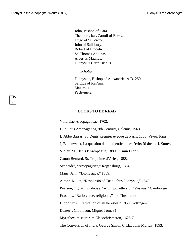<span id="page-9-0"></span>vi

John, Bishop of Dara. Theodore, bar. Zarudi of Edessa. Hugo of St. Victor. John of Salisbury. Robert of Lincoln. St. Thomas Aquinas. Albertus Magnus. Dionysius Carthusianus.

*Scholia.*

Dionysius, Bishop of Alexandria, A.D. 250. Sergius of Ras'ain. Maximus. Pachymera.

#### **BOOKS TO BE READ**

Vindiciae Areopagaticae, 1702.

Hilduinus Areopagatica, 9th Century, Galenus, 1563.

L'Abbé Barras, St. Denis, premier evêque de Paris, 1863. Vives. Paris.

J, Baltenweck, La question de l'authenticité des écrits Rixheim, J. Sutter.

Vidieu, St. Denis l'Areopagite, 1889. Firmin Didot.

Canon Bernard, St. Trophime d'Arles, 1888.

Schneider, "Areopagitica," Regensburg, 1884.

Manz. Jahn, "Dionysiaca," 1889.

Altona. Millet, "Responsio ad De duobus Dionysiis," 1642.

Pearson, "Ignatii vindiciae," with two letters of "Vossius." Cambridge.

Erasmus, "Ratio verae, religionis," and "Institutio."

Hippolytus, "Refutation of all heresies," 1859. Göttingen.

Dexter's Chronicon, Migne, Tom. 31.

Myrothecum sacrorum Elaeochrismaton, 1625-7.

The Conversion of India, George Smith, C.I.E., John Murray, 1893.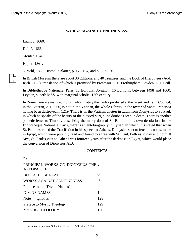#### **WORKS AGAINST GENUINENESS.**

Launoy, 1660.

Daillé, 1666.

Montet, 1848.

Hipler, 1861.

vii

Nirschl, 1888, Histpolit Blatter, p. 172-184, and p. 257-270<sup>1</sup>

In British Museum there are about 30 Editions, and 40 Treatises, and the Book of Hierotheus (Add. Rich. 7189), translation of which is promised by Professor A. L. Frothingham. Leyden, E. J. Brill.

In Bibliothèque Nationale, Paris, 12 Editions. Avignon, 16 Editions, between 1498 and 1600. Leyden, superb MSS. with marginal scholia, 15th century.

In Rome there are many editions. Unfortunately the Codex produced at the Greek and Latin Council, in the Lateran, A.D. 660, is not in the Vatican, the whole Library in the tower of Santa Francisca having been destroyed in 1219. There is, in the Vatican, a letter in Latin from Dionysius to St. Paul, in which he speaks of the beauty of the blessed Virgin, no doubt as seen in death. There is another pathetic letter to Timothy describing the martyrdom of St. Paul, and his own desolation. In the Bibliothèque Nationale, Paris, there is an autobiography in Syriac, in which it is stated that when St. Paul described the Crucifixion in his speech at Athens, Dionysius sent to fetch his notes, made in Egypt, which were publicly read and found to agree with St. Paul, both as to day and hour. It says, St. Paul's visit to Athens was fourteen years after the darkness in Egypt, which would place the conversion of Dionysius A.D. 44.

#### **CONTENTS**

| PAGE                                             |     |
|--------------------------------------------------|-----|
| PRINCIPAL WORKS ON DIONYSIUS THE V<br>AREOPAGITE |     |
| <b>BOOKS TO BE READ</b>                          | V1  |
| <b>WORKS AGAINST GENUINENESS</b>                 | ib. |
| Preface to the "Divine Names"                    | ix  |
| <b>DIVINE NAMES</b>                              | 1   |
| Note $\qquad$ Ignatius                           | 128 |
| Preface to Mystic Theology                       | 129 |
| <b>MYSTIC THEOLOGY</b>                           | 130 |
|                                                  |     |

<sup>1</sup> See *Science de Dieu,* Schneider II. vol. p. 229. Manz, 1886.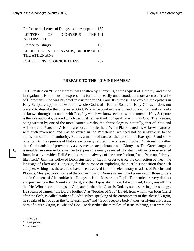| Preface to the Letters of Dionysius the Areopagite 139 |                              |      |                                        |                |     |  |  |
|--------------------------------------------------------|------------------------------|------|----------------------------------------|----------------|-----|--|--|
|                                                        | LETTERS<br><b>AREOPAGITE</b> | – OF | DIONYSIUS                              | <b>THE 141</b> |     |  |  |
| Preface to Liturgy                                     |                              |      |                                        |                |     |  |  |
|                                                        | THE ATHENIANS                |      | LITURGY OF ST DIONYSIUS, BISHOP OF 187 |                |     |  |  |
|                                                        |                              |      | OBJECTIONS TO GENUINENESS              |                | 202 |  |  |

#### **PREFACE TO THE "DIVINE NAMES."**

<span id="page-11-0"></span>THE Treatise on "Divine Names" was written by Dionysius, at the request of Timothy, and at the instigation of Hierotheus, to express, in a form more easily understood, the more abstract Treatise of Hierotheus, who was his chief instructor after St. Paul. Its purpose is to explain the epithets in Holy Scripture applied alike to the whole Godhead—Father, Son, and Holy Ghost. It does not pretend to describe the unrevealed God, Who is beyond expression and conception, and can only be known through that union with God, "by which we know, even as we are known." Holy Scripture is the sole authority, beyond which we must neither think nor speak of Almighty God. The Treatise, being written by one of the most learned Greeks, the phraseology is, naturally, that of Plato and Aristotle ; but Plato and Aristotle are not authorities here. When Plato treated his Hebrew instructor with such reverence, and was so versed in the Pentateuch, we need not be sensitive as to the admission of Plato's authority. But, as a matter of fact, on the question of Exemplars<sup>2</sup> and some other points, the opinions of Plato are expressly refuted. The phrase of Luther, "Platonising, rather than Christianising," proves only a very meagre acquaintance with Dionysius. The Greek language is moulded in a marvellous manner to express the newly revealed Christian Faith in its most exalted form, in a style which Daillé confesses to be always of the same "colour;" and Pearson, "always like itself." Jahn has followed Dionysius step by step in order to trace the connection between the language of Plato and Dionysius, for the purpose of exploding the puerile supposition that such complex writings as these could have been evolved from the elementary treatises of Proclus and Plotinus. Most probably, some of the lost writings of Dionysius are in part preserved in those writers and in Clement of Alexandria; but Dionysius is the Master, not Pupil! The works are very distinct and precise upon the Divinity of Christ, and the Hypostatic Union. Like St. Paul, Dionysius affirms that He, Who made all things, is God; and further that Jesus is God, by some startling phraseology. He speaks of James, "the Lord's brother<sup>3</sup>," as "brother of God" David, from whom was born Christ after the flesh, is called "father of God<sup>4</sup>." When speaking of the entombment of the Blessed Virgin, he speaks of her body as the "Life-springing" and "God-receptive body;" thus testifying that Jesus, born of a pure Virgin, is Life and God. He describes the miracles of Jesus as being, as it were, the

x

<sup>2</sup> C. V. § 2.

<sup>3</sup> Ἀδελφόθεος.

<sup>4</sup> Θεοπάτορ.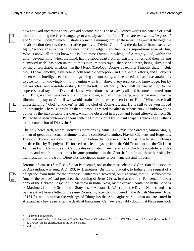xi

xii

xiii

new and God-incarnate energy of God become Man. The newly-coined words indicate an original thinker moulding the Greek language to a newly acquired faith. There are two words, "Agnosia" and "Divine Gloom," which illustrate a principle running through these writings,—that the negative of abstraction denotes the superlative positive. "Divine Gloom" is the darkness from excessive light; "Agnosia" is neither ignorance nor knowledge intensified: but a supra-knowledge of Him, Who is above all things known. It is "the most Divine knowledge of Almighty God, within the union beyond mind, when the mind, having stood apart from all existing things, and then, having dismissed itself, has been united to the superluminous rays—thence and there, being illuminated by the unsearchable wisdom." In the *Mystic Theology,* Dionysius exhorts Timothy thus,—"But, thou, O dear Timothy, leave behind both sensible perception, and intellectual efforts, and all objects of sense and intelligence; and all things being and not being, and be raised aloft as far as attainable, ἀγνώστως—unknowingly<sup>5</sup> ,—to the union with Him above every essence and knowledge. For by the resistless and absolute ecstacy from thyself, in all purity, thou wilt be carried high to the superessential ray of the Divine darkness, when thou hast cast away all, and become liberated from all." Thus, we must pass beyond all things known, and all things being, and lie passive under the illuminating ray of God, if we would attain the highest conception of Him, "Who passeth all understanding." God "unknown" is still the God of Dionysius, and He is still to be worshipped unknowingly. There is a tradition that Dionysius erected the altar in Athens "to God unknown," as author of the inexplicable darkness, which he observed in Egypt, and found afterwards from St. Paul to have been contemporaneous with the Crucifixion. Did St. Paul adapt his discourse at Athens to the conversion of Dionysius?

The only heresiarch, whom Dionysius mentions by name, is Elymas, the Sorcerer, Simon Magus, a man of great intellectual attainments and a considerable author. Flavius Clemens and Eugenius, Bishop of Toledo, were disciples of Simon before their conversion to Christ. The tenets of Elymas are described by Hippolytus. He formed an eclectic system from the Old Testament and the Christian Faith, and with Cerinthus and Carpocrates originated many heresies to which the apostolic epistles allude, and which in later times became prominent in the Church. In refuting these heresies, by manifestation of the truth, Dionysius anticipated many errors—ancient and modern.

Jerome informs us (Scr. [Ecc. 46](http://www.ccel.org/b/bible/asv/xml/asv.Eccl..xml#Eccl..)) that Pantaenus<sup>6</sup>, one of the most celebrated Christian philosophers of Alexandria, was sent, A.D. 193, by Demetrius, Bishop of that city, to India, at the request of a delegation from India for that purpose. Pantaenus discovered, on his arrival, that St. Bartholomew (one of the twelve) had preached the coming of Jesus Christ, in that country. Pantaenus found a copy of the Hebrew Gospel of St. Matthew in India. Now, by the extract, contained in the Scholia of Maximus, from the Scholia of Dionysius of Alexandria (250) upon the Divine Names, and also by the extract from a letter of the same Dionysius, recently discovered in the British Museum<sup>7</sup> (Nos. 12151-2), we know that the writings of Dionysius the Areopagite were known and treasured in Alexandria a few years after the death of Pantaenus. Can we reasonably doubt that Pantaenus took

<sup>5</sup> As beyond knowledge.

<sup>6</sup> Conversion of India, p. 12. Pressensé, The Earlier Years of Christianity, Vol. II. p. 271. The History of Mathurâ (Muttra), by F. S. Growse, on the glorification of the Divine Name.

<sup>7</sup> Vidieu, p. 73.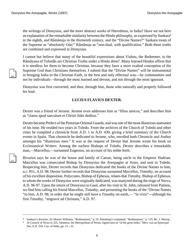xiv

xv

the writings of Dionysius, and the more abstract works of Hierotheus, to India? Have we not here an explanation of the remarkable similarity between the Hindu philosophy, as expressed by Sankara<sup>8</sup> in the eighth, and Râmânuja in the thirteenth century, and the "Divine Names?" Sankara treats of the Supreme as "absolutely One;" Râmânuja as "non-dual, with qualification." Both these truths are combined and expressed in Dionysius.

I cannot but believe that many of the beautiful expressions about Vishnu, the Redeemer, in the Râmâyana of Tulsidâs are Christian Truths under a Hindu dress<sup>9</sup>. Many learned Hindus affirm that it is needless for them to become Christian, because they have a more exalted conception of the Supreme God than Christians themselves. I submit that the "Divine Names" will be instrumental in bringing India to the Christian Faith, in the best and only effectual way—by communities and not by individuals—through the most learned and devout, and not through the most ignorant.

Dionysius was first converted, and then, through him, those who naturally and properly followed his lead.

#### **LUCIUS FLAVIUS DEXTER.**

Dexter was a friend of Jerome. Jerome even addresses him as "filius amicus," and describes him as "clarus apud saeculum et Christi fidei deditus."

Dexter became Prefect of the Pretorian Oriental Guards, and was one of the most illustrious statesmen of his time. He resided two years in Toledo. From the archives of the Church of Toledo and other cities he compiled a chronicle from A.D. 1 to A.D. 430, giving a brief summary of the Church events in Spain. That chronicle he dedicated to Jerome, who, enrolled both Chronicle and Author amongst his "illustrious men." It was at the request of Dexter that Jerome wrote his book on Ecclesiastical Writers. Among the earliest Bishops of Toledo, Dexter describes a remarkable man,—Marcellus,—surnamed Eugenius, on account of his noble birth.

Bivarius says he was of the house and family of Caesar, being uncle to the Emperor Hadrian. Marcellus was consecrated Bishop by Dionysius the Areopagite at Aries, and sent to Toledo. Respecting him, Dexter records that Dionysius dedicated the books of the Divine Names to him, u.c. 851, A.D. 98. Dexter further records that Dionysius surnamed Marcellus, Timothy, on account of his excellent disposition. Polycrates, Bishop of Ephesus, relates that Timothy, Bishop of Ephesus, to whom the works of Dionysius were originally dedicated, was martyred during the reign of Nerva, A.D. 96-97. Upon the return of Dionysius to Gaul, after his visit to St. John, released from Patmos, we find him calling his friend Marcellus, Timothy, and presenting the books of the "Divine Names "to him, A.D. 98; in order that he might still have a Timothy on earth,— "in vivis"—although his first Timothy, "migravit ad Christum," A.D. 97.

<sup>8</sup> Sankara's doctrine, Sir Monier Williams, "Brahmanism," p. 55. Râmânuja's explained, "Brahmanism," p. 119, &c. J. Murray.

<sup>9</sup> At Council of Nicea in 325, Johannes, the Metropolitan of Persia, signed also as "of the great India." Merv was an Episcopal See, A.D. 334. Con. of India, pp. 15—31.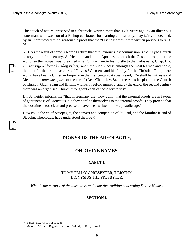This touch of nature, preserved in a chronicle, written more than 1400 years ago, by an illustrious statesman, who was son of a Bishop celebrated for learning and sanctity, may fairly be deemed, by an unprejudiced mind, reasonable proof that the "Divine Names" were written previous to A.D. 98.



<span id="page-14-1"></span>xvii

N.B. As the result of some research I affirm that our Saviour's last commission is the Key to Church history in the first century. As He commanded the Apostles to preach the Gospel throughout the world, so the Gospel *was* preached when St. Paul wrote his Epistle to the Colossians, Chap. I. v. 23 (τοῦ κηρυχθέντος ἐν πάσῃ κτίσει), and with such success amongst the most learned and noble, that, but for the cruel massacre of Flavius<sup>10</sup> Clemens and his family for the Christian Faith, there would have been a Christian Emperor in the first century. As Jesus said, "Ye shall be witnesses of Me unto the *uttermost parts* of the earth" ([Acts Chap. 1. v. 8](http://www.ccel.org/b/bible/asv/xml/asv.Acts.1.xml#Acts.1.8)), so the Apostles planted the Church of Christ in Gaul, Spain and Britain, with its threefold ministry; and by the end of the second century there was an organised Church throughout each of those territories<sup>11</sup>.

Dr. Schneider informs me "that in Germany they now admit that the external proofs are in favour of genuineness of Dionysius, but they confine themselves to the internal proofs. They pretend that the doctrine is too clear and precise to have been written in the apostolic age."

<span id="page-14-0"></span>How could the chief Areopagite, the convert and companion of St. Paul, and the familiar friend of St. John, Theologus, have understood theology!!

### **DIONYSIUS THE AREOPAGITE,**

#### **ON DIVINE NAMES.**

#### **CAPUT I.**

#### TO MY FELLOW PRESBYTER, TIMOTHY, DIONYSIUS THE PRESBYTER.

*What is the purpose of the discourse, and what the tradition concerning Divine Names.*

#### **SECTION I.**

<sup>10</sup> Burton, Ecc. Hist., Vol. I. p. 367.

<sup>11</sup> Mansi I. 698, Jaffi. Regesta Rom. Pon. 2nd Ed., p. 10, by Ewald.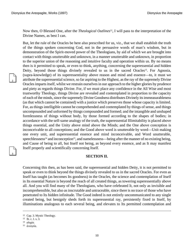3

Now then, O Blessed One, after the *Theological Outlines*12, I will pass to the interpretation of the Divine Names, as best I can.

But, let the rule of the Oracles be here also prescribed for us, viz., that we shall establish the truth of the things spoken concerning God, not in the persuasive words of man's wisdom, but in demonstration of the Spirit-moved power of the Theologians, by aid of which we are brought into contact with things unutterable and unknown, in a manner unutterable and unknown, in proportion to the superior union of the reasoning and intuitive faculty and operation within us. By no means then is it permitted to speak, or even to think, anything, concerning the superessential and hidden Deity, beyond those things divinely revealed to us in the sacred Oracles<sup>13</sup>. For Agnosia, (supra-knowledge) of its superessentiality above reason and mind and essence—to, it must we attribute the superessential science, so far aspiring to the Highest, as the ray of the supremely Divine Oracles imparts itself, whilst we restrain ourselves in our approach to the higher glories by prudence and piety as regards things Divine. For, if we must place any confidence in the All Wise and most trustworthy Theology, things Divine are revealed and contemplated in proportion to the capacity of each of the minds, since the supremely Divine Goodness distributes Divinely its immeasurableness (as that which cannot be contained) with a justice which preserves those whose capacity is limited. For, as things intelligible cannot be comprehended and contemplated by things of sense, and things uncompounded and unformed by things compounded and formed; and the intangible and unshaped formlessness of things without body, by those formed according to the shapes of bodies; in accordance with the self-same analogy of the truth, the superessential Illimitability is placed above things essential, and the Unity above mind above the Minds; and the One above conception is inconceivable to all conceptions; and the Good above word is unutterable by word—Unit making one every unit, and superessential essence and mind inconceivable, and Word unutterable, speechlessness<sup>14</sup> and inconception<sup>15</sup>, and namelessness—being after the manner of no existing being, and Cause of being to all, but Itself not being, as beyond every essence, and as It may manifest Itself properly and scientifically concerning Itself.

#### **SECTION II.**

Concerning this then, as has been said, the superessential and hidden Deity, it is not permitted to speak or even to think beyond the things divinely revealed to us in the sacred Oracles. For even as Itself has taught (as becomes Its goodness) in the Oracles, the science and contemplation of Itself in Its essential Nature is beyond the reach of all created things, as towering superessentially above all. And you will find many of the Theologians, who have celebrated It, not only as invisible and incomprehensible, but also as inscrutable and untraceable, since there is no trace of those who have penetrated to Its hidden infinitude. The Good indeed is not entirely uncommunicated to any single created being, but benignly sheds forth its superessential ray, persistently fixed in Itself, by illuminations analogous to each several being, and elevates to Its permitted contemplation and

<sup>12</sup> Cap. 3. Mystic Theology.

<sup>13</sup> Ib. c. I. s. 3.

<sup>14</sup> *alogia.*

<sup>15</sup> ἀνοησία.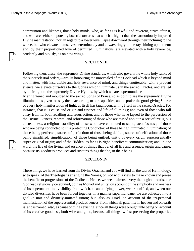5

communion and likeness, those holy minds, who, as far as is lawful and reverent, strive after It, and who are neither impotently boastful towards that which is higher than the harmoniously imparted Divine manifestation, nor, in regard to a lower level, lapse downward through their inclining to the worse, but who elevate themselves determinately and unwaveringly to the ray shining upon them; and, by their proportioned love of permitted illuminations, are elevated with a holy reverence, prudently and piously, as on new wings.

#### **SECTION III.**

Following then, these, the supremely Divine standards, which also govern the whole holy ranks of the supercelestial orders,—whilst honouring the unrevealed of the Godhead which is beyond mind and matter, with inscrutable and holy reverence of mind, and things unutterable, with a prudent silence, we elevate ourselves to the glories which illuminate us in the sacred Oracles, and are led by their light to the supremely Divine Hymns, by which we are supermundane

ly enlightened and moulded to the sacred Songs of Praise, so as both to see the supremely Divine illuminations given to us by them, according to our capacities, and to praise the good-giving Source of every holy manifestation of light, as Itself has taught concerning Itself in the sacred Oracles. For instance, that It is cause and origin and essence and life of all things; and even of those who fall away from It, both recalling and resurrection; and of those who have lapsed to the perversion of the Divine likeness, renewal and reformation; of those who are tossed about in a sort of irreligious unsteadiness, a religious stability; of those who have continued to stand, steadfastness; of those who are being conducted to It, a protecting Conductor; of those being illuminated, illumination; of those being perfected, source of perfection; of those being deified, source of deification; of those being simplified, simplification; of those being unified, unity; of every origin superessentially super-original origin; and of the Hidden, as far as is right, beneficent communication; and, in one word, the life of the living, and essence of things that be; of all life and essence, origin and cause; because Its goodness produces and sustains things that be, in their being.

#### **SECTION IV.**

These things we have learned from the Divine Oracles, and you will find all the sacred Hymnology, so to speak, of the Theologians arranging the Names, of God with a view to make known and praise the beneficent progressions of the Godhead. Hence, we see in almost every theological treatise the Godhead religiously celebrated, both as Monad and unity, on account of the simplicity and oneness of Its supernatural indivisibility from which, as an unifying power, we are unified, and when our divided diversities have been folded together, in a manner supermundane, we are collected into a godlike unit and divinely-imitated union; but, also as Triad, on account of the tri-personal manifestation of the superessential productiveness, from which all paternity in heaven and on earth is, and is named; also, as cause of things existing, since all things were brought into being on account of Its creative goodness, both wise and good, because all things, whilst preserving the properties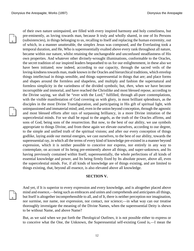7

8

of their own nature unimpaired, are filled with every inspired harmony and holy comeliness, but pre-eminently, as loving towards man, because It truly and wholly shared, in one of Its Persons (subsistencies), in things belonging to us, recalling to Itself and replacing the human extremity, out of which, in a manner unutterable, the simplex Jesus was composed, and the Everlasting took a temporal duration, and He, Who is superessentially exalted above every rank throughout all nature, became within our nature, whilst retaining the unchangeable and unconfused steadfastness of His own properties. And whatever other divinely-wrought illuminations, conformable to the Oracles, the secret tradition of our inspired leaders bequeathed to us for our enlightenment, in these also we have been initiated; *now* indeed, according to our capacity, through the sacred veils of the loving-kindness towards man, made known in the Oracles and hierarchical traditions, which envelop things intellectual in things sensible, and things superessential in things that are; and place forms and shapes around the formless and shapeless, and multiply and fashion the supernatural and formless simplicity in the variedness of the divided symbols; but, *then,* when we have become incorruptible and immortal, and have reached the Christlike and most blessed repose, according to the Divine saying, we shall be "ever with the Lord," fulfilled, through all-pure contemplations, with the visible manifestation of God covering us with glory, in most brilliant splendours, as the disciples in the most Divine Transfiguration, and participating in His gift of spiritual light, with unimpassioned and immaterial mind; and, even in the union beyond conception, through the agnostic and most blessed efforts after rays of surpassing brilliancy, in a more Divine imitation of the supercelestial minds. For we shall be equal to the angels, as the truth of the Oracles affirms, and sons of God, being sons of the resurrection. But now, to the best of our ability, we use symbols appropriate to things Divine, and from these again we elevate ourselves, according to our degree, to the simple and unified truth of the spiritual visions; and after our every conception of things godlike, laying aside our mental energies, we cast ourselves, to the best of our ability, towards the superessential ray, in which all the terms of every kind of knowledge pre-existed in a manner beyond expression, which it is neither possible to conceive nor express, nor entirely in any way to contemplate, on account of Its being pre-eminently above all things, and super-unknown, and Its having previously contained within Itself, superessentially, the whole perfections of all kinds of essential knowledge and power, and Its being firmly fixed by Its absolute power, above all, even the supercelestial minds. For, if all kinds of knowledge are of things existing, and are limited to things existing, that, beyond all essence, is also elevated above all knowledge.

#### **SECTION V.**

And yet, if It is superior to every expression and every knowledge, and is altogether placed above mind and essence,—being such as embraces and unites and comprehends and anticipates all things, but Itself is altogether incomprehensible to all, and of It, there is neither perception nor imagination, nor surmise, nor name, nor expression, nor contact, nor science;—in what way can our treatise thoroughly investigate the meaning of the Divine Names, when the superessential Deity is shewn to be without Name, and above Name?

But, as we said when we put forth the *Theological Outlines,* it is not possible either to express or to conceive what the One, the Unknown, the Superessential self-existing Good is,—I mean the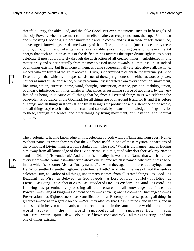threefold Unity, the alike God, and the alike Good. But even the unions, such as befit angels, of the holy Powers, whether we must call them efforts after, or receptions from, the super-Unknown and surpassing Goodness, are both unutterable and unknown, and exist in those angels alone who, above angelic knowledge, are deemed worthy of them. The godlike minds (men) made one by these unions, through imitation of angels as far as attainable (since it is during cessation of every mental energy that such an union as this of the deified minds towards the super-divine light takes place) celebrate It most appropriately through the abstraction of all created things—enlightened in this matter, truly and super-naturally from the most blessed union towards It—that It is Cause Indeed of all things existing, but Itself none of them, as being superessentially elevated above all. To none, indeed, who are lovers of the Truth above all Truth, is it permitted to celebrate the supremely-Divine Essentiality—that which is the super-subsistence of the super-goodness,—neither as word or power, neither as mind or life or essence, but as pre-eminently separated from every condition, movement, life, imagination, surmise, name, word, thought, conception, essence, position, stability, union, boundary, infinitude, all things whatever. But since, as sustaining source of goodness, by the very fact of Its being, It is cause of all things that be, from all created things must we celebrate the benevolent Providence of the Godhead; for all things are both around It and for It, and It is before all things, and all things in It consist, and by Its being is the production and sustenance of the whole, and all things aspire to It—the intellectual and rational, by means of knowledge—things inferior to these, through the senses, and other things by living movement, or substantial and habitual aptitude.

#### **SECTION VI.**

The theologians, having knowledge of this, celebrate It, both without Name and from every Name. Without name, as when they say that the Godhead Itself, in one of those mystical apparitions of the symbolical Divine manifestation, rebuked him who said, "What is thy name?" and as leading him away from all knowledge of the Divine Name, said this, "and why dost thou ask my Name? "and this (Name) "is wonderful," And is not this in reality the wonderful Name, that which is above every Name—the Nameless—that fixed above every name which is named, whether in this age or in that which is to come? Also, as "many named," as when they again introduce It as saying, "I am He, Who is—the Life—the Light—the God—the Truth." And when the wise of God themselves celebrate Him, as Author of all things, under many Names, from all created things—as Good—as Beautiful—as Wise—as Beloved—as God of gods—as Lord of lords—as Holy of Holies—as Eternal—as Being—as Author of Ages—as Provider of Life—as Wisdom—as Mind—as Word—as Knowing—as preeminently possessing all the treasures of all knowledge—as Power—as Powerful—as King of kings—as Ancient of days—as never growing old—and Unchangeable—as Preservation—as Righteousness—as Sanctification — as Redemption—as surpassing all things in greatness—and as in a gentle breeze.—Yea, they also say that He is in minds, and in souls, and in bodies, and in heaven and in earth, and at once, the same in the same—in the world—around the world—above the world—supercelestial, superessential, sun, star—fire—water—spirit—dew—cloud—self-hewn stone and rock—all things existing—and not one of things existing.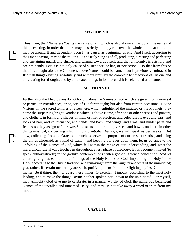12

#### **SECTION VII.**

Thus, then, the "Nameless "befits the cause of all, which is also above all, as do all the names of things existing, in order that there may be strictly a kingly rule over the whole; and that all things may be around It and dependent upon It, as cause, as beginning, as end. And Itself, according to the Divine saying, may be the "all in all," and truly sung as of all, producing, directing and perfecting and sustaining guard, and shrine, and turning towards Itself, and that uniformly, irresistibly and pre-eminently. For It is not only cause of sustenance, or life, or perfection,—so that from this or that forethought alone the Goodness above Name should be named, but It previously embraced in Itself all things existing, absolutely and without limit, by the complete benefactions of His one and all-creating forethought, and by all created things in joint accord It is celebrated and named.

#### **SECTION VIII.**

Further also, the Theologians do not honour alone the Names of God which are given from universal or particular Providences, or objects of His forethought; but also from certain occasional Divine Visions, in the sacred temples or elsewhere, which enlightened the initiated or the Prophets, they name the surpassing bright Goodness which is above Name, after one or other causes and powers, and clothe It in forms and shapes of man, or fire, or electron, and celebrate Its eyes and ears, and locks of hair, and countenance, and hands, and back, and wings, and arms, and hinder parts and feet. Also they assign to It crowns<sup>16</sup> and seats, and drinking vessels and bowls, and certain other things mystical, concerning which, in our *Symbolic Theology,* we will speak as best we can. But now, collecting from the Oracles so much as serves the purpose of our present treatise, and using the things aforesaid, as a kind of Canon, and keeping our eyes upon them, let us advance to the unfolding of the Names of God, which fall within the range of our understanding, and, what the hierarchical rule always teaches us throughout every phase of theology, let us become initiated (to speak authoritatively) in the godlike contemplations with a god-enlightened conception. And let us bring religious ears to the unfoldings of the Holy Names of God, implanting the Holy in the Holy, according to the Divine tradition, and removing it from the laughter and jeers of the uninitiated; yea, rather, if certain men really are such, purifying them from their fighting against God in this matter. Be it thine, then, to guard these things, O excellent Timothy, according to the most holy leading, and to make the things Divine neither spoken nor known to the uninitiated. For myself, may Almighty God give me to celebrate, in a manner worthy of God, the numerous beneficent Names of the uncalled and unnamed Deity; and may He not take away a word of truth from my mouth.

#### **CAPUT II.**

<span id="page-19-0"></span><sup>16</sup> Letter to Titus.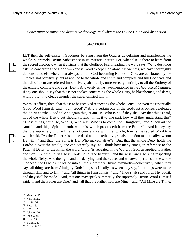14

*Concerning common and distinctive theology, and what is the Divine Union and distinction.*

#### **SECTION I.**

LET then the self-existent Goodness be sung from the Oracles as defining and manifesting the whole supremely-Divine-Subsistence in its essential nature. For, what else is there to learn from the sacred theology, when it affirms that the Godhead Itself, leading the way, says, "Why dost thou ask me concerning the Good?—None is Good except God alone." Now, this, we have thoroughly demonstrated elsewhere, that always, all the God-becoming Names of God, are celebrated by the Oracles, not partitively, but as applied to the whole and entire and complete and full Godhead, and that all of them are referred impartitively, absolutely, unreservedly, entirely, to all the Entirety of the entirely complete and every Deity. And verily as we have mentioned in the *Theological Outlines,* if any one should say that this is not spoken concerning the whole Deity, he blasphemes, and dares, without right, to cleave asunder the super-unified Unity.

We must affirm, then, that this is to be received respecting the whole Deity. For even the essentially Good Word Himself said, "I am Good<sup>17</sup>." And a certain one of the God-rapt Prophets celebrates the Spirit as "the Good<sup>18</sup>." And again this, "I am He, Who is<sup>19</sup>." If they shall say that this is said, not of the whole Deity, but should violently limit it to one part, how will they understand this? "These things, saith He, Who is, Who was, Who is to come, the Almighty<sup>20</sup>," and "Thou art the same<sup>21</sup>," and this, "Spirit of truth, which is, which proceedeth from the Father<sup>22</sup>." And if they say that the supremely Divine Life is not coextensive with the whole, how is the sacred Word true which said, "As the Father raiseth the dead and maketh alive, so also the Son maketh alive whom He will<sup>23</sup>," and that "the Spirit is He, Who maketh alive<sup>24</sup>?" But, that the whole Deity holds the Lordship over the whole, one can scarcely say, as I think how many times, in reference to the Paternal Deity, or the Filial, the word "Lord "is repeated in the Word of God, as applied to Father and  $Son^{25}$ . But the Spirit also is Lord<sup>26</sup>. And "the beautiful and the wise" are also sung respecting the whole Deity. And the light, and the deifying, and the cause, and whatever pertains to the whole Godhead, the Oracles introduce into all the supremely Divine hymnody—collectively, when they say "all things are from Almighty God; "but, specifically, as when they say, "all things were made through Him and to Him," and "all things in Him consist," and "Thou shalt send forth Thy Spirit, and they shall be made." And, that one may speak summarily, the supremely Divine Word Himself said, "I and the Father are One," and "all that the Father hath are Mine," and, "All Mine are Thine,

- <sup>20</sup> [Rev. i. 8.](http://www.ccel.org/b/bible/asv/xml/asv.Rev.1.xml#Rev.1.8)
- <sup>21</sup> [Heb. i. 12.](http://www.ccel.org/b/bible/asv/xml/asv.Heb.1.xml#Heb.1.12)
- <sup>22</sup> [John xv. 26.](http://www.ccel.org/b/bible/asv/xml/asv.John.15.xml#John.15.26)
- <sup>23</sup> [John v. 21](http://www.ccel.org/b/bible/asv/xml/asv.John.5.xml#John.5.21). <sup>24</sup> Ib. vi. 63.
- <sup>25</sup> [1 Cor. i. 30.](http://www.ccel.org/b/bible/asv/xml/asv.iCor.1.xml#iCor.1.30)

<sup>17</sup> [Matt. xx. 15](http://www.ccel.org/b/bible/asv/xml/asv.Matt.20.xml#Matt.20.15).

<sup>18</sup> [Neh. ix. 20.](http://www.ccel.org/b/bible/asv/xml/asv.Neh.9.xml#Neh.9.20)

<sup>19</sup> [Ex. iii. 14.](http://www.ccel.org/b/bible/asv/xml/asv.Exod.3.xml#Exod.3.14)

<sup>26</sup> [2 Cor. iii. 17.](http://www.ccel.org/b/bible/asv/xml/asv.iiCor.3.xml#iiCor.3.17)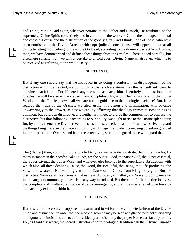16

and Thine, Mine." And again, whatever pertains to the Father and Himself, He attributes. to the supremely Divine Spirit, collectively and in common—the works of God—the homage, the fontal and ceaseless cause and the distribution of the goodly gifts. And I think, none of those, who have been nourished in the Divine Oracles with unprejudiced conceptions, will oppose this, that all things befitting God belong to the whole Godhead, according to the divinely perfect Word. Since, then, we have demonstrated and defined these things from the Oracles,—here indeed partially, but elsewhere sufficiently—we will undertake to unfold every Divine Name whatsoever, which is to be received as referring to the whole Deity.

#### **SECTION II.**

But if any one should say that we introduce in so doing a confusion, in disparagement of the distinction which befits God, we do not think that such a statement as this is itself sufficient to convince that it is true. For, if there is any one who has placed himself entirely in opposition to the Oracles, he will be also entirely apart from our. philosophy; and, if he has no care for the divine Wisdom of the Oracles, how shall we care for his guidance to the theological science? But, if he regards the truth of the Oracles, we also, using this canon and illumination, will advance unwaveringly to the answer, as best we can, by affirming that theology transmits some things as common, but others as distinctive; and neither is it meet to divide the common, nor to confuse the distinctive; but that following It according to our ability, we ought to rise to the Divine splendours; for, by taking thence the Divine revelations, as a most excellent canon of truth, we strive to guard the things lying there, in their native simplicity and integrity and identity—being ourselves guarded in our guard of the Oracles, and from these receiving strength to guard those who guard them.

#### **SECTION III.**

The (Names) then, common to the whole Deity, as we have demonstrated from the Oracles, by many instances in the *Theological Outlines,* are the Super-Good, the Super-God, the Super-essential, the Super-Living, the Super-Wise, and whatever else belongs to the superlative abstraction; with which also, all those denoting Cause, the Good, the Beautiful, the Being, the Life-producing, the Wise, and whatever Names are given to the Cause of all Good, from His goodly gifts. But the distinctive Names are the superessential name and property of Father, and Son and Spirit, since no interchange or community in these is in any way introduced. But there is a further distinction, viz., the complete and unaltered existence of Jesus amongst us, and all the mysteries of love towards man actually existing within it.

#### **SECTION IV.**

But it is rather necessary, I suppose, to resume and to set forth the complete fashion of the Divine union and distinction, in order that the whole discourse may be seen at a glance to reject everything ambiguous and indistinct, and to define critically and distinctly the proper Names, as far as possible. For, as I said elsewhere, the sacred instructors of our theological tradition call the "Divine Unions"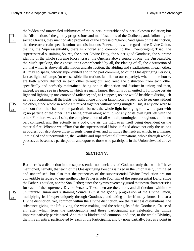18

the hidden and unrevealed sublimities of the super-unutterable and super-unknown Isolation; but the "distinctions," the goodly progressions and manifestations of the Godhead; and, following the sacred Oracles, they mention also properties of the aforesaid "Union; "and again of the distinction, that there are certain specific unions and distinctions. For example, with regard to the Divine Union, that is, the Superessentiality, there is kindred and common to the One-springing Triad, the superessential sustaining Source, the super-Divine Deity, the super-good Goodness, the supreme identity of the whole supreme Idiosyncrasy, the Oneness above source of one; the Unspeakable; the Much-speaking, the Agnosia, the Comprehended by all, the Placing of all, the Abstraction of all, that which is above all affirmation and abstraction, the abiding and steadfastness in each other, if I may so speak, wholly super-united and in no part commingled of the One-springing Persons, just as lights of lamps (to use sensible illustrations familiar to our capacity), when in one house, are both wholly distinct in each other throughout, and keep the distinction from each other specifically and perfectly maintained, being one in distinction and distinct in union; and then, indeed, we may see in a house, in which are many lamps, the lights of all united to form one certain light and lighting up one combined radiance; and, as I suppose, no one would be able to distinguish in the air containing all the lights the light of one or other lamp from the rest, and to see one without the other, since whole in whole are mixed together without being mingled. But, if any one were to take out from the chamber one particular burner, the whole light belonging to it will depart with it; no particle of the other lights being drawn along with it, nor any of its own light left with the other. For there was, as I said, the complete union of all with all, unmingled throughout, and in no part confused, and this actually in a body, the air, the light even itself being dependent on the material fire. Whence we affirm that the superessential Union is fixed above not only the unions in bodies, but also above those in souls themselves, and in minds themselves, which, in a manner unmingled and supermundane, the Godlike and supercelestial Illuminations, whole through whole, possess, as beseems a participation analogous to those who participate in the Union elevated above all.

#### **SECTION V.**

But there is a distinction in the superessential nomenclature of God, not only that which I have mentioned, namely, that each of the One-springing Persons is fixed in the union itself, unmingled and unconfused; but also that the properties of the superessential Divine Production are not convertible in regard to one another. The Father is sole Fountain of the superessential Deity, since the Father is not Son, nor the Son, Father; since the hymns reverently guard their own characteristics for each of the supremely Divine Persons. These then are the unions and distinctions within the unutterable Union and sustaining Source. But, if the goodly progression of the Divine Union, multiplying itself super-uniquely through Goodness, and taking to itself many forms, is also a Divine distinction, yet, common within the Divine distinction, are the resistless distributions, the substance-giving, the life-giving, the wise-making, and the other gifts of the Goodness, Cause of all, after which from the participations and those participating are celebrated the things imparticipatively participated. And this is kindred and common, and one, to the whole Divinity, that it is all entire, participated by each of the Participants, and by none partially. Just as a point in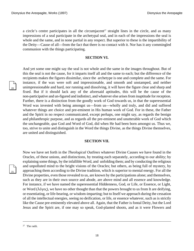21

a circle's centre participates in all the circumjacent<sup>27</sup> straight lines in the circle, and as many impressions of a seal participate in the archetypal seal, and in each of the impressions the seal is whole and the same, and in none partial in any respect. But superior to these is the impartibility of the Deity—Cause of all—from the fact that there is no contact with it. Nor has it any commingled communion with the things participating.

#### **SECTION VI.**

And yet some one might say the seal is not whole and the same in the images throughout. But of this the seal is not the cause, for it imparts itself all and the same to each; but the difference of the recipients makes the figures dissimilar, since the archetype is one and complete and the same. For instance, if the wax were soft and impressionable, and smooth and unstamped, and neither unimpressionable and hard, nor running and dissolving, it will have the figure clear and sharp and fixed. But if it should lack any of the aforesaid aptitudes, this will be the cause of the non-participative and un-figured and indistinct, and whatever else arises from inaptitude for reception. Further, there is a distinction from the goodly work of God towards us, in that the superessential Word was invested with being amongst us—from us—wholly and truly, and did and suffered whatever things are choice and pre-eminent in His human work of God. For in these, the Father and the Spirit in no respect communicated, except perhaps, one might say, as regards the benign and philanthropic purpose, and as regards all the pre-eminent and unutterable work of God which the unchangeable, *qua* God and Word of God, did when He had been born amongst us. Thus we, too, strive to unite and distinguish in the Word the things Divine, as the things Divine themselves, are united and distinguished.

#### **SECTION VII.**

Now we have set forth in the *Theological Outlines* whatever Divine Causes we have found in the Oracles, of these unions, and distinctions, by treating each separately, according to our ability; by explaining some things, by the infallible Word, and unfolding them; and by conducting the religious and unpolluted mind to the bright visions of the Oracles; but others, as being full of mystery, by approaching them according to the Divine tradition, which is superior to mental energy. For all the Divine properties, even those revealed to us, are known by the participations alone; and themselves, such as they are in their own source and abode, are above mind and all essence and knowledge. For instance, if we have named the superessential Hiddenness, God, or Life, or Essence, or Light, or Word (λόγος), we have no other thought than that the powers brought to us from It are deifying, or essentiating, or life-bearing, or wisdom-imparting; but to Itself we approach during the cessation of all the intellectual energies, seeing no deification, or life, or essence whatever, such as is strictly like the Cause pre-eminently elevated above all. Again, that the Father is fontal Deity, but the Lord Jesus and the Spirit are, if one may so speak, God-planted shoots, and as it were Flowers and

<sup>27</sup> The radii.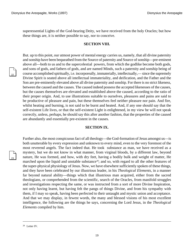23

superessential Lights of the God-bearing Deity, we have received from the holy Oracles; but how these things are, it is neither possible to say, nor to conceive.

#### **SECTION VIII.**

But. up to this point, our utmost power of mental energy carries us, namely, that all divine paternity and sonship have been bequeathed from the Source of paternity and Source of sonship—pre-eminent above all—both to us and to the supercelestial powers, from which the godlike become both gods, and sons of gods, and fathers of gods, and are named Minds, such a paternity and sonship being of course accomplished spiritually, i.e. incorporeally, immaterially, intellectually,— since the supremely Divine Spirit is seated above all intellectual immateriality, and deification, and the Father and the Son are pre-eminently elevated above all divine paternity and sonship. For there is no strict likeness, between the caused and the causes. The caused indeed possess the accepted likenesses of the causes, but the causes themselves are elevated and established above the caused, according to the ratio of their proper origin. And, to use illustrations suitable to ourselves, pleasures and pains are said to be productive of pleasure and pain, but these themselves feel neither pleasure nor pain. And fire, whilst heating and burning, is not said to be burnt and heated. And, if any one should say that the self-existent Life lives, or that the self-existent Light is enlightened, in my view he will not speak correctly, unless, perhaps, he should say this after another fashion, that the properties of the caused are abundantly and essentially pre-existent in the causes.

#### **SECTION IX.**

Further also, the most conspicuous fact of all theology—the God-formation of Jesus amongst us—is both unutterable by every expression and unknown to every mind, even to the very foremost of the most reverend angels. The fact indeed that. He took substance as man, we have received as a mystery, but we do not know in what manner, from virginal bloods, by a different law, beyond nature, He was formed, and how, with dry feet, having a bodily bulk and weight of matter, He marched upon the liquid and unstable substance<sup>28</sup>; and so, with regard to all the other features of the super-physical physiology of Jesus. Now, we have elsewhere sufficiently spoken of these things, and they have been celebrated by our illustrious leader, in his *Theological Elements,* in a manner far beyond natural ability—things which that illustrious man acquired, either from the sacred theologians, or comprehended from the scientific, search of the Oracles, from manifold struggles and investigations respecting the same, or was instructed from a sort of more Divine Inspiration, not only having learnt, but having felt the pangs of things Divine, and from his sympathy with them, if I may so speak, having been perfected to their untaught and mystic union and acceptance. And that we may display, in fewest words, the many and blessed visions of his most excellent intelligence, the following are the things he says, concerning the Lord Jesus, in the *Theological Elements* compiled by him.

<sup>28</sup> Letter IV.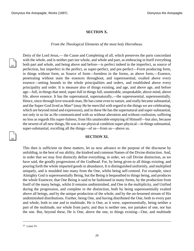25

#### **SECTION X.**

*From the Theological Elements of the most holy Hierotheus.*

Deity of the Lord Jesus,— the Cause and Completing of all, which preserves the parts concordant with the whole, and is neither part nor whole, and whole and part, as embracing in Itself everything both part and whole, and being above and before—is perfect indeed in the imperfect, as source of perfection, but imperfect in the perfect, as super-perfect, and pre-perfect—Form producing form, in things without form, as Source of form—formless in the forms, as above form,—Essence, penetrating without stain the essences throughout, and superessential, exalted above every essence—setting bounds to the whole principalities and orders, and established above every principality and order. It is measure also of things existing, and age, and above age, and before age—full, in things that need, super-full in things full, unutterable, unspeakable, above mind, above life, above essence. It has the supernatural, supernaturally,—the superessential, superessentially. Hence, since through love towards man, He has come even to nature, and really became substantial, and the Super-God lived as Man<sup>29</sup> (may He be merciful with regard to the things we are celebrating, which are beyond mind and expression), and in these He has the supernatural and super-substantial, not only in so far as He communicated with us without alteration and without confusion, suffering no loss as regards His super-fulness, from His unutterable emptying of Himself—but also, because the newest of all new things, He was in our physical condition super-physical—in things substantial, super-substantial, excelling all the things—of us—from us—above us.

#### **SECTION XI.**

This then is sufficient on these matters, let us now advance to the purpose of the discourse by unfolding, to the best of our ability, the kindred and common Names of the Divine distinction. And, in order that we may first distinctly define everything, in order, we call Divine distinction, as we have said, the goodly progressions of the Godhead. For, by being given to all things existing, and pouring forth the whole imparted goods in abundance, It is distinguished uniformly, and multiplied uniquely, and is moulded into many from the One, whilst being self-centred. For example, since Almighty God is superessentially Being, but the Being is bequeathed to things being, and produces the whole Essences; that One Being is said to be fashioned in many forms, by the production from Itself of the many beings, whilst It remains undiminished, and One in the multiplicity, and Unified during the progression, and complete in the distinction, both by being superessentially exalted above all beings, and by the unique production of the whole; and by the un-lessened stream of His undiminished distributions. Further, being One, and having distributed the One, both to every part and whole, both to one and to multitude, He is One, as it were, superessentially, being neither a part of the multitude, nor whole from parts; and thus is neither one, nor partakes of one, nor has the one. But, beyond these, He is One, above the one, to things existing—One, and multitude

<sup>29</sup> Letter IV.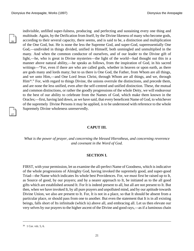<span id="page-26-0"></span>27

indivisible, unfilled super-fulness, producing and perfecting and sustaining every one thing and multitude. Again, by the Deification from Itself, by the Divine likeness of many who become gods, according to their several capacity, there seems, and is said to be, a distinction and multiplication of the One God, but. He is none the less the Supreme God, and super-God, superessentially One God,—undivided in things divided, unified in Himself, both unmingled and unmultiplied in the many. And when the common conductor of ourselves, and of our leader to the Divine gift of light,—he, who is great in Divine mysteries—the light of the world—had thought out this in a manner above natural ability,—he speaks as follows, from the inspiration of God, in his sacred writings—"For, even if there are who are called gods, whether in heaven or upon earth, as there are gods many and lords many; but to us there is One God, the Father, from Whom are all things, and we unto Him,—and One Lord Jesus Christ, through Whom are all things, and we, through Him<sup>30</sup>." For, with regard to things Divine, the unions overrule the distinctions, and precede them, and are none the less unified, even after the self-centred and unified distinction. These, the mutual and common distinctions, or rather the goodly progressions of the whole Deity, we will endeavour to the best of our ability to celebrate from the Names of God, which make them known in the Oracles;—first, having laid down, as we have said, that every beneficent Name of God, to whichever of the supremely Divine Persons it may be applied, is to be understood with reference to the whole Supremely Divine wholeness unreservedly.

#### **CAPUT III.**

*What is the power of prayer, and concerning the blessed Hierotheus, and concerning reverence and covenant in the Word of God.*

#### **SECTION I.**

FIRST, with your permission, let us examine the all-perfect Name of Goodness, which is indicative of the whole progressions of Almighty God, having invoked the supremely good, and super-good Triad—the Name which indicates Its whole best Providences. For, we must first be raised up to It, as Source of good, by our prayers; and by a nearer approach to It, be initiated as to the all good gifts which are established around It. For It is indeed present to all, but all are not present to It. But then, when we have invoked It, by all pure prayers and unpolluted mind, and by our aptitude towards Divine Union, we also are present to It. For, It is not in a place, so that It should be absent from a particular place, or should pass from one to another. But even the statement that It is in all existing beings, falls short of Its infinitude (which is) above all, and embracing all. Let us then elevate our very selves by our prayers to the higher ascent of the Divine and good rays,—as if a luminous chain

<sup>30</sup> [1 Cor. viii. 5, 6.](http://www.ccel.org/b/bible/asv/xml/asv.iCor.8.xml#iCor.8.5 Bible:1Cor.8.6)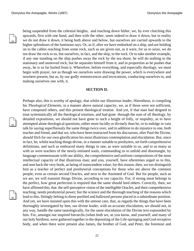29

30

being suspended from the celestial heights, and reaching down hither, we, by ever clutching this upwards, first with one hand, and then with the other, seem indeed to draw it down, but in reality we do not draw it down, it being both above and below, but ourselves are carried upwards to the higher splendours of the luminous rays. Or, as if, after we have embarked on a ship, and are holding on to the cables reaching from some rock, such as are given out, as it were, for us to seize, we do not draw the rock to us, but ourselves, in fact, and the ship, to the rock. Or to take another example, if any one standing on the ship pushes away the rock by the sea shore, he will do nothing to the stationary and unmoved rock, but he separates himself from it, and in proportion as he pushes that away, he is so far hurled from it. Wherefore, before everything, and especially theology, we must begin with prayer, not as though we ourselves were drawing the power, which is everywhere and nowhere present, but as, by our godly reminiscences and invocations, conducting ourselves to, and making ourselves one with, it.

#### **SECTION II.**

Perhaps also, this is worthy of apology, that whilst our illustrious leader, Hierotheus, is compiling his *Theological Elements,* in a manner above natural capacity, we, as if those were not sufficient, have composed others, and this present theological treatise. And yet, if that man had deigned to treat systematically all the theological treatises, and had gone through the sum of all theology, by detailed expositions, we should not have gone to such a height of folly, or stupidity, as to have attempted alone theological questions, either more lucidly or divinely than he, or to indulge in vain talk by saying superfluously the same things twice over, and in addition to do injustice to one, both teacher and friend, and that we, who have been instructed from his discourses, after Paul the Divine, should filch for our own glorification his most illustrious contemplation and elucidation. But, since in fact, he, whilst teaching things divine, in a manner suitable to presbyters, set forth comprehensive definitions, and such as embraced many things in one, as were suitable to us, and to as many as with us were teachers of the newly-initiated souls, commanding us to unfold and disentangle, by language commensurate with our ability, the comprehensive and uniform compositions of the most intellectual capacity of that illustrious man; and you, yourself, have oftentimes urged us to this, and sent back the very book, as being of transcendent value; for this reason, then, we too distinguish him as a teacher of perfect and presbyterial conceptions for those who are above the common people, even as certain second Oracles, and next to the Anointed of God. But for people, such as we are, we will transmit things Divine, according to our capacity. For, if strong meat belongs to the perfect, how great perfection is required that the same should feed others. Correctly, then, we have affirmed this, that the self-perceptive vision of the intelligible Oracles, and their comprehensive teaching, needs presbyterial power; but the science and the thorough teaching of the reasons which lead to this, fittingly belong to those purified and hallowed persons placed in a subordinate position. And yet, we have insisted upon this with the utmost care, that, as regards the things that have been thoroughly investigated by him, our divine leader, with an accurate elucidation, we should not, in any way, handle the same tautologically, for the same elucidation of the Divine text expounded by him. For, amongst our inspired hierarchs (when both we, as you know, and yourself, and many of our holy brethren, were gathered together to the depositing of the Life-springing and God-receptive body, and when there were present also James, the brother of God, and Peter, the foremost and

22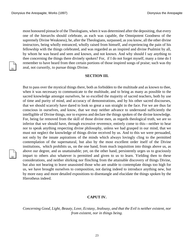<span id="page-28-0"></span>32

most honoured pinnacle of the Theologians, when it was determined after the depositing, that every one of the hierarchs should celebrate, as each was capable, the Omnipotent Goodness of the supremely Divine Weakness), he, after the Theologians, surpassed, as you know, all the other divine instructors, being wholly entranced, wholly raised from himself, and experiencing the pain of his fellowship with the things celebrated, and was regarded as an inspired and divine Psalmist by all, by whom he was heard and seen and known, and not known. And why should I say anything to thee concerning the things there divinely spoken? For, if I do not forget myself, many a time do I remember to have heard from thee certain portions of those inspired songs of praise; such was thy zeal, not cursorily, to pursue things Divine.

#### **SECTION III.**

But to pass over the mystical things there, both as forbidden to the multitude and as known to thee, when it was necessary to communicate to the multitude, and to bring as many as possible to the sacred knowledge amongst ourselves, he so excelled the majority of sacred teachers, both by use of time and purity of mind, and accuracy of demonstrations, and by his other sacred discourses, that we should scarcely have dared to look so great a sun straight in the face. For we are thus far conscious in ourselves, and know, that we may neither advance to understand sufficiently the intelligible of Divine things, nor to express and declare the things spoken of the divine knowledge. For, being far removed from the skill of those divine men, as regards theological truth, we are so inferior that we should have, through excessive reverence, entirely come to this—neither to hear nor to speak anything respecting divine philosophy, unless we had grasped in our mind, that we must not neglect the knowledge of things divine received by us. And to this we were persuaded, not only by the innate aspirations of the minds which always lovingly cling to the permitted contemplation of the supernatural, but also by the most excellent order itself of the Divine institutions, which prohibits us, on the one hand, from much inquisition into things above us, as above our degree, and as unattainable; yet, on the other hand, persistently urges us to graciously impart to others also whatever is permitted and given to us to learn. Yielding then to these considerations, and neither shirking nor flinching from the attainable discovery of things Divine, but also not bearing to leave unassisted those who are unable to contemplate things too high for us, we have brought ourselves to composition, not daring indeed to introduce anything new, but by more easy and more detailed expositions to disentangle and elucidate the things spoken by the Hierotheus indeed.

#### **CAPUT IV.**

*Concerning Good, Light, Beauty, Love, Ecstasy, Jealousy, and that the Evil is neither existent, nor from existent, nor in things being.*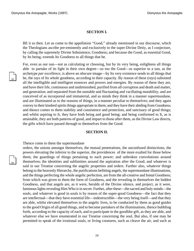34

#### **SECTION I.**

BE it so then. Let us come to the appellation "Good," already mentioned in our discourse, which the Theologians ascribe pre-eminently and exclusively to the super-Divine Deity, as I conjecture, by calling the supremely Divine Subsistence, Goodness; and because the Good, as essential Good, by Its being, extends Its Goodness to all things that be.

For, even as our sun—not as calculating or choosing, but by its very being, enlightens all things able to partake of its light in their own degree—so too the Good—as superior to a sun, as the archetype *par excellence,* is above an obscure image—by Its very existence sends to all things that be, the rays of Its whole goodness, according to their capacity. By reason of these (rays) subsisted all the intelligible and intelligent essences and powers and energies. By reason of these they are, and have their life, continuous and undiminished, purified from all corruption and death and matter, and generation; and separated from the unstable and fluctuating and vacillating mutability, and are conceived of as incorporeal and immaterial, and as minds they think in a manner supermundane, and are illuminated as to the reasons of things, in a manner peculiar to themselves; and they again convey to their kindred spirits things appropriate to them; and they have their abiding from Goodness; and thence comes to them stability and consistence and protection, and sanctuary of good things; and whilst aspiring to It, they have both being and good being; and being conformed to It, as is attainable, they are both patterns of good, and impart to those after them, as the Divine Law directs, the gifts which have passed through to themselves from the Good.

#### **SECTION II.**

Thence come to them the supermundane

orders, the unions amongst themselves, the mutual penetrations, the unconfused distinctions, the powers elevating the inferior to the superior, the providences of the more exalted for those below them; the guardings of things pertaining to each power; and unbroken convolutions around themselves; the identities and sublimities around the aspiration after the Good; and whatever is said in our Treatise concerning the angelic properties and orders. Further also, whatever things belong to the heavenly Hierarchy, the purifications befitting angels, the supermundane illuminations, and the things perfecting the whole angelic perfection, are from the all-creative and fontal Goodness; from which was given to them the form of Goodness, and the revealing in themselves the hidden Goodness, and that angels are, as it were, heralds of the Divine silence, and project, as it were, luminous lights revealing Him Who is in secret. Further, after these—the sacred and holy minds—the souls, and whatever is good in souls is by reason of the super-good Goodness—the fact that they are intellectual—that they have essential life—indestructible—the very being itself—and that they are able, whilst elevated themselves to the angelic lives, to be conducted by them as good guides to the good Origin of all good things, and to become partakers of the illuminations, thence bubbling forth, according to the capacity of each, and to participate in the goodlike gift, as they are able, and whatever else we have enumerated in our Treatise concerning the soul. But also, if one may be permitted to speak of the irrational souls, or living creatures, such as cleave the air, and such as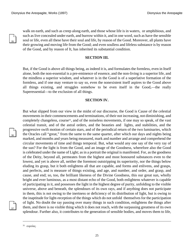36

37

walk on earth, and such as creep along earth, and those whose life is in waters, or amphibious, and such as live concealed under earth, and burrow within it, and in one word, such as have the sensible soul or life, even all these have their soul and life, by reason of the Good. Moreover, all plants have their growing and moving life from the Good; and even soulless and lifeless substance is by reason of the Good, and by reason of It, has inherited its substantial condition.

#### **SECTION III.**

But, if the Good is above all things being, as indeed it is, and formulates the formless, even in Itself alone, both the non-essential is a pre-eminence of essence, and the non-living is a superior life, and the mindless a superior wisdom, and whatever is in the Good is of a superlative formation of the formless, and if one may venture to say so, even the nonexistent itself aspires to the Good above all things existing, and struggles somehow to be even itself in the Good,—the really Superessential—to the exclusion of all things.

#### **SECTION IV.**

But what slipped from our view in the midst of our discourse, the Good is Cause of the celestial movements in their commencements and terminations, of their not increasing, not diminishing, and completely changeless, course31, and of the noiseless movements, if one may so speak, of the vast celestial transit, and of the astral orders, and the beauties and lights, and stabilities, and the progressive swift motion of certain stars, and of the periodical return of the two luminaries, which the Oracles call "great," from the same to the same quarter, after which our days and nights being marked, and months and years being measured, mark and number and arrange and comprehend the circular movements of time and things temporal. But, what would any one say of the very ray of the sun? For the light is from the Good, and an image of the Goodness, wherefore also the Good is celebrated under the name of Light; as in a portrait the original is manifested. For, as the goodness of the Deity, beyond all, permeates from the highest and most honoured substances even to the lowest, and yet is above all, neither the foremost outstripping its superiority, nor the things below eluding its grasp, but it both enlightens all that are capable, and forms and enlivens, and grasps, and perfects, and is measure of things existing, and age, and number, and order, and grasp, and cause, and end; so, too, the brilliant likeness of the Divine Goodness, this our great sun, wholly bright and ever luminous, as a most distant echo of the Good, both enlightens whatever is capable of participating in it, and possesses the light in the highest degree of purity, unfolding to the visible universe, above and beneath, the splendours of its own rays, and if anything does not participate in them, this is not owing to the inertness or deficiency of its distribution of light, but is owing to the inaptitude for light-reception of the things which do not unfold themselves for the participation of light. No doubt the ray passing over many things in such condition, enlightens the things after them, and there is no visible thing which it does not reach, with the surpassing greatness of its own splendour. Further also, it contributes to the generation of sensible bodies, and moves them to life,

 $31$  ευροίας.

<sup>25</sup>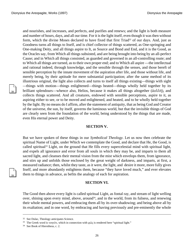39

and nourishes, and increases, and perfects, and purifies and renews; and the light is both measure and number of hours, days, and all our time. For it is the light itself, even though it was then without form, which the divine Moses declared to have fixed that first Triad<sup>32</sup> of our days. And, just as Goodness turns all things to Itself, and is chief collector of things scattered, as One-springing and One-making Deity, and all things aspire to It, as Source and Bond and End, and it is the Good, as the Oracles say, from Which all things subsisted, and are being brought into being by an all-perfect Cause; and in Which all things consisted, as guarded and governed in an all-controlling route; and to Which all things are turned, as to their own proper end; and to Which all aspire —the intellectual and rational indeed, through knowledge, and the sensible through the senses, and those bereft of sensible perception by the innate movement of the aspiration after life, and those without life, and merely being, by their aptitude for mere substantial participation; after the same method of its illustrious original, the light also collects and turns to itself all things existing—things with sight *—*things with motion—things enlightened—things heated—things wholly held together by its brilliant splendours—whence also, Helios, because it makes all things altogether ( $\dot{\alpha}$ ολλῆ), and collects things scattered. And all creatures, endowed with sensible perceptions, aspire to it, as aspiring either to see, or to be moved and enlightened, and heated, and to be wholly held together by the light. By no means do I affirm, after the statement of antiquity, that as being God and Creator of the universe, the sun, by itself, governs the luminous world, but that the invisible things of God are clearly seen from the foundation of the world, being understood by the things that are made, even His eternal power and Deity.

#### **SECTION V.**

But we have spoken of these things in our *Symbolical Theology.* Let us now then celebrate the spiritual Name of Light, under Which we contemplate the Good, and declare that He, the Good, is called spiritual<sup>33</sup> Light, on the ground that He fills every supercelestial mind with spiritual light, and expels all ignorance and error from all souls in which they may be, and imparts to them all sacred light, and cleanses their mental vision from the mist which envelops them, from ignorance, and stirs up and unfolds those enclosed by the great weight of darkness, and imparts, at first, a measured radiance; then, whilst they taste, as it were, the light, and desire it more, more fully gives Itself, and more abundantly enlightens them, because "they have loved much," and ever elevates them to things in advance, as befits the analogy of each for aspiration.

#### **SECTION VI.**

The Good then above every light is called spiritual Light, as fontal ray, and stream of light welling over, shining upon every mind, above, around<sup>34</sup>, and in the world, from its fulness, and renewing their whole mental powers, and embracing them all by its over-shadowing; and being above all by its exaltation; and in one word, by embracing and having previously and pre-eminently the whole

<sup>32</sup> See Dulac, Theology anticipates Science.

<sup>&</sup>lt;sup>33</sup> The Greek word is νοητὸν, which in connection with φῶς is rendered here "spiritual light."

<sup>34</sup> See Book of Hierotheus, c. 2.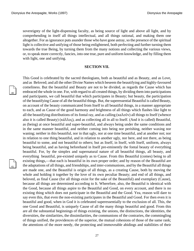41

sovereignty of the light-dispensing faculty, as being source of light and above all light, and by comprehending in itself all things intellectual, and all things rational, and making them one altogether. For as ignorance puts asunder those who have gone astray, so the presence of the spiritual light is collective and unifying of those being enlightened, both perfecting and further turning them towards the true Being, by turning them from the many notions and collecting the various views, or, to speak more correctly, fancies, into one true, pure and uniform knowledge, and by filling them with light, one and unifying.

#### **SECTION VII.**

This Good is celebrated by the sacred theologians, both as beautiful and as Beauty, and as Love, and as Beloved; and all the other Divine Names which beseem the beautifying and highly-favoured comeliness. But the beautiful and Beauty are not to be divided, as regards the Cause which has embraced the whole in one. For, with regard to all created things, by dividing them into participations and participants, we call beautiful that which participates in Beauty; but beauty, the participation of the beautifying Cause of all the beautiful things. But, the superessential Beautiful is called Beauty, on account of the beauty communicated from Itself to all beautiful things, in a manner appropriate to each, and as Cause of the good harmony and brightness of all things which flashes like light to all the beautifying distributions of its fontal ray, and as calling (καλοῦν) all things to Itself (whence also it is called Beauty) (κάλλος), and as collecting all in all to Itself. (And it is called) Beautiful, as (being) at once beautiful and super-beautiful, and always being under the same conditions and in the same manner beautiful, and neither coming into being nor perishing, neither waxing nor waning; neither in this beautiful, nor in that ugly, nor at one time beautiful, and at another not; nor in relation to one thing beautiful, and in relation to another ugly, nor here, and not there, as being beautiful to some, and not beautiful to others; but as Itself, in Itself, with Itself, uniform, always being beautiful, and as having beforehand in Itself pre-eminently the fontal beauty of everything beautiful. For, by the simplex and supernatural nature of all beautiful things, all beauty, and everything beautiful, pre-existed uniquely as to Cause. From this Beautiful (comes) being to all existing things,—that each is beautiful in its own proper order; and by reason of the Beautiful are the adaptations of all things, and friendships, and inter-communions, and by the Beautiful all things are made one, and the Beautiful is origin of all things, as a creating Cause, both by moving the whole and holding it together by the love of its own peculiar Beauty; and end of all things, and beloved, as final Cause (for all things exist for the sake of the Beautiful) and exemplary (Cause), because all things are determined according to It. Wherefore, also, the Beautiful is identical with the Good, because all things aspire to the Beautiful and Good, on every account, and there is no existing thing which does not participate in the Beautiful and the Good. Yea, reason will dare to say even this, that even the non-existing participates in the Beautiful and Good. For then even it is beautiful and good, when in God it is celebrated superessentially to the exclusion of all. This, the one Good and Beautiful, is uniquely Cause of all the many things beautiful and good. From this are all the substantial beginnings of things existing, the unions, the distinctions, the identities, the diversities, the similarities, the dissimilarities, the communions of the contraries, the commingling of things unified, the providences of the superior, the mutual cohesions of those of the same rank; the attentions of the more needy, the protecting and immoveable abidings and stabilities of their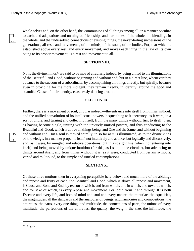

whole selves and, on the other hand, the communions of all things among all, in a manner peculiar to each, and adaptations and unmingled friendships and harmonies of the whole, the blendings in the whole, and the undissolved connections of existing things, the never-failing successions of the generations, all rests and movements, of the minds, of the souls, of the bodies. For, that which is established above every rest, and every movement, and moves each thing in the law of its own being to its proper movement, is a rest and movement to all.

#### **SECTION VIII.**

Now, the divine minds<sup>35</sup> are said to be moved circularly indeed, by being united to the illuminations of the Beautiful and Good, without beginning and without end; but in a direct line, whenever they advance to the succour of a subordinate, by accomplishing all things directly; but spirally, because even in providing for the more indigent, they remain fixedly, in identity, around the good and beautiful Cause of their identity, ceaselessly dancing around.

#### **SECTION IX.**

Further, there is a movement of soul, circular indeed,—the entrance into itself from things without, and the unified convolution of its intellectual powers, bequeathing to it inerrancy, as it were, in a sort of circle, and turning and collecting itself, from the many things without, first to itself, then, as having become single, uniting with the uniquely unified powers, and thus conducting to the Beautiful and Good, which is above all things being, and One and the Same, and without beginning and without end. But a soul is moved spirally, in so far as it is illuminated, as to the divine kinds of knowledge, in a manner proper to itself, not intuitively and at once, but logically and discursively; and, as it were, by mingled and relative operations; but in a straight line, when, not entering into itself, and being moved by unique intuition (for this, as I said, is the circular), but advancing to things around itself, and from things without, it is, as it were, conducted from certain symbols, varied and multiplied, to the simple and unified contemplations.

#### **SECTION X.**

Of these three motions then in everything perceptible here below, and much more of the abidings and repose and fixity of each, the Beautiful and Good, which is above all repose and movement, is Cause and Bond and End; by reason of which, and from which, and in which, and towards which, and for sake of which, is every repose and movement. For, both from It and through It is both Essence and every life, and both of mind and soul and every nature, the minutiae, the equalities, the magnitudes, all the standards and the analogies of beings, and harmonies and compositions; the entireties, the parts, every one thing, and multitude, the connections of parts, the unions of every multitude, the perfections of the entireties, the quality, the weight, the size, the infinitude, the

<sup>35</sup> Angels.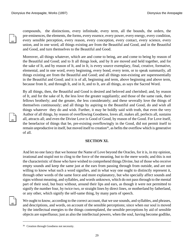45

46

compounds, the distinctions, every infinitude, every term, all the bounds, the orders, the pre-eminences, the elements, the forms, every essence, every power, every energy, every condition, every sensible perception, every reason, every conception, every contact, every science, every union, and in one word, all things existing are from the Beautiful and Good, and in the Beautiful and Good, and turn themselves to the Beautiful and Good.

Moreover, all things whatever, which are and come to being, are and come to being by reason of the Beautiful and Good; and to It all things look, and by It are moved and held together, and for the sake of It, and by reason of It, and in It, is every source exemplary, final, creative, formative, elemental, and in one word, every beginning, every bond, every term, or to speak summarily, all things existing are from the Beautiful and Good; and all things non-existing are superessentially in the Beautiful and Good; and it is of all, beginning and term, above beginning and above term, because from It, and through It, and in It, and to It, are all things, as says the Sacred Word.

By all things, then, the Beautiful and Good is desired and beloved and cherished; and, by reason of It, and for the sake of It, the less love the greater suppliantly; and those of the same rank, their fellows brotherly; and the greater, the less considerately; and these severally love the things of themselves continuously; and all things by aspiring to the Beautiful and Good, do and wish all things whatever they do and wish. Further, it may be boldly said with truth, that even the very Author of all things, by reason of overflowing Goodness, loves all, makes all, perfects all, sustains all, attracts all; and even the Divine Love is Good of Good, by reason of the Good. For Love itself, the benefactor of things that be, pre-existing overflowingly in the Good, did not permit itself to remain unproductive in itself, but moved itself to creation<sup>36</sup>, as befits the overflow which is generative of all.

#### **SECTION XI.**

And let no one fancy that we honour the Name of Love beyond the Oracles, for it is, in my opinion, irrational and stupid not to cling to the force of the meaning, but to the mere words; and this is not the characteristic of those who have wished to comprehend things Divine, but of those who receive empty sounds and keep the same just at the ears from passing through from outside, and are not willing to know what such a word signifies, and in what way one ought to distinctly represent it, through other words of the same force and more explanatory, but who specially affect sounds and signs without meaning, and syllables, and words unknown, which do not pass through to the mental part of their soul, but buzz without, around their lips and ears, as though it were not permitted to signify the number four, by twice two, or straight lines by direct lines, or motherland by fatherland, or any other, which signify the self-same thing, by many parts of speech.

We ought to know, according to the correct account, that we use sounds, and syllables, and phrases, and descriptions, and words, on account of the sensible perceptions; since when our soul is moved by the intellectual energies to the things contemplated, the sensible perceptions by aid of sensible objects are superfluous; just as also the intellectual powers, when the soul, having become godlike,

<sup>36</sup> Creation through Goodness not necessity.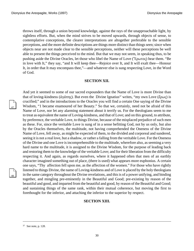throws itself, through a union beyond knowledge, against the rays of the unapproachable light, by sightless efforts. But, when the mind strives to be moved upwards, through objects of sense, to contemplative conceptions, the clearer interpretations are altogether preferable to the sensible perceptions, and the more definite descriptions are things more distinct than things seen; since when objects near are not made clear to the sensible perceptions, neither will these perceptions be well able to present the things perceived to the mind. But that we may not seem, in speaking thus, to be pushing aside the Divine Oracles, let those who libel the Name of Love (Ἔρωτος) hear them. "Be in love with It," they say, "and It will keep thee—Rejoice over It, and It will exalt thee—Honour It, in order that It may encompass thee,"—and whatever else is sung respecting Love, in the Word of God.

#### **SECTION XII.**

And yet it seemed to some of our sacred expounders that the Name of Love is more Divine than that of loving-kindness (ἀγάπης). But even the Divine Ignatius<sup>37</sup> writes, "my own Love (ἔρως) is crucified;" and in the introductions to the Oracles you will find a certain One saying of the Divine Wisdom, "1 became enamoured of her Beauty." So that we, certainly, need not be afraid of this Name of Love, nor let any alarming statement about it terrify us. For the theologians seem to me to treat as equivalent the name of Loving-kindness, and that of Love; and on this ground, to attribute, by preference, the veritable Love, to things Divine, because of the misplaced prejudice of such men as these. For, since the veritable Love is sung of in a sense befitting God, not by us only, but also by the Oracles themselves, the multitude, not having comprehended the Oneness of the Divine Name of Love, fell away, as might be expected of them, to the divided and corporeal and sundered, seeing it is not a real love, but a shadow, or rather a falling from the veritable Love. For the Oneness of the Divine and one Love is incomprehensible to the multitude, wherefore also, as seeming a very hard name to the multitude, it is assigned to the Divine Wisdom, for the purpose of leading back and restoring them to the knowledge of the veritable Love; and for their liberation from the difficulty respecting it. And again, as regards ourselves, where it happened often that men of an earthly character imagined something out of place, (there is used) what appears more euphonius. A certain one says, "Thy affection fell upon me, as the affection of the women." For those who have rightly listened to things Divine, the name of Loving-kindness and of Love is placed by the holy theologians in the same category throughout the Divine revelations, and this is of a power unifying, and binding together, and mingling pre-eminently in the Beautiful and Good; pre-existing by reason of the beautiful and good, and imparted from the beautiful and good, by reason of the Beautiful and Good; and sustaining things of the same rank, within their mutual coherence, but moving the first to forethought for the inferior, and attaching the inferior to the superior by respect.

#### **SECTION XIII.**

47

48

<sup>37</sup> See note, p. 128.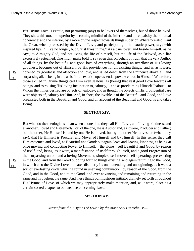50

But Divine Love is extatic, not permitting (any) to be lovers of themselves, but of those beloved. They shew this too, the superior by becoming mindful of the inferior; and the equals by their mutual coherence; and the inferior, by a more divine respect towards things superior. Wherefore also, Paul the Great, when possessed by the Divine Love, and participating in its extatic power, says with inspired lips, "I live no longer, but Christ lives in me." As a true lover, and beside himself, as he says, to Almighty God, and not living the life of himself, but the life of the Beloved, as a life excessively esteemed. One might make bold to say even this, on behalf of truth, that the very Author of all things, by the beautiful and good love of everything, through an overflow of His loving goodness, becomes out of Himself, by His providences for all existing things, and is, as it were, cozened by goodness and affection and love, and is led down from the Eminence above all, and surpassing all, to being in all, as befits an extatic superessential power centred in Himself. Wherefore, those skilled in Divine things call Him even Jealous, as (being) that vast good Love towards all beings, and as rousing His loving inclination to jealousy,—and as proclaiming Himself Jealous—to Whom the things desired are objects of jealousy, and as though the objects of His providential care were objects of jealousy for Him. And, in short, the lovable is of the Beautiful and Good, and Love preexisted both in the Beautiful and Good, and on account of the Beautiful and Good, is and takes Being.

## **SECTION XIV.**

But what do the theologians mean when at one time they call Him Love, and Loving-kindness, and at another, Loved and Esteemed? For, of the one, He is Author and, as it were, Producer and Father; but the other, He Himself is; and by one He is moved, but by the other He moves; or (when they say), that He Himself is Procurer and Mover of Himself and by Himself. In this sense, they call Him esteemed and loved, as Beautiful and Good: but again Love and Loving-kindness, as being at once moving and conducting Power to Himself;—the alone—self Beautiful and Good, by reason of Itself, and, being, as it were, a manifestation of Itself through Itself, and a good Progression of the surpassing union, and a loving Movement, simplex, self-moved, self-operating, pre-existing in the Good, and from the Good bubbling forth to things existing, and again returning to the Good, in which also the Divine Love indicates distinctly Its own unending and unbeginning, as it were a sort of everlasting circle whirling round in unerring combination, by reason of the Good, from the Good, and in the Good, and to the Good, and ever advancing and remaining and returning in the same and throughout the same. And these things our illustrious initiator divinely set forth throughout His Hymns of Love, of which we may appropriately make mention, and, as it were, place as a certain sacred chapter to our treatise concerning Love.

### **SECTION XV.**

*Extract from the "Hymns of Love" by the most holy Hierotheus:—*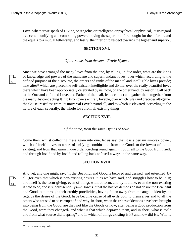52

Love, whether we speak of Divine, or Angelic, or intelligent, or psychical, or physical, let us regard as a certain unifying and combining power, moving the superior to forethought for the inferior, and the equals to a mutual fellowship, and lastly, the inferior to respect towards the higher and superior.

## **SECTION XVI.**

*Of the same, from the same Erotic Hymns.*

Since we have arranged the many loves from the one, by telling, in due order, what are the kinds of knowledge and powers of the mundane and supermundane loves; over which, according to the defined purpose of the discourse, the orders and ranks of the mental and intelligible loves preside; next after<sup>38</sup> which are placed the self-existent intelligible and divine, over the really beautiful loves there which have been appropriately celebrated by us; now, on the other hand, by restoring all back to the One and enfolded Love, and Father of them all, let us collect and gather them together from the many, by contracting It into two Powers entirely lovable, over which rules and precedes altogether the Cause, resistless from Its universal Love beyond all, and to which is elevated, according to the nature of each severally, the whole love from all existing things.

# **SECTION XVII.**

## *Of the same, from the same Hymns of Love.*

Come then, whilst collecting these again into one, let us say, that it is a certain simplex power, which of itself moves to a sort of unifying combination from the Good, to the lowest of things existing, and from that again in due order, circling round again, through all to the Good from Itself, and through Itself and by Itself, and rolling back to Itself always in the same way.

## **SECTION XVIII.**

And yet, any one might say, "if the Beautiful and Good is beloved and desired, and esteemed by all (for even that which is non-existing desires It, as we have said, and struggles how to be in It; and Itself is the form-giving, even of things without form, and by It alone, even the non-existing is said to be, and is superessentially)—"How is it that the host of demons do not desire the Beautiful and Good, but, through their earthly proclivities, having fallen away from the angelic identity, as regards the desire of the Good, have become cause of all evils both to themselves and to all the others who are said to be corrupted? and why, in short, when the tribes of demons have been brought into being from the Good, are they not like the Good? or how, after being a good production from the Good, were they changed? and what is that which depraved them, and in short, what is evil? and from what source did it spring? and in which of things existing is it? and how did He, Who is

<sup>38</sup> i.e. in ascending order.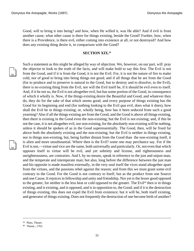Good, will to bring it into being? and how, when He willed it, was He able? And if evil is from another cause, what other cause is there for things existing, beside the Good? Further, how, when there is a Providence, is there evil, either coming into existence at all, or not destroyed? And how does any existing thing desire it, in comparison with the Good?

## **SECTION XIX.<sup>39</sup>**

53

54

Such a statement as this might be alleged by way of objection. We, however, on our part, will pray the objector to look to the truth of the facts, and will make bold to say this first. The Evil is not from the Good, and if it is from the Good, it is not the Evil. For, it is not the nature of fire to make cold, nor of good to bring into being things not good; and if all things that be are from the Good (for to produce and to preserve is natural to the Good, but to destroy and to dissolve, to the Evil), there is no existing thing from the Evil, nor will the Evil itself be, if it should be evil even to itself. And, if it be not so, the Evil is not altogether evil, but has some portion of the Good, in consequence of which it wholly is. Now, if the things existing desire the Beautiful and Good, and whatever they do, they do for the sake of that which seems good, and every purpose of things existing has the Good for its beginning and end (for nothing looking to the Evil *qua* evil, does what it does), how shall the Evil be in things existing; or, wholly being, how has it been seduced from such a good yearning? Also if all the things existing are from the Good, and the Good is above all things existing, then there is existing in the Good even the non-existing; but the Evil is not existing; and, if this be not the case, it is not altogether evil, nor non-existing, for the absolutely non-existing will be nothing, unless it should be spoken of as in the Good superessentially. The Good, then, will be fixed far above both the absolutely existing and the non-existing; but the Evil is neither in things existing, nor in things non-existing, but, being further distant from the Good than the non-existing itself, it is alien and more unsubstantial. Where then is the Evil? some one may perchance say. For if the Evil is not,—virtue and vice are the same, both universally and particularly. Or, not even that which opposes itself to virtue will be evil, and yet sobriety and license, and righteousness and unrighteousness, are contraries. And I, by no means, speak in reference to the just and unjust man, and the temperate and intemperate man; but also, long before the difference between the just man and his opposite is made manifest externally, in the very soul itself the vices stand altogether apart from the virtues, and the passions rebel against the reason; and from this we must grant some evil contrary to the Good. For the Good is not contrary to Itself, but as the product from one Source and one Cause, It rejoices in fellowship and unity and friendship. Nor yet is the lesser good opposed to the greater, for neither is the less heat or cold opposed to the greater. The Evil<sup>40</sup> then is in things existing, and is existing, and is opposed, and is in opposition to, the Good; and if it is the destruction of things existing, this does not expel the Evil from existence; but it will be, both itself existing, and generator of things existing. Does not frequently the destruction of one become birth of another?

<sup>39</sup> Plato, Theaet.

<sup>40</sup> Theaet., 1763.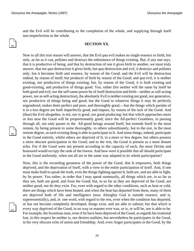and the Evil will be contributing to the completion of the whole, and supplying through itself non-imperfection to the whole.

## **SECTION XX.**

Now to all this true reason will answer, that the Evil *qua* evil makes no single essence or birth, but only, as far as it can, pollutes and destroys the subsistence of things existing. But, if any one says, that it is productive of being, and that by destruction of one it gives birth to another, we must truly answer, that not *qua* destruction it gives birth, but *qua* destruction and evil, it destroys and pollutes only, but it becomes birth and essence, by reason of the Good; and the Evil will be destruction indeed, by reason of itself; but producer of birth by reason of the Good; and *qua* evil, it is neither existing, nor productive of things existing; but, by reason of the Good, it is both existing and good-existing, and productive of things good. Yea, rather (for neither will the same by itself be both good and evil, nor the self-same power be of itself destruction and birth—neither as self-acting power, nor as self-acting destruction), the absolutely Evil is neither existing nor good, nor generative, nor productive of things being and good; but the Good in whatever things it may be perfectly engendered, makes them perfect and pure, and thoroughly good,—but the things which partake of it in a less degree are both imperfectly good, and impure, by reason of the lack of the Good. And (thus) the Evil altogether, is not, nor is good, nor good producing; but that which approaches more or less near the Good will be proportionately good; since the All-perfect Goodness, in passing through all, not only passes to the All-good beings around Itself, but extends Itself to the most remote, by being present to some thoroughly, to others subordinately, but to the rest, in the most remote degree, as each existing thing is able to participate in It. And some things, indeed, participate in the Good entirely, whilst others are deprived of It, in a more or less degree, but others possess a more obscure participation in the Good; and to the rest, the Good is present as a most distant echo. For if the Good were not present according to the capacity of each, the most Divine and honoured would occupy the rank of the lowest. And how were it possible that all should participate in the Good uniformly, when not all are in the same way adapted to its whole participation?

Now, this is the exceeding greatness of the power of the Good, that It empowers, both things deprived, and the deprivation of Itself, with a view to the entire participation of itself. And, if one must make bold to speak the truth, even the things fighting against It, both are, and are able to fight, by Its power. Yea rather, in order that I may speak summarily, all things which are, in so far as they are, both are good, and from the Good; but, in so far as they are deprived of the Good, are neither good, nor do they exist. For, even with regard to the other conditions, such as heat or cold, there are things which have been heated, and when the heat has departed from them, many of them are deprived both of life and intelligence (now Almighty God is outside essence, and is, superessentially), and, in one word, with regard to the rest, even when the condition has departed, or has not become completely developed, things exist, and are able to subsist; but that which is every way deprived of the Good, in no way or manner ever was, or is, or will be, nor is able to be. For example, the licentious man, even if he have been deprived of the Good, as regards his irrational lust, in this respect he neither is, nor desires realities, but nevertheless he participates in the Good, in his very obscure echo of union and friendship. And, even Anger participates in the Good, by the



56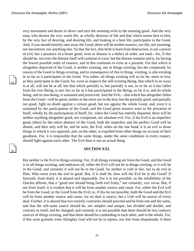very movement and desire to direct and turn the seeming evils to the seeming good. And the very man, who desires the very worst life, as wholly desirous of life and that which seems best to him, by the very fact of desiring, and desiring life, and looking to a best life, participates in the Good. And, if you should entirely take away the Good, there will be neither essence, nor life, nor yearning, nor movement, nor anything else. So that the fact, that birth is born from destruction, is not a power of evil, but a presence of a lesser good, even as disease is a defect of order, not total—for, if this should be, not even the disease itself will continue to exist, but the disease remains and is, by having the lowest possible order of essence, and in this continues to exist as a parasite. For that which is altogether deprived of the Good, is neither existing, nor in things existing; but the compound, by reason of the Good in things existing, and in consequence of this in things existing, is also existing in so far as it participates in the Good. Yea rather, all things existing will so far be, more or less, as they participate in the Good; for, even as respects the self-existing Being, that which in no ways is at all, will not be at all; but that which partially is, but partially is not, in so far as it has fallen from the ever Being, is not; but so far as it has participated in the Being, so far it is, and its whole being, and its non-being, is sustained and preserved. And the Evil,—that which has altogether fallen from the Good—will be good, neither in the more nor in the less; but the partially good, and partially not good, fight no doubt against a certain good, but not against the whole Good, and, even it is sustained by the participation of the Good, and the Good gives essence even to the privation of Itself, wholly by the participation of Itself; for, when the Good has entirely departed, there will be neither anything altogether good, nor compound, nor absolute evil. For, if the Evil is an imperfect good, (then) by the entire absence of the Good, both the imperfect and the perfect Good will be absent; and then only will be, and be seen, the Evil, when on the one hand, it is an evil to those things to which it was opposed, and, on the other, is expelled from other things on account of their goodness. For, it is impossible that the same things, under the same conditions in every respect, should fight against each other. The Evil then is not an actual thing.

#### **SECTION XXI.**

But neither is the Evil in things existing. For, if all things existing are from the Good, and the Good is in all things existing, and embraces all, either the Evil will not be in things existing, or it will be in the Good; and certainly it will not be in the Good, for neither is cold in fire, nor to do evil in Him, Who turns even the evil to good. But, if it shall be, how will the Evil be in the Good? If forsooth, from Itself, it is absurd and impossible. For it is not possible, as the infallibility of the Oracles affirms, that a "good tree should bring forth evil fruits," nor certainly, *vice versa.* But, if not from Itself, it is evident that it will be from another source and cause. For, either the Evil will be from the Good, or the Good from the Evil; or, if this be not possible, both the Good and the Evil will be from another source and cause, for no dual is source, but a Unit will be source of every dual. Further, it is absurd that two entirely contraries should proceed and be from one and the same, and that the self-same source should be, not simplex and unique, but divided and double, and contrary to itself, and be changed; and certainly it is not possible that there should be two contrary sources of things existing, and that these should be contending in each other, and in the whole. For, if this were granted, even Almighty God will not be in repose, nor free from disquietude, if there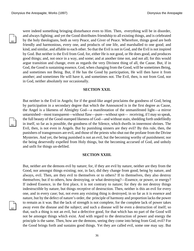were indeed something bringing disturbance even to Him. Then, everything will be in disorder, and always fighting; and yet the Good distributes friendship to all existing things, and is celebrated by the holy theologians, both as very Peace, and Giver of Peace. Wherefore, things good are both friendly and harmonious, every one, and products of one life, and marshalled to one good; and kind, and similar, and affable to each other. So that the Evil is not in God, and the Evil is not inspired by God. But neither is the Evil from God, for, either He is not good, or He does good, and produces good things; and, not once in a way, and some; and at another time not, and not all; for this would argue transition and change, even as regards the very Divinest thing of all, the Cause. But, if in God, the Good is sustaining essence, God, when changing from the Good, will be sometimes Being, and sometimes not Being. But, if He has the Good by participation, He will then have it from another; and sometimes He will have it, and sometimes not. The Evil, then, is not from God, nor in God, neither absolutely nor occasionally.

#### **SECTION XXII.**

But neither is the Evil in Angels; for if the good-like angel proclaims the goodness of God, being by participation in a secondary degree that which the Announced is in the first degree as Cause, the Angel is a likeness of Almighty God—a manifestation of the unmanifested light—a mirror untarnished—most transparent—without flaw—pure—without spot— receiving, if I may so speak, the full beauty of the Good-stamped likeness of God—and without stain, shedding forth undefiledly in itself, so far as is possible, the goodness of the Silence, which dwells in innermost shrines. The Evil, then, is not even in Angels. But by punishing sinners are they evil? By this rule, then, the punishers of transgressors are evil, and those of the priests who shut out the profane from the Divine Mysteries. And yet, the being punished is not an evil, but the becoming worthy of punishment; nor the being deservedly expelled from Holy things, but the becoming accursed of God, and unholy and unfit for things un-defiled.

## **SECTION XXIII.**

But, neither are the demons evil by nature; for, if they are evil by nature, neither are they from the Good, nor amongst things existing; nor, in fact, did they change from good, being by nature, and always, evil. Then, are they evil to themselves or to others? If to themselves, they also destroy themselves; but if to others, how destroying, or what destroying?—Essence, or power, or energy? If indeed Essence, in the first place, it is not contrary to nature; for they do not destroy things indestructible by nature, but things receptive of destruction. Then, neither is this an evil for every one, and in every case; but, not even any existing thing is destroyed, in so far as it is essence and nature, but by the defect of nature's order, the principle of harmony and proportion lacks the power to remain as it was. But the lack of strength is not complete, for the complete lack of power takes away even the disease and the subject; and such a disease will be even a destruction of itself; so that, such a thing is not an evil, but a defective good, for that which has no part of the Good will not be amongst things which exist. And with regard to the destruction of power and energy the principle is the same. Then, how are the demons, seeing they come into being from God, evil? For the Good brings forth and sustains good things. Yet they are called evil, some one may say. But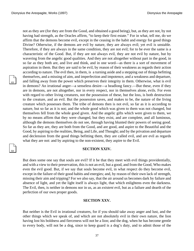64

not as they are (for they are from the Good, and obtained a good being), but, as they are not, by not having had strength, as the Oracles affirm, "to keep their first estate." For in what, tell me, do we affirm that the demons become evil, except in the ceasing in the habit and energy for good things Divine? Otherwise, if the demons are evil by nature, they are always evil; yet evil is unstable. Therefore, if they are always in the same condition, they are not evil; for to be ever the same is a characteristic of the Good. But, if they are not always evil, they are not evil by nature, but by wavering from the angelic good qualities. And they are not altogether without part in the good, in so far as they both are, and live and think, and in one word—as there is a sort of movement of aspiration in them. But they are said to be evil, by reason of their weakness as regards their action according to nature. The evil then, in them, is a turning aside and a stepping out of things befitting themselves, and a missing of aim, and imperfection and impotence, and a weakness and departure, and falling away from the power which preserves their integrity in them. Otherwise, what is evil in demons? An irrational anger—a senseless desire—a headlong fancy.—But these, even if they are in demons, are not altogether, nor in every respect, nor in themselves alone, evils. For even with regard to other living creatures, not the possession of these, but the loss, is both destruction to the creature, and an evil. But the possession saves, and makes to be, the nature of the living creature which possesses them. The tribe of demons then is not evil, so far as it is according to nature, but so far as it is not; and the whole good which was given to them was not changed, but themselves fell from the whole good given. And the angelic gifts which were given to them, we by no means affirm that they were changed, but they exist, and are complete, and all luminous, although the demons themselves do not see, through having blunted their powers of seeing good. So far as they are, they are both from the Good, and are good, and aspire to the Beautiful and the Good, by aspiring to the realities, Being, and Life, and Thought; and by the privation and departure and declension from the good things befitting them, they are called evil, and are evil as regards what they are not: and by aspiring to the non-existent, they aspire to the Evil.

#### **SECTION XXIV.**

But does some one say that souls are evil? If it be that they meet with evil things providentially, and with a view to their preservation, this is not an evil, but a good, and from the Good, Who makes even the evil good. But, if we say that souls become evil, in what respect do they become evil, except in the failure of their good habits and energies; and, by reason of their own lack of strength, missing their aim and tripping? For we also say, that the air around us becomes dark by failure and absence of light, and yet the light itself is always light, that which enlightens even the darkness. The Evil, then, is neither in demons nor in us, as an *existent* evil, but as a failure and dearth of the perfection of our own proper goods.

## **SECTION XXV.**

But neither is the Evil in irrational creatures, for if you should take away anger and lust, and the other things which we speak of, and which are not absolutely evil in their own nature, the lion having lost his boldness and fierceness will not be a lion; and the dog, when he has become gentle to every body, will not be a dog, since to keep guard is a dog's duty, and to admit those of the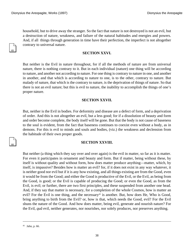66

household, but to drive away the stranger. So the fact that nature is not destroyed is not an evil, but a destruction of nature, weakness, and failure of the natural habitudes and energies and powers. And, if all things through generation in time have their perfection, the imperfect is not altogether contrary to universal nature.

## **SECTION XXVI.**

But neither is the Evil in nature throughout, for if all the methods of nature are from universal nature, there is nothing contrary to it. But in each individual (nature) one thing will be according to nature, and another not according to nature. For one thing is contrary to nature in one, and another in another, and that which is according to nature to one, is to the other, contrary to nature. But malady of nature, that which is the contrary to nature, is the deprivation of things of nature. So that there is not an evil nature; but this is evil to nature, the inability to accomplish the things of one's proper nature.

## **SECTION XXVII.**

But, neither is the Evil in bodies. For deformity and disease are a defect of form, and a deprivation of order. And this is not altogether an evil, but a less good; for if a dissolution of beauty and form and order become complete, the body itself will be gone. But that the body is not cause of baseness to the soul is evident, from the fact that baseness continues to coexist even without a body, as in demons. For this is evil to minds and souls and bodies, (viz.) the weakness and declension from the habitude of their own proper goods.

## **SECTION XXVIII.**

But neither (a thing which they say over and over again) is the evil in matter, so far as it is matter. For even it participates in ornament and beauty and form. But if matter, being without these, by itself is without quality and without form, how does matter produce anything—matter, which, by itself, is impassive? Besides how is matter an evil? for, if it does not exist in any way whatever, it is neither good nor evil but if it is any how existing, and all things existing are from the Good, even it would be from the Good; and either the Good is productive of the Evil, or the Evil, as being from the Good, is good; or the Evil is capable of producing the Good; or even the Good, as from the Evil, is evil; or further, there are two first principles, and these suspended from another one head. And, if they say that matter is necessary, for a completion of the whole Cosmos, how is matter an evil? For the Evil is one thing, and the necessary<sup>41</sup> is another. But, how does He, Who is Good, bring anything to birth from the Evil? or, how is that, which needs the Good, evil? For the Evil shuns the nature of the Good. And how does matter, being evil, generate and nourish nature? For the Evil, *quâ* evil, neither generates, nor nourishes, nor solely produces, nor preserves anything.

<sup>41</sup> Jahn, p. 66.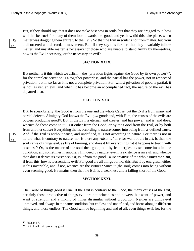

But, if they should say, that it does not make baseness in souls, but that they are dragged to it, how will this be true? for many of them look towards the good; and yet how did this take place, when matter was dragging them entirely to the Evil? So that the Evil in souls is not from matter, but from a disordered and discordant movement. But, if they say this further, that they invariably follow matter, and unstable matter is necessary for those who are unable to stand firmly by themselves, how is the Evil necessary, or the necessary an evil?

## **SECTION XXIX.**

But neither is it this which we affirm—the "privation fights against the Good by its own power<sup>42"</sup>; for the complete privation is altogether powerless, and the partial has the power, not in respect of privation, but in so far as it is not a complete privation. For, whilst privation of good is partial, it is not, as yet, an evil, and when, it has become an accomplished fact, the nature of the evil has departed also.

## **SECTION XXX.**

But, to speak briefly, the Good is from the one and the whole Cause, but the Evil is from many and partial defects. Almighty God knows the Evil *qua* good; and, with Him, the causes of the evils are powers producing good43. But, if the Evil is eternal, and creates, and has power, and is, and does, whence do these come to it? Is it either from the Good, or by the Good from the Evil, or by both from another cause? Everything that is according to nature comes into being from a defined cause. And if the Evil is without cause, and undefined, it is not according to nature. For there is not in nature what is contrary to nature; nor is there any *raison d' etre* for want of art in art. Is then the soul cause of things evil, as fire of burning, and does it fill everything that it happens to touch with baseness? Or, is the nature of the soul then good, but, by its energies, exists sometimes in one condition, and sometimes in another? If indeed by nature, even its existence is an evil, and whence then does it derive its existence? Or, is it from the good Cause creative of the whole universe? But, if from this, how is it essentially evil? For good are all things born of this. But if by energies, neither is this invariable, and if not, whence are the virtues? Since it (the soul) comes into being without even seeming good. It remains then that the Evil is a weakness and a falling short of the Good.

#### **SECTION XXXI.**

The Cause of things good is One. If the Evil is contrary to the Good, the many causes of the Evil, certainly those productive of things evil, are not principles and powers, but want of power, and want of strength, and a mixing of things dissimilar without proportion. Neither are things evil unmoved, and always in the same condition, but endless and undefined, and borne along in different things, and those endless. The Good will be beginning and end of all, even things evil, for, for the

<sup>42</sup> Jahn, p, 67.

<sup>43</sup> Out of evil forth producing good.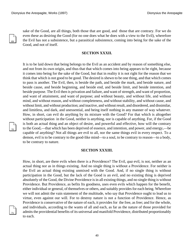70

71

sake of the Good, are all things, both those that are good, and those that are contrary. For we do even these as desiring the Good (for no one does what he does with a view to the Evil), wherefore the Evil has not a subsistence, but a parasitical subsistence, coming into being for the sake of the Good, and not of itself.

### **SECTION XXXII.**

It is to be laid down that being belongs to the Evil as an accident and by reason of something else, and not from its own origin, and thus that that which comes into being appears to be right, because it comes into being for the sake of the Good, but that in reality it is not right for the reason that we think that which is not good to be good. The desired is shewn to be one thing, and that which comes to pass is another. The Evil, then, is beside the path, and beside the mark, and beside nature, and beside cause, and beside beginning, and beside end, and beside limit, and beside intention, and beside purpose. The Evil then is privation and failure, and want of strength, and want of proportion, and want of attainment, and want of purpose; and without beauty, and without life, and without mind, and without reason, and without completeness, and without stability, and without cause, and without limit, and without production; and inactive, and without result, and disordered, and dissimilar, and limitless, and dark, and unessential, and being itself nothing in any manner of way whatever. How, in short, can evil do anything by its mixture with the Good? For that which is altogether without participation in the Good, neither is anything, nor is capable of anything. For, if the Good is both an actual thing and an object of desire, and powerful and effective, how will the contrary to the Good,—that which has been deprived of essence, and intention, and power, and energy,—be capable of anything? Not all things are evil to all, nor the same things evil in every respect. To a demon, evil is to be contrary to the good-like mind—to a soul, to be contrary to reason—to a body, to be contrary to nature.

## **SECTION XXXIII.**

How, in short, are there evils when there is a Providence? The Evil, *qua* evil, is not, neither as an actual thing nor as in things existing. And no single thing is without a Providence. For neither is the Evil an actual thing existing unmixed with the Good. And, if no single thing is without participation in the Good, but the lack of the Good is an evil, and no existing thing is deprived absolutely of the Good, the Divine Providence is in all existing things, and no single thing is without Providence. But Providence, as befits Its goodness, uses even evils which happen for the benefit, either individual or general, of themselves or others, and suitably provides for each being. Wherefore we will not admit the vain statement of the multitude, who say that Providence ought to lead us to virtue, even against our will. For to destroy nature is not a function of Providence. Hence, as Providence is conservative of the nature of each, it provides for the free, as free; and for the whole, and individuals, according to the wants of all and each, as far as the nature of those provided for admits the providential benefits of its universal and manifold Providence, distributed proportionably to each.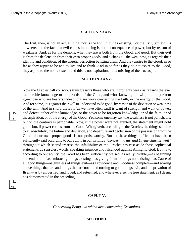#### **SECTION XXXIV.**

The Evil, then, is not an actual thing, nor is the Evil in things existing. For the Evil, *qua* evil, is nowhere, and the fact that evil comes into being is not in consequence of power, but by reason of weakness. And, as for the demons, what they are is both from the Good, and good. But their evil is from the declension from their own proper goods, and a change—the weakness, as regards their identity and condition, of the angelic perfection befitting them. And they aspire to the Good, in so far as they aspire to be and to live and to think. And in so far as they do not aspire to the Good, they aspire to the non-existent; and this is not aspiration, but a missing of the true aspiration.

#### **SECTION XXXV.**

Now the Oracles call conscious transgressors those who are thoroughly weak as regards the ever memorable knowledge or the practise of the Good, and who, knowing the will, do not perform it,—those who are hearers indeed, but are weak concerning the faith, or the energy of the Good. And for some, it is against their will to understand to do good, by reason of the deviation or weakness of the will. And in short, the Evil (as we have often said) is want of strength and want of power, and defect, either of the knowledge, or the never to be forgotten knowledge, or of the faith, or of the aspiration, or of the energy of the Good. Yet, some one may say, the weakness is not punishable, but on the contrary is pardonable. Now, if the power were not granted, the statement might hold good; but, if power comes from the Good, Who giveth, according to the Oracles, the things suitable to all absolutely, the failure and deviation, and departure and declension of the possession from the Good of our own proper goods is not praiseworthy. But let these things suffice to have been sufficiently said according to our ability in our writings "*Concerning just and Divine chastisement"* throughout which sacred treatise the infallibility of the Oracles has cast aside those sophistical statements as senseless words, speaking injustice and falsehood against Almighty God. But now, according to our ability, the Good has been sufficiently praised, as really lovable,—as beginning and end of all—as embracing things existing—as giving form to things not existing—as Cause of all good things—as guiltless of things evil—as Providence and Goodness complete—and soaring above things that are and things that are not—and turning to good things evil, and the privation of Itself—as by all desired, and loved, and esteemed, and whatever else, the true statement, as I deem, has demonstrated in the preceding.

72

## **CAPUT V.**

*Concerning Being—in which also concerning Exemplars.*

#### **SECTION I.**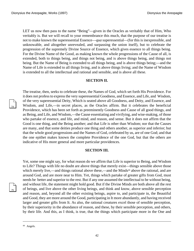LET us now then pass to the name "Being"—given in the Oracles as veritably that of Him, Who veritably is. But we will recall to your remembrance this much, that the purpose of our treatise is not to make known the superessential Essence—*qua* superessential—(for this is inexpressible, and unknowable, and altogether unrevealed, and surpassing the union itself), but to celebrate the progression of the supremely Divine Source of Essence, which gives essence to all things being. For the Divine Name of the Good, as making known the whole progressions of the Cause of all, is extended, both to things being, and things not being, and is above things being, and things not being. But the Name of Being is extended to all things being, and is above things being;—and the Name of Life is extended to all things living, and is above things living; and the Name of Wisdom is extended to all the intellectual and rational and sensible, and is above all these.

## **SECTION II.**

The treatise, then, seeks to celebrate these, the Names of God, which set forth His Providence. For it does not profess to express the very superessential Goodness, and Essence, and Life, and Wisdom, of the very superessential Deity, Which is seated above all Goodness, and Deity, and Essence, and Wisdom, and Life,—in secret places, as the Oracles affirm. But it celebrates the beneficial Providence, which has been set forth as preeminently Goodness and Cause of all good things, and as Being, and Life, and Wisdom,—the Cause essentiating and vivifying, and wise-making, of those who partake of essence, and life, and mind, and reason, and sense. But it does not affirm that the Good is one thing, and the Being another; and that Life is other than Wisdom; nor that the Causes are many, and that some deities produce one thing and others another, as superior and inferior; but that the whole good progressions and the Names of God, celebrated by us, are of one God; and that the one epithet makes known the complete Providence of the one God, but that the others are indicative of His more general and more particular providences.

#### **SECTION III.**

Yet, some one might say, for what reason do we affirm that Life is superior to Being, and Wisdom to Life? Things with life no doubt are above things that merely exist—things sensible above those which merely live,—and things rational above these,—and the Minds<sup>44</sup> above the rational, and are around God, and are more near to Him. Yet, things which partake of greater gifts from God, must needs be better and superior to the rest. But if any one assumed the intellectual to be without being, and without life, the statement might hold good. But if the Divine Minds are both above all the rest of beings, and live above the other living beings, and think and know, above sensible perception and reason, and, beyond all the other existing beings, aspire to, and participate in, the Beautiful and Good, they are more around the Good, participating in It more abundantly, and having received larger and greater gifts from It. As also, the rational creatures excel those of sensible perception, by their superiority in the abundance of reason, and these, by their sensible perception, and others, by their life. And this, as I think, is true, that the things which participate more in the One and

74

<sup>44</sup> Angels.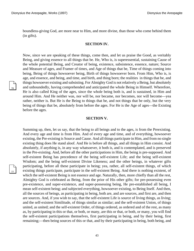77

boundless-giving God, are more near to Him, and more divine, than those who come behind them (in gifts).

## **SECTION IV.**

Now, since we are speaking of these things, come then, and let us praise the Good, as veritably Being, and giving essence to all things that be. He, Who is, is superessential, sustaining Cause of the whole potential Being, and Creator of being, existence, subsistence, essence, nature; Source and Measure of ages, and Framer of times, and Age of things that be, Time of things coming into being, Being of things howsoever being, Birth of things howsoever born. From Him, Who is, is age, and essence, and being, and time, and birth, and thing born; the realities in things that be, and things howsoever existing and subsisting. For Almighty God is not relatively a Being, but absolutely and unboundedly, having comprehended and anticipated the whole Being in Himself. Wherefore, He is also called King of the ages, since the whole being both is, and is sustained, in Him and around Him. And He neither was, nor will be, nor became, nor becomes, nor will become—yea rather, neither is. But He is the Being to things that be, and not things that be only, but the very being of things that be, absolutely from before the ages. For He is the Age of ages—the Existing before the ages.

## **SECTION V.**

Summing up, then, let us say, that the being to all beings and to the ages, is from the Preexisting. And every age and time is from Him. And of every age and time, and of everything, howsoever existing, the Pre-existing is Source and Cause. And all things participate in Him, and from no single existing thing does He stand aloof. And He is before all things, and all things in Him consist. And absolutely, if anything is, in any way whatsoever, it both is, and is contemplated, and is preserved in the Pre-existing. And, before all the other participations in Him, the being is pre-supposed. And self-existent Being has precedence of the being self-existent Life; and the being self-existent Wisdom; and the being self-existent Divine Likeness; and the other beings, in whatever gifts participating, before all these participate in being; yea, rather, all self-existent things, of which existing things participate, participate in the self-existent Being. And there is nothing existent, of which the self-existent Being is not essence and age. Naturally, then, more chiefly than all the rest, Almighty God is celebrated as Being, from the prior of His other gifts; for pre-possessing even pre-existence, and super-existence, and super-possessing being, He pre-established all being, I mean self-existent being; and subjected everything, howsoever existing, to Being Itself. And then, all the sources of beings, as participating in being, both are, and are sources, and first are, and then are sources. And, if you wish to say, that the self-existent Life is source of living things, as living; and the self-existent Similitude, of things similar as similar; and the self-existent Union, of things united, as united; and the self-existent Order, of things ordered, as ordered and of the rest, as many as, by participating in this or that, or both, or many, are this or that, or both, or many, you will find the self-existent participations themselves, first participating in being, and by their being, first remaining;—then being sources of this or that, and by their participating in being, both being, and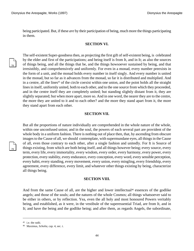79

being participated. But, if these *are* by their participation of being, much more the things participating in them.

## **SECTION VI.**

The self-existent Super-goodness then, as projecting the first gift of self-existent being, is celebrated by the elder and first of the participations; and being itself is from It, and in It; as also the sources of things being, and all the things that be, and the things howsoever sustained by being, and that irresistibly, and comprehensively and uniformly. For even in a monad, every number preexists in the form of a unit, and the monad holds every number in itself singly. And every number is united in the monad, but so far as it advances from the monad, so far it is distributed and multiplied. And in a centre, all the lines<sup>45</sup> of the circle coexist within one union, and the point holds all the straight lines in itself, uniformly united, both to each other, and to the one source from which they proceeded, and in the centre itself they are completely united; but standing slightly distant from it, they are slightly separated; but when more apart, more so. And in one word, the nearer they are to the centre, the more they are united to it and to each other? and the more they stand apart from it, the more they stand apart from each other.

## **SECTION VII.**

But all the proportions of nature individually are comprehended in the whole nature of the whole, within one unconfused union; and in the soul, the powers of each several part are provident of the whole body in a uniform fashion. There is nothing out of place then, that, by ascending from obscure images to the Cause of all, we should contemplate, with supermundane eyes, all things in the Cause of all, even those contrary to each other, after a single fashion and unitedly. For It is Source of things existing, from which are both being itself, and all things however being; every source, every term, every life, every immortality, every wisdom, every order, every harmony, every power, every protection, every stability, every endurance, every conception, every word, every sensible perception, every habit, every standing, every movement, every union, every mingling, every friendship, every agreement, every difference, every limit, and whatever other things existing by being, characterize all things being.

## **SECTION VIII.**

And from the same Cause of all, are the higher and lower intellectual<sup>46</sup> essences of the godlike angels; and those of the souls; and the natures of the whole Cosmos; all things whatsoever said to be either in others, or by reflection. Yea, even the all holy and most honoured Powers veritably being, and established, as it were, in the vestibule of the superessential Triad, are from It, and in It; and have the being and the godlike being; and after them, as regards Angels, the subordinate,

<sup>45</sup> i.e. the radii.

<sup>46</sup> Maximus, *Scholia,* cap. 4, sec. i.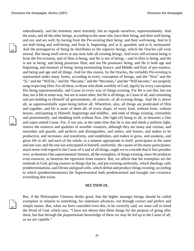81

82

subordinately, and the remotest, most remotely, but as regards ourselves, supermundanely. And the souls, and all the other beings, according to the same rule, have their being, and their well-being; and are, and are well; by having from the Pre-existing their being and their well-being. And in It are both being and well-being; and from It, beginning; and in It, guarded; and to It, terminated. And the prerogatives of being he distributes to the superior beings, which the Oracles call even eternal. But being itself never at any time fails all existing beings. And even self-existent being is from the Pre-existent, and of Him is being, and He is not of being;—and in Him is being, and He is not in being; and being possesses Him, and not He possesses being; and He is both age and beginning, and measure of being; being essentiating Source, and Middle and End, of pre-essence, and being and age and all things. And for this reason, by the Oracles, the veritably Pre-existing is represented under many forms, according to every conception of beings, and the "Was" and the "Is," and the "Will be," and the "Became," and the "Becomes," and the "Will become," are properly sung respecting Him. For all these, to those who think worthily of God, signify by every conception His being superessentially, and Cause in every way of things existing. For He is not this, but not that; nor is He in some way, but not in some other; but He is all things, as Cause of all, and containing and pre-holding in Himself all governments, all controls, of all existing things. And He is above all, as superessentially super-being before all. Wherefore, also, all things are predicated of Him and together, and He is none of them all; of every shape, of every kind, without form, without beauty, anticipating in Himself, beginnings and middles, and ends of things existing, irresistibly and preeminently; and shedding forth without flaw, (the light of) being to all, as beseems a One and super-united Cause. For, if our sun, at the same time that he is one and sheds a uniform light, renews the essences and qualities of sensible creatures, although they are many and various, and nourishes and guards, and perfects and distinguishes, and unites, and fosters, and makes to be productive, and increases, and transforms, and establishes, and makes to grow, and awakens, and gives life to all; and each of the whole, in a manner appropriate to itself, participates in the same and one sun; and the one sun anticipated in himself, uniformly, the causes of the many participants; much more with regard to the Cause of it and of all things, ought we to concede that It first presides over, as beseems One superessential Oneness, all the exemplars, of things existing; since He produces even essences, as beseems the egression from essence. But, we affirm that the exemplars are the methods in God, giving essence to things that be, and pre-existing uniformly, which theology calls predeterminations, and Divine and good wills, which define and produce things existing; according to which (predeterminations) the Superessential both predetermined and brought into existence everything that exists.

## **SECTION IX.**

But, if the Philosopher Clemens thinks good, that the higher amongst beings should be called exemplars in relation to something, his statement advances, not through correct and perfect and simple names. But, when we have conceded even this, to be correctly said, we must call to mind the Word of God, which says, "I have not shewn thee these things for the purpose of going after them, but that through the proportionate knowledge of these we may be led up to the Cause of all, as we are capable."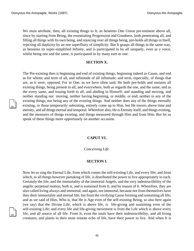We must attribute, then, all existing things to It, as beseems One Union pre-eminent above all, since by starting from Being, the essentiating Progression and Goodness, both penetrating all, and filling all things with Its own being, and rejoicing over all things being, pre-holds all things in Itself, rejecting all duplicity by an one superfluity of simplicity. But It grasps all things in the same way, as beseems its super-simplified Infinity, and is participated in by all uniquely, even as a voice, whilst being one and the same, is participated in by many ears as one.

## **SECTION X.**

The Pre-existing then is beginning and end of existing things; beginning indeed as Cause, and end as for whom; and term of all, and infinitude of all infinitude; and term, especially, of things that are, as it were, opposed. For in One, as we have often said, He both pre-holds and sustains all existing things, being present to all, and everywhere, both as regards the one, and the same, and as the every same, and issuing forth to all, and abiding in Himself; and standing and moving, and neither standing nor moving; neither having beginning, or middle, or end; neither in any of the existing things, nor being any of the existing things. And neither does any of the things eternally existing, or those temporarily subsisting, entirely come up to Him, but He towers above time and eternity, and all things eternal and temporal. Wherefore also, He is Eternity itself, and things existing, and the measures of things existing, and things measured through Him and from Him. But let us speak of these things more opportunely on another occasion.

# **CAPUT VI.**

## *Concerning Life.*

# **SECTION I.**

Now let us sing the Eternal Life, from which comes the self-existing Life, and every life; and from which, to all things however partaking of life, is distributed the power to live appropriately to each. Certainly the life; and the immortality of the immortal Angels, and the very indestructibility of the angelic perpetual motion, both is, and is sustained from It, and by reason of It. Wherefore, they are also called living always and immortal; and again, not immortal, because not from themselves have they their immortality and eternal life; but from the vivifying Cause forming and sustaining all life; and as we said of Him, Who is, that He is Age even of the self-existing Being, so also here again (we say) that the Divine Life, which is above life, is life-giving and sustaining even of the self-existing Life; and every life and life-giving movement is from the Life which is above every life, and all source of all life. From It, even the souls have their indestructibility, and all living creatures, and plants in their most remote echo of life, have their power to live. And when It is



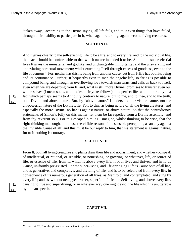86

"taken away," according to the Divine saying, all life fails, and to It even things that have failed, through their inability to participate in It, when again returning, again become living creatures.

## **SECTION II.**

And It gives chiefly to the self-existing Life to be a life, and to every life, and to the individual life, that each should be conformable to that which nature intended it to be. And to the supercelestial lives It gives the immaterial and godlike, and unchangeable immortality; and the unswerving and undeviating perpetual movement; whilst extending Itself through excess of goodness, even to the life of demons<sup>47</sup>. For, neither has this its being from another cause, but from It life has both its being and its continuance. Further, It bequeaths even to men the angelic life, so far as is possible to compound being, and through an overflowing love towards man turns, and calls us back to Itself, even when we are departing from It; and, what is still more Divine, promises to transfer even our whole selves (I mean souls, and bodies their yoke-fellows), to a perfect life and immortality;—a fact which perhaps seems to Antiquity contrary to nature, but to me, and to thee, and to the truth, both Divine and above nature. But, by "above nature," I understand our visible nature, not the all-powerful nature of the Divine Life. For, to this, as being nature of all the living creatures, and especially the more Divine, no life is against nature, or above nature. So that the contradictory statements of Simon's folly on this matter, let them be far repelled from a Divine assembly, and from thy reverent soul. For this escaped him, as I imagine, whilst thinking to be wise, that the right-thinking man ought not to use the visible reason of the sensible perception, as an ally against the invisible Cause of all; and this must be our reply to him, that his statement is against nature, for to It nothing is contrary.

## **SECTION III.**

From It, both all living creatures and plants draw their life and nourishment; and whether you speak of intellectual, or rational, or sensible, or nourishing, or growing, or whatever, life, or source of life, or essence of life, from It, which is above every life, it both lives and thrives; and in It, as Cause, uniformly pre-existed. For the super-living, and life-springing Life is Cause both of all life, and is generative, and completive, and dividing of life, and is to be celebrated from every life, in consequence of its numerous generation of all lives, as Manifold, and contemplated, and sung by every life; and as without need, yea, rather, superfull of life, the Self-living, and above every life, causing to live and super-living, or in whatever way one might extol the life which is unutterable by human speech.

# **CAPUT VII.**

<sup>47</sup> [Rom. xi. 29](http://www.ccel.org/b/bible/asv/xml/asv.Rom.11.xml#Rom.11.29), "For the gifts of God are without repentance."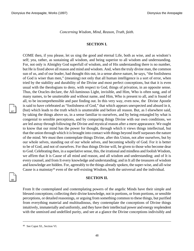88

*Concerning Wisdom, Mind, Reason, Truth, faith.*

## **SECTION I.**

COME then, if you please, let us sing the good and eternal Life, both as wise, and as wisdom's self; yea, rather, as sustaining all wisdom, and being superior to all wisdom and understanding. For, not only is Almighty God superfull of wisdom, and of His understanding there is no number, but He is fixed above all reason and mind and wisdom. And, when the truly divine man, the common sun of us, and of our leader, had thought this out, in a sense above nature, he says, "the foolishness of God is wiser than men," (meaning) not only that all human intelligence is a sort of error, when tried by the stability and durability of the Divine and most perfect conceptions, but that it is even usual with the theologians to deny, with respect to God, things of privation, in an opposite sense. Thus, the Oracles declare, the All-luminous Light, invisible, and Him, Who is often sung, and of many names, to be unutterable and without name, and Him, Who is present to all, and is found of all, to be incomprehensible and past finding out. In this very way, even now, the Divine Apostle is said to have celebrated as "foolishness of God," that which appears unexpected and absurd in it, (but) which leads to the truth which is unutterable and before all reason. But, as I elsewhere said, by taking the things above us, in a sense familiar to ourselves, and by being entangled by what is congenial to sensible perceptions, and by comparing things Divine with our own conditions, we are led astray through following the Divine and mystical reason after a mere appearance. We ought to know that our mind has the power for thought, through which it views things intellectual, but that the union through which it is brought into contact with things beyond itself surpasses the nature of the mind. We must then contemplate things Divine, after this Union, not after ourselves, but by our whole selves, standing out of our whole selves, and becoming wholly of God. For it is better to be of God, and not of ourselves. For thus things Divine will, be given to those who become dear to God. Celebrating then, in a superlative sense, this, the irrational and mindless and foolish Wisdom, we affirm that It is Cause of all mind and reason, and all wisdom and understanding; and of It is every counsel, and from It every knowledge and understanding; and in It all the treasures of wisdom and knowledge are hidden. For, agreeably to the things already spoken, the super-wise, and all-wise Cause is a mainstay<sup>48</sup> even of the self-existing Wisdom, both the universal and the individual.

## **SECTION II.**

From It the contemplated and contemplating powers of the angelic Minds have their simple and blessed conceptions; collecting their divine knowledge, not in portions, or from portions, or sensible perceptions, or detailed reasonings, or arguing from something common to these things, but purified from everything material and multitudinous, they contemplate the conceptions of Divine things intuitively, immaterially and uniformly, and they have their intellectual power and energy resplendent with the unmixed and undefiled purity, and see at a glance the Divine conceptions indivisibly and

<sup>48</sup> See Caput XI., Section VI.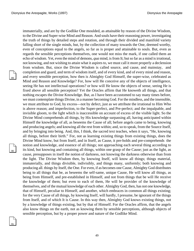$90$ 

91

immaterially, and are by the Godlike One moulded, as attainable by reason of the Divine Wisdom, to the Divine and Super-wise Mind and Reason. And souls have their reasoning power, investigating the truth of things by detailed steps and rotation, and through their divided and manifold variety falling short of the single minds, but, by the collection of many towards the One, deemed worthy, even of conceptions equal to the angels, so far as is proper and attainable to souls. But, even as regards the sensible perceptions themselves, one would not miss the mark, if one called them an echo of wisdom. Yet, even the mind of demons, *qua* mind, is from It; but so far as a mind is irrational, not knowing, and not wishing to attain what it aspires to, we must call it more properly a declension from wisdom. But, since the Divine Wisdom is called source, and cause, and mainstay, and completion and guard, and term of wisdom itself, and of every kind, and of every mind and reason, and every sensible perception, how then is Almighty God Himself, the super-wise, celebrated as Mind and Reason and Knowledge? For, how will He conceive any of the objects of intelligence, seeing He has not intellectual operations? or how will He know the objects of sense, seeing He is fixed above all sensible perception? Yet the Oracles affirm that He knoweth all things, and that nothing escapes the Divine Knowledge. But, as I have been accustomed to say many times before, we must contemplate things Divine, in a manner becoming God. For the mindless, and the insensible, we must attribute to God, by excess—not by defect, just as we attribute the irrational to Him Who is above reason; and imperfection, to the Super-perfect, and Pre-perfect; and the impalpable, and invisible gloom, to the light which is inaccessible on account of excess of the visible light. So the Divine Mind comprehends all things, by His knowledge surpassing all, having anticipated within Himself the knowledge of all, as beseems the Cause of all; before angels came to being, knowing and producing angels; and knowing all the rest from within; and, so to speak, from the Source Itself, and by bringing into being. And, this, I think, the sacred text teaches, when it says, "He, knowing all things, before their birth." For, not as learning existing things from existing things, does the Divine Mind know, but from Itself, and in Itself, as Cause, it pre-holds and pre-comprehends the notion and knowledge, and essence of all things; not approaching each several thing according to its kind, but knowing and containing all things, within one grasp of the Cause; just as the light, as cause, presupposes in itself the notion of darkness, not knowing the darkness otherwise than from the light. The Divine Wisdom then, by knowing Itself, will know all things; things material, immaterially, and things divisible, indivisibly, and things many, uniformly; both knowing and producing all. things by Itself, the One. For even, if as becomes one Cause, Almighty God distributes being to all things that be, as beseems the self-same, unique Cause, He will know all things, as being from Himself, and pre-established in Himself, and not from things that be will He receive the knowledge of them; but even to each of them, He will be provider of the knowledge of themselves, and of the mutual knowledge of each other. Almighty God, then, has not one knowledge, that of Himself, peculiar to Himself, and another, which embraces in common all things existing; for the very Cause of all things, by knowing Itself, will hardly, I presume, be ignorant of the things from Itself, and of which It is Cause. In this way then, Almighty God knows existing things, not by a knowledge of things existing, but by that of Himself. For the Oracles affirm, that the angels also know things on the earth, not as knowing them by sensible perceptions, although objects of sensible perception, but by a proper power and nature of the Godlike Mind.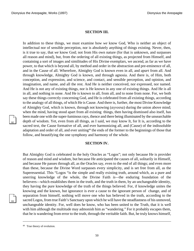## **SECTION III.**

In addition to these things, we must examine how *we* know God, Who is neither an object of intellectual nor of sensible perception, nor is absolutely anything of things existing. Never, then, is it true to say, that *we* know God; not from His own nature (for that is unknown, and surpasses all reason and mind), but, from the ordering of all existing things, as projected from Himself, and containing a sort of images and similitudes of His Divine exemplars, we ascend, as far as we have power, to that which is beyond all, by method and order in the abstraction and pre-eminence of all, and in the Cause of all. Wherefore, Almighty God is known even in all, and *apart* from all. And through knowledge, Almighty God is known, and through agnosia. And there is, of Him, both conception, and expression, and science, and contact, and sensible perception, and opinion, and imagination, and name, and all the rest. And He is neither conceived, nor expressed, nor named. And He is not any of existing things, nor is He known in any one of existing things. And He is all in all, and nothing in none. And He is known to all, from all, and to none from none. For, we both say these things correctly concerning God, and He is celebrated from all existing things, according to the analogy of all things, of which He is Cause. And there is, further, the most Divine Knowledge of Almighty God, which is known, through not knowing (αγνοσια) during the union above mind; when the mind, having stood apart from all existing things, then having dismissed also itself, has been made one with the super-luminous rays, thence and there being illuminated by the unsearchable depth of wisdom. Yet, even from all things, as I said, we may know It, for It is, according to the sacred text, the Cause formative of all, and ever harmonizing all, and (Cause) of the indissoluble adaptation and order of all, and ever uniting<sup>49</sup> the ends of the former to the beginnings of those that follow, and beautifying the one symphony and harmony of the whole.

#### **SECTION IV.**

But Almighty God is celebrated in the holy Oracles as "Logos"; not only because He is provider of reason and mind and wisdom, but because He anticipated the causes of all, solitarily in Himself, and because He passes through all, as the Oracles say, even to the end of all things; and even more than these, because the Divine Word surpasses every simplicity, and is set free from all, as the Superessential. This "Logos "is the simple and really existing truth, around which, as a pure and unerring knowledge of the whole, the Divine Faith *is—*the enduring foundation of the believers—which establishes them in the truth, and the truth in them, by an unchangeable identity, they having the pure knowledge of the truth of the things believed. For, if knowledge unites the knowing and the known, but ignorance is ever a cause to the ignorant person of change, and of separation from himself, nothing will move one who has believed in the truth, according to the sacred Logos, from true Faith's Sanctuary upon which he will have the steadfastness of his unmoved, unchangeable identity. For, well does he know, who has been united to the Truth, that it is well with him although the multitude may admonish him as "wandering." For it probably escapes them, that he is wandering from error to the truth, through the veritable faith. But, he truly knows himself,

92

<sup>49</sup> True theory of evolution.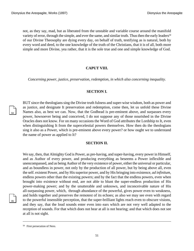95

not, as they say, mad, but as liberated from the unstable and variable course around the manifold variety of error, through the simple, and ever the same, and similar truth. Thus then the early leaders<sup>50</sup> of our Divine Theosophy are dying every day, on behalf of truth, testifying as is natural, both by every word and deed, to the one knowledge of the truth of the Christians, that it is of all, both more simple and more Divine, yea rather, that it is the sole true and one and simple knowledge of God.

## **CAPUT VIII.**

*Concerning power, justice, preservation, redemption, in which also concerning inequality.*

## **SECTION I.**

BUT since the theologians sing the Divine truth fulness and super-wise wisdom, both as power and as justice, and designate It preservation and redemption, come then, let us unfold these Divine Names also, as best we can. Now, that the Godhead is pre-eminent above, and surpasses every power, howsoever being and conceived, I do not suppose any of those nourished in the Divine Oracles does not know. For on many occasions the Word of God attributes the Lordship to It, even when distinguishing It from the supercelestial powers themselves. How then do the theologians sing it also as a Power, which is pre-eminent above every power? or how ought we to understand the name of power as applied to It?

## **SECTION II.**

We say, then, that Almighty God is Power, as pre-having, and super-having, every power in Himself, and as Author of every power, and producing everything as beseems a Power inflexible and unencompassed, and as being Author of the very existence of power, either the universal or particular, and as boundless in power, not only by the production of all power, but by being above all, even the self. existent Power, and by His superior power, and by His bringing into existence, *ad infinitum,* endless powers other than the existing powers; and by the fact that the endless powers, even when brought into existence without end, are not able to blunt the super-endless production of His power-making power; and by the unutterable and unknown, and inconceivable nature of His all-surpassing power, which, through abundance of the powerful, gives power even to weakness, and holds together and preserves the remotest of its echoes; as also we may see even with regard to the powerful insensible perception, that the super-brilliant lights reach even to obscure visions, and they say, that the loud sounds enter even into ears which are not very well adapted to the reception of sounds. For that which does not hear at all is not hearing; and that which does not see at all is not sight.



<sup>50</sup> First persecution of Nero.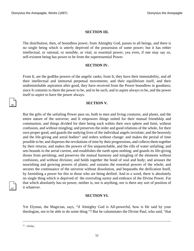## **SECTION III.**

The distribution, then, of boundless power, from Almighty God, passes to all beings, and there is no single being which is utterly deprived of the possession of some power; but it has either intellectual, or rational, or sensible, or vital, or essential power; yea even, if one may say so, self-existent being has power to be from the superessential Power.

#### **SECTION IV.**

From It, are the godlike powers of the angelic ranks; from It, they have their immutability, and all their intellectual and immortal perpetual movements; and their equilibrium itself, and their undiminishable aspiration after good, they have received from the Power boundless in goodness; since It commits to them the power to be, and to be such, and to aspire always to be, and the power itself to aspire to have the power always.

## **SECTION V.**

But the gifts of the unfailing Power pass on, both to men and living creatures, and plants, and the entire nature of the universe; and It empowers things united for their mutual friendship and communion, and things divided for their being each within their own sphere and limit, without confusion, and without mingling; and preserves the order and good relations of the whole, for their own proper good, and guards the undying lives of the individual angels inviolate; and the heavenly and the life-giving and astral bodies<sup>51</sup> and orders without change: and makes the period of time possible to be; and disperses the revolutions of time by their progressions, and collects them together by their returns; and makes the powers of fire unquenchable, and the rills of water unfailing; and sets bounds to the aerial current, and establishes the earth upon nothing; and guards its life-giving throes from perishing; and preserves the mutual harmony and mingling of the elements without confusion, and without division; and holds together the bond of soul and body; and arouses the nourishing and growing powers of plants; and sustains the essential powers of the whole; and secures the continuance of the universe without dissolution, and bequeaths the deification Itself, by furnishing a power for this to those who are being deified. And in a word, there is absolutely no single thing which is deprived of the overruling surety and embrace of the Divine Power. For that which absolutely has no power, neither is, nor is anything, nor is there any sort of position of it whatever.

## **SECTION VI.**

Yet Elymas, the Magician, says, "if Almighty God is All-powerful, how is He said by your theologian, not to be able to do some thing "? But he calumniates the Divine Paul, who said, "that

96

 $51$  οὐσίας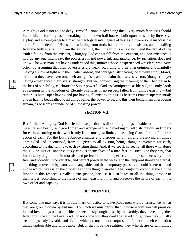99

Almighty God is not able to deny Himself." Now in advancing this, I very much fear lest I should incur ridicule for folly, as undertaking to pull down frail houses, built upon the sand by little boys at play; and as being eager to aim at the theological intelligence of this, as if it were some inaccessible mark. For, the denial of Himself, is a falling from truth, but the truth is an existent, and the falling from the truth is a falling from the existent. If, then, the truth is an existent, and the denial of the truth a falling from the existent, Almighty God cannot fall from the existent, and non-existence is not; as any one might say, the powerless is not powerful; and ignorance, by privation, does not know. The wise man, not having understood this, imitates those inexperienced wrestlers, who, very often, by assuming that their adversaries are weak, according to their own opinion, and manfully making a show of fight with them, when absent, and courageously beating the air with empty blows, think that they have overcome their antagonists, and proclaim themselves victors (though) not yet having experienced their rivals' strength. But we, conjecturing the meaning of the Theologian to the best of our ability, celebrate the Super-powerful God, as Omnipotent, as blessed, and only Lord; as reigning in the kingdom of Eternity itself; as in no respect fallen from things existing;—but rather, as both super-having and pre-having all existing things, as beseems Power superessential; and as having bequeathed to all things being, the power to be, and this their being in an ungrudging stream, as beseems abundance of surpassing power.

## **SECTION VII.**

But further, Almighty God is celebrated as justice, as distributing things suitable to all, both due measure, and beauty, and good order, and arrangement, and marking out all distributions and orders for each, according to that which truly is the most just limit, and as being Cause for all of the free action of each. For the Divine Justice arranges and disposes all things, and preserving all things unmingled and unconfused, from all, gives to all existing beings things convenient for each, according to the due falling to each existing thing. And, if we speak correctly, all those who abuse the Divine Justice, unconsciously convict themselves of a manifest injustice. For they say, that immortality ought to be in mortals, and perfection in the imperfect, and imposed necessity in the free, and identity in the variable, and perfect power in the weak, and the temporal should be eternal, and things moveable by nature, unchangeable, and that temporary pleasures should be eternal; and in one word, they assign the properties of one thing to another. They ought to know that the Divine Justice in this respect is really a true justice, because it distributes to all the things proper to themselves, according to the fitness of each existing thing, and preserves the nature of each in its own order and capacity.

#### **SECTION VIII.**

But some one may say, it is not the mark of justice to leave pious men without assistance, when they are ground down by evil men. To which we must reply, that, if those whom you call pious do indeed love things on earth, which are zealously sought after by the earthly, they have altogether fallen from the Divine Love. And I do not know how they could be called pious, when they unjustly treat things truly loveable and divine, which do not at once surpass in influence in their estimation things undesirable and unloveable. But, if they love the realities, they who desire certain things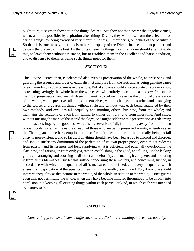ought to rejoice when they attain the things desired. Are they not then nearer the angelic virtues, when, as far as possible, by aspiration after things Divine, they withdraw from the affection for earthly things, by being exercised very manfully to this, in their perils, on behalf of the beautiful? So that, it is true to say, that this is rather a property of the Divine Justice—not to pamper and destroy the bravery of the best, by the gifts of earthly things, nor, if any one should attempt to do this, to leave them without assistance, but to establish them in the excellent and harsh condition, and to dispense to them, as being such, things meet for them.

## **SECTION IX.**

This Divine Justice, then, is celebrated also even as preservation of the whole, as preserving and guarding the essence and order of each, distinct and pure from the rest; and as being genuine cause of each minding its own business in the whole. But, if any one should also celebrate this preservation, as rescuing savingly the whole from the worse, we will entirely accept this as the *cantique* of the manifold preservation, and we will deem him worthy to define this even as the principal preservation of the whole, which preserves all things in themselves, without change, undisturbed and unswaying to the worse; and guards all things without strife and without war, each being regulated by their own methods; and excludes all inequality and minding others' business, from the whole; and maintains the relations of each from falling to things contrary, and from migrating. And since, without missing the mark of the sacred theology, one might celebrate this preservation as redeeming all things existing, by the goodness which is preservative of all, from falling away from their own proper goods, so far as the nature of each of those who are being preserved admits; wherefore also the Theologians name it redemption, both so far as it does not permit things really being to fall away to non-existence, and so far as, if anything should have been led astray to discord and disorder, and should suffer any diminution of the perfection of its own proper goods, even this it redeems from passion and listlessness and loss; supplying what is deficient, and paternally overlooking the slackness, and raising up from evil; yea, rather, establishing in the good, and filling -up the leaking good, and arranging and adorning its disorder and deformity, and making it complete, and liberating it from all its blemishes. But let this suffice concerning these matters, and concerning Justice, in accordance with which the equality of all is measured and defined, and every inequality, which arises from deprivation of the equality, in each thing severally, is excluded. For, if any one should interpret inequality as distinctions in the whole, of the whole, in relation to the whole, Justice guards even this, not permitting the whole, when they have become mingled throughout, to be thrown into confusion, but keeping all existing things within each particular kind, in which each was intended by nature, to be.

102

101

# **CAPUT IX.**

*Concerning great, small, same, different, similar, dissimilar, standing, movement, equality.*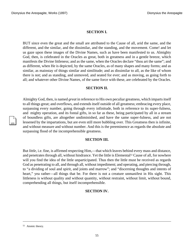## **SECTION I.**

BUT since even the great and the small are attributed to the Cause of all, arid the same, and the different, and the similar, and the dissimilar, and the standing, and the movement. Come! and let us gaze upon these images of the Divine Names, such as have been manifested to us. Almighty God, then, is celebrated in the Oracles as great, both in greatness and in a gentle breeze, which manifests the Divine littleness; and as the same, when the Oracles declare "thou art the same"; and as different, when He is depicted, by the same Oracles, as of many shapes and many forms; and as similar, as mainstay of things similar and similitude; and as dissimilar to all, as the like of whom there is not; and as standing, and unmoved, and seated for ever; and as moving, as going forth to all; and whatever other Divine Names, of the same force with these, are celebrated by the Oracles.

## **SECTION II.**

Almighty God, then, is named *great* in reference to His own peculiar greatness, which imparts itself to all things great; and overflows, and extends itself outside of all greatness; embracing every place, surpassing every number, going through every infinitude, both in reference to its super-fulness, and mighty operation, and its fontal gifts, in so far as these, being participated by all in a stream of boundless gifts, are altogether undiminished, and have the same super-fulness, and are not lessened by the impartations, but are even still more bubbling over. This Greatness then is infinite, and without measure and without number. And this is the preeminence as regards the absolute and surpassing flood of the incomprehensible greatness.

# **SECTION III.**

But *little,* i.e. fine, is affirmed respecting Him,—that which leaves behind every mass and distance, and penetrates through all, without hindrance. Yet the little is Elemental<sup>52</sup> Cause of all, for nowhere will you find the idea of the little unparticipated. Thus then the little must be received as regards God as penetrating to all, and through all, without impediment; and operating, and piercing through, to "a dividing of soul and spirit, and joints and marrow"; and "discerning thoughts and intents of heart," yea rather—all things that be. For there is not a creature unmanifest in His sight. This littleness is without quality and without quantity, without restraint, without limit, without bound, comprehending all things, but itself incomprehensible.

# **SECTION IV.**

<sup>52</sup> Atomic theory.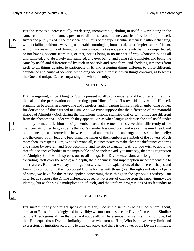105

106

But the *same* is superessentially everlasting, inconvertible, abiding in itself, always being in the same condition and manner; present to all in the same manner, and itself by itself, upon itself, firmly and purely fixed in the most beautiful limits of the superessential sameness, without changing, without falling, without swerving, unalterable, unmingled, immaterial, most simplex, self-sufficient, without increase, without diminution, unoriginated, not as not yet come into being, or unperfected, or not having become from this, or that, nor as being in no manner of way whatever, but as all unoriginated, and absolutely unoriginated, and ever being; and being self-complete, and being the same by itself, and differentiated by itself in one sole and same form; and shedding sameness from itself to all things adapted to participate in It; and assigning things different to those different; abundance and cause of identity, preholding identically in itself even things contrary, as beseems the One and unique Cause, surpassing the whole identity.

#### **SECTION V.**

But the *different,* since Almighty God is present to all providentially, and becomes all in all, for the sake of the preservation of all, resting upon Himself, and His own identity within Himself, standing, as beseems an energy, one and ceaseless, and imparting Himself with an unbending power, for deification of those turned to Him. And we must suppose that the difference of the manifold shapes of Almighty God, during the multiform visions, signifies that certain things are different from the phenomena under which they appear. For, as when language depicts the soul itself, under a bodily form, and fashions bodily members around the memberless, we think differently of the members attributed to it, as befits the soul's memberless condition; and we call the mind head, and opinion neck,—as intermediate between rational and irrational—and anger, breast; and lust, belly; and the constitution, legs and feet; using the names of the members as symbols of the powers. Much more then, as respects Him, Who is beyond all, is it necessary to make clear the difference of forms and shapes by reverent and God-becoming, and mystic explanations. And if you wish to apply the threefold shapes of bodies to the impalpable and shapeless God, you must say, that the Progression of Almighty God, which spreads out to all things, is a Divine extension; and length, the power extending itself over the whole; and depth, the hiddenness and imperception incomprehensible to all creatures. But, that we may not forget ourselves, in our explanation, of the different shapes and forms, by confounding the incorporeal Divine Names with those given through symbols of objects of sense, we have for this reason spoken concerning these things in the *Symbolic Theology.* But now, let us suppose the Divine difference, as really not a sort of change from the super-immovable identity, but as the single multiplication of itself, and the uniform progressions of its fecundity to all.

## **SECTION VI.**

But *similar*, if any one might speak of Almighty God as the same, as being wholly throughout, similar to Himself—abidingly and indivisibly; we must not despise the Divine Name of the Similar; but the Theologians affirm that the God above all, in His essential nature, is similar to none; but that He bequeaths a Divine similarity to those who turn to Him, Who is above every limit and expression, by imitation according to their capacity. And there is the power of the Divine similitude,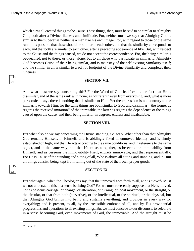108

which turns all created things to the Cause. These things, then, must be said to be similar to Almighty God, both after a Divine likeness and similitude. For, neither must we say that Almighty God is similar to them, because neither is a man like his own image. For, with regard to those of the same rank, it is possible that these should be similar to each other, and that the similarity corresponds to each, and that both are similar to each other, after a preceding appearance of like. But, with respect to the Cause and the things caused, we do not accept the correspondence. For, the being similar is bequeathed, not to these, or those, alone, but to all those who participate in similarity. Almighty God becomes Cause of their being similar, and is mainstay of the self-existing Similarity itself; and the similar in all is similar to a soft of footprint of the Divine Similarity and completes their Oneness.

## **SECTION VII.**

And what must we say concerning this? For the Word of God Itself extols the fact that He is dissimilar, and of the same rank with none; as "different" even from everything, and, what is more paradoxical, says there is nothing that is similar to Him. Yet the expression is not contrary to the similarity towards Him, for the same things are both similar to God, and dissimilar—the former as regards the received imitation<sup>53</sup> of the inimitable, the latter as regards the dependence of the things caused upon the cause, and their being inferior in degrees, endless and incalculable.

## **SECTION VIII.**

But what also do we say concerning the Divine standing, i.e. seat? What other than that Almighty God remains Himself, in Himself, and is abidingly fixed in unmoved identity, and is firmly established on high; and that He acts according to the same conditions, and in reference to the same object, and in the same way; and that He exists altogether, as beseems the immutability from Himself; and as beseems the immovability Itself, entirely immovable, and that superessentially. For He is Cause of the standing and sitting of all, Who is above all sitting and standing, and in Him all things consist, being kept from falling out of the state of their own proper goods.

#### **SECTION IX.**

But what again, when the Theologians say, that the unmoved goes forth to all, and is *moved*? Must we not understand this in a sense befitting God? For we must reverently suppose that He is moved, not as beseems carriage, or change, or alteration, or turning, or local movement, or the straight, or the circular, or that from both (curvative), or the intellectual, or the spiritual, or the physical, but that Almighty God brings into being and sustains everything, and provides in every way for everything; and is present, to all, by the irresistible embrace of all, and by His providential progressions and operations to all existing things. But we must concede to our discourse, to celebrate in a sense becoming God, even movements of God, the immovable. And the straight must be



<sup>53</sup> Letter 2.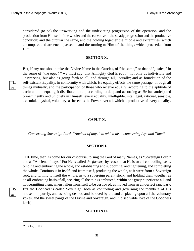110

considered (to be) the unswerving and the undeviating progression of the operation, and the production from Himself of the whole; and the curvative—the steady progression and the productive condition; and the circular the same, and the holding together the middle and extremities, which encompass and are encompassed,—and the turning to Him of the things which proceeded from Him.

## **SECTION X.**

But, if any one should take the Divine Name in the Oracles, of "the same," or that of "justice," in the sense of "the *equal,"* we must say, that Almighty God is *equal,* not only as indivisible and unswerving, but also as going forth to all, and through all, equally; and as foundation of the self-existent Equality, in conformity with which, He equally effects the same passage, through all things mutually, and the participation of those who receive equally, according to the aptitude of each; and the equal gift distributed to all, according to due; and according as He has anticipated pre-eminently and uniquely in Himself, every equality, intelligible, intelligent, rational, sensible, essential, physical, voluntary, as beseems the Power over all, which is productive of every equality.

## **CAPUT X.**

*Concerning Sovereign Lord, "Ancient of days" in which also, concerning Age and Time<sup>54</sup> .*

## **SECTION I.**

THE time, then, is come for our discourse, to sing the God of many Names, as "Sovereign Lord," and as "Ancient of days." For He is called *the former,* by reason that He is an all-controlling basis, binding and embracing the whole, and establishing and supporting, and tightening, and completing the whole. Continuous in itself, and from itself, producing the whole, as it were from a Sovereign root, and turning to itself the whole, as to a sovereign parent stock, and holding them together as an all-embracing basis of all, securing all the things embraced, within one grasp superior to all, and not permitting them, when fallen from itself to be destroyed, as moved from an all-perfect sanctuary. But the Godhead is called Sovereign, both as controlling and governing the members of His household, purely, and as being desired and beloved by all, and as placing upon all the voluntary yokes, and the sweet pangs of the Divine and Sovereign, and in dissolvable love of the Goodness itself,

## **SECTION II.**

<sup>54</sup> Dulac, p. 226.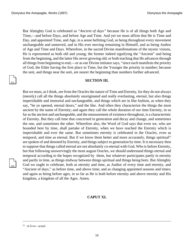112

But Almighty God is celebrated as "*Ancient of days"* because He is of all things both Age and Time,—and before Days, and before Age and Time. And yet we must affirm that He is Time and Day, and appointed Time, and Age, in a sense befitting God, as being throughout every movement unchangeable and unmoved, and in His ever moving remaining in Himself, and as being Author of Age and Time and Days. Wherefore, in the sacred Divine manifestations of the mystic visions, He is represented as both old and young; the former indeed signifying the "Ancient" and being from the beginning, and the latter His never growing old; or both teaching that He advances through all things from beginning to end,—or as our Divine initiator says, "since each manifests the priority of God, the Elder having the first place in Time, but the Younger the priority in number; because the unit, and things near the unit, are nearer the beginning than numbers further advanced.

## **SECTION III.**

But we must, as I think, see from the Oracles the nature of Time and Eternity, for they do not always (merely) call all the things absolutely unoriginated and really everlasting, eternal, but also things imperishable and immortal and unchangeable, and things which are in like fashion, as when they say, "be ye opened, eternal doors," and the like. And often they characterize the things the most ancient by the name of Eternity; and again they call the whole duration of our time Eternity, in so far as the ancient and unchangeable, and the measurement of existence throughout, is a characteristic of Eternity. But they call time that concerned in generation and decay and change, and sometimes the one, and sometimes the other. Wherefore also, the Word of God says that even we, who are bounded here by time, shall partake of Eternity, when we have reached the Eternity which is imperishable and ever the same. But sometimes eternity is celebrated in the Oracles, even as temporal, and time as eternal. But if we know them better and more accurately, things spiritual<sup>55</sup> are spoken of and denoted by Eternity, and things subject to generation by time. It is necessary then to suppose that things called eternal are not absolutely co-eternal with God, Who is before Eternity, but that following unswervingly the most august Oracles, we should understand things eternal and temporal according to the hopes recognized by them, hut whatever participates partly in eternity and partly in time, as things midway between things spiritual and things being born. But Almighty God we ought to celebrate, both as eternity and time, as Author of every time and eternity, and "Ancient of days," as before time, and above time; and as changing appointed seasons and times; and again as being before ages, in so far as He is both before eternity and above eternity and His kingdom, a kingdom of all the Ages. Amen.

# **CAPUT XI.**

<sup>55</sup> τὰ ὄντα—actual.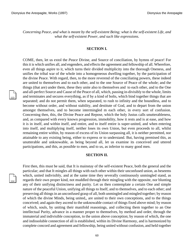*Concerning Peace, and what is meant by the self-existent Being; what is the self-existent Life, and what the self-existent Power, and such like expressions.*

## **SECTION I.**

COME, then, let us extol the *Peace* Divine, and Source of conciliation, by hymns of peace! For this it is which unifies all, and engenders, and effects the agreement and fellowship of all. Wherefore, even all things aspire to it, which turns their divided multiplicity into the thorough Oneness, and unifies the tribal war of the whole into a homogeneous dwelling together, by the participation of the divine Peace. With regard, then, to the more reverend of the conciliating powers, these indeed are united to themselves and to each other, and to the one Source of Peace of the whole; and the things (that are) under them, these they unite also to themselves and to each other, and to the One and all-perfect Source and Cause of the Peace of all, which, passing in-divisibly to the whole, limits and terminates and secures everything, as if by a kind of bolts, which bind together things that are separated; and do not permit them, when separated, to rush to infinity and the boundless, and to become without order, and without stability, and destitute of God, and to depart from the union amongst themselves, and to become intermingled m each other, in every sort of confusion. Concerning then, this, the Divine Peace and Repose, which the holy Justus calls unutterableness, and, as compared with every known progression, immobility, how it rests and is at ease, and how it is in itself, and within itself, and entire, and to itself entire is super-united, and when entering into itself, and multiplying itself, neither loses its own Union, but even proceeds to all, whilst remaining entire within, by reason of excess of its Union surpassing all, it is neither permitted, nor attainable to any existing being, either to express or to understand. But, having premised this, as unutterable and unknowable, as being beyond all, let us examine its conceived and uttered participations, and this, as possible to men, and to us, as inferior to many good men.

#### **SECTION II.**

First then, this must be said, that It is mainstay of the self-existent Peace, both the general and the particular; and that It mingles all things with each other within their unconfused union, as beseems which, united indivisibly, and at the same time they severally continuously unmingled stand, as regards their own proper kind, not muddled through their mingling with the opposite, nor blunting any of their unifying distinctness and purity. Let us then contemplate a certain One and simple nature of the peaceful Union, unifying all things to Itself, and to themselves, and to each other; and preserving all things in an unconfused grasp of all, both unmingled and mingled together; by reason of which the divine Minds, being united,, are united to their own conceptions, and to the things conceived; and again they ascend to the unknowable contact of things fixed above mind; by reason of which, souls, by uniting their manifold reasonings, and collecting them together to an One intellectual Purity, advance in a manner proper to themselves, by method and order, through the immaterial and indivisible conception, to the union above conception; by reason of which, the one and indissoluble connection of all is established, within its Divine Harmony, and is harmonized by complete concord and agreement and fellowship, being united without confusion, and held together

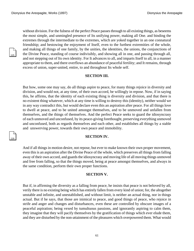

without division. For the fulness of the perfect Peace passes through to all existing things, as beseems the most simple, and unmingled presence of Its unifying power, making all One. and binding the extremes through the intermediate to the extremes, which are yoked together in an one connatural friendship; and bestowing the enjoyment of Itself, even to the furthest extremities of the whole, and making all things of one family, by the unities, the identities, the unions, the conjunctions of the Divine Peace, standing of course indivisibly, and showing all in one, and passing through all, and not stepping out of Its own identity. For It advances to all, and imparts Itself to all, in a manner appropriate to them, and there overflows an abundance of peaceful fertility; and It remains, through excess of union, super-united, entire, to and throughout Its whole self.

#### **SECTION III.**

But how, some one may say, do all things aspire to peace, for many things rejoice in diversity and division, and would not, at any time, of their own accord, be willingly in repose. Now, if in saying this, he affirms, that the identity of each existing thing is diversity and division, and that there is no existent thing whatever, which at any time is willing to destroy this (identity), neither would we in any way contradict this, but would declare even this an aspiration after peace. For all things love to dwell at peace, and to be united amongst themselves, and to be unmoved and unfallen from themselves, and the things of themselves. And the perfect Peace seeks to guard the idiosyncrasy of each unmoved and unconfused, by its peace-giving forethought, preserving everything unmoved and unconfused, both as regards themselves and each other, and establishes all things by a stable and unswerving power, towards their own peace and immobility.

# **SECTION IV.**

And if all things in motion desire, not repose, but ever to make known their own proper movement, even this is an aspiration after the Divine Peace of the whole, which preserves all things from falling away of their own accord, and guards the idiosyncrasy and moving life of all moving things unmoved and free from falling, so that the things moved, being at peace amongst themselves, and always in the same condition, perform their own proper functions.

## **SECTION V.**

But if, in affirming the diversity as a falling from peace, he insists that peace is not beloved by all, verily there is no existing being which has entirely fallen from every kind of union; for, the altogether unstable and infinite, and unestablished, and without limit, is neither an actual thing, nor in things actual. But if he says, that those are inimical to peace, and good things of peace, who rejoice in strife and anger and changes and disturbances, even these are controlled by obscure images of a peaceful aspiration; being vexed by tumultuous passions, and ignorantly aspiring to calm them, they imagine that they will pacify themselves by the gratification of things which ever elude them, and they are disturbed by the non-attainment of the pleasures which overpowered them. What would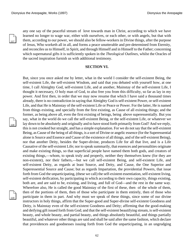

any one say of the peaceful stream of love towards man in Christ, according to which we have learned no longer to wage war, either with ourselves, or each other, or with angels, but that with them, according to our power, we should also be fellow-workers in Divine things, after the purpose of Jesus, Who worketh all in all, and forms a peace unutterable and pre-determined from Eternity, and reconciles us to Himself, in Spirit, and through Himself and in Himself to the Father; concerning which supernatural gifts it is sufficiently spoken in the *Theological Outlines,* whilst the Oracles of the sacred inspiration furnish us with additional testimony.

#### **SECTION VI.**

But, since you once asked me by letter, what in the world I consider the self-existent Being, the self-existent Life, the self-existent Wisdom, and said that you debated with yourself how, at one time, I call Almighty God, self-existent Life, and at another, Mainstay of the self-existent Life, I thought it necessary, O holy man of God, to also free you from this difficulty, so far as lay in my power. And first then, in order that we may now resume that which I have said a thousand times already, there is no contradiction in saying that Almighty God is self-existent Power, or self-existent Life, and that He is Mainstay of the self-existent Life or Peace or Power. For the latter, He is named from things existing, and specially from the first existing, as Cause of all existing things; and the former, as being above all, even the first existing of beings, being above superessentially. But you say, what in the world do we call the self-existent Being, or the self-existent Life, or whatever we lay down to be absolutely and originally and to have stood forth primarily from God? And we reply, this is not crooked but straight, and has a simple explanation. For we do not say that the self-existent Being, as Cause of the being of all things, is a sort of Divine or angelic essence (for the Superessential alone is Source and Essence and Cause of the existence of all things, and of the self-existent Being), nor that another Deity, besides the Super-divine, produces Life for all that live, and is a Life Causative of the self-existent Life; nor to speak summarily, that essences and personalities originate and make existing things, so that superficial people have named them both gods, and creators of existing things,—whom, to speak truly and properly, neither they themselves knew (for they are non-existent), nor their fathers,—but we call self-existent Being, and self-existent Life, and self-existent Deity, as regards at least Source, and Deity, and Cause, the One Superior and Superessential Source and Cause; but as regards Impartation, the providential Powers, that issue forth from God the unparticipating, (these we call) the self-existent essentiation, self-existent living, self-existent deification, by participating in which according to their own capacity, things existing, both are, and are said to be, existing, and living, and full of God—and the rest in the same way. Wherefore also, He is called the good Mainstay of the first of these, then of the whole of them, then of the portions of them, then of those who participate in them entirely, then of those who participate in them in part. And why must we speak of these things, since some of our divine instructors in holy things, affirm that the Super-good and Super-divine self-existent Goodness and Deity, is Mainstay even of the self-existent Goodness and Deity; affirming that the good-making and deifying gift issued forth from God; and that the self-existent beautifying stream, is self-existent beauty, and whole beauty, and partial beauty, and things absolutely beautiful, and things partially beautiful, and whatever other things are said and shall be said after the same fashion, which declare that providences and goodnesses issuing forth from God the unparticipating, in an ungrudging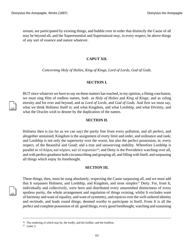stream, are participated by existing things, and bubble over in order that distinctly the Cause of all may be beyond all, and the Superessential and Supernatural may, in every respect, be above things of any sort of essence and nature whatever.

## **CAPUT XII.**

*Concerning Holy of Holies, King of Kings, Lord of Lords, God of Gods.*

## **SECTION I.**

BUT since whatever we have to say on these matters has reached, in my opinion, a fitting conclusion, we must sing Him of endless names, both as *Holy of Holies* and *King of Kings;* and as ruling eternity and for ever and beyond, and as *Lord of Lords,* and *God of Gods.* And first we must say, what we think Holiness Itself is; and what Kingdom, and what Lordship, and what Divinity, and what the Oracles wish to denote by the duplication of the names.

## **SECTION II.**

Holiness then is (so far as we can say) the purity free from every pollution, and all perfect, and altogether unstained; Kingdom is the assignment of every limit and order, and ordinance and rank; and Lordship is not only the superiority over the worse, but also the perfect possession, in. every respect, of the Beautiful and Good; and a true and unswerving stability. Wherefore Lordship is parallel to τὸ Κῦρος καί κύριον, καὶ τὸ κυριστῶν<sup>56</sup>; and Deity is the Providence watching over all, and with perfect goodness both circumscribing and grasping all, and filling with Itself, and surpassing all things which enjoy Its forethought.

#### **SECTION III.**

These things, then, must be sung absolutely, respecting the Cause surpassing all, and we must add that It surpasses Holiness, and Lordship, and Kingdom, and most simplex<sup>57</sup> Deity. For, from It, individually and collectively, were born and distributed every untarnished distinctness of every spotless purity, the whole arrangement and regulation of things existing, whilst It excludes want of harmony and want of equality, and want of symmetry, and rejoices over the well-ordered identity and rectitude, and leads round things, deemed worthy to participate in Itself. From It is all the perfect and complete possession of all. good things, every good forethought, watching and sustaining

120

121

<sup>56</sup> The rendering of which may be, the lordly, and the lordlier, and the lordliest.

<sup>57</sup> Letter 2.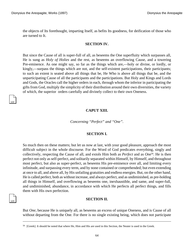123

the objects of Its forethought, imparting Itself, as befits Its goodness, for deification of those who are turned to It.

# **SECTION IV.**

But since the Cause of all is super-full of all, as beseems the One superfluity which surpasses all, He is sung as *Holy of Holies* and the rest, as beseems an overflowing Cause, and a towering Pre-eminence. As one might say, so far as the things which are,—holy or divine, or lordly, or kingly,—surpass the things which are not, and the self-existent participations, their participants; to such an extent is seated above all things that be, He Who is above all things that be, and the unparticipating Cause of all the participants and the participations. But Holy and Kings and Lords and Gods, the Oracles call the higher orders in each, through whom the inferior in participating the gifts from God, multiply the simplicity of their distribution around their own diversities, the variety of which, the superior orders carefully and divinely collect to their own Oneness.

# **CAPUT XIII.**

*Concerning "Perfect" and "One".*

# **SECTION I.**

So much then on these matters; but let us now at last, with your good pleasure, approach the most difficult subject in the whole discourse. For the Word of God predicates everything, singly and collectively, respecting the Cause of all, and extols Him both as *Perfect* and as *One*58. He is then perfect not only as self-perfect, and solitarily separated within Himself, by Himself, and throughout most perfect, but also as super-perfect, as beseems His pre-eminence over all, and limiting every infinitude, and surpassing every term, and by none contained or comprehended; but even extending at once to all, and above all, by His unfailing gratuities and endless energies. But, on the other hand, He is called perfect, both as without increase, and always perfect, and as undiminished, as pre-holding all things in Himself, and overflowing as beseems one, inexhaustible, and same, and super-full, and undiminished, abundance, in accordance with which He perfects all perfect things, and fills them with His own perfection.

# **SECTION II.**

But *One,* because He is uniquely all, as beseems an excess of unique Oneness, and is Cause of all without departing from the One. For there is no single existing being, which does not participate

<sup>58</sup> [Greek]. It should be noted that where He, Him and His are used in this Section, the Neuter is used in the Greek.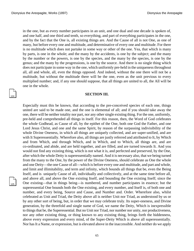125

in the one, but as every number participates in an unit, and one dual and one decade is spoken of, and one half, and one third and tenth, so everything, and part of everything participates in the one, and by the fact that the One is, all existing things are. And the Cause of all is not One, as one of many, but before every one and multitude, and determinative of every one and multitude. For there is no multitude which does not partake in some way or other of the one. Yea, that which is many by parts, is one in the whole; and the many by the accidents, is one by the subject; and the many by the number or the powers, is one by the species, and the many by the species, is one by the genus; and the many by the progressions, is one by the source. And there is no single thing which does not participate in some way in the one, which uniformly pre-held in the uniqueness throughout all, all and whole, all, even the things opposed. And indeed, without the one there will not be a multitude, but without the multitude there will be the one, even as the unit previous to every multiplied number; and, if any one should suppose, that all things are united to all, the All will be one in the whole.

## **SECTION III.**

Especially must this be known, that according to the pre-conceived species of each one, things united are said to be made one, and the one is elemental of all; and if you should take away the one, there will be neither totality nor part, nor any other single existing thing. For the one, uniformly, pre-held and comprehended all things in itself. For this reason, then, the Word of God celebrates the whole Godhead, as Cause of all, by the epithet of the One, both one God the Father, and one Lord Jesus Christ, and one and the same Spirit, by reason of the surpassing indivisibility of the whole Divine Oneness, in which all things are uniquely collected, and are super-unified, and are with It Superessentially. Wherefore also, all things are justly referred and attributed to It, by Which and from Which, and through Which, and in Which, and to Which, all things are, and are co-ordinated, and abide, and are held together, and are filled, and are turned towards It. And you would not find any existing thing, which is not what it is, and perfected and preserved, by the One, after which the whole Deity is superessentially named. And it is necessary also, that we being turned from the many to the One, by the power of the Divine Oneness, should celebrate as One the whole and one Deity—the one Cause of all—which is before every one and multitude, and part and whole, and limit and illimitability, and term and infinity, which bounds all things that be, even the Being Itself, and is uniquely Cause of all, individually and collectively, and at the same time before all, and above all, and above the One existing Itself, and bounding the One existing Itself; since the One existing—that in things being—is numbered, and number participates in essence; but the superessential One bounds both the One existing, and every number, and Itself is, of both one and number, and every being, Source and Cause, and Number and. Order. Wherefore also, whilst celebrated as Unit and Triad, the Deity above all is neither Unit nor Triad, as understood by us or by any other sort of being, but, in order that we may celebrate truly. Its super-oneness, and Divine generation, by the threefold and single name of God, we name the Deity, Which is inexpressible to things that be, the Superessential. But no Unit nor Triad, nor number nor unity, nor productiveness, nor any other existing thing, or thing known to any existing thing, brings forth the hiddenness, above every expression and every mind, of the Super-Deity Which is above all superessentially. Nor has It a Name, or expression, but is elevated above in the inaccessible. And neither do we apply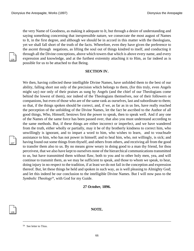the very Name of Goodness, as making it adequate to It, but through a desire of understanding and saying something concerning that inexpressible nature, we consecrate the most august of Names to It, in the first degree, and although we should be in accord in this matter with the theologians, yet we shall fall short of the truth of the facts. Wherefore, even they have given the preference to the ascent through negations, as lifting the soul out of things kindred to itself, and conducting it through all the Divine conceptions, above which towers that which is above every name, and every expression and knowledge, and at the furthest extremity attaching it to Him, as far indeed as is possible for us to be attached to that Being.

## **SECTION IV.**

We then, having collected these intelligible Divine Names, have unfolded them to the best of our ability, falling short not only of the precision which belongs to them, (for this truly, even Angels might say) nor only of their praises as sung by Angels (and the chief of our Theologians come behind the lowest of them), nor indeed of the Theologians themselves, nor of their followers or companions, but even of those who are of the same rank as ourselves, last and subordinate to them; so that, if the things spoken should be correct, and, if we, as far as in us lies, have really reached the perception of the unfolding of the Divine Names, let the fact be ascribed to the Author of all good things, Who, Himself, bestows first the power to speak, then to speak well. And if any one of the Names of the same force has been passed over, that also you must understand according to the same methods. But, if these things are either incorrect or imperfect, and we have wandered from the truth, either wholly or partially, may it be of thy brotherly kindness to correct him, who unwillingly is ignorant, and to impart a word to him, who wishes to learn, and to vouchsafe assistance to him, who has not power in himself; and to heal him, who, not willingly, is sick; and having found out some things from thyself, and others from others, and receiving all from the good to transfer them also to us. By no means grow weary in doing good to a man thy friend, for thou perceivest, that we also have kept to ourselves none of the hierarchical communications transmitted to us, but have transmitted them without flaw, both to you and to other holy men, yea, and will continue to transmit them, as we may be sufficient to speak, and those to whom we speak, to hear, doing injury in no respect to the tradition, if at least we do not fail in the conception and expression thereof. But, let these things be held and spoken in such way, as is well pleasing to Almighty God; and let this indeed be our conclusion to the intelligible Divine Names. But I will now pass to the *Symbolic Theology*59, with God for my Guide.

#### **27** *October,* **1896.**

# 128

127

126

**NOTE.**

<sup>59</sup> See letter to Titus.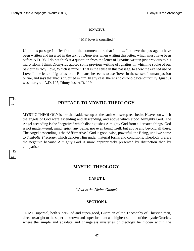#### **IGNATIUS.**

#### " MY love is crucified."

Upon this passage I differ from all the commentators that I know. I believe the passage to have been written and inserted in the text by Dionysius when writing this letter, which must have been before A.D. 98. I do not think it a quotation from the letter of Ignatius written just previous to his martyrdom. I think Dionysius quoted some previous writing of Ignatius, in which he spoke of our Saviour as "My Love, Which is mine." That is the sense in this passage, to shew the exalted use of Love. In the letter of Ignatius to the Romans, he seems to use "love" in the sense of human passion or fire, and says that that is crucified in him. In any case, there is no chronological difficulty. Ignatius was martyred A.D. 107, Dionysius, A.D. 119.

# **PREFACE TO MYSTIC THEOLOGY.**

MYSTIC THEOLOGY is like that ladder set up on the earth whose top reached to Heaven on which the angels of God were ascending and descending, and above which stood Almighty God. The Angel ascending is the "negative" which distinguishes Almighty God from all created things. God is not matter—soul, mind, spirit, any being, nor even being itself, but above and beyond all these. The Angel descending is the "Affirmative." God is good, wise, powerful, the Being, until we come to *Symbolic Theology,* which denotes Him under material forms and conditions: Theology prefers the negative because Almighty God is more appropriately presented by distinction than by comparison.

# **MYSTIC THEOLOGY.**

# **CAPUT I.**

*What is the Divine Gloom?*

# **SECTION I.**

TRIAD supernal, both super-God and super-good, Guardian of the Theosophy of Christian men, direct us aright to the super-unknown and super-brilliant and highest summit of the mystic Oracles, where the simple and absolute and changeless mysteries of theology lie hidden within the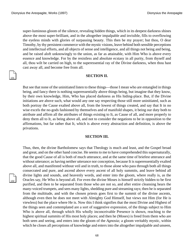super-luminous gloom of the silence, revealing hidden things, which in its deepest darkness shines above the most super-brilliant, and in the altogether impalpable and invisible, fills to overflowing the eyeless minds with glories of surpassing beauty. This then be my prayer; but thou, O dear Timothy, by thy persistent commerce with the mystic visions, leave behind both sensible perceptions and intellectual efforts, and all objects of sense and intelligence, and all things not being and being, and be raised aloft unknowingly to the union, as far as attainable, with Him Who is above every essence and knowledge. For by the resistless and absolute ecstasy in all purity, from thyself and all, thou wilt be carried on high, to the superessential ray of the Divine darkness, when thou hast cast away all, and become free from all.

#### **SECTION II.**

But see that none of the uninitiated listen to these things—those I mean who are entangled in things being, and fancy there is nothing superessentially above things being, but imagine that they know, by their own knowledge, Him, Who has placed darkness as His hiding-place. But, if the Divine initiations are above such, what would any one say respecting those still more uninitiated, such as both portray the Cause exalted above all, from the lowest of things created, and say that It in no wise excels the no-gods fashioned by themselves and of manifold shapes, it being our duty both to attribute and affirm all the attributes of things existing to It, as Cause of all, and more properly to deny them all to It, as being above all, and not to consider the negations to be in opposition to the affirmations, but far rather that It, which is above every abstraction and definition, is above the privations.

#### **SECTION III.**

Thus, then, the divine Bartholomew says that Theology is much and least, and the Gospel broad and great, and on the other hand concise. He seems to me to have comprehended this supernaturally, that the good Cause of all is both of much utterance, and at the same time of briefest utterance and without utterance; as having neither utterance nor conception, because It is superessentially exalted above all, and manifested without veil and in truth, to those alone who pass through both all things consecrated and pure, and ascend above every ascent of all holy summits, and leave behind all divine lights and sounds, and heavenly words, and enter into the gloom, where really is, as the Oracles say, He Who is beyond all. For even the divine Moses is himself strictly bidden to be first purified, and then to be separated from those who are not so, and after entire cleansing hears the many-voiced trumpets, and sees many lights, shedding pure and streaming rays; then he is separated from the multitude, and with the chosen priests goes first to the summit of the divine ascents, although even then he does not meet with Almighty God Himself, but views not Him (for He is viewless) but the place where He is. Now this I think signifies that the most Divine and Highest of the things seen and contemplated are a sort of suggestive expression, of the things subject to Him Who is above all, through which His wholly inconceivable Presence is shown, reaching to the highest spiritual summits of His most holy places; and then he (Moses) is freed from them who are both seen and seeing, and enters into the gloom of the *Agnosia;* a gloom veritably mystic, within which he closes all perceptions of knowledge and enters into the altogether impalpable and unseen,



131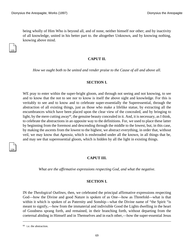being wholly of Him Who is beyond all, and of none, neither himself nor other; and by inactivity of all knowledge, united in his better part to. the altogether Unknown, and by knowing nothing, knowing above mind.

# 133

#### **CAPUT II.**

*How we ought both to be united and render praise to the Cause of all and above all.*

#### **SECTION I.**

WE pray to enter within the super-bright gloom, and through not seeing and not knowing, to see and to know that the not to see nor to know is itself the above sight and knowledge. For this is veritably to see and to know and to celebrate super-essentially the Superessential, through the abstraction of all existing things, just as those who make a lifelike statue, by extracting all the encumbrances which have been placed upon the clear view of the concealed, and by bringing to light, by the mere cutting away<sup>60</sup>, the genuine beauty concealed in it. And, it is necessary, as I think, to celebrate the abstractions in an opposite way to the definitions. For, we used to place these latter by beginning from the foremost and descending through the middle to the lowest, but, in this case, by making the ascents from the lowest to the highest, we abstract everything, in order that, without veil, we may know that *Agnosia,* which is enshrouded under all the known, in all things that be, and may see that superessential gloom, which is hidden by all the light in existing things.

# 134

#### **CAPUT III.**

*What are the affirmative expressions respecting God, and what the negative.*

#### **SECTION I.**

IN the *Theological Outlines,* then, we celebrated the principal affirmative expressions respecting God—how the Divine and good Nature is spoken of as One—how as Threefold—what is that within it which is spoken of as Paternity and Sonship—what the Divine name of "the Spirit "is meant to signify,—how from the immaterial and indivisible Good the Lights dwelling in the heart of Goodness sprang forth, and remained, in their branching forth, without departing from the coeternal abiding in Himself and in Themselves and in each other,—how the super-essential Jesus

<sup>60</sup> i.e. the abstraction.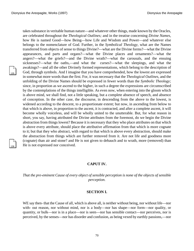136

takes substance in veritable human nature—and whatever other things, made known by the Oracles, are celebrated throughout the *Theological Outlines;* and in the treatise concerning *Divine Names,* how He is named Good—how Being—how Life and Wisdom and Power—and whatever else belongs to the nomenclature of God. Further, in the *Symbolical Theology,* what are the Names transferred from objects of sense to things Divine?—what are the Divine forms?—what the Divine appearances, and parts and organs?—what the Divine places and ornaments?—what the angers?—what the griefs?—and the Divine wrath?—what the carousals, and the ensuing sicknesses?—what the oaths,—and what the curses?—what the sleepings, and what the awakings?—and all the other Divinely formed representations, which belong to the description of God, through symbols. And I imagine that you have comprehended, how the lowest are expressed in somewhat more words than the first. For, it was necessary that the *Theological Outlines,* and the unfolding of the Divine Names should be expressed in fewer words than the *Symbolic Theology;* since, in proportion as we ascend to the higher, in such a degree the expressions are circumscribed by the contemplations of the things intelligible. As even now, when entering into the gloom which is above mind, we shall find, not a little speaking, but a complete absence of speech, and absence of conception. In the other case, the discourse, in descending from the above to the lowest, is widened according to the descent, to a proportionate extent; but now, in ascending from below to that which is above, in proportion to the ascent, it is contracted, and after a complete ascent, it will become wholly voiceless, and will be wholly united to the unutterable. But, for what reason in short, you say, having attributed the Divine attributes from the foremost, do we begin the Divine abstraction from things lowest? Because it is necessary that they who place attributes on that which is above every attribute, should place the attributive affirmation from that which is more cognate to it; but that they who abstract, with regard to that which is above every abstraction, should make the abstraction from things which are further removed from it. Are not life and goodness more (cognate) than air and stone? and He is not given to debauch and to wrath, more (removed) than He is not expressed nor conceived.

#### **CAPUT IV.**

## *That the pre-eminent Cause of every object of sensible perception is none of the objects of sensible perception.*

#### **SECTION I.**

WE say then- that the Cause of all, which is above all, is neither without being, nor without life—nor with- out reason, nor without mind, nor is a body—nor has shape—nor form—nor quality, or quantity, or bulk—nor is in a place—nor is seen—nor has sensible contact—nor perceives, nor is perceived, by the senses—nor has disorder and confusion, as being vexed by earthly passions,—nor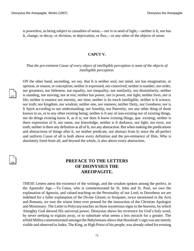is powerless, as being subject to casualties of sense,—nor is in need of light;—neither is It, nor has It, change, or decay, or division, or deprivation, or flux,—or any other of the objects of sense.

#### **CAPUT V.**

*That the pre-eminent Cause of every object of intelligible perception is none of the objects of intelligible perception.*

ON the other hand, ascending, we say, that It is neither soul, nor mind, nor has imagination, or opinion, or reason, or conception; neither is expressed, nor conceived; neither is number, nor order, nor greatness, nor littleness; nor equality, nor inequality; nor similarity, nor dissimilarity; neither is standing, nor moving; nor at rest; neither has power, nor is power, nor light; neither lives, nor is life; neither is essence nor eternity, nor time; neither is Its touch intelligible, neither is It science, nor truth; nor kingdom, nor wisdom; neither one, nor oneness; neither Deity, nor Goodness; nor is It Spirit according to our understanding; nor Sonship, nor Paternity; nor any other thing of those known to us, or to any other existing being; neither is It any of non-existing nor of existing things, nor do things existing know It, as It is; nor does It know existing things, *qua* existing; neither is there expression of It, nor name, nor knowledge; neither is It darkness, nor light; nor error, nor truth; neither is there any definition at all of It, nor any abstraction. But when making the predications and abstractions of things after It, we neither predicate, nor abstract from It; since the all-perfect and uniform Cause of all is both above every definition and the pre-eminence of Him, Who is absolutely freed from all, and beyond the whole, is also above every abstraction.

# <sup>139</sup> **PREFACE TO THE LETTERS OF DIONYSIUS THE AREOPAGITE.**

THESE Letters attest the existence of the writings, and the wisdom spoken among the perfect, in the Apostolic Age.—To Gaius, who is commemorated by St. John and St. Paul, we owe the explanation of *Agnosia*, and valued teaching on the Personality of our Lord; to Dorotheus we are indebted for a fuller explanation of the Divine Gloom; to Sosipater, twice mentioned in the Acts and Romans, we owe the wisest letter ever penned for the instruction of the Christian Apologist and Missionary. The Letter to Polycarp touches on those mysterious signs in the heavens, by which Almighty God shewed His universal power. Dionysius shews his reverence for God's holy word, by never seeking to explain away, or to substitute what seems a less miracle for a greater. The trifold Mithra commemorated amongst the Babylonians shews that Hezekiah's sign was not merely visible and observed in Judea. The King, as High Priest of his people, was already robed for evening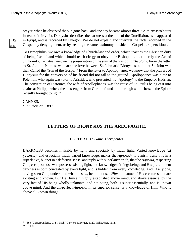

prayer, when he observed the sun gone back; and one day became almost three, i.e. thirty-two hours instead of thirty-six. Dionysius describes the darkness at the time of the Crucifixion, as it appeared in Egypt, and is recorded by Phlegon. We do not explain and interpret the facts recorded in the Gospel, by denying them, or by treating the same testimony outside the Gospel as superstitious.

To Demophilus, we owe a knowledge of Church-law and order, which teaches the Christian duty of being "sent," and which should teach clergy to obey their Bishop, and not merely the Act of uniformity. To Titus, we owe the preservation of the sum of the *Symbolic Theology.* From the letter to St. John in Patmos, we learn the love between St. John arid Dionysius, and that St. John was then Called the "Sun of the Gospel." From the letter to Apollophanes, we know that the prayers of Dionysius for the conversion of his friend did not fall to the ground. Apollophanes was tutor to Polemon, who again was tutor to Aristides, who presented his "Apology" to the Emperor Hadrian. The conversion of Statonice, the wife of Apollophanes, was the cause of St. Paul's being cast into chains at Philippi, where the messengers from Corinth found him, through whom he sent the Epistle recently brought to light<sup>61</sup>.

CANNES, *Circumcision,* 1897.

# **LETTERS OF DIONYSIUS THE AREOPAGITE.**

## **LETTER I.** *To Gaius Therapeutes.*

DARKNESS becomes invisible by light, and specially by much light. Varied knowledge (αἰ γνώσεις), and especially much varied knowledge, makes the *Agnosia*62 to vanish. Take this in a superlative, but not in a defective sense, and reply with superlative truth, that the *Agnosia,* respecting God, escapes those who possess existing light, and knowledge of things being; and His pre-eminent darkness is both concealed by every light, and is hidden from every knowledge. And, if any one, having seen God, understood what he saw, he did not see *Him,* but some of His creatures that are existing and known. But He Himself, highly established above mind, and above essence, by the very fact of His being wholly unknown, and not being, both is super-essentially, and is known above mind. And the all-perfect *Agnosia,* in its superior sense, is a knowledge of Him, Who is above all known things.

<sup>61</sup> See "Correspondence of St, Paul," Carrière et Berger, p. 20. Fishbacher, Paris.

<sup>62</sup> C. I. § 1.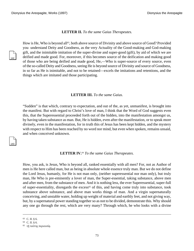143

**LETTER II.** *To the same Gaius Therapeutes.*

How is He, Who is beyond all<sup>63</sup>, both above source of Divinity and above source of Good? Provided you understand Deity and Goodness, as the very Actuality of the Good-making and God-making gift, and the inimitable imitation of the super-divine and super-good (gift), by aid of which we are deified and made good. For, moreover, if this becomes source of the deification and making good of those who are being deified and made good, He,—Who is super-source of every source, even of the so-called Deity and Goodness, seeing He is beyond source of Divinity and source of Goodness, in so far as He is inimitable, and not to be retained—excels the imitations and retentions, and the things which are imitated and those participating.

#### **LETTER III.** *To the same Gaius.*

"Sudden" is that which, contrary to expectation, and out of the, as yet, unmanifest, is brought into the manifest. But with regard to Christ's love of man, I think that the Word of God suggests even this, that the Superessential proceeded forth out of the hidden, into the manifestation amongst us, by having taken substance as man. But, He is hidden, even after the manifestation, or to speak more divinely, even in the manifestation, for in truth this of Jesus has been kept hidden, and the mystery with respect to Him has been reached by no word nor mind, but even when spoken, remains unsaid, and when conceived unknown.

### **LETTER IV.**64 *To the same Gaius Therapeutes.*

How, you ask, is Jesus, Who is beyond all, ranked essentially with all men? For, not as Author of men is He here called man, but as being in absolute whole essence truly man. But we do not define the Lord Jesus, humanly, for He is not man only, (neither superessential nor man only), but truly man, He Who is pre-eminently a lover of man, the Super-essential, taking substance, above men and after men, from the substance of men. And it is nothing less, the ever Superessential, super-full of super-essentiality, disregards the excess<sup>65</sup> of this, and having come truly into substance, took substance above substance, and above man works things of man. And a virgin supernaturally conceiving, and unstable water, holding up weight of material and earthly feet, and not giving way, but, by a supernatural power standing together so as not to be divided, demonstrate this. Why should any one go through the rest, which are very many? Through which, he who looks with a divine

<sup>63</sup> C. II. § 6.

<sup>64</sup> C. II. § 6.

<sup>65</sup> τῇ ταύτης περιουσίᾳ.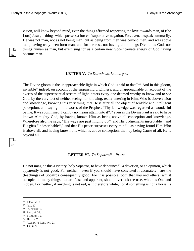vision, will know beyond mind, even the things affirmed respecting the love towards man, of (the Lord) Jesus,—things which possess a force of superlative negation. For, even, to speak summarily, He was not man, not as not being man, but as being from men was beyond men, and was above man, having truly been born man, and for the rest, not having done things Divine as God, nor things human as man, but exercising for us a certain new God-incarnate energy of God having become man.

#### **LETTER V.** *To Dorotheus, Leitourgos.*

The Divine gloom is the unapproachable light in which God is said to dwell<sup>66</sup>. And in this gloom, invisible $67$  indeed, on account of the surpassing brightness, and unapproachable on account of the excess of the superessential stream of light, enters every one deemed worthy to know and to see God, by the very fact of neither seeing nor knowing, really entering in Him, Who is above vision and knowledge, knowing this very thing, that He is after all the object of sensible and intelligent perception, and saying in the words of the Prophet, "Thy knowledge was regarded as wonderful by me; It was confirmed; I can by no means attain unto it<sup>68</sup>;" even as the Divine Paul is said to have known Almighty God, by having known Him as being above all conception and knowledge. Wherefore also, he says, "His ways are past finding out<sup>69</sup> and His Judgements inscrutable," and His gifts "indescribable<sup>70</sup>," and that His peace surpasses every mind<sup>71</sup>, as having found Him Who is above all, and having known this which is above conception, that, by being Cause of all, He is beyond all.

145

144

#### **LETTER VI.** *To Sopatros*72*—Priest.*

Do not imagine this a victory, holy Sopatros, to have denounced<sup> $73$ </sup> a devotion, or an opinion, which apparently is not good. For neither—even if you should have convicted it accurately—are the (teachings) of Sopatros consequently good. For it is possible, both that you and others, whilst occupied in many things that are false and apparent, should overlook the true, which is One and hidden. For neither, if anything is not red, is it therefore white, nor if something is not a horse, is

<sup>68</sup> [Ps. cxxxix. 6](http://www.ccel.org/b/bible/asv/xml/asv.Ps.39.xml#Ps.39.6).

<sup>66</sup> [1 Tim. vi. 6](http://www.ccel.org/b/bible/asv/xml/asv.iTim.6.xml#iTim.6.6).

<sup>67</sup> [Ib. i. 17.](http://www.ccel.org/b/bible/asv/xml/asv.iTim.1.xml#iTim.1.17)

<sup>69</sup> [Rom. xi. 33](http://www.ccel.org/b/bible/asv/xml/asv.Rom.11.xml#Rom.11.33).

<sup>70</sup> [2 Cor. ix. 15](http://www.ccel.org/b/bible/asv/xml/asv.iiCor.9.xml#iiCor.9.15).

<sup>71</sup> [Phil. iv. 7](http://www.ccel.org/b/bible/asv/xml/asv.Phil.4.xml#Phil.4.7).

<sup>72</sup> [Acts xx. 4;](http://www.ccel.org/b/bible/asv/xml/asv.Acts.20.xml#Acts.20.4) [Rom. xvi. 21](http://www.ccel.org/b/bible/asv/xml/asv.Rom.16.xml#Rom.16.21).

<sup>73</sup> [Tit. iii. 9.](http://www.ccel.org/b/bible/asv/xml/asv.Titus.3.xml#Titus.3.9)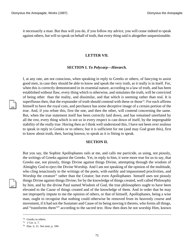it necessarily a man. But thus will you do, if you follow my advice, you will cease indeed to speak against others, but will so speak on behalf of truth, that every thing said is altogether unquestionable.

#### **LETTER VII.**

#### **SECTION I.** *To Polycarp—Hierarch.*

I, at any rate, am not conscious, when speaking in reply to Greeks or others, of fancying to assist good men, in case they should be able to know and speak the very truth, as it really is in itself. For, when this is correctly demonstrated in its essential nature, according to a law of truth, and has been established without flaw, every thing which is otherwise, and simulates the truth, will be convicted of being other than the reality, and dissimilar, and that which is seeming rather than real. It is superfluous then, that the expounder of truth should contend with these or those $74$ . For each affirms himself to have the royal coin, and perchance has some deceptive image of a certain portion of the true. And, if you refute this, first the one, and then the other, will contend concerning the same. But, when the true statement itself has been correctly laid down, and has remained unrefuted by all the rest, every thing which is not so in every respect is cast down of itself, by the impregnable stability of the really true. Having then as I think well understood this, I have not been over zealous to speak in reply to Greeks or to others; but it is sufficient for me (and may God grant this), first to know about truth, then, having known, to speak as it is fitting to speak.

#### **SECTION II.**

But you say, the Sophist Apollophanes rails at me, and calls me parricide, as using, not piously, the writings of Greeks against the Greeks. Yet, in reply to him, it were more true for us to say, that Greeks use, not piously, things Divine against things Divine, attempting through the wisdom of Almighty God to eject the Divine Worship. And I am not speaking of the opinion of the multitude, who cling tenaciously to the writings of the poets, with earthly and impassioned proclivities, and Worship the creature<sup>75</sup> rather than the Creator; but even Apollophanes himself uses not piously things Divine against things Divine; for by the knowledge of things created, well called Philosophy by him, and by the divine Paul named Wisdom of God, the true philosophers ought to have been elevated to the Cause of things created and of the knowledge of them. And in order that he may not improperly impute to me the opinion of others, or that of himself, Apollophanes, being a wise man, ought to recognise that nothing could otherwise be removed from its heavenly course and movement, if it had not the Sustainer and Cause of its being moving it thereto, who forms all things, and "transforms them76" according to the sacred text. How then does he not worship Him, known



147

<sup>74</sup> Greeks or others.

<sup>75</sup> [1 Cor. ii. 7.](http://www.ccel.org/b/bible/asv/xml/asv.iCor.2.xml#iCor.2.7)

<sup>76</sup> [Dan. ii. 21.](http://www.ccel.org/b/bible/asv/xml/asv.Dan.2.xml#Dan.2.21) See note, p. 184.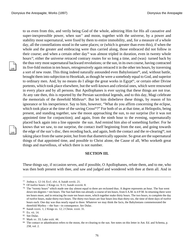149

to us even from this, and verily being God of the whole, admiring Him for His all causative and super-inexpressible power, when  $\sin^{7}$  and moon, together with the universe, by a power and stability most supernatural, were fixed by them to entire immobility, and, for a measure of a whole day, all the constellations stood in the same places; or (which is greater than even this), if when the whole and the greater and embracing were thus carried along, those embraced did not follow in their course; and when a certain other day78 was almost tripled in duration, even in twenty whole hours<sup>79</sup>, either the universe retraced contrary routes for so long a time, and (was) turned back by the thus very most supernatural backward revolutions; or the sun, in its own course, having contracted its five-fold motion in ten hours, retrogressively again retraced it in the other ten hours, by traversing a sort of new route. This thing indeed naturally astounded even Babylonians<sup>80</sup>, and, without battle, brought them into subjection to Hezekiah, as though he were a somebody equal to God, and superior to ordinary men. And, by no means do I allege the great works in Egypt $s<sup>i</sup>$ , or certain other Divine portents, which took place elsewhere, but the well-known and celestial ones, which were renowned in every place and by all persons. But Apollophanes is ever saying that these things are not true. At any rate then, this is reported by the Persian sacerdotal legends, and to this day, Magi celebrate the memorials of the threefold Mithrus<sup>82</sup>. But let him disbelieve these things, by reason of his ignorance or his inexperience. Say to him, however, "What do you affirm concerning the eclipse, which took place at the time of the saving Cross<sup>83</sup>?" For both of us at that time, at Heliopolis, being present, and standing together, saw the moon approaching the sun, to our surprise (for it was not appointed time for conjunction); and again, from the ninth hour to the evening, supernaturally placed back again into a line opposite the sun. And remind him also of something further. For he knows that we saw, to our surprise, the contact itself beginning from the east, and going towards the edge of the sun's disc, then receding back, and again, both the contact and the re-clearing84, not taking place from the same point, but from that diametrically opposite. So great are the supernatural things of that appointed time, and possible to Christ alone, the Cause of all, Who worketh great things and marvellous, of which there is not number.

#### **SECTION III.**

These things say, if occasion serves, and if possible, O Apollophanes, refute them, and to me, who was then both present with thee, and saw and judged and wondered with thee at them all. And in

<sup>77</sup> [Joshua x. 12-14;](http://www.ccel.org/b/bible/asv/xml/asv.Josh.10.xml#Josh.10.12) [Eccl. xlvi. 4;](http://www.ccel.org/b/bible/asv/xml/asv.Eccl.46.xml#Eccl.46.4) [Isaiah xxviii. 21.](http://www.ccel.org/b/bible/asv/xml/asv.Isa.28.xml#Isa.28.21)

<sup>78</sup> Of twelve hours: [2 Kings xx. 9-11](http://www.ccel.org/b/bible/asv/xml/asv.iiKgs.20.xml#iiKgs.20.9); [Isaiah xxxviii. 8](http://www.ccel.org/b/bible/asv/xml/asv.Isa.38.xml#Isa.38.8).

<sup>79</sup> The "twenty hours" which made one day almost equal to three are reckoned thus. A degree represents an hour. The Sun went down ten degrees = ten hours. The Sun had then run already a course of ten hours, from 6 A.M. to 4 P.M. In returning there were ten hours more, and in retracing the route ten hours more, which together make thirty hours. The two hours, to complete the day of twelve hours, make thirty-two hours. The thirty-two hours are four hours less than thirty-six, the time of three days of twelve hours each. One day was thus nearly equal to three. Whatever we may think the facts, the Babylonians commemorated the threefold Mythra —the Sun—in consequence. *See* Dulac.

<sup>80</sup> [Isaiah xxxix. 1](http://www.ccel.org/b/bible/asv/xml/asv.Isa.39.xml#Isa.39.1); [2 Kings xx. 12;](http://www.ccel.org/b/bible/asv/xml/asv.iiKgs.20.xml#iiKgs.20.12) [2 Chron. xxxii. 31.](http://www.ccel.org/b/bible/asv/xml/asv.iiChr.32.xml#iiChr.32.31)

<sup>81</sup> [Ex. vii. 14.](http://www.ccel.org/b/bible/asv/xml/asv.Exod.7.xml#Exod.7.14)

<sup>82</sup> See Dulac.

<sup>83</sup> [Mark xv. 33](http://www.ccel.org/b/bible/asv/xml/asv.Mark.15.xml#Mark.15.33); [Luke xxiii. 44.](http://www.ccel.org/b/bible/asv/xml/asv.Luke.23.xml#Luke.23.44)

<sup>84</sup> The contact or adumbration refers to the moon, the re-clearing to the sun. See notes on this letter in Ant. Ed. and Schema, p. 258, vol. 2.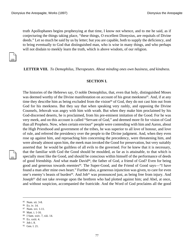truth Apollophanes begins prophesying at that time, I know not whence, and to me he said, as if conjecturing the things taking place, "these things, O excellent Dionysius, are requitals of Divine deeds." Let so much be said by us by letter; but you are capable, both to supply the deficiency, and to bring eventually to God that distinguished man, who is wise in many things, and who perhaps will not disdain to meekly learn the truth, which is above wisdom, of our religion.

# 150

151

**LETTER VIII.** *To Demophilus, Therapeutes. About minding ones own business, and kindness.*

#### **SECTION I.**

The histories of the Hebrews say, O noble Demophilus, that, even that holy, distinguished Moses was deemed worthy of the Divine manifestation on account of his great meekness<sup>85</sup>. And, if at any time they describe him as being excluded from the vision<sup>86</sup> of God, they do not cast him out from God for his meekness. But they say that when speaking very rashly, and opposing the Divine Counsels, Jehovah was angry with him with wrath. But when they make him proclaimed by his God-discerned deserts, he is proclaimed, from his pre-eminent imitation of the Good. For he was very meek, and on this account is called "Servant of God," and deemed more fit for vision of God than all Prophets. Now, when certain envious<sup>87</sup> people were contending with him and Aaron, about the High Priesthood and government of the tribes, he was superior to all love of honour, and love of rule, and referred the presidency over the people to the Divine judgment. And, when they even rose up against him, and reproaching him concerning the precedency, were threatening him, and were already almost upon him, the meek man invoked the Good for preservation, but very suitably asserted that he would be guiltless of all evils to the governed. For he knew that it is necessary, that the familiar with God the Good should be moulded, as far as is attainable, to that which is specially most like the Good, and should be conscious within himself of the performance of deeds of good friendship. And what made David<sup>88</sup>, the father of God, a friend of God? Even for being good and generous towards enemies<sup>89</sup>. The Super-Good, and the Friend of Good says—"I have found a man after mine own heart." Further also, a generous injunction was given, to care for even one's enemy's beasts of burden<sup>90</sup>. And Job<sup>91</sup> was pronounced just, as being free from injury. And Joseph<sup>92</sup> did not take revenge upon the brethren who had plotted against him; and Abel, at once, and without suspicion, accompanied the fratricide. And the Word of God proclaims all the good

- <sup>87</sup> [Num. xvi. 1-11.](http://www.ccel.org/b/bible/asv/xml/asv.Num.16.xml#Num.16.1)
- <sup>88</sup> [Matt. i. 1-16](http://www.ccel.org/b/bible/asv/xml/asv.Matt.1.xml#Matt.1.1).
- <sup>89</sup> [I Sam. xxiv. 7,](http://www.ccel.org/b/bible/asv/xml/asv.iSam.24.xml#iSam.24.7) [xiii. 14.](http://www.ccel.org/b/bible/asv/xml/asv.iSam.13.xml#iSam.13.14)

<sup>91</sup> [Job i. 8](http://www.ccel.org/b/bible/asv/xml/asv.Job.1.xml#Job.1.8).

<sup>85</sup> [Num. xii. 3-8](http://www.ccel.org/b/bible/asv/xml/asv.Num.12.xml#Num.12.3).

<sup>86</sup> [Ex. iv. 14](http://www.ccel.org/b/bible/asv/xml/asv.Exod.4.xml#Exod.4.14).

<sup>90</sup> [Ex. xxiii. 4](http://www.ccel.org/b/bible/asv/xml/asv.Exod.23.xml#Exod.23.4).

<sup>92</sup> [Gen. l. 21.](http://www.ccel.org/b/bible/asv/xml/asv.Gen.50.xml#Gen.50.21)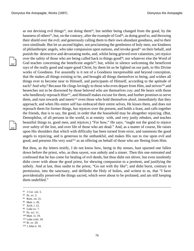153

as not devising evil things<sup>93</sup>, not doing them<sup>94</sup>, but neither being changed from the good, by the baseness of others<sup>95</sup>, but, on the contrary, after the example of  $God^{96}$ , as doing good to, and throwing their shield over the evil; and generously calling them to their own abundant goodness, and to their own similitude. But let us ascend higher, not proclaiming the gentleness of holy men, nor kindness of philanthropic angels, who take compassion upon nations, and invoke good<sup>97</sup> on their behalf, and punish the destructive and devastating mobs, and, whilst being grieved over calamities, yet rejoice over the safety of those who are being called back to things good<sup>98</sup>; nor whatever else the Word of God teaches concerning the beneficent angels<sup>99</sup>; but, whilst in silence welcoming the beneficent rays of the really good and super-good Christ, by them let us be lighted on our path, to His Divine works of Goodness. For assuredly is it not of a Goodness inexpressible and beyond conception, that He makes all things existing to be, and brought all things themselves to being, and wishes all things ever to become near to Himself, and participants of Himself, according to the aptitude of each? And why? Because He clings lovingly to those who even depart from Him, and strives<sup>100</sup> and beseeches not to be disowned by those beloved who are themselves coy; and He bears with those who heedlessly reproach Him<sup>101</sup>, and Himself makes excuse for them, and further promises to serve them, and runs towards and meets<sup>102</sup> even those who hold themselves aloof, immediately that they approach; and when His entire self has embraced their entire selves, He kisses them, and does not reproach them for former things, but rejoices over the present, and holds a feast, and calls together the friends, that is to say, the good, in order that the household may be altogether rejoicing. (But, Demophilus, of all persons in the world, is at enmity with, and very justly rebukes, and teaches beautiful things to, good men, and rejoices.) "For how," He says, "ought not the good to rejoice over safety of the lost, and over life of those who are dead." And, as a matter of course, He raises upon His shoulders that which with difficulty has been turned from error, and summons the good angels to rejoicing, and is generous to the unthankful, and makes His sun to rise upon evil and good, and presents His very soul<sup>103</sup> as an offering on behalf of those who are fleeing from Him.

But thou, as thy letters testify, I do not know how, being in thy senses, hast spurned one fallen down before the priest, who, as thou sayest, was unholy and a sinner. Then this one entreated and confessed that he has come for healing of evil deeds, but thou didst not shiver, but even insolently didst cover with abuse the good priest, for shewing compassion to a penitent, and justifying the unholy. And at last, thou saidst to the priest, "Go out with thy like"; and didst burst, contrary to permission, into the sanctuary, and defiledst the Holy of holies, and writest to us, that "I have providentially preserved the things sacred, which were about to be profaned, and am still keeping them undefiled."

<sup>94</sup> [Ps. xv. 3](http://www.ccel.org/b/bible/asv/xml/asv.Ps.15.xml#Ps.15.3).

- <sup>96</sup> [Matt. v. 45.](http://www.ccel.org/b/bible/asv/xml/asv.Matt.5.xml#Matt.5.45)
- <sup>97</sup> [Zech. i. 12](http://www.ccel.org/b/bible/asv/xml/asv.Zech.1.xml#Zech.1.12).
- <sup>98</sup> [Luke xv. 7.](http://www.ccel.org/b/bible/asv/xml/asv.Luke.15.xml#Luke.15.7)
- <sup>99</sup> [Ps. xci. 11.](http://www.ccel.org/b/bible/asv/xml/asv.Ps.91.xml#Ps.91.11) <sup>100</sup> [Matt. vi. 19](http://www.ccel.org/b/bible/asv/xml/asv.Matt.6.xml#Matt.6.19).
- <sup>101</sup> [Luke xxiii. 34.](http://www.ccel.org/b/bible/asv/xml/asv.Luke.23.xml#Luke.23.34)
- <sup>102</sup> [Ib. xv. 20](http://www.ccel.org/b/bible/asv/xml/asv.Luke.15.xml#Luke.15.20).

<sup>93</sup> [1 Cor. xiii. 5.](http://www.ccel.org/b/bible/asv/xml/asv.iCor.13.xml#iCor.13.5)

<sup>95</sup> [Rom. xii. 21](http://www.ccel.org/b/bible/asv/xml/asv.Rom.12.xml#Rom.12.21).

<sup>103</sup> [1 John ii. 10](http://www.ccel.org/b/bible/asv/xml/asv.iJohn.2.xml#iJohn.2.10).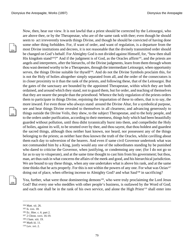155

156

Now, then, hear our view. It is not lawful that a priest should be corrected by the Leitourgoi, who are above thee, or by the Therapeutae, who are of the same rank with thee; even though he should seem to act irreverently towards things Divine, and though he should be convicted of having done some other thing forbidden. For, if want of order, and want of regulation, is a departure from the most Divine institutions and decrees, it is not reasonable that the divinely transmitted order should be changed on God's behalf. For Almighty God is not divided against Himself, for, "how then shall His kingdom stand<sup>104</sup>?" And if the judgment is of God, as the Oracles affirm<sup>105</sup>, and the priests are angels and interpreters, after the hierarchs, of the Divine judgments, learn from them through whom thou wast deemed worthy to be a Therapeutes, through the intermediate Leitourgoi, when opportunity serves, the things Divine suitable for thyself<sup>106</sup>. And do not the Divine Symbols proclaim this, for is not the Holy of holies altogether simply separated from all, and the order of the consecrators is in closer proximity to it than the rank of the priests, and following these, that of the Leitourgoi. But the gates of the sanctuary are bounded by the appointed Therapeutae, within which they are both ordained, and around which they stand, not to guard them, but for order, and teaching of themselves that they are nearer the people than the priesthood. Whence the holy regulation of the priests orders them to participate in things Divine, enjoining the impartation of these to others, that is to say, the more inward. For even those who always stand around the Divine Altar, for a symbolical purpose, see and hear things Divine revealed to themselves in all clearness; and advancing generously to things outside the Divine Veils, they shew, to the subject Therapeutae, and to the holy people, and to the orders under purification, according to their meetness, things holy which had been beautifully guarded without pollution, until thou didst tyrannically burst into them, and compelledst the Holy of holies, against its will, to be strutted over by thee, and thou sayest, that thou holdest and guardest the sacred things, although thou neither hast known, nor heard, nor possessest any of the things belonging to the priests; as neither hast thou known the truth of the Oracles, whilst cavilling about them each day to subversion of the hearers. And even if same civil Governor undertook what was not commanded him by a King, justly would any one of the subordinates standing by be punished who dared to criticise the Governor, when justifying, or condemning any one; (for I do not go so far as to say to vituperate), and at the same time thought to cast him from his government; but thou, man, art thus rash in what concerns the affairs of the meek and good, and his hierarchical jurisdiction. We are bound to say these things, when any one undertakes what is above his rank, and at the same time thinks that he acts properly. For this is not within the powers of any one. For what was Ozias<sup>107</sup> doing out of place, when offering incense to Almighty God? and what Saul<sup>108</sup> in sacrificing?

Yea, further, what were those domineering demons<sup>109</sup>, who were truly proclaiming the Lord Jesus God? But every one who meddles with other people's business, is outlawed by the Word of God; and each one shall be in the rank of his own service, and alone the High Priest<sup>110</sup> shall enter into

<sup>104</sup> [Matt. xii. 26](http://www.ccel.org/b/bible/asv/xml/asv.Matt.12.xml#Matt.12.26).

<sup>105</sup> [Is. xxx. 18.](http://www.ccel.org/b/bible/asv/xml/asv.Isa.30.xml#Isa.30.18)

<sup>106</sup> Ec. Hier. c. 6. part 2.

<sup>107</sup> [2 Chron. xxvi. 16-19](http://www.ccel.org/b/bible/asv/xml/asv.iiChr.26.xml#iiChr.26.16).

<sup>108</sup> [I Sam. xiii. 19](http://www.ccel.org/b/bible/asv/xml/asv.iSam.13.xml#iSam.13.19).

<sup>109</sup> [Mark iii. 11.](http://www.ccel.org/b/bible/asv/xml/asv.Mark.3.xml#Mark.3.11)

<sup>110</sup> [Lev. xvi. 2.](http://www.ccel.org/b/bible/asv/xml/asv.Lev.16.xml#Lev.16.2)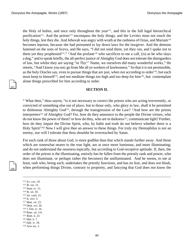158

the Holy of holies, and once only throughout the year<sup>111</sup>, and this in the full legal hierarchical purification<sup>112</sup>. And the priests<sup>113</sup> encompass the holy things, and the Levites must not touch the holy things, lest they die. And Jehovah was angry with wrath at the rashness of Ozias, and Mariam<sup>114</sup> becomes leprous, because she had presumed to lay down laws for the lawgiver. And the demons fastened on the sons of Sceva, and He says, "I did not send them, yet they ran, and I spake not to them yet they prophesied<sup>115</sup>." "And the profane<sup>116</sup> who sacrifices to me a calf, (is) as he who slays a dog," and to speak briefly, the all-perfect justice of Almighty God does not tolerate the disregarders of law, but whilst they are saying "in Thy117 Name, we ourselves did many wonderful works," He retorts, "And I know you not; go from Me all ye workers of lawlessness." So that it is not permissible, as the holy Oracles say, even to pursue things that are just, when not according to order<sup>118</sup>, but each must keep to himself<sup>119</sup>, and not meditate things too high and too deep for him<sup>120</sup>, but contemplate alone things prescribed for him according to order.

#### **SECTION II.**

" What then," thou sayest, "is it not necessary to correct the priests who are acting irreverently, or convicted of something else out of place, but to those only, who glory in law, shall it be permitted to dishonour Almighty God<sup>121</sup>, through the transgression of the Law? "And how are the priests interpreters<sup>122</sup> of Almighty God? For, how do they announce to the people the Divine virtues, who do not know the power of them? or how do they, who are in darkness<sup>123</sup>, communicate light? Further, how do they impart the Divine Spirit, who, by habit and truth do not believe whether there is a Holy Spirit<sup>124</sup>? Now I will give thee an answer to these things. For truly my Demophilus is not an enemy, nor will I tolerate that thou shouldst be overreached by Satan.

For each rank of those about God, is more godlike than that which stands further away. And those which are somewhat nearer to the true light, are at once more luminous, and more illuminating; and do not understand the nearness topically, but according to God-receptive aptitude. If, then, the order of the priests is the illuminating, entirely has he fallen from the priestly rank and power, who does not illuminate, or perhaps rather (he becomes) the unilluminated. And he seems, to me at least, rash who, being such, undertakes the priestly functions, and has no fear, and does not blush, when performing things Divine, contrary to propriety, and fancying that God does not know the

 [Ex. xxx. 10.](http://www.ccel.org/b/bible/asv/xml/asv.Exod.30.xml#Exod.30.10) [Ib. xix. 21.](http://www.ccel.org/b/bible/asv/xml/asv.Exod.19.xml#Exod.19.21) [Num. iv. 15](http://www.ccel.org/b/bible/asv/xml/asv.Num.4.xml#Num.4.15). [Ib. xii. 10](http://www.ccel.org/b/bible/asv/xml/asv.Num.12.xml#Num.12.10). [Jer. xxiii. 21](http://www.ccel.org/b/bible/asv/xml/asv.Jer.23.xml#Jer.23.21). [Is. xlvi. 3](http://www.ccel.org/b/bible/asv/xml/asv.Isa.46.xml#Isa.46.3). [Matt. vii. 23](http://www.ccel.org/b/bible/asv/xml/asv.Matt.7.xml#Matt.7.23). [Deut. xvi. 20.](http://www.ccel.org/b/bible/asv/xml/asv.Deut.16.xml#Deut.16.20) [1 Tim. iv. 16.](http://www.ccel.org/b/bible/asv/xml/asv.iTim.4.xml#iTim.4.16) [Rom. xii. 3-6](http://www.ccel.org/b/bible/asv/xml/asv.Rom.12.xml#Rom.12.3). [Rom. ii. 23](http://www.ccel.org/b/bible/asv/xml/asv.Rom.2.xml#Rom.2.23). [Mal. ii. 7](http://www.ccel.org/b/bible/asv/xml/asv.Mal.2.xml#Mal.2.7). [Eph. iv. 18.](http://www.ccel.org/b/bible/asv/xml/asv.Eph.4.xml#Eph.4.18) [Acts xix. 2](http://www.ccel.org/b/bible/asv/xml/asv.Acts.19.xml#Acts.19.2).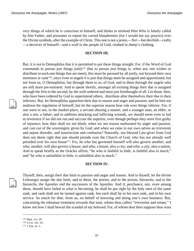very things of which he is conscious in himself, and thinks to mislead Him Who is falsely called by him Father, and presumes to repeat his cursed blasphemies (for I would not say prayers) over the Divine symbols, after the example of Christ. This one is not a priest,—No!—but devilish—crafty —a deceiver of himself—and a wolf to the people of God, clothed in sheep's clothing.

## **SECTION III.**

But, it is not to Demophilus that it is permitted to put these things straight. For, if the Word of God commands to pursue just things justly<sup>125</sup> (but to pursue just things is, when any one wishes to distribute to each one things that are meet), this must be pursued by all justly, not beyond their own meetness or rank<sup>126</sup>; since even to angels it is just that things meet be assigned and apportioned, but not from us, O Demophilus, but through them to us, of God, and to them through the angels who are still more pre-eminent. And to speak shortly, amongst all existing things their due is assigned through the first to the second, by the well-ordered and most just forethought of all. Let those, then, who have been ordered by God to superintend others, distribute after themselves their due to their inferiors. But, let Demophilus apportion their due to reason and anger and passion; and let him not maltreat the regulation of himself, but let the superior reason bear rule over things inferior. For, if one were to see, in the market-place, a servant abusing a master, and a younger man, an elder; or also a son, a father; and in addition attacking and inflicting wounds, we should seem even to fail in reverence if we did not run and succour the superior, even though perhaps they were first guilty of injustice; how then shall we not blush, when we see reason maltreated by anger and passion, and cast out of the sovereignty given by God; and when we raise in our own selves an irreverent and unjust disorder, and insurrection and confusion? Naturally, our blessed Law-giver from God does not deem right that one should preside over the Church of God, who has not already well presided over his own house<sup>127</sup>. For, he who has governed himself will also govern another; and who, another, will also govern a house; and who, a house, also a city; and who, a city, also a nation. And to speak briefly as the Oracles affirm, "he who is faithful in little, is faithful also in much," and "he who is unfaithful in little, is unfaithful also in much."

#### **SECTION IV.**

160

159

Thyself, then, assign their due limit to passion and anger and reason. And to thyself, let the divine Leitourgoi assign the due limit, and to these, the priests, and to the priests, hierarchs, and to the hierarchs, the Apostles and the successors of the Apostles. And if, perchance, any, even among these, should have failed in what is becoming, he shall be put right by the holy men of the same rank; and rank shall not be turned against rank, but each shall be in his own rank, and in his own service. So much for thee, from us, on behalf of knowing and doing one's own business. But, concerning the inhuman treatment towards that man, whom thou callest "irreverent and sinner," I know not how I shall bewail the scandal of my beloved. For, of whom dost thou suppose thou wast

<sup>125</sup> [Deut. xvi. 20.](http://www.ccel.org/b/bible/asv/xml/asv.Deut.16.xml#Deut.16.20)

<sup>126</sup> [2 Cor. xiii. 10](http://www.ccel.org/b/bible/asv/xml/asv.iiCor.13.xml#iiCor.13.10).

<sup>127</sup> [1 Tim. iii. 5.](http://www.ccel.org/b/bible/asv/xml/asv.iTim.3.xml#iTim.3.5)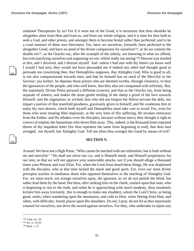162

ordained Therapeutes by us? For if it were not of the Good, it is necessary that thou shouldst be altogether alien from Him and from us, and from our whole religion, and it is time for thee both to seek a God, and other priests, and amongst them to become brutal rather than perfected, and to be a cruel minister of thine own fierceness. For, have we ourselves, forsooth, been perfected to the altogether Good, and have no need of the divine compassion for ourselves128, or do we commit the double sin<sup>129</sup>, as the Oracles say, after the example of the unholy, not knowing in what we offend, but even justifying ourselves and supposing we see, whilst really not seeing130? Heaven was startled at this, and I shivered, and I distrust myself. And unless I had met with thy letters (as know well I would I had not), they would not have persuaded me if indeed any other had thought good to persuade me concerning thee, that Demophilus supposes, that Almighty God, Who is good to all, is not also compassionate towards men, and that he himself has no need of the Merciful or the Saviour; yea further, he deposes those priests who are deemed worthy, through clemency, to bear the ignorances of the people, and who well know, that they also are compassed with infirmity. But, the supremely Divine Priest pursued a different (course), and that as the Oracles say, from being separate of sinners, and makes the most gentle tending of the sheep a proof of the love towards Himself; and He stigmatizes as wicked, him who did not forgive his fellow-servant the debt, nor impart a portion of that manifold goodness, graciously given to himself; and He condemns him to enjoy his own deserts, which both myself and Demophilus must take care to avoid. For, even for those who were treating Him impiously, at the very time of His suffering, He invokes remission from the Father; and He rebukes even the disciples, because without mercy they thought it right to convict of impiety the Samaritans who drove Him away. This, indeed, is the thousand times repeated theme of thy impudent letter (for thou repeatest the same from beginning to end), that thou hast avenged, not thyself, but Almighty God. Tell me (dost thou avenge) the Good by means of evil?

#### **SECTION V.**

Avaunt! We have not a High Priest, "Who cannot be touched with our infirmities, but is both without sin and merciful." "He shall not strive nor cry, and is Himself meek, and Himself propitiatory for our sins; so that we will not approve your unenviable attacks, not if you should allege a thousand times your Phineas and your Elias. For, when the Lord Jesus heard these things, He was displeased with the disciples, who at that time lacked the meek and good spirit. For, even our most divine preceptor teaches in meekness those who opposed themselves to the teaching of Almighty God. For, we must teach, not avenge ourselves upon, the ignorant, as we do not punish the blind, but rather lead them by the hand. But thou, after striking him on the cheek, rustiest upon that man, who is beginning to rise to the truth, and when he is approaching with much modesty, thou insolently kickest him away (certainly, this is enough to make one shudder), whom the Lord Christ, as being good, seeks, when wandering upon the mountains, and calls to Him, when fleeing from Him, and when, with difficulty, found, places upon His shoulders. Do not, I pray, do not let us thus injuriously counsel for ourselves, nor drive the sword against ourselves. For they, who undertake to injure any

<sup>128</sup> [Luke xvi. 10.](http://www.ccel.org/b/bible/asv/xml/asv.Luke.16.xml#Luke.16.10)

<sup>129</sup> [Jer. ii. 13-35.](http://www.ccel.org/b/bible/asv/xml/asv.Jer.2.xml#Jer.2.13)

<sup>130</sup> [Rom. i. 27](http://www.ccel.org/b/bible/asv/xml/asv.Rom.1.xml#Rom.1.27).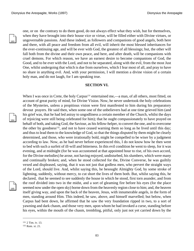164

165

one, or on the contrary to do them good, do not always effect what they wish, but for themselves, when they have brought into their house vice or virtue, will be filled either with Divine virtues, or ungovernable passions. And these indeed, as followers and companions of good angels, both here and there, with all peace and freedom from all evil, will inherit the most blessed inheritances for the ever-continuing age, and will be ever with God, the greatest of all blessings; but, the other will fall both from the divine and their own peace, and here, and after death, will be companions with cruel demons. For which reason, we have an earnest desire to become companions of God, the Good, and to be ever with the Lord, and not to be separated, along with the evil, from the most Just One, whilst undergoing that which is due from ourselves, which I fear most of all, and pray to have no share in anything evil. And, with your permission, I will mention a divine vision of a certain holy man, and do not laugh, for I am speaking true.

#### **SECTION VI.**

When I was once in Crete, the holy Carpus<sup>131</sup> entertained me,—a man, of all others, most fitted, on account of great purity of mind, for Divine Vision. Now, he never undertook the holy celebrations of the Mysteries, unless a propitious vision were first manifested to him during his preparatory devout prayers. He said then, when some one of the unbelievers had at one time grieved him (and his grief was, that he had led astray to ungodliness a certain member of the Church, whilst the days of rejoicing were still being celebrated for him); that he ought compassionately to have prayed on behalf of both, and taking God, the Saviour, as his fellow-helper, to convert the one, and to overcome the other by goodness<sup>132</sup>, and not to have ceased warning them so long as he lived until this day; and thus to lead them to the knowledge of God, so that the things disputed by them might be clearly determined, and those, who were irrationally bold, might be compelled to be wiser by a judgment according to law. Now, as he had never before experienced this, I do not know how he then went to bed with such a surfeit of ill-will and bitterness. In this evil condition he went to sleep, for it was evening, and at midnight (for he was accustomed at that appointed hour to rise, of his own accord, for the Divine melodies) he arose, not having enjoyed, undisturbed, his slumbers, which were many and continually broken; and, when he stood collected for the, Divine Converse, he was guiltily vexed and displeased, saying, that it was not just that godless men, who pervert the straight ways of the Lord, should live. And, whilst saying this, he besought Almighty God, by some stroke of lightning, suddenly, without mercy, to cut short the lives of them both. But, whilst saying this, he declared, that he seemed to see suddenly the house in which he stood, first torn asunder, and from the roof divided into two in the midst, and a sort of gleaming fire before his eyes (for the place seemed now under the open sky) borne down from the heavenly region close to him; and, the heaven itself giving way, and upon the back of the heaven, Jesus, with innumerable angels, in the form of men, standing around Him. This indeed, he saw, above, and himself marvelled; but below, when Carpus had bent down, he affirmed that he saw the very foundation ripped in two, to a sort of yawning and dark chasm, and those very men, upon whom he had invoked a curse, standing before his eyes, within the mouth of the chasm, trembling, pitiful, only just not yet carried down by the

<sup>131</sup> [2 Tim. iv. 13.](http://www.ccel.org/b/bible/asv/xml/asv.iiTim.4.xml#iiTim.4.13)

<sup>132</sup> [Rom. xi. 21](http://www.ccel.org/b/bible/asv/xml/asv.Rom.11.xml#Rom.11.21).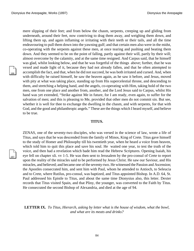167

mere slipping of their feet; and from below the chasm, serpents, creeping up and gliding from underneath, around their feet, now contriving to drag them away, and weighing them down, and lifting them up, and again inflaming or irritating with their teeth or their tails, and all the time endeavouring to pull them down into the yawning gulf; and that certain men also were in the midst, co-operating with the serpents against these men, at once tearing and pushing and beating them down. And they seemed to be on the point of falling, partly against their will, partly by their will; almost overcome by the calamity, and at the same time resigned. And Carpus said, that he himself was glad, whilst looking below, and that he was forgetful of the things above; further, that he was vexed and made light of it, because they had not already fallen, and that he often attempted to accomplish the fact, and that, when he did not succeed, he was both irritated and cursed. And, when with difficulty he raised himself, he saw the heaven again, as he saw it before, and Jesus, moved with pity at what was taking place, standing up from His supercelestial throne, and descending to them, and stretching a helping hand, and the angels, co-operating with Him, taking hold of the two men, one from one place and another from, another, and the Lord Jesus said to Carpus, whilst His hand was yet extended, "Strike against Me in future, for I am ready, even again, to suffer for the salvation of men; and this is pleasing to Me, provided that other men do not commit sin. But see, whether it is well for thee to exchange the dwelling in the chasm, and with serpents, for that with God, and the good and philanthropic angels." These are the things which I heard myself, and believe to be true.

#### **TITUS.**

ZENAS, one of the seventy-two disciples, who was versed in the science of law, wrote a life of Titus, and says that he was descended from the family of Minos, King of Crete. Titus gave himself to the study of Homer and Philosophy till his twentieth year, when he heard a voice from heaven, which told him to quit this place and save his soul. He waited one year, to test the truth of the voice, and then had a revelation which bade him read the Hebrew Scriptures. Opening Isaiah, his eye fell on chapter xli. vv 1-5. He was then sent to Jerusalem by the pro-consul of Crete to report upon the reality of the miracles said to be performed by Jesus Christ. He saw our Saviour, and His miracles, and believed; and became one of the seventy-two. He witnessed the Passion and Ascension; the Apostles consecrated him, and sent him with Paul, whom he attended to Antioch, to Seleucia and to Crete, where Rutilus, pro-consul, was baptized, and Titus appointed Bishop. In A.D. 64, St. Paul addressed his Epistle to Titus, and about the same time Dionysius also, this letter. Dexter records that Titus visited Spain, and that Pliny, the younger, was converted to the Faith by Titus. He consecrated the second Bishop of Alexandria, and died at the age of 94.

**LETTER IX.** *To Titus, Hierarch, asking by letter what is the house of wisdom, what the bowl, and what are its meats and drinks?*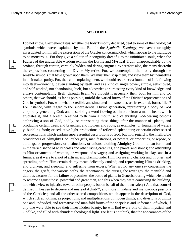169

170

#### **SECTION I.**

I do not know, O excellent Titus, whether the holy Timothy departed, deaf to some of the theological

symbols which were explained by me. But, in the *Symbolic Theology,* we have thoroughly investigated for him all the expressions of the Oracles concerning God, which appear to the multitude to be monstrous. For they give a colour of incongruity dreadful to the uninitiated souls, when the Fathers of the unutterable wisdom explain the Divine and Mystical Truth, unapproachable by the profane, through certain, certainly hidden and daring enigmas. Wherefore also, the many discredit the expressions concerning the Divine Mysteries. For, we contemplate them only through the sensible symbols that have grown upon them. We must then strip them, and view them by themselves in their naked purity. For, thus contemplating them, we should reverence a fountain of Life flowing into Itself—viewing It even standing by Itself, and as a kind of single power, simple, self-moved, and self-worked, not abandoning Itself, but a knowledge surpassing every kind of knowledge, and always contemplating Itself, through Itself. We thought it necessary then, both for him and for others, that we should, as far as possible, unfold the varied forms of the Divine" representations of God in symbols. For, with what incredible and simulated monstrosities are its external, forms filled? For instance, with regard to the superessential Divine generation, representing a body of God corporally generating God; and describing a word flowing out into air from a man's heart, which eructates it, and a breath, breathed forth from a mouth; and celebrating God-bearing bosoms embracing a son of God, bodily; or representing these things after the manner of plants, and producing certain trees, and branches, and flowers and roots, as examples; or fountains of waters y, bubbling forth; or seductive light productions of reflected splendours; or certain other sacred representations which explain superessential descriptions of God; but with regard to the intelligible providences of Almighty God, either gifts, manifestations, or powers, or properties, or repose, or abidings, or progressions, or distinctions, or unions, clothing Almighty God in human form, and in the varied shape of wild beasts and other living creatures, and plants, and stones; and attributing to Him ornaments of women, or weapons of savages; and assigning working in clay, and in a furnace, as it were to a sort of artisan; and placing under Him, horses and chariots and thrones; and spreading before Him certain dainty meats delicately cooked; and representing Him as drinking, and drunken, and sleeping, and suffering from excess. What would any one say concerning the angers, the griefs, the various oaths, the repentances, the curses, the revenges, the manifold and dubious excuses for the failure of promises, the battle of giants in Genesis, during which He is said to scheme against those powerful and great men, and this when they were contriving the building, not with a view to injustice towards other people, but on behalf of their own safety? And that counsel devised in heaven to deceive and mislead Achab<sup>133</sup>; and those mundane and meritricious passions of the Canticles; and all the other sacred compositions which appear in the description of God, which stick at nothing, as projections, and multiplications of hidden things, and divisions of things one and undivided, and formative and manifold forms of the shapeless and unformed; of which, if any one were able to see their inner hidden beauty, he will find every one of them mystical and Godlike, and filled with abundant theological light. For let us not think, that the appearances of the

<sup>133</sup> [I Kings xxii. 20](http://www.ccel.org/b/bible/asv/xml/asv.iKgs.22.xml#iKgs.22.20).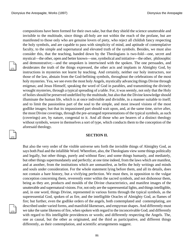172

173

compositions have been formed for their own sake, but that they shield the science unutterable and invisible to the multitude, since things all-holy are not within the reach of the profane, but are manifested to those only who are genuine lovers of piety, who reject all childish fancy respecting the holy symbols, and are capable to pass with simplicity of mind, and aptitude of contemplative faculty, to the simple and supernatural and elevated truth of the symbols. Besides, we must also consider this, that the teaching, handed down by the Theologians is two-fold—one, secret and mystical—the other, open and better known—one, symbolical and initiative—the other, philosophic and demonstrative;—and the unspoken is intertwined with the spoken. The one persuades, and desiderates the truth of the things expressed, the other acts and implants in Almighty God, by instructions in mysteries not learnt by teaching. And certainly, neither our holy instructors, nor those of the law, abstain from the God-befitting symbols, throughout the celebrations of the most holy mysteries. Yea, we see even the most holy Angels, mystically advancing things Divine through enigmas; and Jesus Himself, speaking the word of God in parables, and transmitting the divinely wrought mysteries, through a typical spreading of a table. For, it was seemly, not only that the Holy of holies should be preserved undefiled by the multitude, but also that the Divine knowledge should illuminate the human life, which is at once indivisible and divisible, in a manner suitable to itself; and to limit the passionless part of the soul to the simple, and most inward visions of the most godlike images; but that its impassioned part should wait upon, and, at the same time, strive after, the most Divine coverings, through the pre-arranged representations of the typical symbols, as such (coverings) are, by nature, congenial to it. And all those who are hearers of a distinct theology without symbols, weave in themselves a sort of type, which conducts them to the conception of the aforesaid theology.

#### **SECTION II.**

But also the very order of the visible universe sets forth the invisible things of Almighty God, as says both Paul and the infallible Word. Wherefore, also, the Theologians view some things politically and legally, but other things, purely and without flaw; and some things humanly, and mediately, but other things supermundanely and perfectly; at one time indeed, from the laws which are manifest, and at another, from the institutions which are unmanifest, as befits the holy writings and minds and souls under consideration. For the whole statement lying before them, and all its details, does not contain a bare history, but a vivifying perfection. We must then, in opposition to the vulgar conception concerning them, reverently enter within the sacred symbols, and not dishonour them, being as they are, products and moulds of the Divine characteristics, and manifest images of the unutterable and supernatural visions. For, not only are the superessential lights, and things intelligible, and, in one word, things Divine, represented in various forms through the typical symbols, as the superessential God, spoken of as fire, and the intelligible Oracles of Almighty God, as flames of fire; but further, even the godlike orders of the angels, both contemplated and contemplating, are described under varied forms, and manifold likenesses, and empyrean shapes. And differently must we take the same likeness of fire, when spoken with regard to the inconceivable God; and differently with regard to His intelligible providences or words; and differently respecting the Angels. The, one as causal, but the other as originated, and the third as participative, and different things differently, as their contemplation, and scientific arrangements suggest.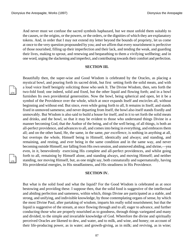175

And never must we confuse the sacred symbols haphazard, but we must unfold them suitably to the causes, or the origins, or the powers, or the orders, or the dignities of which they are explanatory tokens. And, in order that I may not extend my letter beyond the bounds of propriety, let us come at once to the very question propounded by you; and we affirm that every nourishment is perfective of those nourished, filling up their imperfection and their lack, and tending the weak, and guarding their lives, making to sprout, and renewing and bequeathing to them a vivifying wellbeing; and in one word, urging the slackening and imperfect, and contributing towards their comfort and perfection.

#### **SECTION III.**

Beautifully then, the super-wise and Good Wisdom is celebrated by the Oracles, as placing a mystical bowl, and pouring forth its sacred drink, but first setting forth the solid meats, and with a loud voice Itself benignly soliciting those who seek It. The Divine Wisdom, then, sets forth the two-fold food; one indeed, solid and fixed, but the other liquid and flowing forth; and in a bowl furnishes Its own providential generosities. Now the bowl, being spherical and open, let it be a symbol of the Providence over the whole, which at once expands Itself and encircles all, without beginning and without end. But since, even while going forth to all, It remains in Itself, and stands fixed in unmoved sameness; and never departing from Itself, the bowl also itself stands fixedly and unmovably. But Wisdom is also said to build a house for itself, and in it to set forth the solid meats and drinks, and the bowl, so that it may be evident to those who understand things Divine in a manner becoming God, that the Author of the being, and of the well being, of all things, is both an all-perfect providence, and advances to all, and comes into being in everything, and embraces them all; and on the other hand, He, the same, in the same, *par excellence,* is nothing in anything at all, but overtops the whole, Himself being in Himself, identically and always; and standing, and remaining, and resting, and ever being in the same condition and in the same way, and never becoming outside Himself, nor falling from His own session, and unmoved abiding, and shrine,—yea even, in it, benevolently exercising His complete and all-perfect providences, and whilst going forth to all, remaining by Himself alone, and standing always, and moving Himself; and neither standing, nor moving Himself, but, as one might say, both connaturally and supernaturally, having His providential energies, in His steadfastness, and His steadiness in His Providence.

#### **SECTION IV.**

But what is the solid food and what the liquid? For the Good Wisdom is celebrated as at once bestowing and providing these. I suppose then, that the solid food is suggestive of the intellectual and abiding perfection and sameness, within which, things Divine are participated as a stable, and strong, and unifying, and indivisible knowledge, by those contemplating organs of sense, by which the most Divine Paul, after partaking of wisdom, imparts his really solid nourishment; but that the liquid is suggestive of the stream, at once flowing through and to all; eager to advance, and further conducting those who are properly nourished as to goodness, through things variegated and many and divided, to the simple and invariable knowledge of God. Wherefore the divine and spiritually perceived Oracles are likened to dew, and water, and to milk, and wine, and honey; on account of their life-producing power, as in water; and growth-giving, as in milk; and reviving, as in wine;

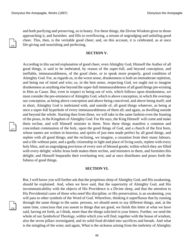and both purifying and preserving, as in honey. For these things, the Divine Wisdom gives to those approaching it, and furnishes and fills to overflowing, a stream of ungrudging and unfailing good cheer. This, then, is the veritable good cheer; and, on this account, it is celebrated, as at once life-giving and nourishing and perfecting.

#### **SECTION V.**

According to this sacred explanation of good cheer, even Almighty God, Himself the Author of all good things, is said to be inebriated, by reason of the super-full, and beyond conception, and ineffable, immeasurableness, of the good cheer, or to speak more properly, good condition of Almighty God. For, as regards us, in the worst sense, drunkenness is both an immoderate repletion, and being out of mind and wits; so, in the best sense, respecting God, we ought not to imagine drunkenness as anything else beyond the super-full immeasurableness of all good things pre-existing in Him as Cause. But, even in respect to being out of wits, which follows upon drunkenness, we must consider the pre-eminence of Almighty God, which is above conception, in which He overtops our conception, as being above conception and above being conceived, and above being itself; and in short, Almighty God is inebriated with, and outside of, all good things whatever, as being at once a super-full hyperbole of every immeasurableness of them all; and again, as dwelling outside and beyond the whole. Starting then from these, we will take in the same fashion even the feasting of the pious, in the Kingdom of Almighty God. For He says, the King Himself will come and make them recline, and will Himself minister to them. Now these things manifest a common and concordant communion of the holy, upon the good things of God, and a church of the first born, whose names are written in heavens; and spirits of just men made perfect by all good things, and replete with all good things; and the reclining, we imagine, a cessation from their many labours, and a life without pain; and a godly citizenship in light and place of living souls, replete with every holy bliss, and an ungrudging provision of every sort of blessed goods; within which they are filled with every delight; whilst Jesus both makes them recline, and ministers to them, and furnishes this delight; and Himself bequeaths their everlasting rest; and at once distributes and pours forth the fulness of good things.

#### **SECTION VI.**

But, I well know you will further ask that the propitious sleep of Almighty God, and His awakening, should be explained. And, when we have said, that the superiority of Almighty God, and His incommunicability with the objects of His Providence is a Divine sleep, and that the attention to His Providential cares of those who need His discipline, or His preservation, is an awakening, you will pass to other symbols of the Word of God. Wherefore, thinking it superfluous that by running through the same things to the same. persons, we should seem to say different things, and, at the same time, conscious that you assent to things that are good, we finish this letter at what we have said, having set forth, as I think, more than the things solicited in your letters. Further, we send the whole of our *Symbolical Theology,* within which you will find, together with the house of wisdom, also the seven pillars investigated, and its solid food divided into sacrifices and breads. And what is the mingling of the wine; and again, What is the sickness arising from the inebriety of Almighty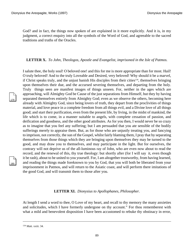180

God? and in fact, the things now spoken of are explained in it more explicitly. And it is, in my judgment, a correct enquiry into all the symbols of the Word of God, and agreeable to the sacred traditions and truths of the Oracles.

## **LETTER X.** *To John, Theologos, Apostle and Evangelist, imprisoned in the Isle of Patmos.*

I salute thee, the holy soul! O beloved one! and this for me is more appropriate than for most. Hail! O truly beloved! And to the truly Loveable and Desired, very beloved! Why should it be a marvel, if Christ speaks truly, and the unjust banish His disciples from their cities134, themselves bringing upon themselves their due, and the accursed severing themselves, and departing from the holy. Truly things seen are manifest images of things unseen. For, neither in the ages which are approaching, will Almighty God be Cause of the just separations from Himself, but they by having separated themselves entirely from Almighty God; even as we observe the others, becoming here already with Almighty God, since being lovers of truth, they depart from the proclivities of things material, and love peace in a complete freedom from all things evil, and a Divine love of all things good; and start their purification, even from the present life, by living, in the midst of mankind, the life which is to come, in a manner suitable to angels, with complete cessation of passion, and deification and goodness, and the other good attributes. As for you then, I would never be so crazy as to imagine that you feel any suffering; but I am persuaded that you ate sensible of the bodily sufferings merely to appraise them. But, as for those who are unjustly treating you, and fancying to imprison, not correctly, the sun of the Gospel, whilst fairly blaming them, I pray that by separating themselves from those things which they are bringing upon themselves they may be turned to the good, and may draw you to themselves, and may participate in the light. But for ourselves, the contrary will not deprive us of the all-luminous ray of John, who are even now about to read the record, and the renewal of this, thy true theology: but shortly after (for I will say it, even though it be rash), about to be united to you yourself. For, I am altogether trustworthy, from having learned, and reading the things made foreknown to you by God, that you will both be liberated from your imprisonment in Patmos, and will return to the Asiatic coast, and will perform there imitations of the good God, and will transmit them to those after you.

## **LETTER XI.** *Dionysius to Apollophanes, Philosopher.*

At length I send a word to thee, O Love of my heart, and recall to thy memory the many anxieties and solicitudes, which I have formerly undergone on thy account." For thou rememberest with what a mild and benevolent disposition I have been accustomed to rebuke thy obstinacy in error,

<sup>134</sup> [Matt. xxiii. 34.](http://www.ccel.org/b/bible/asv/xml/asv.Matt.23.xml#Matt.23.34)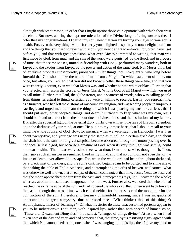182

183

deceived. But now, adoring the supreme toleration of the Divine long-suffering towards thee, I offer thee my congratulations, O part of my soul, now that you are turning your eyes to your soul's health. For, even the very things which formerly you delighted to spurn, you now delight to affirm; and the things that you used to reject with scorn, you now delight to enforce. For, often have I set before you, and that with great precision, what even Moses committed to writing, that man was first made by God, from mud, and the sins of the world were punished by the flood, and in process of time, that the same Moses, united in friendship with God, - performed many wonders, both in Egypt and the exodus from Egypt, by the power and action of the same God. Nor Moses only, but other divine prophets subsequently, published similar things, not infrequently, who long before foretold that God should take the nature of man from a Virgin. To which statement of mine, not once, but often, you replied, that you did not know whether these things were true, and that you were entirely ignorant, even who that Moses was, and whether he was white or black. Further, that you rejected with scorn the Gospel of Jesus Christ, Who is God of all Majesty—which you used to call mine. Further, that Paul, the globe trotter, and a scatterer of words, who was calling people from things terrestrial to things celestial, you were unwilling to receive. Lastly, you reproach me, as a turncoat, who had left the customs of my country's religion, and was leading people to iniquitous sacrilege, and urged me to unlearn the things in which I was placing my trust; or, at least, that I should put away other people's things, and deem it sufficient to keep what was my own, lest I should be found to detract from the honour due to divine deities, and the institutions of my fathers. But, after the supernal light of the paternal glory of His own will sent the rays of His own splendour upon the darkness of your mind, at once He put into my inmost heart, that I should recall to your mind the whole counsel of God. How, for instance, when we were staying in Heliopolis (I was then about twenty-five, and your age was nearly the same as mine), on a certain sixth day, and about the sixth hour, the sun, to our great surprise, became obscured, through the moon passing over it, not because it is a god, but because a creature of God, when its very true light was setting, could not bear to shine. Then I earnestly asked thee, what thou, O man most wise, thought of it. Thou, then, gave such an answer as remained fixed in my mind, and that no oblivion, not even that of the image of death, ever allowed to escape. For, when the whole orb had been throughout darkened, by a black mist of darkness, and the sun's disk had begun again to be purged and to shine anew, then taking the table of Philip Aridaeus, and contemplating the orbs of heaven, we learned, what was otherwise well known, that an eclipse of the sun could not, at that time, occur. Next, we observed that the moon approached the sun from the east, and intercepted its rays, until it covered the whole; whereas, at other times, it used to approach from the west. Further also, we noted that when it had reached the extreme edge of the sun, and had covered the whole orb, that it then went back towards the east, although that was a time which called neither for the presence of the moon, nor for the conjunction of the sun. I therefore, O treasury of manifold learning, since I was incapable of understanding so great a mystery, thus addressed thee—"What thinkest thou of this thing, O Apollophanes, mirror of learning?" "Of what mysteries do these unaccustomed portents appear to you to be indications?" Thou then, with inspired lips, rather than with speech of human voice, "These are, O excellent Dionysius," thou saidst, "changes of things divine." At last, when I had taken note of the day and year, and had perceived that, that time, by its testifying signs, agreed with that which Paul announced to me, once when I was hanging upon his lips, then I gave my hand to

although with scant reason, in order that I might uproot those vain opinions with which thou wast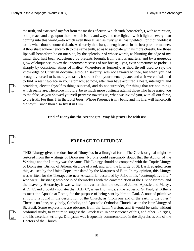the truth, and extricated my feet from the meshes of error. Which truth, henceforth, I, with admiration, both preach and urge upon thee—which is life and way, and true light,—which lighteth every man coming into this world,—to which even thou at last, as truly wise, hast yielded. For thou yieldedst to life when thou renounced death. And surely thou hast, at length, acted in the best possible manner, if thou shalt adhere henceforth to the same truth, so as to associate with us more closely. For those lips will henceforth be on our side, by the splendour of whose words, as blunting the edge of my mind, thou hast been accustomed by pretexts brought from various quarters, and by a gorgeous glow of eloquence, to vex the innermost recesses of our breast;—yea, even sometimes to probe us sharply by occasional stings of malice. Wherefore as formerly, as thou thyself used to say, the knowledge of Christian doctrine, although savoury, was not savoury to thee, but when you had brought yourself to it, merely to taste, it shrank from your mental palate, and as it were, disdained to find a resting-place in your stomach; so now, after you have acquired a heart, intelligent and provident, elevate thyself to things supernal, and do not surrender, for things that are not, things which really are. Therefore in future, be so much more obstinate against those who have urged you to the false, as you showed yourself perverse towards us, when we invited you, with all our force, to the truth. For thus, I, in the Lord Jesus, Whose Presence is my being and my life, will henceforth die joyful, since thou also livest in Him.

**End of Dionysius the Areopagite. May his prayer be with us!**

# <sup>185</sup> **PREFACE TO LITURGY.**

THIS Liturgy gives the doctrine of Dionysius in a liturgical form. The Greek original might be restored from the writings of Dionysius. No one could reasonably doubt that the Author of the Writings and the Liturgy was the same. This Liturgy should be compared with the Coptic Liturgy of Dionysius, Bishop of Athens, disciple of Paul, and with the Liturgy of St. Basil, adapted from this, as used by the Uniat Copts, translated by the Marquess of Bute. In my opinion, this Liturgy was written for the Therapeutae near Alexandria, described by Philo in his "contemplative life," who were Christians; who occupied themselves with the contemplation of the Divine Names, and the heavenly Hierarchy. It was written not earlier than the death of James, Apostle and Martyr, A.D. 42, and probably not later than A.D. 67; when Dionysius, at the request of St. Paul, left Athens to meet the Apostle at Rome, for the purpose of being sent by him to Gaul. A note of primitive antiquity is found in the description of the Church, as "from one end of the earth to the other." There is no "one, only, holy, Catholic, and Apostolic Orthodox Church," as in the later Liturgy of St. Basil. Some expressions are obscure, from the Latin Version, and it would be rash, without profound study, to venture to suggest the Greek text. In consequence of this, and other Liturgies, and his excellent writings, Dionysius was frequently commemorated in the diptychs as one of the Doctors of the Church.





186

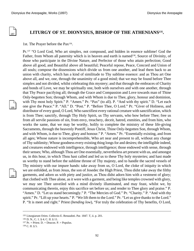

189

# <sup>187</sup> **LITURGY OF ST. DIONYSIUS, BISHOP OF THE ATHENIANS<sup>135</sup> .**

1st. The Prayer before the Pax<sup>136</sup> .

Pr.137 "O Lord God, Who art simplex, not compound, and hidden in essence sublime! God the Father, from Whom all paternity which is in heaven and earth is named<sup>138</sup>, Source of Divinity, of those who participate in the Divine Nature, and Perfector of those who attain perfection; Good above all good, and Beautiful above all beautiful; Peaceful repose, Peace, Concord and Union of all souls; compose the dissensions which divide us from one another, and lead them back to an union with charity, which has a kind of similitude to Thy sublime essence: and as Thou art One above all, and we, one, through the unanimity of a good mind; that we may be found before Thee simplex and not divided, whilst celebrating this mystery; and that through the embraces of Charity and bonds of Love, we may be spiritually one, both with ourselves and with one another, through that Thy Peace pacifying all; through the Grace and Compassion and Love towards man of Thine Only-begotten Son; through Whom, and with Whom is due to Thee, glory, honour and dominion, with Thy most holy Spirit." P. "Amen." Pr. "Pax" (to all). P. "And with thy spirit." D. "Let each one give the Peace." P. "All." D. "Post." P. "Before Thee, O Lord." Pr. "Giver of Holiness, and distributor of every good, O Lord, Who sanctifiest every rational creature with sanctification, which is from Thee; sanctify, through Thy Holy Spirit, us Thy servants, who bow before Thee; free us from all servile passions of sin, from envy, treachery, deceit, hatred, enmities, and from him, who works the same, that we may be worthy, holily to complete the ministry of these life-giving Sacraments, through the heavenly Pontiff, Jesus Christ, Thine Only-begotten Son, through Whom, and with Whom, is due to Thee, glory and honour." P. "Amen." Pr. "Essentially existing, and from all ages; Whose nature is incomprehensible, Who art near and present to all, without any change of Thy sublimity; Whose goodness every existing thing longs for and desires; the intelligible indeed, and creatures endowed with intelligence, through intelligence; those endowed with sense, through their senses; Who, although Thou art One essentially, nevertheless art present with us, and amongst us, in this hour, in which Thou hast called and led us to these Thy holy mysteries; and hast made us worthy to stand before the sublime throne of Thy majesty, and to handle the sacred vessels of Thy ministry with our impure hands: take away from us, O Lord, the cloke of iniquity in which we are enfolded, as from Jesus, the son of Josedec the High Priest, Thou didst take away the filthy garments, and adorn us with piety and justice, as Thou didst adorn him with a vestment of glory; that clothed with Thee alone, as it were with a garment, and being like temples crowned with glory, we may see Thee unveiled with a mind divinely illuminated, and may feast, whilst we, by communicating therein, enjoy this sacrifice set before us; and render to Thee glory and praise." P. "Amen." D. "Let us stand becomingly." P. "The Mercies of God." Pr. "Charity." P. "And with thy spirit." Pr. "Lift up your hearts." P. "We lift them to the Lord." Pr. "Let us give thanks to the Lord." P. "It is meet and right." Priest (*bending low*), "For truly the celebration of Thy benefits, O Lord,

<sup>135</sup> Liturgiarum Orien. Collectio E. Renaudoti. Par. 1847. T, ii. p. 201.

<sup>136</sup> D. N., C. 1. § 4; C. II. § 11.

 $137$  Pr. = Priest. D. = Deacon. P. = Populus.

<sup>138</sup> C. II. § 5.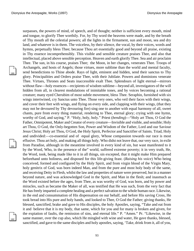191

192

surpasses, the powers of mind, of speech, and of thought; neither is sufficient every mouth, mind and tongue, to glorify Thee worthily. For, by Thy word the heavens were made, and by the breath of Thy mouth all the celestial powers; all the lights in the firmament, sun and moon, sea and dry land, and whatever is in them. The voiceless, by their silence, the vocal, by their voices, words and hymns, perpetually bless Thee; because Thou art essentially good and beyond all praise, existing in Thy essence incomprehensibly. This visible and sensible creature praises Thee, and also that intellectual, placed above sensible perception. Heaven and earth glorify Thee. Sea and air proclaim Thee. The sun, in his course, praises Thee; the Moon, in her changes, venerates Thee. Troops of Archangels, and hosts of Angels; those virtues, more sublime than the world and mental faculty, send benedictions to Thine abode. Rays of light, eminent and hidden, send their sanctus to Thy glory. Principalities and Orders praise Thee, with their Jubilate. Powers and dominions venerate Thee. Virtues, Thrones and Seats inaccessible exalt Thee. Splendours of light eternal—mirrors without flaw—holy essences—recipients of wisdom sublime—beyond all, investigators of the will hidden from all, in clearest modulations of inimitable tones, and by voices becoming a rational creature; many eyed Cherubim of most subtle movement, bless Thee. Seraphin, furnished with six wings intertwined, cry Sanctus unto Thee. Those very ones, who veil their faces with their wings, and cover their feet with wings, and flying on every side, and clapping with their wings, (that they may not be devoured by Thy devouring fire) sing one to another with equal harmony of all, sweet chants, pure from every thing material, rendering to Thee, eternal glory; crying with one hymn, worthy of God, and saying," P. "Holy, holy, holy." Priest (*bending*)—"Holy art Thou, O God the Father, Omnipotent, Maker and Creator of every creature—Invisible and visible, and sensible; Holy art Thou, O God, the Only-begotten Son, Power and Wisdom of the Father, Lord and our Saviour Jesus Christ; Holy art Thou, O God, the Holy Spirit, Perfector and Sanctifier of Saints. Triad, Holy and undivided:—co-essential and of equal glory, Whose compassion towards our race is most effusive. Thou art holy, and making all things holy. Who didst not leave that, our very race, in exile from Paradise, although in the meantime involved in every kind of sin, but wast manifested to it by the Word, Who, in the presence of the" world, suffered extreme poverty; it in very truth, He, the Word, took, being made like to it in all things, sin excepted, that it might make Him prepared beforehand unto holiness, and disposed for this life-giving feast. (*Raising his voice*) Who being conceived, formed and configured by the Holy Spirit, and from virgin blood of the Virgin Mary, holy genitrix of God, was born indeed Man, and from the pure and most holy body of the same, and receiving Deity in Flesh, whilst the law and properties of nature were preserved, but in a manner beyond nature, and was acknowledged God in the Spirit, and Man in the flesh; and inasmuch as the Word existed before the ages, from Thee, as was worthy of God, was born, and by power and miracles, such as became the Maker of all, was testified that He was such, from the very fact that He has freely imparted a complete healing and a perfect salvation to the whole human race. Likewise, in the end and consummation of His dispensation on our behalf, and before His saving Cross, He took bread into His pure and holy hands, and looked to Thee, O God the Father; giving thanks, He blessed, sanctified, brake and gave to His disciples, the holy Apostles, saying, "Take and eat from it and believe that it is my body, that same, which for you and for many is broken and given, for the expiation of faults, the remission of sins, and eternal life." P. "Amen." Pr. "Likewise, in the same manner, over the cup also, which He mingled with wine and water, He gave thanks, blessed, sanctified, and gave to the same disciples and holy apostles, saying, 'Take, drink from it, all of you,

93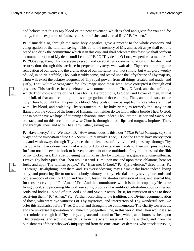194

and believe that this is My blood of the new covenant, which is shed and given for you and for many, for the expiation of faults, remission of sins, and eternal life.'" P. "Amen."

Pr. "Himself also, through the same holy Apostles, gave a precept to the whole company and congregation of the faithful, saying, 'This do to the memory of Me, and as oft as ye shall eat this bread and drink the commixture which is in this cup, and shall celebrate this feast, ye shall perform a commemoration of My death until I come.'" P. "Of Thy death, O Lord, we perform a memorial." Pr. "Obeying, then, Thy sovereign precept, and celebrating a commemoration of Thy death and resurrection, through this sacrifice in perpetual mystery, we await also Thy second coming, the renovation of our race, and the vivification of our mortality. For, not simply, but with glory worthy of God, in Spirit ineffable, Thou wilt terribly come, and seated upon the lofty throne of Thy majesty, Thou wilt exact the acknowledgment of Thy royal power, from all things created and made: and justly, Thou wilt take vengeance for Thy image upon those who have corrupted it through evil passions. This sacrifice, here celebrated, we commemorate to Thee, O Lord, and the sufferings which Thou didst endure on the Cross for us. Be propitious, O Good, and Lover of men, in that hour full, of fear and trembling, to this congregation of those adoring Thee, and to all sons of the holy Church, bought by Thy precious blood. May coals of fire be kept from those who are tinged with Thy blood, and sealed by Thy sacraments in Thy holy Name, as formerly the Babylonian flame from the youths of the house of Hanania; for neither do we know others beside Thee, O God, nor in other have we hope of attaining salvation, since indeed Thou art the Helper and Saviour of our race; and on this account, our wise Church, through all our lips and tongues, implores Thee, and through Thee, and with Thee, Thy Father, saying"—

P. "Have mercy." Pr. "We also." D. "How tremendous is this hour." (*The Priest bending, says the prayer of the invocation of the Holy Spirit.*) Pr. "I invoke Thee, O God the Father, have mercy upon us, and wash away, through Thy grace, the uncleanness of my evil deeds; destroy, through Thy mercy, what I have done, worthy of wrath; for I do not extend my hands to Thee with presumption, for I am not able even to look to heaven on account of the multitude of my iniquities and the filth of my wickedness. But, strengthening my mind, in Thy loving-kindness, grace and long-suffering, I crave Thy holy Spirit, that Thou wouldst send Him upon me, and upon these oblations, here set forth, and upon Thy faithful people." Pr. "Hear me, O Lord." P. "Kyrie eleison," three times. Pr. "Through His alighting upon them, and His overshadowing, may He make this bread indeed, living body, and procuring life to our souls; body salutary—body celestial—body saving our souls and bodies—body of our Lord God and Saviour, Jesus Christ—for remission of sins, and eternal life, for those receiving it." P. "Amen." Pr. "And the commixture, which is in this cup, may He make living blood, and procuring life to all our souls; blood salutary—blood celestial—blood saving our souls and bodies—blood of our Lord God and Saviour Jesus Christ, for remission of sins to those receiving them." P. "Amen." Pr. "Further, according to the tradition, and Divine recommendation of those, who were eye witnesses of Thy mysteries, and interpreters of Thy wonderful acts, we offer this Eucharist before Thee, O Lord, and through it we commemorate Thy charity towards us, and the universal dispensation of Thine Only-begotten One, in this world, that Thou wouldst also be reminded through it of Thy mercy, cognate and natural to Thee, which, at all hours, is shed upon Thy creatures, and wouldst snatch us from the wrath, reserved for the wicked; and from the punishments of those who work iniquity; and from the cruel attack of demons, who attack our souls,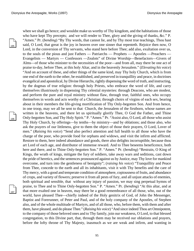196

197

when we shall go hence; and wouldst make us worthy of Thy kingdom, and the habitations of those who have kept Thy precepts; and we will render to Thee, glory and the giving of thanks, &c." P. "Amen." Pr. (*bending*) "By Thy words, that cannot lie, and by Thy most true teachings, Thou hast said, O Lord, that great is the joy in heaven over one sinner that repenteth. Rejoice then now, O Lord, in the conversion of Thy servants, who stand here before Thee; add also, exultation over us, to the souls of the pious and just Fathers — Patriarchs — Prophets — Apostles —Preachers — Evangelists — Martyrs — Confessors —Zealots" of Divine Worship—Benefactors—Givers of Alms—of those who minister to the necessities of the poor—and from all, may there be one act of praise to-day, before Thee, at this holy Altar, and in the heavenly Jerusalem." (*Elevating his voice*) "And on account of these, and other things of the same kind, may Thy holy Church, which is from one end of the earth to the other, be established, and preserved in tranquillity and peace, in doctrines evangelical and apostolical, by Divine Hierarchs, rightly dispensing the word of truth, and instructing, by the dogmas of true religion: through holy Priests, who embrace the word of life, and carry themselves illustriously in dispensing Thy celestial mysteries: through Deacons, who are modest, and perform the pure and royal ministry without flaw, through true, faithful ones, who occupy themselves in words and acts worthy of a Christian; through choirs of virgins of each sex, bearing about in their members the life-giving mortification of Thy Only-begotten Son. And from hence, in one troop, may we all be sent to that Church, the Jerusalem of the firstborn, whose names are written in the heavens, and there let us spiritually glorify Thee, O God the Father, and Thine Only-begotten Son, and Thy Holy Spirit." P. "Amen." Pr. "Assist also, O Lord, all those who assist Thy Holy Church, by offerings—by tenths—by ministry—and by oblations; and those also, who ask the prayers of our littleness, give to them the object of those their prayers, O Lord, Lover of men." (*Raising his voice*) "Send also perfect attention and full health to all those who have the charge of the poor, who provide food for orphans and widows, and visit the infirm and afflicted. Restore to them, here indeed abundance and goods, there also delights incorruptible, because thou art Lord of each age, and distributor of immense reward. And to Thee beseems beneficence, both here and there, and to Thine Only-begotten Son." P. "Amen." Pr. (*bending*) "Restrain, O King of Kings, the wrath of kings, mitigate the fury of soldiers, take away wars and seditions, cast down the pride of heretics, and the sentences pronounced against us by Justice, may Thy love for mankind overcome, and turn into the gentleness of benignity"; (*raising his voice*) "Tranquillity and Peace from Thee, concede to the earth and all its inhabitants, visit it with Thy benefits and the care of Thy mercy, with a good and temperate condition of atmosphere, copiousness of fruits, and abundance of crops, and variety of flowers; preserve it from all pests of fury, and all unjust attacks of enemies, both spiritual and sensible, that without any injury of passion, we may sing perpetual hymns of praise, to Thee and to Thine Only-begotten Son." P. "Amen." Pr. (*bending*) "At this altar, and at that more exalted one in heaven, may there be a good remembrance of all those, who, out of the world, have pleased Thee—chiefly indeed of the Holy genitrix of God, of John the Messenger, Baptist and Forerunner, of Peter and Paul, and of the holy company of the Apostles, of Stephen also, and of the whole multitude of Martyrs, and of all those, who, before them, with them and after them, have pleased, and do please Thee." (*Raising his voice*) "And since indeed Thou art Omnipotent, to the company of those beloved ones and to Thy family, join our weakness, O Lord, to that blessed congregation, to this Divine part, that, through them may be received our oblations and prayers, before the lofty throne of Thy Majesty, inasmuch as we are weak and infirm, and wanting in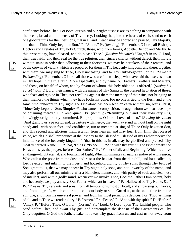199

200

confidence before Thee. Forsooth, our sin and our righteousness are as nothing in comparison with the ocean, broad and immense, of Thy mercy. Looking then, into the hearts of each, send to each one good returns for their petitions, that in all and in each may be adored and praised, Thy Majesty, and that of Thine Only-begotten Son." P. "Amen." Pr. (*bending*) "Remember, O Lord, all Bishops, Doctors and Prelates of Thy holy Church, those, who from James, Apostle, Bishop and Martyr, to this present day, have pleased, and do please Thee." (*Raising his voice*) "Engraft in us, O Lord, their true faith, and their zeal for the true religion; their sincere charity without defect; their morals without stain; in order that, adhering to their footsteps, we may be partakers of their reward, and of the crowns of victory which are prepared for them in Thy heavenly kingdom, and there, together with them, we may sing to Thee, Glory unceasing, and to Thy Only-begotten Son." P. "Amen." Pr. (*bending*) "Remember, O Lord, all those who are fallen asleep, who have laid themselves down in Thy hope, in the true faith. More especially, and by name, our Fathers, Brothers and Masters, and those, on behalf of whom, and by favour of whom, this holy oblation is offered," (*raising his voice*) "join, O Lord, their names, with the names of Thy Saints in the blessed habitation of those, who feast and rejoice in Thee; not recalling against them the memory of their sins, nor bringing to their memory the things which they have foolishly done. For no one is tied to the flesh, and at the same time, innocent in Thy sight. For One alone has been seen on earth without sin, Jesus Christ, Thine Only-begotten Son; Simplex139, who came to composition, through whom we also have hope of obtaining mercy." P. "Keep quiet." Pr. (*bending*) "Remitting our and their voluntary sins, knowingly or ignorantly committed. Be propitious, O Lord, Lover of men." (*Raising his voice*) "And grant to us a peaceful end, departure with mercy, that we may stand without fault on the right hand; and, with open face, and confidence, run to meet the arising of Thine Only-begotten Son, and His second and glorious manifestation from heaven; and may hear from Him, that blessed voice, which He shall pronounce at the last day to the Blessed." "Blessed of my Father receive the inheritance of the heavenly kingdom," "that in this, as in all, may be glorified and praised, Thy most venerated Name." P. "That, &c." Pr. "Peace." P. "And with thy spirit." The Priest breaks the Host, and says the prayer, before "Our Father." Pr, "Father of all, and Beginning, Which is above all things—Light eternal, and Fountain of Light, Which illuminates all natures endowed with reason; Who callest the poor from the dust, and raisest the beggar from the dunghill; and hast called us, lost, rejected, and infirm, to the liberty and household dignity of Thy sons, through Thy beloved Son, grant to us, that we may appear in Thy sight, holy sons, and not unworthy of the name; and may also perform all our ministry after a blameless manner; and with purity of soul, and cleanness of intellect, and with a godly mind, whenever we invoke Thee, God the Father Omnipotent, holy and heavenly, we pray and say, Our Father, which art in heaven." P. "Hallowed be Thy Name, &c." Pr. "Free us, Thy servants and sons, from all temptations, most difficult, and surpassing our forces; and from all griefs, which can bring loss to our body or soul. Guard us, at the same time from the evil one, and from his universal power, and from his most pernicious devices. For Thou art King of all, and to Thee we render glory." P. "Amen." Pr. "Peace," P. "And with thy spirit." D. "Before" (Ante). P. "Before Thee, O Lord." (Coram.) Pr. "Look, O Lord, upon Thy faithful people, who bend before Thee, and await Thy gift, and contemplate the deposit of the Sacraments of Thy Only-begotten, O God the Father. Take not away Thy grace from us, and cast us not away from

<sup>139</sup> D. N., C. I. § 4.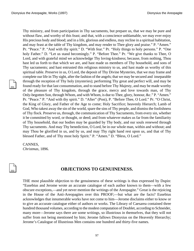Thy ministry, and from participation in Thy sacraments, but prepare us, that we may be pure and without flaw, and worthy of this feast; and that, with a conscience unblamable, we may ever enjoy His precious body and blood; and in a life, glorious and endless, may recline in a spiritual habitation, and may feast at the table of Thy kingdom, and may render to Thee glory and praise." P. "Amen." Pr. "Peace." P. "And with thy spirit." D. "With fear." Pr. "Holy things to holy persons." P. "One holy Father." D. "Let us stand becomingly." P. "Before Thee." Pr. "We give thanks to Thee, O Lord, and with grateful mind we acknowledge Thy loving-kindness; because, from nothing, Thou hast led us forth to that which we are, and hast made us members of Thy household, and sons of Thy sacraments; and hast entrusted this religious ministry to us, and hast made us worthy of this spiritual table. Preserve in us, O Lord, the deposit of Thy Divine Mysteries, that we may frame and complete our life in Thy sight, after the fashion of the angels; that we may be secured and inseparable through the reception of Thy holy (mysteries); performing Thy great and perfect will, and may be found ready for that last consummation, and to stand before Thy Majesty, and may be made worthy of the pleasure of Thy kingdom, through the grace, mercy and love towards man, of Thy Only-begotten Son, through Whom, and with Whom, is due to Thee, glory, honour, &c." P. "Amen." Pr. "Peace." P. "And with thy spirit." D. "After" (Post), P. "Before Thee, O Lord." Pr. "O Christ, the King of Glory, and Father of the Age to come; Holy Sacrifice; heavenly Hierarch; Lamb of God, Who takest away the sin of the world, spare the sins of Thy people, and dismiss the foolishness of Thy flock. Preserve us, through, the communication of Thy Sacraments, from every sin, whether it be committed by word, or thought, or deed; and from whatever makes us far from the familiarity of Thy household, that our bodies may be guarded by Thy body, and our souls renewed through Thy sacraments. And may Thy benediction, O Lord, be in our whole man, within and without; and may Thou be glorified in us, and by us, and may Thy right hand rest upon us, and that of Thy blessed Father, and of Thy most holy Spirit." P. "Amen." D. "Bless, O Lord."

### CANNES,

*Christmas,* 1896.



201

# <sup>202</sup> **OBJECTIONS TO GENUINENESS.**

THE most plausible objection to the genuineness of these writings is thus expressed by Dupin: "Eusebius and Jerome wrote an accurate catalogue of each author known to them—with a few obscure exceptions,—and yet never mention the writings of the Areopagite." Great is the rejoicing in the House of the Anti-Areopagites over this PROOF;—but what are the facts? Eusebius acknowledges that innumerable works have not come to him—Jerome disclaims either to know or to give an accurate catalogue either of authors or works. The Library of Caesarea contained three hundred thousand volumes, according to the modest computation of Doublet, according to Schneider, many more—Jerome says there are some writings, so illustrious in themselves, that they will not suffer from not being mentioned by him; Jerome fallows Dionysius on the Heavenly Hierarchy; Jerome's Catalogue of Illustrious Men contains one hundred and thirty-five names.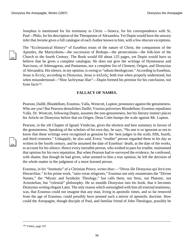Josephus is mentioned for his testimony to Christ —Seneca, for his correspondence with St, Paul—Philo, for his description of the Therapeutse of Alexandria. Yet Dupin would have the unwary infer that Jerome gives a full catalogue of each Author known to him, with a few obscure exceptions.

The "Ecclesiastical History" of Eusebius treats of the nature of Christ, the companions of the Apostles, the Martyrdoms—the succession of Bishops—the persecutions—the folk-lore of the Church to the fourth Century. The Book would fill about 125 pages, yet Dupin would have us believe that he gives a complete catalogue; He does not give the writings of Hymenseus and Narcissus, of Athenagoras, and Pantaenus, nor a complete list of Clement, Origen, and Dionysius of Alexandria. His silence, in my opinion, is owing to "odium theologicum." According to Eusebius, Jesus is διττός; according to Dionysius, Jesus is ἁπλοῦς; both true when properly understood, but when misunderstood—"Hinc lachrymae illae"—Dupin formed his premise for his conclusion, not from  $facts^{140}$ .

# **FALLACY OF NAMES.**

Pearson, Daillé, Blundellum, Erasmus, Valla, Westcott, Lupton, pronounce against the genuineness. Who are you? But Pearson demolishes Daillé; Vossius pulverises Blundellum; Erasmus repudiates Valla. Dr. Westcott, following Dupin, assumes the non-genuineness, but his literary instinct places his Article on Dionysius before that on Origen. Dean Colet bumps the scale against Mr. Lupton.

Pearson, in the xth Chapter of Ignatii Vindiciae, gives the shortest and best summary in favour of the genuineness. Speaking of the scholars of his own day, he says, "No one is so ignorant as not to know that these writings were recognised as genuine by the best judges in the sixth, fifth, fourth, and third centuries." Unhappily, he also said, Every "erudite" person regarded them in his day as written in the fourth century, and he assumed the date of Eusebius' death, as the date of the works, to account for his silence. Hence every inerudite person, who wished to pass for erudite, maintained that opinion for his own reputation. But when Pearson had re-surveyed the evidence, he confessed, with shame, that though he had given, what seemed to him a true opinion, he left the decision of the whole matter to the judgment of a more learned person.

Erasmus, in his "Institutio" of a Christian Prince, writes thus:—"Divus ille Dionysius qui fecit tres Hierarchias." In his prime work, "ratio verae religionis," Erasmus not only enumerates the "Divine Names," the "Mystic and Symbolic Theology," but calls them, not Stoic, not Platonic, not Aristotelian, but "celestial" philosophy. He so moulds Dionysius into his book, that it becomes Dionysius writing elegant Latin. The only reason which outweighed with him all external testimony, was, that Erasmus could not imagine that any man, living in apostolic times, and so far removed from the age of Erasmus, could possibly have penned such a mirror of apostolic doctrine. How could the Areopagite, though disciple of Paul, and familiar friend of John Theologus, possibly be



<sup>203</sup>

<sup>140</sup> Vidieu, page 107.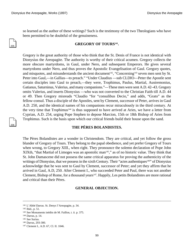206

so learned as the author of these writings? Such is the testimony of the two Theologians who have been permitted to be doubtful of the genuineness.

#### **GREGORY OF TOURS<sup>141</sup> .**

Gregory is the great authority of those who think that the St. Denis of France is not identical with Dionysius the Areopagite. The authority is worthy of their critical acumen. Gregory collects the more obscure martyrdoms, in Gaul, under Nero, and subsequent Emperors. He gives several martyrdoms under Nero, and thus proves the Apostolic Evangelisation of Gaul. Gregory quotes, and misquotes, and misunderstands the ancient document<sup>142</sup>, "Concerning<sup>143</sup> seven men sent by St. Peter into Gaul,—in Gallias—to preach." "Under Claudius —sub CLDIO—Peter the Apostle sent certain disciples into Gaul to preach,—they were, Trophimus, Paulus, Martial, Austremonius, Gatianus, Saturninus, Valerius, and many companions."—These men were sent A.D. 42–43. Gregory omits Valerius, and inserts Dionysius —who was not converted to the Christian Faith till A.D. 44 or 49. Then Gregory misreads "Claudio "for "consulibus Decio," and adds, "Grato" as the fellow-consul. Thus a disciple of the Apostles, sent by Clement, successor of Peter, arrives in Gaul A.D. 250, and the identical names of his companions recur miraculously in the third century. At the very time that Trophimus144 is thus supposed to have arrived at Aries, we have a letter from Cyprian, A.D. 254, urging Pope Stephen to depose Marcion, 15th or 18th Bishop of Aries from Trophimus. Such is the basis upon which our critical friends build their house upon the sand.

#### **THE PÈRES BOLANDISTES.**

The Pères Bolandistes are a wonder in Christendom. They are critical, and yet follow the gross blunder of Gregory of Tours. They belong to the papal obedience, and yet prefer Gregory of Tours when wrong, to Gregory XIII., when right. They pronounce the solemn declaration of Pope John XIXth, "that Martial of Limoges was an apostolic man<sup>145</sup>," as of no historic value. They think that St. John Damascene did not possess the same critical apparatus for proving the authenticity of the writings of Dionysius, that we possess in the xixth Century. Their "actes authentiques<sup>146"</sup> of Dionysius acknowledge that he was sent to Gaul by Clement, successor of Peter; and yet they affirm that he arrived in Gaul, A.D, 250. After Clement I., who succeeded Peter and Paul, there was not another Clement, Bishop of Rome, for a thousand years<sup>147</sup>. Happily, Les petits Bolandistes are more rational and critical than their Pères.

### **GENERAL OBJECTION.**

<sup>141</sup> L'Abbé Darras. St. Denys l'Areopagite, p. 34.

<sup>142</sup> Ibid., p. 51.

<sup>143</sup> See Monuments inédits de M. Faillon, t. ii. p. 375.

<sup>144</sup> Darras, p. 14.

<sup>145</sup> See Surius.

<sup>146</sup> Darras, 293-300.

<sup>147</sup> Clement I., A.D. 67, Cl. II. 1046.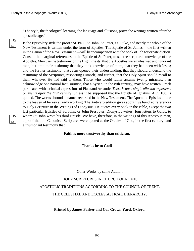208

"The style, the theological learning, the language and allusions, prove the writings written after the apostolic age."

Is the Epistolary style the proof? St. Paul, St. John, St. Peter, St. Luke, and nearly the whole of the New Testament is written under the form of Epistles. The Epistle of St. James,—the first written in the Canon of the New Testament,—will bear comparison with the book of Job for ornate diction. Consult the marginal references to the Epistle of St. Peter, to see the scriptural knowledge of the Apostles. Men use the testimony of the High Priests, that the Apostles were unlearned and ignorant men, but omit their testimony that they took knowledge of them, that they had been with Jesus; and the further testimony, that Jesus opened their understanding, that they should understand the testimony of the Scriptures, respecting Himself; and further, that the Holy Spirit should recall to them whatever He had said to them. Those who would rather assume twenty miracles, than acknowledge one natural fact, surmise, that a Syrian, in the ivth century, may have written Greek permeated with technical expressions of Plato and Aristotle. *There is not a single allusion to persons or events after the first century,* unless it be supposed that the Epistle of Ignatius, A.D. 108, is quoted. The works abound in names recorded in the New Testament. The Apostolic Epistles allude to the leaven of heresy already working. The Antwerp edition gives about five hundred references to Holy Scripture in the Writings of Dionysius. He quotes every book in the Bible, except the two last particular Epistles of St. John, or John Presbyter. Dionysius writes four letters to Gaius, to whom St. John wrote his third Epistle. We have, therefore, in the writings of this Apostolic man, a proof that the Canonical Scriptures were quoted as the Oracles of God, in the first century, and a triumphant testimony that

## **Faith is more trustworthy than criticism.**

**Thanks be to God!**

Other Works by same Author.

HOLY SCRIPTURES IN CHURCH OF ROME.

APOSTOLIC TRADITIONS ACCORDING TO THE COUNCIL OF TRENT.

THE CELESTIAL AND ECCLESIASTICAL HIERARCHY.

## **Printed by James Parker and Co., Crown Yard, Oxford.**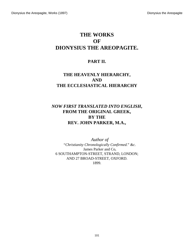# **THE WORKS OF DIONYSIUS THE AREOPAGITE.**

# **PART II.**

# **THE HEAVENLY HIERARCHY, AND THE ECCLESIASTICAL HIERARCHY**

# *NOW FIRST TRANSLATED INTO ENGLISH***, FROM THE ORIGINAL GREEK, BY THE REV. JOHN PARKER, M.A.,**

*Author of* "*Christianity Chronologically Confirmed.*" *&c.* James Parker and Co, 6 SOUTHAMPTON-STREET, STRAND, LONDON; AND 27 BROAD-STREET, OXFORD. 1899.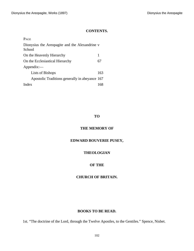#### **CONTENTS.**

| Dionysius the Areopagite and the Alexandrine v |
|------------------------------------------------|
| 1                                              |
| 67                                             |
|                                                |
| 163                                            |
| Apostolic Traditions generally in abeyance 167 |
|                                                |
|                                                |

# **TO**

## **THE MEMORY OF**

## **EDWARD BOUVERIE PUSEY,**

## **THEOLOGIAN**

# **OF THE**

# **CHURCH OF BRITAIN.**

# **BOOKS TO BE READ.**

1st. "The doctrine of the Lord, through the Twelve Apostles, to the Gentiles." Spence, Nisbet.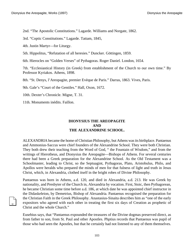2nd. "The Apostolic Constitutions." Lagarde. Williams and Norgate, 1862.

3rd. "Coptic Constitutions." Lagarde. Tattam, 1845,

4th. Justin Martyr—for Liturgy.

5th. Hippolitus, "Refutation of all heresies." Duncker. Göttingen, 1859.

6th. Hierocles on "Golden Verses" of Pythagoras. Roger Daniel. London, 1654.

7th. "Ecclesiastical History (in Greek) from establishment of the Church to our own time." By Professor Kyriakos. Athens, 1898.

8th. "St. Denys, l'Areopagite, premier Evèque de Paris." Darras, 1863. Vives, Paris.

9th. Gale's "Court of the Gentiles." Hall, Oxon, 1672.

10th. Dexter's Chronicle. Migne, T. 31.

11th. Monuments inédits. Faillon.

vi

# **DIONYSIUS THE AREOPAGITE AND THE ALEXANDRINE SCHOOL.**

ALEXANDRIA became the home of Christian Philosophy, but Athens was its birthplace. Pantaenus and Ammonius-Saccus were chief founders of the Alexandrine School. They were both Christian. They both drew their teaching from the Word of God, " the Fountain of Wisdom," and from the writings of Hierotheus, and Dionysius the Areopagite—Bishops of Athens. For several centuries there had been a Greek preparation for the Alexandrine School. As the Old Testament was a Schoolmaster, leading to Christ, so the Septuagint, Pythagoras, Plato, Aristobulus, Philo, and Apollos were heralds who prepared the minds of men for that fulness of light and truth in Jesus Christ, which, in Alexandria, clothed itself in the bright robes of Divine Philosophy.

Pantaenus was born in Athens, a.d. 120, and died in Alexandria, a.d. 213. He was Greek by nationality, and Presbyter of the Church in, Alexandria by vocation. First, Stoic, then Pythagorean, he became Christian some time before a.d. 186, at which date he was appointed chief instructor in the Didaskeleion, by Demetrius, Bishop of Alexandria. Pantaenus recognised the preparation for the Christian Faith in the Greek Philosophy. Anastasius-Sinaita describes him as "one of the early expositors who agreed with each other in treating the first six days of Creation as prophetic of Christ and the whole Church."

Eusebius says, that "Pantaenus expounded the treasures of the Divine dogmas preserved direct, as from father to son, from St. Paul and other Apostles. Phptius records that Pantaenus was pupil of those who had seen the Apostles, but that he certainly had not listened to any of them themselves.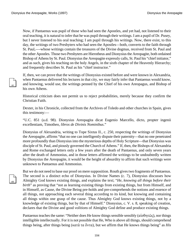Now, if Pantaenus was pupil of those who had seen the Apostles, and yet had, not listened to their oral teaching, it is natural to infer that he was pupil through their writings. I am a pupil of Dr. Pusey, but I never listened to his oral teaching; I am pupil through his writings. Now, there exist, to this day, the writings of two Presbyters who had seen the Apostles—both, converts to the faith through St. Paul,—-whose writings contain the treasures of the Divine dogmas, received from St. Paul and the other Apostles. Those two Presbyters are Hierotheus and Dionysius the Areopagite, both ordained Bishop of Athens by St. Paul. Dionysius the Areopagite expressly calls, St. Paul his "chief initiator," and as such, gives his teaching on the holy Angels, in the sixth chapter of the Heavenly Hierarchy; and frequently describes St. Paul as his "chief instructor."

If, then, we can prove that the writings of Dionysius existed before and were known in Alexandria, when Pantaenus delivered his lectures in that city, we may fairly infer that Pantaenus would know, and knowing, would use, the writings penned by the Chief of his own Areopagus, and Bishop of his own Athens.

Historical criticism does not permit us to reject probabilities, merely because they confirm the Christian Faith.

Dexter, in his Chronicle, collected from the Archives of Toledo and other churches in Spain, gives this testimony:—

"U.C. 851 (a.d. 98). Dionysius Areopagita dicat Eugenio Marcello, dicto, propter ingenii excellentiam, Timotheo, *libros de Divinis Nominibus*."

Dionysius of Alexandria, writing to Tope Sixtus II., c. 250, respecting the writings of Dionysius the Areopagite, affirms "that no one can intelligently dispute their paternity—that no one penetrated more profoundly than Dionysius into the mysterious depths of Holy Scripture—that Dionysius was disciple of St. Paul, and piously governed the Church of Athens." If, then, the Bishops of Alexandria and Rome exchanged letters only a few years after the death of Pantaenus, and only seven years after the death of Ammonius, and in those letters affirmed the writings to be undoubtedly written by Dionysius the Areopagite, it would be the height of absurdity to affirm that such writings were unknown to Pantaenus and Ammonius.

viii

vii

But we do not need to base our proof on mere supposition. Routh gives two fragments of Pantaenus. The second is a distinct echo of Dionysius. In Divine Names (c. 7), Dionysius discusses how Almighty God knows existing things, and explains the text; "*He, knowing all things before their birth*" as proving that "not as learning existing things from existing things, but from Himself, and in Himself, as Cause, the Divine Being pre-holds and pre-comprehends the notions and essence of all things, not approaching each several thing according to its kind, but knowing and containing all things within one grasp of the cause. Thus Almighty God knows existing things, not by a knowledge of existing things, but by that of Himself." Dionysius, c. V. s. 8, speaking of creation, declares that the Divine and good *volitions* of Almighty God define and produce existing things.

Pantaenus teaches the same: "Neither does He know things sensible sensibly (αἰσθητῶς), nor things intelligible intellectually. For it is not possible that He, Who is above all things, should comprehend things being, after things being (κατὰ τα ὄντα), but we affirm that He knows things being" as *His*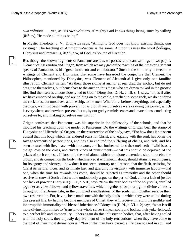*own volitions* . . . yea, as His own volitions, Almighty God knows things being, since by willing (θέλων), He made all things being."

In Mystic Theology, c. V., Dionysius says, "Almighty God does not know existing things, *qua* existing." The teaching of Ammonius-Saccus is the same; Ammonius uses the word βούλημα, Dionysius and Pantaenus, θελήματα, of God, as Source of Creation.

But, though the known fragments of Pantaenus are few, we possess abundant writings of two pupils, Clement of Alexandria and Origen, from which we may gather the teaching of their master. Clement speaks of Pantaenus as his "great instructor and collaborator." Such is the similarity between the writings of Clement and Dionysius, that some have hazarded the conjecture that Clement the Philosopher, mentioned by Dionysius, was Clement of Alexandria! I give only one familiar illustration. Clement writes: "As then, those riding at anchor at sea, drag the anchor, but do not drag it to themselves, but themselves to the anchor, thus those who are drawn to God in the gnostic life, find themselves unconsciously led to God." Dionysius, D. N., c. III. s. 1, says, "or, as if after we have embarked on ship, and are holding on to the cable, attached to some rock, we do not draw the rock to us, but ourselves, and the ship, to the rock. Wherefore, before everything, and especially theology, we must begin with prayer; not as though we ourselves were drawing the power, which is everywhere, and nowhere present, but as, by our godly reminiscences and invocations, conducting ourselves to, and making ourselves one with It."

Origen confessed that Pantaenus was his superior in the philosophy of the schools, and that he moulded his teaching upon the model of Pantaenus. Do the writings of Origen bear the stamp of Dionysius and Hierotheus? Origen, on the resurrection of the body, says, "For how does it not seem absurd that this body which has endured scars for Christ, and, equally with the soul, has borne the savage torments of persecutions, and has also endured the suffering of chains, and rods, and has been tortured with fire, beaten with the sword, and has further suffered the cruel teeth of wild beasts, the gallows of the cross, and divers kinds of punishments,—that this should be deprived of the prizes of such contests. If forsooth, the soul alone, which not alone contended, should receive the crown, and its companion the body, which served it with much labour, should attain no recompense, for its agony and victory,—how does it not seem contrary to all reason, that the flesh, resisting for Christ its natural vices, and its innate lust, and guarding its virginity with immense labour,—that one, when the time for rewards has come, should be rejected as unworthy and the other should receive its crown? Such a fact would undoubtedly argue on the part of God, either a lack of justice or a lack of power." Dionysius (E. H., c. VII.) says, "Now the pure bodies of the holy souls, enrolled together as yoke-fellows, and fellow travellers, which together strove during the divine contests, throughout the Divine Life, in the unmoved steadfastness of the souls, will together receive their own resurrection. For, having been made one with the holy souls, to which they were united during this present life, by having become members of Christ, they will receive in return the godlike and incorruptible immortality and blessed inheritance." Dionysius (D. N., c. VI. s. 2) says, "what is still more divine, It promises to "transfer our whole selves (I mean souls and bodies, their yoke-fellows), to a perfect life and immortality. Others again do this injustice to bodies, that, after having toiled with the holy souls, they unjustly deprive them of the holy retributions, when they have come to the goal of their most divine course." "For if the man have passed a life dear to God in soul and



x

xi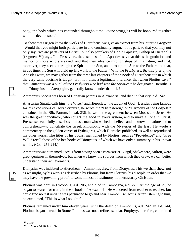body, the body which has contended throughout the Divine struggles will be honoured together with the devout soul."

To shew that Origen knew the works of Hierotheus, we give an extract from his letter to Gregory: "Would that you might both participate in and continually augment this part, so that you may not only say, 'we are partakers of Christ,' but also partakers of God." Papias<sup>148</sup>, Bishop of Hierapolis (fragment V.) says, "the Presbyters, the disciples of the Apostles, say that this is the gradation and method of those who are saved, and that they advance through steps of this nature, and that, moreover, they ascend through the Spirit to the Son, and through the Son to the Father; and that, in due time, the Son will yield up His work to the Father." Who the *Presbyters, the disciples of* the Apostles were, we may gather from the three last chapters of the "Book of Hierotheus<sup>149</sup>," in which the very same doctrine is taught. Is it not, then, a legitimate inference, that when Photius says " that Pantaenus was a pupil of *the Presbyters who had seen the Apostles*," he designated Hierotheus and Dionysius the Areopagite, generally known under that title?

Ammonius Saccus was born of Christian parents in Alexandria, and died in that city, a.d. 242.

Anastasius Sinaita calls him "the Wise," and Hierocles, "the taught of God." Besides being famous for his expositions of Holy Scripture, he wrote the "Diatesseron," or "Harmony of the Gospels," contained in the Bib. Patrum. In a.d. 236, he wrote the agreement between Moses and Jesus. He was the great conciliator, who sought the good in every system, and to make all one in Christ. Pressensé beautifully describes him as a man who wished to believe and to know—to adore and to comprehend—to conciliate the Greek Philosophy with the Mysteries of the East. He wrote a commentary on the golden verses of Pythagoras, which Hierocles published, as well as reproduced his other works. The titles of his books, mentioned by Photius, such as "Providence" and "Free Will," recall those of the lost books of Dionysius, of which we have only a summary in his known works. (Cod. 251-214.)

Ammonius was surnamed Saccus from having been a corn carrier. Virgil, Shakespere, Milton, were great geniuses in themselves, but when we know the sources from which they drew, we can better understand their achievements.

Dionysius was indebted to Hierotheus—Ammonius drew from Dionysius. This we shall shew, not as we might, by his works as described by Photius, but from Plotinus, his disciple, in order that we may have the prevailing proof, to some minds, of testimony not necessarily Christian.

Plotinus was born in Lycopolis, a.d. 205, and died in Campagna, a.d. 270. At the age of 29, he began to search for truth, in the schools of Alexandria. He wandered from teacher to teacher, but could find no rest until he was persuaded to go and hear Ammonius-Saccus. After listening to him, he exclaimed, "This is what I sought."

Plotinus remained under him eleven years, until the death of Ammonius, a.d. 242. In a.d. 244, Plotinus began to teach in Rome. Plotinus was not a refined scholar. Porphyry, therefore, committed

xii

xiii

<sup>148</sup> c. 140.

<sup>149</sup> Br. Mus. (Ad. Rich. 7189)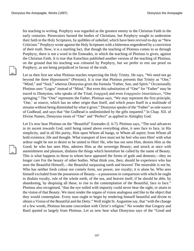xiv

xv

his teaching to writing. Porphyry was regarded as the greatest enemy to the Christian Faith in the early centuries. Persecutors burned the bodies of Christians, but Porphyry sought to undermine their faith in the Holy Scriptures, by quibbles of unbelief, which have been revived to-day as "New Criticism." Porphyry wrote against the Holy Scriptures with a bitterness engendered by a conviction of their truth. Now, it is a startling fact, that though the teaching of Plotinus comes to us through Porphyry, there is not a word in the Enneades, in which the teaching of Plotinus is given, against the Christian Faith. It is true that Eutochius published another version of the teaching of Plotinus, on the ground that his teaching was coloured by Porphyry, but we prefer to rest our proof on Porphyry, as not being prejudiced in favour of the truth.

Let us then first see what Plotinus teaches respecting the Holy Trinity. He says, "We need not go beyond the three *Hypostaseis*" (Persons). It is true that Plotinus presents that Trinity as "One," "Mind," and "Soul," whereas Dionysius gives the formula "Father, Son, and Spirit." Occasionally Plotinus uses "Logos" instead of "Mind." But even this substitution of "One" for "Father" may be traced to Dionysius, who speaks of the Triad, ἐναρχικὴ and even ἐναρχικῶν ὑποστὰσεων, "*One* springing." The "One" represents the Father. Plotinus says, "We may represent the first principle, 'One,' as source, which has no other origin than Itself, and which pours Itself in a multitude of streams without being diminished by what it gives." Dionysius speaks of the "Father" as sole source of Godhead, and says that "the Godhead is undiminished by the gifts imparted." In Chap. XII. of Divine Names, Dionysius treats of "One" and "Perfect" as applied to Almighty God.

Let Us now hear Plotinus on the "Beautiful" Enneades (I. 6-7). Plotinus says, "The soul advances in its ascent towards God, until being raised above everything alien, it sees face to face, in His simplicity, and in all His purity, Him upon Whom all hangs, to Whom all aspire; from Whom all hold existence, life and thought. What transport of love must not he feel who sees Him! with what ardour ought he not to desire to be united to Him! He, who has not seen Him, desires Him as the Good; he who has seen Him, admires Him as the sovereign Beauty; and struck at once with astonishment and pleasure, disdains the things which heretofore he called by the name of Beauty. This is what happens to those to whom have appeared the forms of gods and demons;—they no longer care For the beauty of other bodies. What think you, then, should he experience who has seen the Beautiful Himself,—the Beautiful surpassing earth and heaven! The miserable is not he, Who has neither fresh colour nor comely form, nor power, nor royalty; it is alone he, Who sees himself excluded from the possession of Beauty—a possession in comparison with which he ought to disdain royalty, rule of the whole earth, of the sea, and heaven itself, if he should be able, by abandoning, by despising all these, to rise to the contemplation of the Beautiful, face to face." Plotinus also recognised, "that the eye soiled with impurity could never bear the sight, or attain to the vision of that Beauty. We must render the organs of vision analogous and like to the object that they would contemplate. Every man ought to begin by rendering himself beautiful and divine to obtain a Vision of the Beautiful and the Deity." Well might St. Augustine say, that "with the change of a few words, Plotinus became concordant with Christ's religion." No wonder that Gregory and Basil quoted so largely from Plotinus. Let us now hear what Dionysius says of the "Good and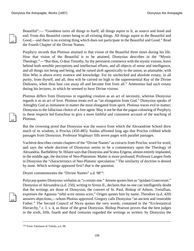xvi

xvii

xviii

Beautiful":— "Goodness turns all things to Itself; all things aspire to It, as source and bond and end. From this Beautiful comes being to all existing things. All things aspire to the Beautiful and Good,—and there is no existing thing which does not participate in the Beautiful and Good." Read the Fourth Chapter of the Divine Names.

Porphyry records that Plotinus attained to that vision of the Beautiful three times during his life. How that vision of the Beautiful is to be attained, Dionysius describes in the "Mystic Theology:"—"But thou, O dear Timothy, by thy persistent commerce with the mystic visions, leave behind both sensible perceptions and intellectual efforts, and all objects of sense and intelligence, and all things not being and being, and be raised aloft agnostically to the union, as attainable, with Him Who is above every essence and knowledge. For by unchecked and absolute extasy, in all purity, from thyself, and all, thou wilt be carried on high to the superessential Ray of the Divine Darkness, when thou hast cast away all and become free from all." Ammonius had such extasy during his lectures, in which he seemed to have Divine visions.

Plotinus differs from Dionysius in regarding creation as an act of necessity, whereas Dionysius regards it as an act of love. Plotinus treats evil as "an elongation from God." Dionysius speaks of Almighty God as immanent in matter the most elongated from spirit. Plotinus traces evil to matter; Dionysius to the fallacious choice of a free agent. May it not be that the pagan colouring of Porphyry in these respects led Eutochius to give a more faithful and consistent account of the teaching of Plotinus.

But the crowning proof that Dionysius was the source from which the Alexandrine School drew much of its wisdom, is Proclus (450-485). Suidas affirmed long ago that Proclus cribbed whole passages from Dionysius. Professor Stiglmayr fills seven pages with parallel passages.

Vachérot describes certain chapters of the "Divine Names" as extracts from Proclus, word for word, and says the whole doctrine of Dionysius seems to be a commentary upon the Theology of Alexandria. Barthélémy St. Hilaire says that Dionysius and Scotus Erigena, almost entirely implanted, in the middle age, the doctrine of Neo-Platonism. Matter is more profound; Professor Langen finds in Dionysius the "characteristics of Neo-Platonic speculation." The similarity of doctrine is denied by none. Which writings appeared first? *that* is the question.

Dexter commemorates the "Divine Names" a.d. 98<sup>150</sup>.

Polycarp quotes Dionysius verbatim as "a certain one." Jerome quotes him as "quidam Graecorum." Dionysius of Alexandria (a.d. 250), writing to Sixtus II., declares that no one can intelligently doubt that the writings are those of Dionysius, the convert of St. Paul, Bishop of Athens. Tertullian, expresses the Agnosia "nihil scire omnia scire," Origen quotes him by name. Theodore (a.d. 420) answers objections,—whom Photius approved. Gregory calls Dionysius "an ancient and venerable Father." The Second Council of Nicea quotes the very words, contained in the "Ecclesiastical Hierarchy," c. I. s. 4, as those of the great Dionysius. Bishop Pearson proves that the best judges in the sixth, fifth, fourth and third centuries regarded the writings as written: by Dionysius the

<sup>150</sup> From Tabularia of Toledo, a.d. 98.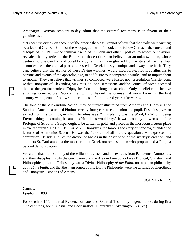Areopagite. German scholars to-day admit that the external testimony is in favour of their genuineness.

Yet eccentric critics, on account of the precise theology, cannot believe that the works were written; by a learned Greek,—Chief of the Areopagus—who forsook all to follow Christ,—the convert and disciple of St.. Paul,—the familiar friend of St. John and other Apostles, to whom our Saviour revealed the mysteries of the Father; but those critics can believe that an unknown man, whose century no one can fix, and possibly a Syrian, may have gleaned from writers of the first four centuries these theological pearls expressed in Greek in a style unique and always like itself. They can, believe that the Author of these Divine writings, would incorporate, fictitious allusions to persons and events of the apostolic, age, to add lustre to incomparable works, and to impute them to another. They can believe that writings, so composed, were foisted upon a credulous Christendom, so that Dionysius of Alexandria, Maximus, St. John Damascene, and the Council of Nicea, accepted them as the genuine works of Dipnysius. I do not belong to that school. Only unbelief could believe anything so incredible. Rational men will not hazard the surmise that works known in the first century were gleaned from writings composed four hundred years afterwards.

The tone of the Alexandrine School may be further illustrated from Amelius and Dionysius the Sublime. Amelius attended Plotinus twenty-four years as companion and pupil. Eusebius gives an extract from his writings, in which Amelius says, "This plainly was the Word, by Whom, being Eternal, things becoming became, as Heraclitus would say." It was probably he who said, "the Prologue of St. John's Gospel ought to be written in gold, and placed in the most conspicuous place in every church." De Civ. Dei, LX. c. 29. Dionysius, the famous secretary of Zenobia, attended the lectures of Ammonius-Saccus. He was the "arbiter" of all literary questions. He expresses his admiration, De sub. L. 9, of the diction of Moses in the description of the six days' creation, and numbers St. Paul amongst the most brilliant Greek orators, as a man who propounded a "dogma beyond demonstration."

We claim that the testimony of these illustrious men, and the extracts from Pantaenus, Ammonius, and their disciples, justify the conclusion that the Alexandrine School was Biblical, Christian, and Philosophical, that its Philosophy was a Divine Philosophy *of the Faith,* not a pagan philosophy *against the Faith,* and that the main sources of its Divine Philosophy were the writings of Hierotheus and Dionysius, Bishops of Athens.

JOHN PARKER.

Cannes, *Epiphany,* 1899.

xix

xx

For sketch of Life, Internal Evidence of date, and External Testimony to genuineness during first nine centuries, see "Celestial and Ecclesiastical Hierarchy." (Skeffington, 2*s*. 6*d.*)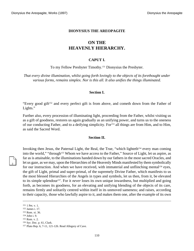### **DIONYSIUS THE AREOPAGITE**

# **ON THE HEAVENLY HIERARCHY.**

### **CAPUT I.**

To my Fellow Presbyter Timothy.151 Dionysius the Presbyter.

*That every divine illumination, whilst going forth lovingly to the objects of its forethought under various forms, remains simplex. Nor is this all. It also unifies the things illuminated.*

### **Section I.**

"Every good gift<sup>152</sup> and every perfect gift is from above, and cometh down from the Father of Lights."

Further also, every procession of illuminating light, proceeding from the Father, whilst visiting us as a gift of goodness, restores us again gradually as an unifying power, and turns us to the oneness of our conducting Father, and to a deifying simplicity. For<sup>153</sup> all things are from Him, and to Him, as said the Sacred Word.

### **Section II.**

Invoking then Jesus, the Paternal Light, the Real, the True, "which lighteth<sup>154</sup> every man coming into the world," "through<sup>155</sup> Whom we have access to the Father," Source of Light, let us aspire, as far as is attainable, to the illuminations handed down by our fathers in the most sacred Oracles, and let us gaze, as we may, upon the Hierarchies of the Heavenly Minds manifested by them symbolically for our instruction. And when we have received, with immaterial and unflinching mental<sup>156</sup> eyes, the gift of Light, primal and super-primal, of the supremely Divine Father, which manifests to us the most blessed Hierarchies of the Angels in types and symbols, let us then, from it, be elevated to its simple splendour157. For it *never* loses its own unique inwardness, but multiplied and going forth, as becomes its goodness, for an elevating and unifying blending of the objects of its care, remains firmly and solitarily centred within itself in its unmoved sameness; and raises, according to their capacity, those who lawfully aspire to it, and makes them one, after the example of its own

2

<sup>151</sup> [1 Pet. v. 1](http://www.ccel.org/b/bible/asv/xml/asv.iPet.5.xml#iPet.5.1).

<sup>152</sup> [James i. 17](http://www.ccel.org/b/bible/asv/xml/asv.Jas.1.xml#Jas.1.17).

<sup>153</sup> [Rom. xi. 36](http://www.ccel.org/b/bible/asv/xml/asv.Rom.11.xml#Rom.11.36).

<sup>154</sup> [John i. 9.](http://www.ccel.org/b/bible/asv/xml/asv.John.1.xml#John.1.9)

<sup>155</sup> [Rom. v. 2.](http://www.ccel.org/b/bible/asv/xml/asv.Rom.5.xml#Rom.5.2)

<sup>156</sup> Syr. Doc. p. 61, Clark.

<sup>157</sup> Plato Rep. 6, 7-11, 121-126. Read Allegory of Cave.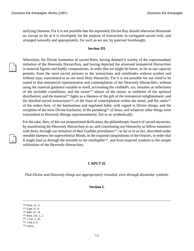unifying Oneness. For it is not possible that the supremely Divine Ray should otherwise illuminate us, except so far as it is enveloped, for the purpose of instruction, in variegated sacred veils, and arranged naturally and appropriately, for such as we are, by paternal forethought.

### **Section III.**



4

Wherefore, the Divine Institution of sacred Rites, having deemed it worthy of the supermundane imitation of the Heavenly Hierarchies, and having depicted the aforesaid immaterial Hierarchies in material figures and bodily compositions, in order that we might be borne, as far as our capacity permits, from the most sacred pictures to the instructions and similitudes without symbol and without type, transmitted to us our most Holy Hierarchy. For it is not possible for our mind to be raised to that immaterial representation and contemplation of the Heavenly Hierarchies, without using the material guidance suitable to itself, accounting the visibl[ePs. xix.](http://www.ccel.org/b/bible/asv/xml/asv.Ps.19.xml#Ps.19.1) beauties as reflections of the invisible comeliness; and the sweet<sup>158</sup> odours of the senses as emblems of the spiritual distribution; and the material<sup>159</sup> lights as a likeness of the gift of the immaterial enlightenment; and the detailed sacred instructions<sup>160</sup>, of the feast of contemplation within the mind; and the ranks<sup>161</sup> of the orders here, of the harmonious and regulated habit, with regard to Divine things; and the reception of the most Divine Eucharist, of the partaking<sup>162</sup> of Jesus, and whatever other things were transmitted to Heavenly Beings supermundanely, but to us symbolically.

For the sake, then, of this our proportioned deification, the philanthropic Source of sacred mysteries, by manifesting the Heavenly Hierarchies to us, and constituting our Hierarchy as fellow-ministers with them, through our imitation of their Godlike priestliness<sup>163</sup>, so far as in us lies, described under sensible likeness the supercelestial Minds, in the inspired compositions of the Oracles, in order that It might lead us through the sensible to the intelligible<sup>164</sup>, and from inspired symbols to the simple sublimities of the Heavenly Hierarchies.

### **CAPUT II.**

*That Divine and Heavenly things are appropriately revealed, even through dissimilar symbols.*

# **Section I.**

<sup>158</sup> [Num. xv. 3](http://www.ccel.org/b/bible/asv/xml/asv.Num.15.xml#Num.15.3).

<sup>159</sup> [Luke 11. 9.](http://www.ccel.org/b/bible/asv/xml/asv.Luke.11.xml#Luke.11.9)

<sup>160</sup> [John vii. 14](http://www.ccel.org/b/bible/asv/xml/asv.John.7.xml#John.7.14).

<sup>161</sup> [Rom. xiii. 1, 2](http://www.ccel.org/b/bible/asv/xml/asv.Rom.13.xml#Rom.13.1 Bible:Rom.13.2).

<sup>162</sup> [1 Cor. x. 16.](http://www.ccel.org/b/bible/asv/xml/asv.iCor.10.xml#iCor.10.16)

<sup>163</sup> [1 Pet ii. 9](http://www.ccel.org/b/bible/asv/xml/asv.iPet.2.xml#iPet.2.9).

<sup>164</sup> νόητα.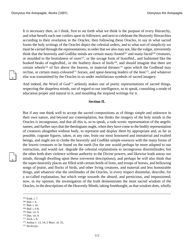6

It is necessary then, as I think, first to set forth what we think is the purpose of every Hierarchy, and what benefit each one confers upon its followers; and next to celebrate the Heavenly Hierarchies according to their revelation in the Oracles; then following these Oracles, to say in what sacred forms the holy writings of the Oracles depict the celestial orders, and to what sort of simplicity we must be carried through the representations; in order that we also may not, like the vulgar, irreverently think that the heavenly and Godlike minds are certain many-footed<sup>165</sup> and many-faced<sup>166</sup> creatures, or moulded to the brutishness of oxen<sup>167</sup>, or the savage form of lion[sIbid.](http://www.ccel.org/b/bible/asv/xml/asv.Ezek.1.xml#Ezek.1.10), and fashioned like the hooked beaks of eagle[sIbid.](http://www.ccel.org/b/bible/asv/xml/asv.Ezek.1.xml#Ezek.1.10), or the feathery down of birds<sup>168</sup>, and should imagine that there are certain wheels<sup>169</sup> of fire above the heaven, or material thrones<sup>170</sup> upon which the Godhead may recline, or certain many-coloured<sup>171</sup> horses, and spear-bearing leaders of the host<sup>172</sup>, and whatever else was transmitted by the Oracles to us under multifarious symbols of sacred imagery.

And indeed, the Word of God<sup>173</sup> artlessly makes use of poetic representations of sacred things, respecting the shapeless minds, out of regard to our intelligence, so to speak, consulting a mode of education proper and natural to it, and moulding the inspired writings for it.

### **Section II.**

But if any one think well to accept the sacred compositions as of things simple and unknown in their own nature, and beyond our contemplation, but thinks the imagery of the holy minds in the Oracles is incongruous, and that all this is, so to speak, a rude scenic representation of the angelic names; and further says that the theologians ought, when they have come to the bodily representation of creatures altogether without body, to represent and display them by appropriate and, as far as possible, cognate figures, taken, at any rate, from our most honoured and immaterial and exalted beings, and ought not to clothe the heavenly and Godlike simple essences with the many forms of the lowest creatures to be found on the earth (for the one would perhaps be more adapted to our instruction, and would not degrade the celestial explanations to incongruous dissimilitudes; but the other both does violence without authority to the Divine powers, and likewise leads astray our minds, through dwelling upon these irreverent descriptions); and perhaps he will also think that the super-heavenly places are filled with certain herds of lions, and troops of horses, and bellowing songs of praise, and flocks of birds, and other living creatures, and material and less honourable things, and whatever else the similitudes of the Oracles, in every respect dissimilar, describe, for a so-called explanation, but which verge towards the absurd, and pernicious, and impassioned; now, in my opinion, the investigation of the truth demonstrates the most sacred wisdom of the Oracles, in the descriptions of the Heavenly Minds, taking forethought, as that wisdom does, wholly

<sup>165</sup> [Ezek. i. 7.](http://www.ccel.org/b/bible/asv/xml/asv.Ezek.1.xml#Ezek.1.7)

<sup>166</sup> [Ibid. i. 6](http://www.ccel.org/b/bible/asv/xml/asv.Ezek.1.xml#Ezek.1.6).

<sup>167</sup> [Ibid. i. 10](http://www.ccel.org/b/bible/asv/xml/asv.Ezek.1.xml#Ezek.1.10).

<sup>168</sup> [Ibid. i. 6-8.](http://www.ccel.org/b/bible/asv/xml/asv.Ezek.1.xml#Ezek.1.6)

<sup>169</sup> [Dan. vii. 9.](http://www.ccel.org/b/bible/asv/xml/asv.Dan.7.xml#Dan.7.9)

<sup>170</sup> [Dan. vii. 9.](http://www.ccel.org/b/bible/asv/xml/asv.Dan.7.xml#Dan.7.9)

<sup>171</sup> [Zech. i. 8.](http://www.ccel.org/b/bible/asv/xml/asv.Zech.1.xml#Zech.1.8)

<sup>172</sup> [Joshua v. 13, 14](http://www.ccel.org/b/bible/asv/xml/asv.Josh.5.xml#Josh.5.13 Bible:Josh.5.14); [2 Macc. iii. 25](http://www.ccel.org/b/bible/asv/xml/asv.iiMacc.3.xml#iiMacc.3.25).

<sup>173</sup> Θεολογία.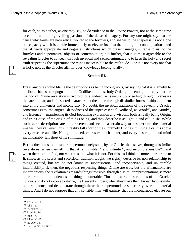8

for each, so as neither, as one may say, to do violence to the Divine Powers, nor at the same time to enthral us in the grovelling passions of the debased imagery. For any one might say that the cause why forms are naturally attributed to the formless, and shapes to the shapeless, is not alone our capacity which is unable immediately to elevate itself to the intelligible contemplations, and that it needs appropriate and cognate instructions which present images, suitable to us, of the formless and supernatural objects of contemplation; but further, that it is most agreeable to the revealing Oracles to conceal, through mystical and sacred enigmas, and to keep the holy and secret truth respecting the supermundane minds inaccessible to the multitude. For it is not every one that is holy, nor, as the Oracles affirm, does knowledge belong to all<sup>174</sup>.

### **Section III.**

But if any one should blame the descriptions as being incongruous, by saying that it is shameful to attribute shapes so repugnant to the Godlike and most holy Orders, it is enough to reply that the method of Divine revelation is twofold; one, indeed, as is natural, proceeding through likenesses that are similar, and of a sacred character, but the other, through dissimilar forms, fashioning them into entire unlikeness and incongruity. No doubt, the mystical traditions of the revealing Oracles sometimes extol the august Blessedness of the super-essential Godhead, as Word<sup>175</sup>, and Mind<sup>176</sup>, and Essence<sup>177</sup>, manifesting its God-becoming expression and wisdom, both as really being Origin, and true Cause of the origin of things being, and they describe It as light $178$ , and call it life. While such sacred descriptions are more reverent, and seem in a certain way to be superior to the material images, they yet, even thus, in reality fall short of the supremely Divine similitude. For It is above every essence and life. No light, indeed, expresses its character, and every description and mind incomparably fall short of Its similitude.

But at other times its praises are supermundanely sung, by the Oracles themselves, through dissimilar revelations, when they affirm that it is invisible<sup>179</sup>, and infinite<sup>180</sup>, and incomprehensible<sup>181</sup>; and when there is signified, not what it is, but what it is not. For this, as I think, is more appropriate to It, since, as the secret and sacerdotal tradition taught, we rightly describe its non-relationship to things created, but we do not know its superessential, and inconceivable, and unutterable indefinability. If, then, the negations respecting things Divine are true, but the affirmations are inharmonious, the revelation as regards things invisible, through dissimilar representations, is more appropriate to the hiddenness of things unutterable. Thus the sacred descriptions of the Oracles honour, and do not expose to shame, the Heavenly Orders, when they make them known by dissimilar pictorial forms, and demonstrate through these their supermundane superiority over all. material things. And I do not suppose that any sensible man will gainsay that the incongruous elevate our

<sup>174</sup> [1 Cor. viii. 7.](http://www.ccel.org/b/bible/asv/xml/asv.iCor.8.xml#iCor.8.7)

<sup>175</sup> [John i. 1.](http://www.ccel.org/b/bible/asv/xml/asv.John.1.xml#John.1.1)

<sup>176</sup> [Ps. cxxxvi. 5](http://www.ccel.org/b/bible/asv/xml/asv.Ps.36.xml#Ps.36.5).

<sup>177</sup> [Exod. iii. 14](http://www.ccel.org/b/bible/asv/xml/asv.Exod.3.xml#Exod.3.14).

<sup>178</sup> [John i. 4.](http://www.ccel.org/b/bible/asv/xml/asv.John.1.xml#John.1.4)

<sup>179</sup> [1 Tim. vi. 16.](http://www.ccel.org/b/bible/asv/xml/asv.iTim.6.xml#iTim.6.16)

<sup>180</sup> [Ps. cxlv. 13](http://www.ccel.org/b/bible/asv/xml/asv.Ps.45.xml#Ps.45.13).

<sup>181</sup> [Rom. xi. 33](http://www.ccel.org/b/bible/asv/xml/asv.Rom.11.xml#Rom.11.33); [Jer. li. 15.](http://www.ccel.org/b/bible/asv/xml/asv.Jer.51.xml#Jer.51.15)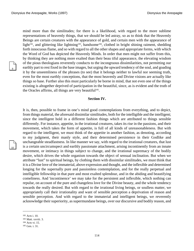10

mind more than the similitudes; for there is a likelihood, with regard to the more sublime representations of heavenly things, that we should be led astray, so as to think that the Heavenly Beings are certain creatures with the appearance of gold, and certain men with the appearance of light<sup>182</sup>, and glittering like lightning<sup>183</sup>, handsome<sup>184</sup>, clothed in bright shining raiment, shedding forth innocuous flame, and so with regard to all the other shapes and appropriate forms, with which the Word of God has depicted the Heavenly Minds. In order that men might not suffer from this, by thinking they are nothing more exalted than their beau tiful appearance, the elevating wisdom of the pious theologians reverently conducts to the incongruous dissimilarities, not permitting our earthly part to rest fixed in the base images, but urging the upward tendency of the soul, and goading it by the unseemliness of the phrases (to see) that it belongs neither to lawful nor seeming truth, even for the most earthly conceptions, that the most heavenly and Divine visions are actually like things so base. Further also this must particularly be borne in mind, that not even one of the things existing is altogether deprived of participation in the beautiful, since, as is evident and the truth of the Oracles affirms, all things are very beautiful<sup>185</sup>.

#### **Section IV.**

It is, then, possible to frame in one's mind good contemplations from everything, and to depict, from things material, the aforesaid dissimilar similitudes, both for the intelligible and the intelligent; since the intelligent hold in a different fashion things which are attributed to things sensible differently. For instance, appetite, in the irrational creatures, takes its rise in the passions, and their movement, which takes the form of appetite, is full of all kinds of unreasonableness. But with regard to the intelligent, we must think of the appetite in another fashion, as denoting, according to my judgment, their manly style, and their determined persistence in their Godlike and unchangeable steadfastness. In like manner we say, with regard to the irrational creatures, that lust is a certain uncircumspect and earthly passionate attachment, arising incontinently from an innate movement, or intimacy in things subject to change, and the irrational supremacy of the bodily desire, which drives the whole organism towards the object of sensual inclination. But when we attribute "lust" to spiritual beings, by clothing them with dissimilar similitudes, we must think that it is a Divine love of the immaterial, above expression and thought, and the inflexible and determined longing for the supernally pure and passionless contemplation, and for the really perpetual and intelligible fellowship in that pure and most exalted splendour, and in the abiding and beautifying comeliness. And 'incontinence' we may take for the persistent and inflexible, which nothing can repulse, on account of the pure and changeless love for the Divine beauty, and the whole tendency towards the really desired. But with regard to the irrational living beings, or soulless matter, we appropriately call their irrationality and want of sensible perception a deprivation of reason and sensible perception. And with regard to the immaterial and intelligent beings, we reverently acknowledge their superiority, as supermundane beings, over our discursive and bodily reason, and

<sup>182</sup> [Acts i. 10.](http://www.ccel.org/b/bible/asv/xml/asv.Acts.1.xml#Acts.1.10)

<sup>183</sup> [Matt. xxviii. 3.](http://www.ccel.org/b/bible/asv/xml/asv.Matt.28.xml#Matt.28.3)

<sup>184</sup> [Acts vi. 15](http://www.ccel.org/b/bible/asv/xml/asv.Acts.6.xml#Acts.6.15).

<sup>185</sup> [Gen. i. 31.](http://www.ccel.org/b/bible/asv/xml/asv.Gen.1.xml#Gen.1.31)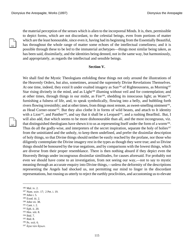

the material perception of the senses which is alien to the incorporeal Minds. It is, then, permissible to depict forms, which are not discordant, to the celestial beings, even from portions of matter which are the least honourable, since even it, having had its beginning from the Essentially Beautiful, has throughout the whole range of matter some echoes of the intellectual comeliness; and it is possible through these to be led to the immaterial archetypes—things most similar being taken, as has been said, dissimilarly, and the identities being denned, not in the same way, but harmoniously, and appropriately, as regards the intellectual and sensible beings.

#### **Section V.**

We shall find the Mystic Theologians enfolding these things not only around the illustrations of the Heavenly Orders, but also, sometimes, around the supremely Divine Revelations Themselves. At one time, indeed, they extol It under exalted imagery as Sun<sup>186</sup> of Righteousness, as Morning<sup>187</sup> Star rising divinely in the mind, and as Light<sup>188</sup> illuming without veil and for contemplation; and at other times, through things in our midst, as Fire<sup>189</sup>, shedding its innocuous light; as Water<sup>190</sup>, furnishing a fulness of life, and, to speak symbolically, flowing into a belly, and bubbling forth rivers flowing irresistibly; and at other times, from things most remote, as sweet-smelling ointment<sup>191</sup>, as Head Corner-stone<sup>192</sup>. But they also clothe It in forms of wild beasts, and attach to It identity with a Lion<sup>193</sup>, and Panther<sup>194</sup>, and say that it shall be a Leopard<sup>195</sup>, and a rushing Bear[Ibid.](http://www.ccel.org/b/bible/asv/xml/asv.Hos.13.xml#Hos.13.8). But, I will also add, that which seems to be more dishonourable than all, and the most incongruous, viz. that distinguished theologians have shewn it to us as representing Itself under the form of a worm<sup>196</sup>. Thus do all the godly-wise, and interpreters of the secret inspiration, separate the holy of holies<sup>197</sup> from the uninitiated and the unholy, to keep them undefined, and prefer the dissimilar description of holy things, so that Divine things should neither be easily reached by the profane, nor those who diligently contemplate the Divine imagery rest in the types as though they were true; and so Divine things should be honoured by the true negations, and by comparisons with the lowest things, which are diverse from their proper resemblance. There is then nothing absurd if they depict even the Heavenly Beings under incongruous dissimilar similitudes, for causes aforesaid. For probably not even we should have come to an investigation, from not seeing our way,—not to say to mystic meaning through an accurate enquiry into Divine things,—unless the deformity of the descriptions representing the Angels had shocked us, not permitting our mind to linger in the discordant representations, but rousing us utterly to reject the earthly proclivities, and accustoming us to elevate

- <sup>192</sup> [Eph. ii. 20.](http://www.ccel.org/b/bible/asv/xml/asv.Eph.2.xml#Eph.2.20)
- <sup>193</sup> [Hos. xiii. 8](http://www.ccel.org/b/bible/asv/xml/asv.Hos.13.xml#Hos.13.8).

- <sup>195</sup> [Ibid. 8.](http://www.ccel.org/b/bible/asv/xml/asv.Hos.13.xml#Hos.13.8)
- <sup>196</sup> [Ps. xxii. 6](http://www.ccel.org/b/bible/asv/xml/asv.Ps.22.xml#Ps.22.6).

<sup>186</sup> [Mal. iv. 2](http://www.ccel.org/b/bible/asv/xml/asv.Mal.4.xml#Mal.4.2).

<sup>187</sup> [Num. xxiv. 17](http://www.ccel.org/b/bible/asv/xml/asv.Num.24.xml#Num.24.17); [2 Pet. i. 19.](http://www.ccel.org/b/bible/asv/xml/asv.iiPet.1.xml#iiPet.1.19)

<sup>188</sup> [John i. 5.](http://www.ccel.org/b/bible/asv/xml/asv.John.1.xml#John.1.5)

<sup>189</sup> [Exod. iii. 2](http://www.ccel.org/b/bible/asv/xml/asv.Exod.3.xml#Exod.3.2).

<sup>190</sup> [John vii. 38](http://www.ccel.org/b/bible/asv/xml/asv.John.7.xml#John.7.38).

<sup>191</sup> [Cant. i. 2](http://www.ccel.org/b/bible/asv/xml/asv.Song.1.xml#Song.1.2).

<sup>194</sup> [Ibid. 7.](http://www.ccel.org/b/bible/asv/xml/asv.Hos.13.xml#Hos.13.7)

<sup>197</sup> ἅγια τῶν ἅγιων.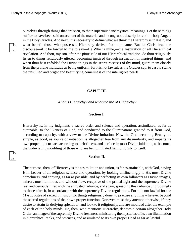

ourselves through things that are seen, to their supermundane mystical meanings. Let these things suffice to have been said on account of the material and incongruous descriptions of the holy Angels in the Holy Oracles. And next, it is necessary to define what we think the Hierarchy is in itself, and what benefit those who possess a Hierarchy derive; from the same. But let Christ lead the discourse—if it be lawful to me to say—He Who is mine,—the Inspiration of all Hierarchical revelation. And thou, my son, after the pious rule of our Hierarchical tradition, do thou religiously listen to things religiously uttered, becoming inspired through instruction in inspired things; and when thou hast enfolded the Divine things in the secret recesses of thy mind, guard them closely from the profane multitude as being uniform, for it is not lawful, as the Oracles say, to cast to swine the unsullied and bright and beautifying comeliness of the intelligible pearls.

### **CAPUT III.**

*What is Hierarchy? and what the use of Hierarchy?*

### **Section I.**

Hierarchy is, in my judgment, a sacred order and science and operation, assimilated, as far as attainable, to the likeness of God, and conducted to the illuminations granted to it from God, according to capacity, with a view to the Divine imitation. Now the God-becoming Beauty, as simple, as good, as source of initiation, is altogether free from any dissimilarity, and imparts its own proper light to each according to their fitness, and perfects in most Divine initiation, as becomes the undeviating moulding of those who are being initiated harmoniously to itself.

### **Section II.**

The purpose, then, of Hierarchy is the assimilation and union, as far as attainable, with God, having Him Leader of all religious science and operation, by looking unflinchingly to His most Divine comeliness, and copying, as far as possible, and by perfecting its own followers as Divine images, mirrors most luminous and without flaw, receptive of the primal light and the supremely Divine ray, and devoutly filled with the entrusted radiance, and again, spreading this radiance ungrudgingly to those after it, in accordance with the supremely Divine regulations. For it is not lawful for the Mystic Rites of sacred things, or for things religiously done, to practise anything whatever beyond the sacred regulations of their own proper function. Nor even must they attempt otherwise, if they desire to attain its deifying splendour, and look to it religiously, and are moulded after the example of each of the holy minds. He, then, who mentions Hierarchy, denotes a certain altogether Holy Order, an image of the supremely Divine freshness, ministering the mysteries of its own illumination in hierarchical ranks, and sciences, and assimilated to its own proper Head as far as lawful.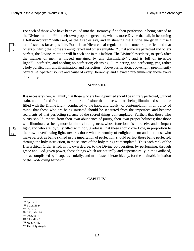16

For each of those who have been called into the Hierarchy, find their perfection in being carried to the Divine imitation<sup>198</sup> in their own proper degree; and, what is more Divine than all, in becoming a fellow-worker199 with God, as the Oracles say, and in shewing the Divine energy in himself manifested as far as possible. For it is an Hierarchical regulation that some are purified and that others purify<sup>200</sup>; that some are enlightened and others enlighten<sup>201</sup>; that some are perfected and others perfect; the Divine imitation will fit each one in this fashion. The Divine blessedness, to speak after the manner of men, is indeed unstained by any dissimilarity<sup>202</sup>, and is full of invisible light $203$ —perfect $204$ , and needing no perfection; cleansing, illuminating, and perfecting, yea, rather a holy purification, and illumination, and perfection—above purification, above light, preeminently perfect, self-perfect source and cause of every Hierarchy, and elevated pre-eminently above every holy thing.

#### **Section III.**

It is necessary then, as I think, that those who are being purified should be entirely perfected, without stain, and be freed from all dissimilar confusion; that those who are being illuminated should be filled with the Divine Light, conducted to the habit and faculty of contemplation in all purity of mind; that those who are being initiated should be separated from the imperfect, and become recipients of that perfecting science of the sacred things contemplated. Further, that those who purify should impart, from their own abundance of purity, their own proper holiness; that those who illuminate, as being more luminous intelligences, whose function it is to- receive and to impart light, and who are joyfully filled with holy gladness, that these should overflow, in proportion to their own overflowing light, towards those who are worthy of enlightenment; and that those who make perfect, as being skilled in the impartation of perfection, should perfect those being perfected, through the holy instruction, in the science of the holy things contemplated. Thus each rank of the Hierarchical Order is led, in its own degree, to the Divine co-operation, by performing, through grace and God-given power, those things which are naturally and supernaturally in the Godhead, and accomplished by It superessentially, and manifested hierarchically, for the attainable imitation of the God-loving Minds<sup>205</sup>.

#### **CAPUT IV.**

<sup>200</sup> [Ps. li. 9](http://www.ccel.org/b/bible/asv/xml/asv.Ps.51.xml#Ps.51.9).

<sup>202</sup> [Deut. vi. 4.](http://www.ccel.org/b/bible/asv/xml/asv.Deut.6.xml#Deut.6.4)

<sup>204</sup> [Matt. v. 48.](http://www.ccel.org/b/bible/asv/xml/asv.Matt.5.xml#Matt.5.48)

<sup>198</sup> [Eph. v. 1](http://www.ccel.org/b/bible/asv/xml/asv.Eph.5.xml#Eph.5.1).

<sup>199</sup> [1 Cor. iii. 9](http://www.ccel.org/b/bible/asv/xml/asv.iCor.3.xml#iCor.3.9).

<sup>201</sup> [Ibid. cxix. 18.](http://www.ccel.org/b/bible/asv/xml/asv.Ps.119.xml#Ps.119.18)

<sup>203</sup> [John xii. 46](http://www.ccel.org/b/bible/asv/xml/asv.John.12.xml#John.12.46).

<sup>205</sup> The Holy Angels.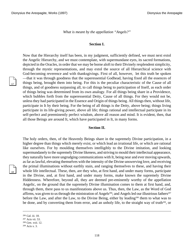18

*What is meant by the appellation "Angels?"*

### **Section I.**

Now that the Hierarchy itself has been, in my judgment, sufficiently defined, we must next extol the Angelic Hierarchy, and we must contemplate, with supermundane eyes, its sacred formations, depicted in the Oracles, in order that we may be borne aloft to their Divinely resplendent simplicity, through the mystic representations, and may extol the source of all Hierarchical science with God-becoming reverence and with thanksgivings. First of all, however, let this truth be spoken —that it was through goodness that the superessential Godhead, having fixed all the essences of things being, brought them into being. For this is the peculiar characteristic of the Cause of all things, and of goodness surpassing all, to call things being to participation of Itself, as each order of things being was determined from its own analogy. For all things being share in a Providence, which bubbles forth from the superessential Deity, Cause of all things. For they would not be, unless they had participated in the Essence and Origin of things being. All things then, without life, participate in It by their being. For the being of all things is the Deity, above being; things living participate in its life-giving power, above all life; things rational and intellectual participate in its self-perfect and preeminently perfect wisdom, above all reason and mind. It is evident, then, that all those Beings are around It, which have participated in It, in many forms.

### **Section II.**

The holy orders, then, of the Heavenly Beings share in the supremely Divine participation, in a higher degree than things which merely exist, or which lead an irrational life, or which are rational like ourselves. For by moulding themselves intelligibly to the Divine imitation, and looking supermundanely to the supremely Divine likeness, and striving to mould their intellectual appearance, they naturally have more ungrudging communications with It, being near and ever moving upwards, as far as lawful, elevating themselves with the intensity of the Divine unswerving love, and receiving the primal illuminations without earthly stain, and ranging themselves to these, and having their whole life intellectual. These, then, are they who, at first hand, and under many forms, participate in the Divine, and, at first hand, and under many forms, make known the supremely Divine Hiddenness. Wherefore, beyond all, they are deemed pre-eminently worthy of the appellation Angelic, on the ground that the supremely Divine illumination comes to them at first hand, and, through them, there pass to us manifestations above us. Thus, then, the Law, as the Word of God affirms, was given to us through the ministration of Angels<sup>206</sup>; and Angels led our illustrious fathers<sup>207</sup> before the Law, and after the Law, to the Divine Being, either by leading<sup>208</sup> them to what was to be done, and by converting them from error, and an unholy life, to the straight way of truth<sup>209</sup>, or

<sup>206</sup> [Gal. iii. 18](http://www.ccel.org/b/bible/asv/xml/asv.Gal.3.xml#Gal.3.18).

<sup>207</sup> [Acts vii. 53.](http://www.ccel.org/b/bible/asv/xml/asv.Acts.7.xml#Acts.7.53)

<sup>208</sup> [Gen. xxii. 12.](http://www.ccel.org/b/bible/asv/xml/asv.Gen.22.xml#Gen.22.12)

<sup>209</sup> [Acts x. 3](http://www.ccel.org/b/bible/asv/xml/asv.Acts.10.xml#Acts.10.3).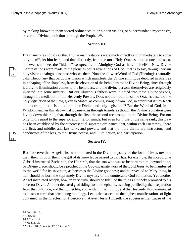by making known to them sacred ordinances<sup>210</sup>, or hidden visions, or supermundane mysteries<sup>211</sup>, or certain Divine predictions through the Prophets<sup>212</sup>.

# **Section III.**



20

But if any one should say that Divine manifestations were made directly and immediately to some holy men<sup>213</sup>, let him learn, and that distinctly, from the most Holy Oracles, that no one hath seen, nor ever shall see, the "hidden" τὸ κρύφιον of Almighty God as it is in itself<sup>214</sup>. Now Divine manifestations were made to the pious as befits revelations of God, that is to say, through certain holy visions analogous to those who see them. Now the all-wise Word of God (Theologia) naturally calls Theophany that particular vision which manifests the Divine similitude depicted in itself as in a shaping of the shapeless, from the elevation of the beholders to the Divine Being, since through it a divine illumination comes to the beholders, and the divine persons themselves are religiously initiated into some mystery. But our illustrious fathers were initiated into these Divine visions, through the mediation of the Heavenly Powers. Does not the tradition of the Oracles describe the holy legislation of the Law, given to Moses, as coming straight from God, in order that it may teach us this truth, that it is an outline of a Divine and holy legislation? But the Word of God, in its Wisdom, teaches this also—that it came to us through Angels, as though the Divine regulation were laying down this rule, that, through the first, the second are brought to the Divine Being. For not only with regard to the superior and inferior minds, but even for those of the same rank, this Law has been established by the superessential supreme ordinance, that, within each Hierarchy, there are first, and middle, and last ranks and powers, and that the more divine are instructors and conductors of the less, to the Divine access, and illumination, and participation.

### **Section IV.**

But I observe that Angels first were initiated in the Divine mystery of the love of Jesus towards man, then, through them, the gift of its knowledge passed to us. Thus, for example, the most divine Gabriel instructed Zachariah, the Hierarch, that the son who was to be born to him, beyond hope, by Divine grace, should be a prophet of the God-incarnate work of the Lord Jesus, to be manifested to the world for its salvation, as becomes the Divine goodness; and he revealed to Mary, how, in her, should be born the supremely Divine mystery of the unutterable God-formation. Yet another Angel instructed Joseph, how, in very truth, should be fulfilled the things Divinely promised to his ancestor David. Another declared glad tidings to the shepherds, as being purified by their separation from the multitude, and their quiet life, and, with him, a multitude of the Heavenly Host announced to those on earth that often-sung doxology. Let us then ascend to the highest manifestations of light contained in the Oracles, for I perceive that even Jesus Himself, the superessential Cause of the

<sup>210</sup> [Dan. vii. 16](http://www.ccel.org/b/bible/asv/xml/asv.Dan.7.xml#Dan.7.16).

<sup>211</sup> [Ibid. 10.](http://www.ccel.org/b/bible/asv/xml/asv.Dan.7.xml#Dan.7.10)

<sup>212</sup> [2 Cor. xii. 2](http://www.ccel.org/b/bible/asv/xml/asv.iiCor.12.xml#iiCor.12.2).

<sup>213</sup> [Matt. ii. 13](http://www.ccel.org/b/bible/asv/xml/asv.Matt.2.xml#Matt.2.13).

<sup>214</sup> [John i. 18](http://www.ccel.org/b/bible/asv/xml/asv.John.1.xml#John.1.18); [1 John iv. 12;](http://www.ccel.org/b/bible/asv/xml/asv.iJohn.4.xml#iJohn.4.12) [1 Tim. vi. 16](http://www.ccel.org/b/bible/asv/xml/asv.iTim.6.xml#iTim.6.16).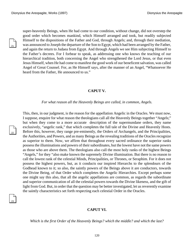

23

super-heavenly Beings, when He had come to our condition, without change, did not overstep the good order which becomes mankind, which Himself arranged and took, but readily subjected Himself to the dispositions of the Father and God, through Angels; and, through their mediation, was announced to Joseph the departure of the Son to Egypt, which had been arranged by the Father, and again the return to Judaea from Egypt. And through Angels we see Him subjecting Himself to the Father's decrees. For I forbear to speak, as addressing one who knows the teaching of our hierarchical tradition, both concerning the Angel who strengthened the Lord Jesus, or that even Jesus Himself, when He had come to manifest the good work of our beneficent salvation, was called Angel of Great Counsel. For, as He Himself says, after the manner of an Angel, "Whatsoever He heard from the Father, He announced to us."

### **CAPUT V.**

#### *For what reason all the Heavenly Beings are called, in common, Angels.*

This, then, in our judgment, is the reason for the appellation Angelic in the Oracles. We must now, I suppose, enquire for what reason the theologians call all the Heavenly Beings together "Angels;" but when they come to a more accurate description of the supermundane orders, they name exclusively, "angelic rank," that which completes the full tale of the Divine and Heavenly Hosts. Before this, however, they range pre-eminently, the Orders of Archangels, and the Principalities, the Authorities, and Powers, and as many Beings as the revealing traditions of the Oracles recognize as superior to them. Now, we affirm that throughout every sacred ordinance the superior ranks possess the illuminations and powers of their subordinates, but the lowest have not the same powers as those who are above them. The theologians also call the most holy ranks of the highest Beings "Angels," for they "also make known the supremely Divine illumination. But there is no reason to call the lowest rank of the celestial Minds, Principalities, or Thrones, or Seraphim. For it does not possess the highest powers, but, as it conducts our inspired Hierarchs to the splendours of the Godhead known to it; so also, the saintly powers of the Beings above it are conductors, towards the Divine Being, of that Order which completes the Angelic Hierarchies. Except perhaps some one might say this also, that all the angelic appellations are common, as regards the subordinate and superior communication of all the celestial powers towards the Divine likeness, and the gift of light from God. But, in order that the question may be better investigated, let us reverently examine the saintly characteristics set forth respecting each celestial Order in the Oracles.

# **CAPUT VI.**

*Which is the first Order of the Heavenly Beings? which the middle? and which the last?*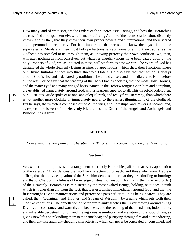How many, and of what sort, are the Orders of the supercelestial Beings, and how the Hierarchies are classified amongst themselves, I affirm, the deifying Author of their consecration alone distinctly knows; and further, that they know their own proper powers and illuminations, and their sacred and supermundane regularity. For it is impossible that we should know the mysteries of the supercelestial Minds and their most holy perfections, except, some one might say, so far as the Godhead has revealed to us, through them, as knowing perfectly their own condition. We, then, will utter nothing as from ourselves, but whatever angelic visions have been gazed upon by the holy Prophets of God, we, as initiated in these, will set forth as best we can. The Word of God has designated the whole Heavenly Beings as nine, by appellations, which shew their functions. These our Divine Initiator divides into three threefold Orders. He also says that that which is always around God is first and is declared by tradition to be united closely and immediately, to Him, before all the rest. For he says that the teaching of the Holy Oracles declares, that the most Holy Thrones, and the many-eyed and many-winged hosts, named in the Hebrew tongue Cherubim and Seraphim, are established immediately around God, with a nearness superior to all. This threefold order, then, our illustrious Guide spoke of as one, and of equal rank, and really first Hierarchy, than which there is not another more Godlike or immediately nearer to the earliest illuminations of the Godhead. But he says, that which is composed of the Authorities, and Lordships, and Powers is second; and, as respects the lowest of the Heavenly Hierarchies, the Order of the Angels and Archangels and Principalities is third.



25

### **CAPUT VII.**

*Concerning the Seraphim and Cherubim and Thrones, and concerning their first Hierarchy.*

#### **Section I.**

We, whilst admitting this as the arrangement of the holy Hierarchies, affirm, that every appellation of the celestial Minds denotes the Godlike characteristic of each; and those who know Hebrew affirm, that the holy designation of the Seraphim denotes either that they are kindling or burning; and that of Cherubim, a fulness of knowledge or stream of wisdom. Naturally, then, the first (order) of the Heavenly Hierarchies is ministered by the most exalted Beings, holding, as it does, a rank which is higher than all, from the fact, that it is established immediately around God, and that the first-wrought Divine manifestations and perfections pass earlier to it, as being nearest. They are called, then, "Burning," and Thrones, and Stream of Wisdom—by a name which sets forth their Godlike conditions. The appellation of Seraphim plainly teaches their ever moving around things Divine, and constancy, and warmth, and keenness, and the seething of that persistent, indomitable, and inflexible perpetual motion, and the vigorous assimilation and elevation of the subordinate, as giving new life and rekindling them to the same heat; and purifying through fire and burnt-offering, and the light-like and light-shedding characteristic which can never be concealed or consumed, and

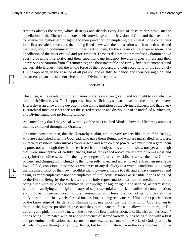remains always the same, which destroys and dispels every kind of obscure darkness. But the appellation of the Cherubim denotes their knowledge and their vision of God, and their readiness to receive the highest gift of light, and their power of contemplating the super-Divine comeliness in its first revealed power, and their being filled anew with the impartation which maketh wise, and their ungrudging communication to those next to them, by the stream of the given wisdom. The appellation of the most exalted and pre-eminent Thrones denotes their manifest exaltation above every grovelling inferiority, and their supermundane tendency towards higher things; and their unswerving separation from all remoteness; and their invariable and firmly-fixed settlement around the veritable Highest, with the whole force of their powers; and their receptivity of the supremely Divine approach, in the absence of all passion and earthly tendency, and their bearing God; and the ardent expansion of themselves for the Divine receptions.

### **Section II.**

This, then, is the revelation of their names, so far as we can give it; and we ought to say what we think their Hierarchy is. For I suppose we have sufficiently shewn above, that the purpose of every Hierarchy is an unswerving devotion to the divine imitation of the Divine Likeness, and that every Hierarchical function is set apart for the sacred reception and distribution of an undefiled purification, and Divine Light, and perfecting science.

And now I pray that I may speak worthily of the most exalted Minds—how the Hierarchy amongst them is exhibited through the Oracles.

One must consider, then, that the Hierarchy is akin, and in every respect like, to the first Beings, who are established after the Godhead, who gave them Being, and who are marshalled, as it were, in Its very vestibule, who surpass every unseen and seen created power. We must then regard them as pure, not as though they had been freed from unholy stains and blemishes, nor yet as though they were unreceptive of earthly fancies, but as far exalted above every stain of remissness and every inferior holiness, as befits the highest degree of purity—established above the most Godlike powers, and clinging unflinchingly to their own self-moved and same-moved rank in their invariable love of God, conscious in no respect whatever of any declivity to a worse condition, but having the unsullied fixity of their own Godlike identity—never liable to fall, and always unmoved; and again, as "contemplative," not contemplators of intellectual symbols as sensible, nor as being led to the Divine Being by the varied texture of holy representations written for meditation, but as being filled with all kinds of immaterial knowledge of higher light, and satiated, as permissible, with the beautifying and original beauty of super-essential and thrice manifested contemplation, and thus, being deemed worthy of the Communion with Jesus, they do not stamp pictorially the deifying similitude in divinely-formed images, but, as being really near to Him, in first participation of the knowledge of His deifying illuminations; nay more, that the imitation of God is given to them in the highest possible degree, and they participate, so far as is allowable to them, in His deifying and philanthropic virtues, in the power of a first manifestation; and, likewise as "perfected," not as being illuminated with an analytic science of sacred variety, but as being filled with a first and pre-eminent deification, as beseems the most exalted science of the works of God, possible in Angels. For, not through other holy Beings, but being ministered from the very Godhead, by the

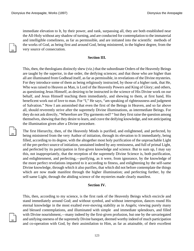29

30

immediate elevation to It, by their power, and rank, surpassing all, they are both established near the All-Holy without any shadow of turning, and are conducted for contemplation to the immaterial and intelligible comeliness, as far as permissible, and are initiated into the scientific methods of the works of God, as being first and around God, being ministered, in the highest degree, from the very source of consecration.

### **Section III.**

This, then, the theologians distinctly shew (viz.) that the subordinate Orders of the Heavenly Beings are taught by the superior, in due order, the deifying sciences; and that those who are higher than all are illuminated from Godhead itself, as far as permissible, in revelations of the Divine mysteries. For they introduce some of them as being religiously instructed, by those of a higher rank, that He, Who was raised to Heaven as Man, is Lord of the Heavenly Powers and King of Glory; and others, as questioning Jesus Himself, as desiring to be instructed in the science of His Divine work on our behalf, and Jesus Himself teaching them immediately, and shewing to them, at first hand, His beneficent work out of love to man. For "I," He says, "am speaking of righteousness and judgment of Salvation." Now I am astonished that even the first of the Beings in Heaven, and so far above all, should reverently strive after the supremely Divine illuminations, as intermediate Beings. For they do not ask directly, "Wherefore are Thy garments red? " but they first raise the question among themselves, shewing that they desire to learn, and crave the deifying knowledge, and not anticipating the illumination given after a Divine procedure.

The first Hierarchy, then, of the Heavenly Minds is purified, and enlightened, and perfected, by being ministered from the very Author of initiation, through its elevation to It immediately, being filled, according to its degree, with the altogether most holy purification of the unproachable Light of the pre-perfect source of initiation, unstained indeed by any remissness, and full of primal Light, and perfected by its participation in first-given knowledge and science. But to sum up, I may say this, not inappropriately, that the reception of the supremely Divine Science is, both purification, and enlightenment, and perfecting,—purifying, as it were, from ignorance, by the knowledge of the more perfect revelations imparted to it according to fitness, and enlightening by the self-same Divine knowledge, through which it also purifies, that which did not before contemplate the things which are now made manifest through the higher illumination; and perfecting further, by the self-same Light, through the abiding science of the mysteries made clearly manifest.

#### **Section IV.**

This, then, according to my science, is the first rank of the Heavenly Beings which encircle and stand immediately around God; and without symbol, and without interruption, dances round His eternal knowledge in the most exalted ever-moving stability as in Angels; viewing purely many and blessed contemplations, and illuminated with simple and immediate splendours, and filled with Divine nourishment,—many indeed by the first-given profusion, but one by the unvariegated and unifying oneness of the supremely Divine banquet, deemed worthy indeed of much participation and co-operation with God, by their assimilation to Him, as far as attainable, of their excellent

123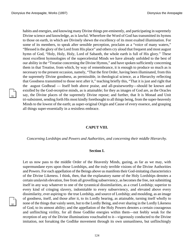32

habits and energies, and knowing many Divine things pre-eminently, and participating in supremely Divine science and knowledge, as is lawful. Wherefore the Word of God has transmitted its hymns to those on earth, in which are Divinely shewn the excellency of its most exalted illumination. For some of its members, to speak after sensible perception, proclaim as a "voice of many waters," "Blessed is the glory of the Lord from His place" and others cry aloud that frequent and most august hymn of God, "Holy, Holy, Holy, Lord of Sabaoth, the whole earth is full of His glory." These most excellent hymnologies of the supercelestial Minds we have already unfolded to the best of our ability in the "Treatise concerning the Divine Hymns," and have spoken sufficiently concerning them in that Treatise, from which, by way of remembrance, it is enough to produce so much as is necessary to the present occasion, namely, "That the first Order, having been illuminated, from this the supremely Divine goodness, as permissible, in theological science, as a Hierarchy reflecting that Goodness transmitted to those next after it," teaching briefly this, "That it is just and right that the august Godhead — Itself both above praise, and all-praiseworthy—should be known and extolled by the God-receptive minds, as is attainable; for they as images of God are, as the Oracles say, the Divine places of the supremely Divine repose; and further, that It is Monad and Unit tri-subsistent, sending forth His most kindly forethought to all things being, from the super-heavenly Minds to the lowest of the earth; as super-original Origin and Cause of every essence, and grasping all things super-essentially in a resistless embrace.

### **CAPUT VIII.**

*Concerning Lordships and Powers and Authorities, and concerning their middle Hierarchy.*

#### **Section I.**

Let us now pass to the middle Order of the Heavenly Minds, gazing, as far as we may, with supermundane eyes upon those Lordships, and the truly terrible visions of the Divine Authorities and Powers. For each appellation of the Beings above us manifests their God-imitating characteristics of the Divine Likeness. I think, then, that the explanatory name of the Holy Lordships denotes a certain unslavish elevation, free from all grovelling subserviency, as becomes the free, not submitting itself in any way whatever to one of the tyrannical dissimilarities, as a cruel Lordship; superior to every kind of cringing slavery, indomitable to every subserviency, and elevated above every dissimilarity, ever aspiring to the true Lordship, and source of Lordship; and moulding, as an image of goodness, itself, and those after it, to its Lordly bearing, as attainable, turning itself wholly to none of the things that vainly seem, but to the Lordly Being, and ever sharing in the Lordly Likeness of God, to its utmost ability; and the appellation of the Holy Powers denotes a certain courageous and unflinching virility, for all those Godlike energies within them—not feebly weak for the reception of any of the Divine illuminations vouchsafed to it—vigorously conducted to the Divine imitation, not forsaking the Godlike movement through its own unmanliness, but unflinchingly

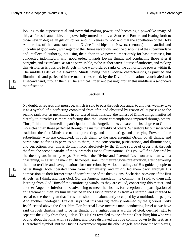34

looking to the superessential and powerful-making power, and becoming a powerlike image of this, as far as is attainable, and powerfully turned to this, as Source of Power, and issuing forth to those next in degree, in gift of Power, and in likeness to God; and that the appellation of the Holy Authorities, of the same rank as the Divine Lordships and Powers, (denotes) the beautiful and unconfused good order, with regard to the Divine receptions, and the discipline of the supermundane and intellectual authority, not using the authoritative powers imperiously for base purposes, but conducted indomitably, with good order, towards Divine things, and conducting those after it benignly, and assimilated, as far as permissible, to the Authoritative Source of authority, and making this visible, as is possible to Angels, in the well-ordered ranks of the authoritative power within it. The middle Order of the Heavenly Minds having these Godlike characteristics, is purified and illuminated and perfected in the manner described, by the Divine illuminations vouchsafed to it at second hand, through the first Hierarchical Order, and passing through this middle as a secondary manifestation.

### **Section II.**

No doubt, as regards that message, which is said to pass through one angel to another, we may take it as a symbol of a perfecting completed from afar, and obscured by reason of its passage to the second rank. For, as men skilled in our sacred initiations say, the fulness of Divine things manifested directly to ourselves is more perfecting than the Divine contemplations imparted through others. Thus, I think, the immediate participation of the Angelic ranks elevated in first degree to God, is more clear than those perfected through the instrumentality of others. Wherefore by our sacerdotal tradition, the first Minds are named perfecting, and illuminating, and purifying Powers of the subordinate, who are conducted, through them, to the superessential Origin of all things, and participate, as far as is permissible to them, in the consecrating purifications, and illuminations, and perfections. For, this is divinely fixed absolutely by the Divine source of order that, through the first, the second partake of the supremely Divine illuminations. This you will find declared by the theologians in many ways. For, when the Divine and Paternal Love towards man whilst chastening, in a startling manner, His people Israel, for their religious preservation, after delivering them to terrible and savage nations for correction, by various leadings of His guided people to better things, both liberated them from their misery, and mildly led them back, through His compassion, to their former state of comfort; one of the theologians, Zechariah, sees one of the first Angels, as I think, and near God, (for the Angelic appellation is common, as I said, to them all), learning from God Himself the comforting words, as they are called, concerning this matter; and another Angel, of inferior rank, advancing to meet the first, as for reception and participation of enlightenment: then, by him instructed in the Divine purpose as from a Hierarch, and charged to reveal to the theologian that Jerusalem should be abundantly occupied by a multitude of people. And another theologian, Ezekiel, says that this was righteously ordained by the glorious Deity Itself, seated above the Cherubim. For Paternal Love towards man, conducting Israel as we have said through chastisement to better things, by a righteousness worthy of God, deemed right to separate the guilty from the guiltless. This is first revealed to one after the Cherubim; him who was bound about the loins with a sapphire, and wore displayed the robe coming down to the feet, as a Hierarchical symbol. But the Divine Government enjoins the other Angels, who bore the battle-axes,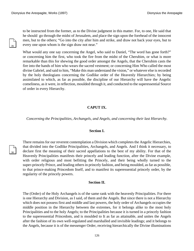36

to be instructed from the former, as to the Divine judgment in this matter. For, to one, He said that he should go through the midst of Jerusalem, and place the sign upon the forehead of the innocent men, but to the others; "Go into the city after him and strike, and draw not back your eyes, but to every one upon whom is the sign draw not near."

What would any one say concerning the Angel, who said to Daniel, "The word has gone forth?" or concerning him the first, who took the fire from the midst of the Cherubim, or what is more remarkable than this for shewing the good order amongst the Angels, that the Cherubim casts the fire into the hands of him who wears the sacred vestment; or concerning Him Who called the most divine Gabriel, and said to him, "Make this man understand the vision," or whatever else is recorded by the holy theologians concerning the Godlike order of the Heavenly Hierarchies; by being assimilated to which, as far as possible, the discipline of our Hierarchy will have the Angelic comeliness, as it were, in reflection, moulded through it, and conducted to the superessential Source of order in every Hierarchy.

## **CAPUT IX.**

*Concerning the Principalities, Archangels, and Angels, and concerning their last Hierarchy.*

#### **Section I.**

There remains for our reverent contemplation a Division which completes the Angelic Hierarchies, that divided into the Godlike Principalities, Archangels, and Angels. And I think it necessary, to declare first the meaning of their sacred appellations to the best of my ability. For that of the Heavenly Principalities manifests their princely and leading function, after the Divine example, with order religious and most befitting the Princely, and their being wholly turned to the super-princely Prince, and leading others in princely fashion, and being moulded, as far as possible, to that prince-making Princedom Itself, and to manifest its superessential princely order, by the regularity of the princely powers.

#### **Section II.**

The (Order) of the Holy Archangels is of the same rank with the heavenly Principalities. For there is one Hierarchy and Division, as I said, of them and the Angels. But since there is not a Hierarchy which does not possess first and middle and last powers, the holy order of Archangels occupies the middle position in the Hierarchy between the extremes, for it belongs alike to the most holy Principalities and to the holy Angels; to the Principalities because it is turned in a princely fashion to the superessential Princedom, and is moulded to It as far as attainable, and unites the Angels after the fashion of its own well-regulated and marshalled and invisible leadings; and it belongs to the Angels, because it is of the messenger Order, receiving hierarchically the Divine illuminations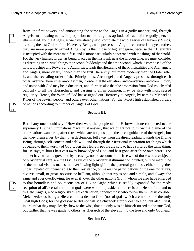

39

from the first powers, and announcing the same to the Angels in a godly manner, and, through Angels, manifesting to us, in proportion to the religious aptitude of each of the godly persons illuminated. For the Angels, as we have already said, complete the whole series of Heavenly Minds, as being the last Order of the Heavenly Beings who possess the Angelic characteristic; yea, rather, they are more properly named Angels by us than those of higher degree, because their Hierarchy is occupied with the more manifest, and is more particularly concerned with the things of the world. For the very highest Order, as being placed in the first rank near the Hidden One, we must consider as directing in spiritual things the second, hiddenly; and that the second, which is composed of the holy Lordships and Powers and Authorities, leads the Hierarchy of the Principalities and Archangels and Angels, more clearly indeed than the first Hierarchy, but more hiddenly than the Order after it, and the revealing order of the Principalities, Archangels, and Angels, presides, through each other, over the Hierarchies amongst men, in order that the elevation, and conversion, and communion, and union with God may be in due order; and, further, also that the procession from God vouchsafed benignly to all the Hierarchies, and passing to all in common, may be also with most sacred regularity. Hence, the Word of God has assigned our Hierarchy to Angels, by naming Michael as Ruler of the Jewish people, and others over other nations. For the Most High established borders of nations according to number of Angels of God.

### **Section III.**

But if any one should say, "How then were the people of the Hebrews alone conducted to the supremely Divine illuminations?" we must answer, that we ought not to throw the blame of the other nations wandering after those which are no gods upon the direct guidance of the Angels, but that they themselves, by their own declension, fell away from the direct leading towards the Divine Being, through self-conceit and self-will, and through their irrational veneration for things which appeared to them worthy of God. Even the Hebrew people are said to have suffered the same thing; for He says, "Thou I hast cast away knowledge of God, and hast gone after thine own heart." For neither have we a life governed by necessity, nor on account of the free will of those who are objects of providential care, are the Divine rays of the providential illumination blunted; but the inaptitude of the mental visions makes the overflowing light-gift of the paternal goodness, either altogether unparticipated or inpenetrable to their resistance, or makes the participations of the one fontal ray, diverse, small, or great, obscure, or brilliant, although that ray is one and simple, and always the same and ever overflowing; for even if, over the other nations (from whom we also have emerged to that boundless and bounteous sea of Divine Light, which is readily-expanded for the ready reception of all), certain not alien gods were wont to preside; yet there is one Head of all, and to this, the Angels, who religiously direct each nation, conduct those who follow them. Let us consider Melchizedek as being a Hierarch, most dear to God; (not of gods which are not, but of the truly most high God); for the godly-wise did not call Melchizedek simply dear to God, but also Priest, in order that they may clearly shew to the wise, that not only was he himself turned to the true God, but further that he was guide to others, as Hierarch of the elevation to the true and only Godhead.

### **Section IV.**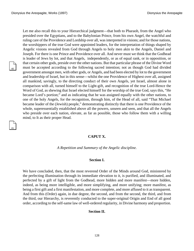41

Let me also recall this to your Hierarchical judgment—that both to Pharaoh, from the Angel who presided over the Egyptians, and to the Babylonian Prince, from his own Angel, the watchful and ruling care of the Providence and Lordship over all, was interpreted in visions; and for those nations, the worshippers of the true God were appointed leaders, for the interpretation of things shaped by Angelic visions revealed from God through Angels to holy men akin to the Angels, Daniel and Joseph. For there is one Prince and Providence over all. And never must we think that the Godhead is leader of Jews by lot, and that Angels, independently, or as of equal rank, or in opposition, or that certain other gods, preside over the other nations. But that particular phrase of the Divine Word must be accepted according to the following sacred intention; not as though God had divided government amongst men, with other gods, or Angels, and had been elected by lot to the government and leadership of Israel, but in this sense—whilst the one Providence of Highest over all, assigned all mankind, savingly, to the directing conduct of their own Angels, yet Israel, almost alone in comparison with all, turned himself to the Light-gift, and recognition of the true Lord-Hence the Word of God, as shewing that Israel elected himself for the worship of the true God, says this, "He became Lord's portion;" and as indicating that he was assigned equally with the other nations, to one of the holy Angels, for the recognition, through him, of the Head of all, said "That Michael became leader of the (Jewish) people," demonstrating distinctly that there is one Providence of the whole, superessentially established above all the powers, unseen and seen, and that all the Angels who preside over each nation, elevate, as far as possible, those who follow them with a willing mind, to It as their proper Head.

# **CAPUT X.**

*A Repetition and Summary of the Angelic discipline.*

### **Section I.**

We have concluded, then, that the most reverend Order of the Minds around God, ministered by the perfecting illumination through its immediate elevation to it, is purified, and illuminated, and perfected by a gift of light from the Godhead, more hidden and more manifest—more hidden, indeed, as being more intelligible, and more simplifying, and more unifying; more manifest, as being a first gift and a first manifestation, and more complete, and more affused to it as transparent. And from this (Order) again, in due degree, the second, and from the second, the third, and from the third, our Hierarchy, is reverently conducted to the super-original Origin and End of all good order, according to the self-same law of well-ordered regularity, in Divine harmony and proportion.

### **Section II.**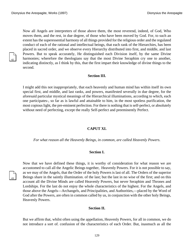

Now all Angels are interpreters of those above them, the most reverend, indeed, of God, Who moves them, and the rest, in due degree, of those who have been moved by God. For, to such an extent has the superessential harmony of all things provided for the religious order and the regulated conduct of each of the rational and intellectual beings, that each rank of the Hierarchies, has been placed in sacred order, and we observe every Hierarchy distributed into first, and middle, and last Powers. But to speak accurately, He distinguished each Division itself, by the same Divine harmonies; wherefore the theologians say that the most Divine Seraphim cry one to another, indicating distinctly, as I think by this, that the first impart their knowledge of divine things to the second.

#### **Section III.**

I might add this not inappropriately, that each heavenly and human mind has within itself its own special first, and middle, and last ranks, and powers, manifested severally in due degree, for the aforesaid particular mystical meanings of the Hierarchical illuminations, according to which, each one participates-, so far as is lawful and attainable to him, in the most spotless purification, the most copious light, the pre-eminent perfection. For there is nothing that is self-perfect, or absolutely without need of perfecting, except the really Self-perfect and preeminently Perfect.

# **CAPUT XI.**

*For what reason all the Heavenly Beings, in common, are called Heavenly Powers.*

### **Section I.**

Now that we have defined these things, it is worthy of consideration for what reason we are accustomed to call all the Angelic Beings together, Heavenly Powers. For it is not possible to say, as we may of the Angels, that the Order of the holy Powers is last of all. The Orders of the superior Beings share in the saintly illumination. of the last; but the last in no wise of the first; and on this account all the Divine Minds are called Heavenly Powers, but never Seraphim and Thrones and Lordships. For the last do not enjoy the whole characteristics of the highest. For the Angels, and those above the Angels—Archangels, and Principalities, and Authorities,—placed by the Word of God after the Powers, are often in common called by us, in conjunction with the other holy Beings, Heavenly Powers.

### **Section II.**

But we affirm that, whilst often using the appellation, Heavenly Powers, for all in common, we do not introduce a sort of. confusion of the characteristics of each Order. But, inasmuch as all the



43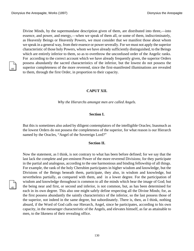Divine Minds, by the supermundane description given of them, are distributed into three,—into essence, and power, and energy,—when we speak of them all, or some of them, indiscriminately, as Heavenly Beings or Heavenly Powers, we must consider that we manifest those about whom we speak in a general way, from their essence or power severally. For we must not apply the superior characteristic of those holy Powers, whom we have already sufficiently distinguished, to the Beings which are entirely inferior to them, so as to overthrow the unconfused order of the Angelic ranks. For according to the correct account which we have already frequently given, the superior Orders possess abundantly the sacred characteristics of the inferior, but the lowest do not possess the superior completeness of the more reverend, since the first-manifested illuminations are revealed to them, through the first Order, in proportion to their capacity.

### **CAPUT XII.**

*Why the Hierarchs amongst men are called Angels.*

#### **Section I.**

But this is sometimes also asked by diligent contemplators of the intelligible Oracles; Inasmuch as the lowest Orders do not possess the completeness of the superior, for what reason is our Hierarch named by the Oracles, "Angel of the Sovereign Lord?"

### **Section II.**

Now the statement, as I think, is not contrary to what has been before defined; for we say that the last lack the complete and pre-eminent Power of the more reverend Divisions; for they participate in the partial and analogous, according to the one harmonious and binding fellowship of all things. For example, the rank of the holy Cherubim participates in higher wisdom and knowledge, but the Divisions of the Beings beneath them, participate, they also, in wisdom and knowledge, but nevertheless partially, as compared with them, and in a lower degree. For the participation of wisdom and knowledge throughout is common to all the minds which bear the image of God; but the being near and first, or second and inferior, is not common, but, as has been determined for each in its own degree. This also one might safely define respecting all the Divine Minds; for, as the first possess abundantly the saintly characteristics of the inferior, so the last possess those of the superior, not indeed in the same degree, but subordinately. There is, then, as I think, nothing absurd, if the Word of God calls our Hierarch, Angel, since he participates, according to his own capacity, in the messenger characteristic of the Angels, and elevates himself, as far as attainable to men, to the likeness of their revealing office.



44

130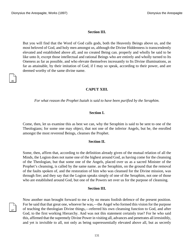# **Section III.**

But you will find that the Word of God calls gods, both the Heavenly Beings above us, and the most beloved of God, and holy men amongst us, although the Divine Hiddenness is transcendently elevated and established above all, and no created Being can. properly and wholly be said to be like unto It, except those intellectual and rational Beings who are entirely and wholly turned to Its Oneness as far as possible, and who elevate themselves incessantly to Its Divine illuminations, as far as attainable, by their imitation of God, if I may so speak, according to their power, and are deemed worthy of the same divine name.

# **CAPUT XIII.**

*For what reason the Prophet Isaiah is said to have been purified by the Seraphim.*

### **Section I.**

Come, then, let us examine this as best we can, why the Seraphim is said to be sent to one of the Theologians; for some one may object, that not one of the inferior Angels, but he, the enrolled amongst the most reverend Beings, cleanses the Prophet.

### **Section II.**

Some, then, affirm that, according to the definition already given of the mutual relation of all the Minds, the Logion does not name one of the highest around God, as having come for the cleansing of the Theologian, but that some one of the Angels, placed over us as a sacred Minister of the Prophet's cleansing, is called by the same name. as the Seraphim, on the ground that the removal of the faults spoken of, and the restoration of him who was cleansed for the Divine mission, was through fire; and they say that the Logion speaks simply of one of the Seraphim, not one of those who are established around God, but one of the Powers set over us for the purpose of cleansing.

### **Section III.**

47

46

Now another man brought forward to me a by no means foolish defence of the present position. For he said that that great one, whoever he was,—the Angel who formed this vision for the purpose of teaching the theologian Divine things,—referred his own cleansing function to God, and after God, to the first working Hierarchy. And was not this statement certainly true? For he who said this, affirmed that the supremely Divine Power in visiting all, advances and penetrates all irresistibly, and yet is invisible to all, not only as being superessentially elevated above all, but as secretly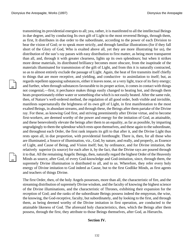49

transmitting its providential energies to all; yea, rather, it is manifested to all the intellectual Beings in due degree, and by conducting Its own gift of Light to the most reverend Beings, through them, as first, It distributes in due order to the subordinate, according to the power of each Division to bear the vision of God; or to speak more strictly, and through familiar illustrations (for if they fall short of the Glory of God, Who is exalted above all, yet they are more illustrating for us), the distribution of the sun's ray passes with easy distribution to first matter, as being more transparent than all, and, through it with greater clearness, lights up its own splendours; but when it strikes more dense materials, its distributed brilliancy becomes more obscure, from the inaptitude of the materials illuminated for transmission of the gift of Light, and from this it is naturally contracted, so as to almost entirely exclude the passage of Light. Again, the heat of fire transmits itself chiefly to things that are more receptive, and yielding, and conductive to assimilation to itself; but, as regards repellent opposing substances, either it leaves none, or a very light, trace of its fiery energy; and further, when through substances favourable to its proper action, it comes in contact with things not congenial,—first, it perchance makes things easily changed to heating hot, and through them heats proportionately either water or something else which is not easily heated. After the same rule, then, of Nature's well-ordered method, the regulation of all good order, both visible and invisible, manifests supernaturally the brightness of its own gift of Light, in first manifestation to the most exalted Beings, in abundant streams, and through these, the Beings after them partake of the Divine ray. For these, as knowing God first, and striving preeminently after Divine virtue, and to become first-workers, are deemed worthy of the power and energy for the imitation of God, as attainable, and these benevolently elevate the beings after them to an equality, as far as possible, by imparting ungrudgingly to them the splendour which rests upon themselves, and these again to the subordinate, and throughout each Order, the first rank imparts its gift to that after it, and the Divine Light thus rests upon all, in due proportion, with providential forethought. There is, then, for all those who are illuminated, a Source of illumination, viz., God, by nature, and really, and properly, as Essence of Light, and Cause of Being, and Vision itself; but, by ordinance, and for Divine imitation, the relatively superior (is source) for each after it, by the fact, that the Divine rays are poured through it to that. All the remaining Angelic Beings, then, naturally regard the highest Order of the Heavenly Minds as source, after God, of every God-knowledge and God-imitation, since, through them, the supremely Divine illumination is distributed to all, and to us. Wherefore, they refer every holy energy of Divine imitation to God indeed as Cause, but to the first Godlike Minds, as first agents and teachers of things Divine.

The first Order, then, of the holy Angels possesses, more than all, the characteristic of fire, and the streaming distribution of supremely Divine wisdom, and the faculty of knowing the highest science of the Divine illuminations, and the characteristic of Thrones, exhibiting their expansion for the reception of God; and the ranks of the subordinate Beings possess indeed the empyrean, the wise, the knowing, the God-receptive, faculty, but subordinately, and by looking to the first, and through them, as being deemed worthy of the Divine imitation in first operation, are conducted to the attainable likeness of God. The aforesaid holy characteristics, then, which the Beings after them possess, through the first, they attribute to those Beings themselves, after God, as Hierarchs.

# **Section IV.**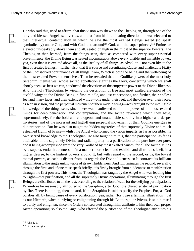51

52

He who said this, used to affirm, that this vision was shewn to the Theologian, through one of the holy and blessed Angels set over us, and that from his illuminating direction, he was elevated to that intellectual contemplation in which he saw the most exalted Beings seated (to speak symbolically) under God, and with God, and around<sup>215</sup> God, and the super-princely<sup>216</sup> Eminence elevated unspeakably above them and all, seated on high in the midst of the superior Powers. The Theologian then learned, from the things seen, that, as compared with every super-essential pre-eminence, the Divine Being was seated incomparably above every visible and invisible power, yea, even that It is exalted above all, as the Reality of all things, as Absolute—not even like to the first of created Beings;—further also, that It is source and essentiating Cause, and unalterable Fixity of the undissolved continuance of all things, from, Which is both the being and the well-being of the most exalted Powers themselves. Then he revealed that the Godlike powers of the most holy Seraphim, themselves, whose sacred appellation signifies the Fiery, concerning which we shall shortly speak as best we can, conducted the elevations of the empyrean power to the Divine likeness. And, the holy Theologian, by viewing the description of free and most exalted elevation of the sixfold wings to the Divine Being in first, middle, and last conceptions, and further, their endless feet and many faces, and their extended wings—one under their feet, and the other over their faces, as seen in vision, and the perpetual movement of their middle wings—was brought to the intelligible knowledge of the things seen, since there was manifested to him the power of the most exalted minds for deep penetration and contemplation, and the sacred reverence which they have, supermundanely, for the bold and courageous and unattainable scrutiny into higher and deeper mysteries; and of the incessant and high-flying perpetual movement of their Godlike energies in due proportion. But he was also taught the hidden mysteries of that supremely Divine and much esteemed Hymn of Praise—whilst the Angel who formed the vision imparts, as far as possible, his own sacred knowledge to the Theologian. He also taught him this, that the participation, as far as attainable, in the supremely Divine and radiant purity, is a purification to the pure however pure; and it being accomplished from the very Godhead by most exalted causes, for all the sacred Minds by a superessential hiddenness, is in a manner more clear, and exhibits and distributes itself, in a higher degree, to the highest powers around It; but with regard to the second, or us, the lowest mental powers, as each is distant from, as regards the Divine likeness, so It contracts its brilliant illumination to the single unknowable of its own hiddenness. And it illuminates the second, severally, through the first; and, if one must speak briefly, it is firstly brought from hiddenness to manifestation through the first powers. This, then, the Theologian was taught by the Angel who was leading him to Light—that purification, and all the supremely Divine operations, illuminating through the first Beings, are distributed to all the rest, according to the relation of each for the deifying participations. Wherefore he reasonably attributed to the Seraphim, after God, the characteristic of purification by fire. There is nothing, then, absurd, if the Seraphim is said to purify the Prophet. For, as God purifies all, by being cause of every purification, yea, rather (for I use a familiar illustration) just as our Hierarch, when purifying or enlightening through his Leitourgoi or Priests, is said himself to purify and enlighten, since the Orders consecrated through him attribute to him their own proper sacred operations; so also the Angel who effected the purification of the Theologian attributes his

<sup>215</sup> [John 1. 1.](http://www.ccel.org/b/bible/asv/xml/asv.John.1.xml#John.1.1)

<sup>216</sup> Or super-original.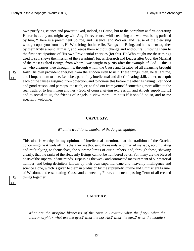54

own purifying science and power to God, indeed, as Cause, but to the Seraphim as first-operating Hierarch; as any one might say with Angelic reverence, whilst teaching one who was being purified by him, "There is a preeminent Source, and Essence, and Worker, and Cause of the cleansing wrought upon you from me, He Who brings both the first Beings into Being, and holds them together by their fixity around Himself, and keeps them without change and without fall, moving them to the first participations of His own Providential energies (for this, He Who taught me these things used to say, shews the mission of the Seraphim), but as Hierarch and Leader after God, the Marshal of the most exalted Beings, from whom I was taught to purify after the example of God — this is he, who cleanses thee through me, through whom the Cause and Creator of all cleansing brought forth His own provident energies from the Hidden even to us." These things, then, he taught me, and I impart them to thee. Let it be a part of thy intellectual and discriminating skill, either, to acquit each of the causes assigned from objection, and to honour this before the other as having likelihood and good reason, and perhaps, the truth; or, to find out from yourself something more allied to the real truth, or to learn from another; (God, of course, giving expression, and Angels supplying it;) and to reveal to us, the friends of Angels, a view more luminous if it should be so, and to me specially welcome.

### **CAPUT XIV.**

#### *What the traditional number of the Angels signifies.*

This also is worthy, in my opinion, of intellectual attention, that the tradition of the Oracles concerning the Angels affirms that they are thousand thousands, and myriad myriads, accumulating and multiplying, to themselves, the supreme limits of our numbers, and, through these, shewing clearly, that the ranks of the Heavenly Beings cannot be numbered by us. For many are the blessed hosts of the supermundane minds, surpassing the weak and contracted measurement of our material number, and being definitely known by their own supermundane and heavenly intelligence and science alone, which is given to them in profusion by the supremely Divine and Omniscient Framer of Wisdom, and essentiating Cause and connecting Force, and encompassing Term of all created things together.

### **CAPUT XV.**

*What are the morphic likenesses of the Angelic Powers? what the fiery? what the anthromorphic? what are the eyes? what the nostrils? what the ears? what the mouths?*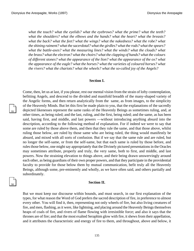*what the touch? what the eyelids? what the eyebrows? what the prime? what the teeth? what the shoulders? what the elbows and the hands? what the heart? what the breasts? what the back? what the feet? what the wings? what the nakedness? what the robe? what the shining raiment? what the sacerdotal? what the girdles? what the rods? what the spears? what the battle-axes? what the measuring lines? what the winds? what the clouds? what the brass? what the electron? what the choirs? what the clapping of hands? what the colours of different stones? what the appearance of the lion? what the appearance of the ox? what the appearance of the eagle? what the horses? what the varieties of coloured horses? what the rivers? what the chariots? what the wheels? what the so-called joy of the Angels?*

#### **Section I.**

55

56

Come, then, let us at last, if you please, rest our mental vision from the strain of lofty contemplation, befitting Angels, and descend to the divided and manifold breadth of the many-shaped variety of the Angelic forms, and then return analytically from the same, as from images, to the simplicity of the Heavenly Minds. But let this first be made plain to you, that the explanations of the sacredly depicted likenesses represent the same ranks of the Heavenly Beings as sometimes ruling, and, at other times, as being ruled; and the last, ruling, and the first, being ruled; and the same, as has been said, having first, and middle, and last powers —without introducing anything absurd into the description, according to the following method of explanation. For if indeed we were to say that some are ruled by those above them, and then that they rule the same, and that those above, whilst ruling those below, are ruled by those same who are being ruled, the thing would manifestly be absurd, and mixed with all sorts of confusion. But if we say that the same rule and are ruled, but no longer the self-same, or from the self-same, but that each same is ruled by those before, and rules those below, one might say appropriately that the Divinely pictured presentations in the Oracles may sometimes attribute, properly and truly, the very same, both to first, and middle, and last powers. Now the straining elevation to things above, and their being drawn unswervingly around each other, as being guardians of their own proper powers, and that they participate in the providential faculty to provide for those below them by mutual communication, befit truly all the Heavenly Beings, although some, pre-eminently and wholly, as we have often said, and others partially and subordinately.

#### **Section II.**

But we must keep our discourse within bounds, and must search, in our first explanation of the types, for what reason the Word of God prefers the sacred description of fire, in preference to almost every other. You will find it, then, representing not only wheels of fire, but also living creatures of fire, and men, flashing, as it were, like lightning, and placing around the Heavenly Beings themselves heaps of coals of fire, and rivers of flame flowing with irresistible force; and also it says that the thrones are of fire; and that the most exalted Seraphim glow with fire, it shews from their appellation, and it attributes the characteristic and energy of fire to them, and throughout, above and below, it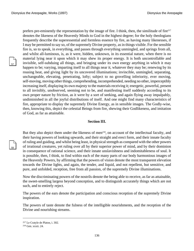58

prefers pre-eminently the representation by the image of fire. I think, then, the similitude of fire<sup>217</sup> denotes the likeness of the Heavenly Minds to God in the highest degree; for the holy theologians frequently describe the superessential and formless essence by fire, as having many likenesses, if I may be permitted to say so, of the supremely Divine property, as in things visible. For the sensible fire is, so to speak, in everything, and passes through everything unmingled, and springs from all, and whilst all-luminous, is, as it were, hidden, unknown, in its essential nature, when there is no material lying near it upon which it may shew its proper energy. It is both uncontrollable and invisible, self-subduing all things, and bringing under its own energy anything in which it may happen to be; varying, imparting itself to all things near it, whatever they may be; renewing by its rousing heat, and giving light by its uncovered illuminations; invincible, unmingled, separating, unchangeable, elevating, penetrating, lofty; subject to no grovelling inferiority, ever moving, self-moving, moving other things, comprehending, incomprehended, needing no other, imperceptibly increasing itself, displaying its own majesty to the materials receiving it; energetic, powerful, present to all invisibly, unobserved, seeming not to be, and manifesting itself suddenly according to its own proper nature by friction, as it were by a sort of seeking, and again flying away impalpably, undiminished in all the joyful distributions of itself. And one might find many characteristics of fire, appropriate to display the supremely Divine Energy, as in sensible images. The Godly-wise, then, knowing this, depict the celestial Beings from fire, shewing their Godlikeness, and imitation of God, as far as attainable.

### **Section III.**

But they also depict them under the likeness of men<sup>218</sup>, on account of the intellectual faculty, and their having powers of looking upwards, and their straight and erect form, and their innate faculty of ruling and guiding, and whilst being least, in physical strength as compared with the other powers of irrational creatures, yet ruling over all by their superior power of mind, and by their dominion in consequence of rational science, and their innate unslavishness and indomitableness of soul. It is possible, then, I think, to find within each of the many parts of our body harmonious images of the Heavenly Powers, by affirming that the powers of vision denote the most transparent elevation towards the Divine lights, and again, the tender, and liquid, and not repellent, but sensitive, and pure, and unfolded, reception, free from all passion, of the supremely Divine illuminations.

Now the discriminating powers of the nostrils denote the being able to receive, as far as attainable, the sweet-smelling largess beyond conception, and to distinguish accurately things which are not such, and to entirely reject.

The powers of the ears denote the participation and conscious reception of the supremely Divine inspiration.

The powers of taste denote the fulness of the intelligible nourishments, and the reception of the Divine and nourishing streams.

<sup>217</sup> Le Cratyle de Platon, i. 302.

<sup>218</sup> [Gen. xxxii. 24.](http://www.ccel.org/b/bible/asv/xml/asv.Gen.32.xml#Gen.32.24)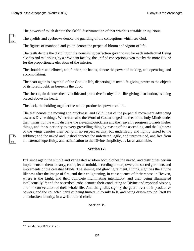60

The powers of touch denote the skilful discrimination of that which is suitable or injurious.

The eyelids and eyebrows denote the guarding of the conceptions which see God.

The figures of manhood and youth denote the perpetual bloom and vigour of life.

The teeth denote the dividing of the nourishing perfection given to us; for each intellectual Being divides and multiplies, by a provident faculty, the unified conception given to it by the more Divine for the proportionate elevation of the inferior.

The shoulders and elbows, and further, the hands, denote the power of making, and operating, and accomplishing.

The heart again is a symbol of the Godlike life, dispersing its own life-giving power to the objects of its forethought, as beseems the good.

The chest again denotes the invincible and protective faculty of the life-giving distribution, as being placed above the heart.

The back, the holding together the whole productive powers of life.

The feet denote the moving and quickness, and skilfulness of the perpetual movement advancing towards Divine things. Wherefore also the Word of God arranged the feet of the holy Minds under their wings; for the wing displays the elevating quickness and the heavenly progress towards higher things, and the superiority to every grovelling thing by reason of the ascending, and the lightness of the wings denotes their being in no respect earthly, but undefiledly and lightly raised to the sublime; and the naked and unshod denotes the unfettered, agile, and unrestrained, and free from all external superfluity, and assimilation to the Divine simplicity, as far as attainable.

# **Section IV.**

But since again the simple and variegated wisdom both clothes the naked, and distributes certain implements to them to carry, come, let us unfold, according to our power, the sacred garments and implements of the celestial Minds. The shining and glowing raiment, I think, signifies the Divine likeness after the image of fire, and their enlightening, in consequence of their repose in Heaven, where is the Light, and their complete illuminating intelligibly, and their being illuminated intellectually<sup>219</sup>; and the sacerdotal robe denotes their conducting to Divine and mystical visions, and the consecration of their whole life. And the girdles signify the guard over their productive powers, and the collected habit of being turned uniformly to It, and being drawn around Itself by an unbroken identity, in a well-ordered circle.

# **Section V.**

<sup>219</sup> See Maximus D.N. c. 4. s. 1.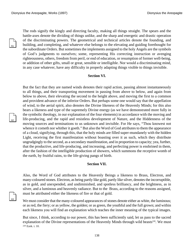

63

The rods signify the kingly and directing faculty, making all things straight. The spears and the battle-axes denote the dividing of things unlike, and the sharp and energetic and drastic operation of the discriminating powers. The geometrical and technical articles denote the founding, and building, and completing, and whatever else belongs to the elevating and guiding forethought for the subordinate Orders. But sometimes the implements assigned to the holy Angels are the symbols of God's judgments to ourselves; some, representing His correcting instruction or avenging righteousness, others, freedom from peril, or end of education, or resumption of former well-being, or addition of other gifts, small or great, sensible or intelligible. Nor would a discriminating mind, in any case whatever, have any difficulty in properly adapting things visible to things invisible.

### **Section VI.**

But the fact that they are named winds denotes their rapid action, passing almost instantaneously to all things, and their transporting movement in passing from above to below, and again from below to above, their elevating the second to the height above, and moving the first to a common and provident advance of the inferior Orders. But perhaps some one would say that the appellation of wind, to the aerial spirit, also denotes the Divine likeness of the Heavenly Minds; for this also bears a likeness and type of the supremely Divine energy (as we have demonstrated more fully in the symbolic theology, in our explanation of the four elements) in accordance with the moving and life-producing, and the rapid and resistless development of Nature, and the Hiddenness of the moving sources and terminations to us unknown and invisible. For He says, "Thou knowest not whence it cometh nor whither it goeth." But also the Word of God attributes to them the appearance of a cloud, signifying, through this, that the holy minds are filled super-mundanely with the hidden Light, receiving the first manifestation without boasting over it as such, which they distribute ungrudgingly to the second, as a secondary manifestation, and in proportion to capacity; yea, further, that the productive, and life-producing, and increasing, and perfecting power is enshrined in them, after the fashion of the intelligible production of showers, which summons the receptive womb of the earth, by fruitful rains, to the life-giving pangs of birth.

### **Section VII.**

Also, the Word of God attributes to the Heavenly Beings a likeness to Brass, Electron, and many-coloured stones. Electron, as being partly like gold, partly like silver, denotes the incorruptible, as in gold, and unexpended, and undiminished, and spotless brilliancy, and the brightness, as in silver, and a luminous and heavenly radiance. But to the Brass, according to the reasons assigned, must be attributed either the likeness of fire or that of gold.

We must consider that the many-coloured appearances of stones denote either as white, the luminous; or as red, the fiery; or as yellow, the golden; or as green, the youthful and the full grown; and within each likeness you will find an explanation which teaches the inner meaning of the typical images.

But since, I think, according to our power, this has been sufficiently said, let us pass to the sacred explanation of the Divine representations of the Heavenly Minds through wild beasts $220$ . We must <sup>220</sup> [Ezek. i. 10](http://www.ccel.org/b/bible/asv/xml/asv.Ezek.1.xml#Ezek.1.10).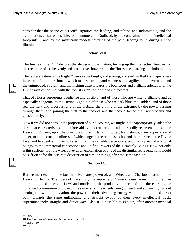consider that the shape of a Lion<sup>221</sup> signifies the leading, and robust, and indomitable, and the assimilation, as far as possible, to the unutterable Godhead, by the concealment of the intellectual footprints<sup>222</sup>, and by the mystically modest covering of the path, leading to It, during Divine illumination.

# **Section VIII.**

The Image of the  $Ox^{223}$  denotes the strong and the mature, turning up the intellectual furrows for the reception of the heavenly and productive showers; and the Horns, the guarding and indomitable.

The representation of the Eagle<sup>224</sup> denotes the kingly, and soaring, and swift in flight, and quickness in search of the nourishment which makes strong, and wanness, and agility, and cleverness; and the unimpeded, straight, and unflinching gaze towards the bounteous and brilliant splendour of the Divine rays of the sun, with the robust extension of the visual powers.

That of Horses represents obedience and docility, and of those who are white, brilliancy, and as especially congenial to the Divine Light; but of those who are dark blue, the Hidden; and of those red, the fiery and vigorous; and of the piebald, the uniting of the extremes by the power passing through them, and joining the first to the second, and the second to the first, reciprocally and considerately.

Now if we did not consult the proportion of our discourse, we might, not inappropriately, adapt the particular characteristics of the aforesaid living creatures, and all their bodily representations to the Heavenly Powers, upon the principle of dissimilar similitudes; for instance, their appearance of anger, to intellectual manliness, of which anger is the remotest echo, and their desire, to the Divine love; and to speak summarily, referring all the sensible perceptions, and many parts of irrational beings, to the immaterial conceptions and unified Powers of the Heavenly Beings. Now not only is this sufficient for the wise, but even an explanation of one of the dissimilar representations would be sufficient for the accurate description of similar things, after the same fashion.

# **Section IX.**

But we must examine the fact that rivers are spoken of, and Wheels and Chariots attached to the Heavenly Beings. The rivers of fire signify the supremely Divine streams furnishing to them an ungrudging and incessant flow, and nourishing the productive powers of life; the chariots, the conjoined communion of those of the same rank; the wheels being winged, and advancing without turning and without deviation, the power of their advancing energy within a straight and direct path, towards the same unflinching and straight swoop of their every intellectual track, supermundanely straight and direct way. Also it is possible to explain, after another mystical

64

<sup>221</sup> [Ibid.](http://www.ccel.org/b/bible/asv/xml/asv.Ezek.1.xml#Ezek.1.10)

<sup>222</sup> The Lion was said to erase his footsteps by his tail.

<sup>223</sup> [Ezek. i. 10](http://www.ccel.org/b/bible/asv/xml/asv.Ezek.1.xml#Ezek.1.10).

<sup>224</sup> [Ibid.](http://www.ccel.org/b/bible/asv/xml/asv.Ezek.1.xml#Ezek.1.10)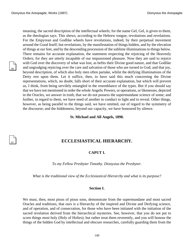meaning, the sacred description of the intellectual wheels; for the name Gel, Gel, is given to them, as the theologian says. This shews, according to the Hebrew tongue, revolutions and revelations. For the Empyrean and Godlike wheels have revolutions, indeed, by their perpetual movement around the Good Itself; but revelations, by the manifestation of things hidden, and by the elevation of things at our feet, and by the descending procession of the sublime illuminations to things below. There remains for accurate explanation, the statement respecting the rejoicing of the Heavenly Orders; for they are utterly incapable of our impassioned pleasure. Now they are said to rejoice with God over the discovery of what was lost, as befits their Divine good nature, and that Godlike and ungrudging rejoicing over the care and salvation of those who are turned to God; and that joy, beyond description, of which also holy men often partake, whilst the deifying illuminations of the Deity rest upon them. Let it suffice, then, to have said this much concerning the Divine representations, which, no doubt, falls short of their accurate explanation, but which will prevent us, I think, from being servilely entangled in the resemblance of the types. But if you should say that we have not mentioned in order the whole Angelic Powers, or operations, or likenesses, depicted in the Oracles, we answer in truth, that we do not possess the supermundane science of some; and further, in regard to them, we have need of another to conduct to light and to reveal. Other things, however, as being parallel to the things said, we have omitted, out of regard to the symmetry of the discourse; and the hiddenness, beyond our capacity, we have honoured by silence.

**St. Michael and All Angels, 1898.**

# <sup>67</sup> **ECCLESIASTICAL HIERARCHY.**

# **CAPUT I.**

*To my Fellow Presbyter Timothy. Dionysius the Presbyter.*

*What is the traditional view of the Ecclesiastical Hierarchy and what is its purpose?*

#### **Section I.**

We must, then, most pious of pious sons, demonstrate from the supermundane and most sacred Oracles and traditions, that ours is a Hierarchy of the inspired and Divine and Deifying science, and of operation, and of consecration, for those who have been initiated with the initiation of the sacred revelation derived from the hierarchical mysteries. See, however, that you do not put to scorn things most holy (Holy of Holies); but rather treat them reverently, and you will honour the things of the hidden God by intellectual and obscure researches, carefully guarding them from the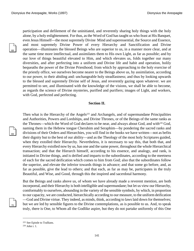69

70

participation and defilement of the uninitiated, and reverently sharing holy things with the holy alone, by a holy enlightenment. For thus, as the Word of God has taught us who feast at His Banquet, even Jesus Himself—the most supremely Divine Mind and superessential, the Source and Essence, and most supremely Divine Power of every Hierarchy and Sanctification and Divine operation—illuminates the blessed Beings who are superior to us, in a manner more clear, and at the same time more intellectual, and assimilates them to His own Light, as far as possible; and by our love of things beautiful elevated to Him, and which elevates us, folds together our many diversities, and after perfecting into a uniform and Divine life and habit and operation, holily bequeaths the power of the Divine Priesthood; from which by approaching to the holy exercise of the priestly office, we ourselves become nearer to the Beings above us, by assimilation, according to our power, to their abiding and: unchangeable holy steadfastness; and thus by looking upwards to the blessed and supremely Divine self of Jesus, and reverently gazing upon whatever. we are permitted to see, and illuminated with the knowledge of the visions, we shall be able to become, as regards the science of Divine mysteries, purified and purifiers; images of Light, and workers, with God, perfected and perfecting.

#### **Section II.**

Then what is the Hierarchy of the Angels<sup>225</sup> and Archangels, and of supermundane Principalities and Authorities, Powers and Lordships, and Divine Thrones, or of the Beings of the same ranks as the Thrones—which the Word of God declares to be near, and always about God, and with<sup>226</sup> God, naming them in the Hebrew tongue Cherubim and Seraphim—by pondering the sacred ranks and divisions of their Orders and Hierarchies, you will find in the books we have written—not as befits their dignity but to the best of our ability—and as the Theology of the most holy Scriptures guided, when they extolled their Hierarchy. Nevertheless, it is necessary to say this, that both that, and every Hierarchy extolled now by us, has one and the same power, throughout the whole Hierarchical transaction; and that the Hierarch himself, according to his essence, and analogy, and rank, is initiated in Divine things, and is deified and imparts to the subordinates, according to the meetness of each for the sacred deification which comes to him from God; also that the subordinates follow the superior, and elevate the inferior towards things in advance; and that some go before, and, as far as possible, give the lead to others; and that each, as far as may be, participates in the truly Beautiful, and Wise, and Good, through this the inspired and sacerdotal harmony.

But the Beings and ranks above us, of whom we have already made a reverent mention, are both incorporeal, and their Hierarchy is both intelligible and supermundane; but let us view our Hierarchy, comformably to ourselves, abounding in the variety of the sensible symbols, by which, in proportion to our capacity, we are conducted, hierarchically according to our measure, to the uniform deification —God and Divine virtue. They indeed, as minds, think, according to laws laid down for themselves; but we are led by sensible figures to the Divine contemplations, as is possible to us. And, to speak truly, there is One, to Whom all the Godlike aspire, but they do not partake uniformly of this One

<sup>225</sup> See Epistle to Trallians.

<sup>226</sup> [John i. 1.](http://www.ccel.org/b/bible/asv/xml/asv.John.1.xml#John.1.1)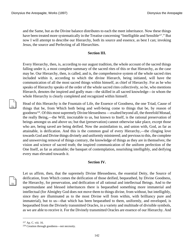and the Same, but as the Divine balance distributes to each the meet inheritance. Now these things have been treated more systematically in the Treatise concerning "Intelligible and Sensible<sup>227</sup>." But now I will attempt to describe our Hierarchy, both its source and essence, as best I can; invoking Jesus, the source and Perfecting of all Hierarchies.

# **Section III.**

Every Hierarchy, then, is, according to our august tradition, the whole account of the sacred things falling under it, a most complete summary of the sacred rites of this or that Hierarchy, as the case may be. Our Hierarchy, then, is called, and is, the comprehensive system of the whole sacred rites included within it, according to which the divine Hierarch, being initiated, will have the communication of all the most sacred things within himself, as chief of Hierarchy. For as he who speaks of Hierarchy speaks of the order of the whole sacred rites collectively, so he, who mentions Hierarch, denotes the inspired and godly man—the skilled in all sacred knowledge—in whom the whole Hierarchy is clearly completed and recognized within himself.

Head of this Hierarchy is the Fountain of Life, the Essence of Goodness, the one Triad, Cause of things that be, from Which both being and well-being come to things that be, by reason of goodness<sup>228</sup>. Of this most supremely Divine blessedness —exalted beyond all, the threefold Monad, the really Being,—the Will, inscrutable to us, but known to Itself, is the rational preservation of beings amongst us and above us; but that (preservation) cannot otherwise take place, except those who are, being saved are being deified. Now the assimilation to, and union with, God, as far as attainable, is deification. And this is the common goal of every Hierarchy,—the clinging love towards God and Divine things divinely and uniformly ministered; and previous to this, the complete and unswerving removal of things contrary, the knowledge of things as they are in themselves; the vision and science of sacred truth; the inspired communication of the uniform perfection of the One Itself, as far as attainable; the banquet of contemplation, nourishing intelligibly, and deifying every man elevated towards it.

# **Section IV.**

Let us affirm, then, that the supremely Divine Blessedness, the essential Deity, the Source of deification, from Which comes the deification of those deified, bequeathed, by Divine Goodness, the Hierarchy, for preservation, and deification of all rational and intellectual Beings. And to the supermundane and blessed inheritances there is bequeathed something more immaterial and intellectual (for Almighty God does not move them to things divine, from without, but intelligibly, since they are illuminated as to the most Divine will from within, with brilliancy pure and immaterial), but to us—that which has been bequeathed to them, uniformly, and enveloped, is bequeathed from the Divinely transmitted Oracles, in a variety and multitude of divisible symbols, as we are able to receive it. For the Divinely transmitted Oracles are essence of our Hierarchy. And

71

<sup>227</sup> Ap. C. viii. 16.

<sup>228</sup> Creation through goodness—not necessity.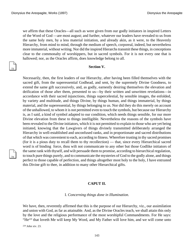74

we affirm that these Oracles—all such as were given from our godly initiators in inspired Letters of the Word of God —are most august; and further, whatever our leaders have revealed to us from the same holy men, by a less material initiation, and already akin, as it were, to the Heavenly Hierarchy, from mind to mind, through the medium of speech, corporeal, indeed, but nevertheless more immaterial, without writing. Nor did the inspired Hierarchs transmit these things, in conceptions clear to the commonalty of worshippers, but in sacred symbols. For it is not every one that is hallowed; nor, as the Oracles affirm, does knowledge belong to all.

#### **Section V.**

Necessarily, then, the first leaders of our Hierarchy, after having been filled themselves with the sacred gift, from the superessential Godhead, and sent, by the supremely Divine Goodness, to extend the same gift successively, and, as godly, earnestly desiring themselves the elevation and deification of those after them, presented to us—by their written and unwritten revelations—in accordance with their sacred injunctions, things supercelestial, by sensible images, the enfolded, by variety and multitude, and things Divine, by things human, and things immaterial, by things material, and the superessential, by things belonging to us. Nor did they do this merely on account of the unhallowed, to whom it is not permitted even to touch the symbols, but because our Hierarchy is, as I said, a kind of symbol adapted to our condition, which needs things sensible, for our more Divine elevation from these to things intelligible. Nevertheless the reasons of the symbols have been revealed to the Divine initiators, which it is not permitted to explain to those who are yet being initiated, knowing that the Lawgivers of things divinely transmitted deliberately arranged the Hierarchy in well-established and unconfused ranks, and in proportionate and sacred distributions of that which was convenient to each, according to fitness. Wherefore trusting in thy sacred promises (for it is a pious duty to recall them to thy recollection) — that, since every Hierarchical sacred word is of binding force, thou wilt not communicate to any other but those Godlike initiators of the same rank with thyself, and wilt persuade them to promise, according to hierarchical regulation, to touch pure things purely, and to communicate the mysteries of God to the godly alone, and things perfect to those capable of perfection, and things altogether most holy to the holy, I have entrusted this Divine gift to thee, in addition to many other Hierarchical gifts.

#### **CAPUT II.**

#### I. *Concerning things done in Illumination.*

We have, then, reverently affirmed that this is the purpose of our Hierarchy, viz., our assimilation and union with God, as far as attainable. And, as the Divine Oracles teach, we shall attain this only by the love and the religious performance of the most worshipful Commandments. For He says: "He229 that loveth Me will keep My Word, and My Father will love him, and we will come unto

<sup>229</sup> [John xiv. 23](http://www.ccel.org/b/bible/asv/xml/asv.John.14.xml#John.14.23).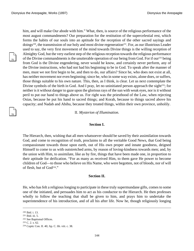76

him, and will make Our abode with him." What, then, is source of the religious performance of the most august commandments? Our preparation for the restitution of the supercelestial rest, which forms the habits of our souls into an aptitude for the reception of the other sacred sayings and doings<sup>230</sup>, the transmission of our holy and most divine regeneration<sup>231</sup>. For, as our illustrious Leader used to say, the very first movement of the mind towards Divine things is the willing reception of Almighty God, but the very earliest step of the religious reception towards the religious performance of the Divine commandments is the unutterable operation of our being from God. For if our<sup>232</sup> being from God is the Divine engendering, never would he know, and certainly never perform, any of the Divine instructions, who had not had his beginning to be in God. To speak after the manner of men, must we not first begin to be, and then to do, our affairs? Since he, who does not exist at all, has neither movement nor even beginning; since he, who in some way exists, alone does, or suffers, those things suitable to his own nature. This, then, as I think, is clear. Let us next contemplate the Divine symbols of the birth in God. And I pray, let no uninitiated person approach the sight<sup>233</sup>; for neither is it without danger to gaze upon the glorious rays of the sun with weak eyes, nor is it without peril to put our hand to things above us. For right was the priesthood of the Law, when rejecting Osias, because he put his hand to sacred things; and Korah, because to things sacred above his capacity; and Nadab and Abihu, because they treated things, within their own province, unholily.

II. *Mysterion of Illumination.*

#### **Section I.**

The Hierarch, then, wishing that all men whatsoever should be saved by their assimilation towards God, and come to recognition of truth, proclaims to all the veritable Good News, that God being compassionate towards those upon earth, out of His own proper and innate goodness, deigned Himself to come to us with outstretched arms, by reason of loving-kindness towards men; and, by the union with Him, to assimilate, like as by fire, things that have been made one, in proportion to their aptitude for deification. "For as many as received Him, to them gave He power to become children of God—to those who believe on His Name, who were begotten, not of bloods, nor of will of flesh, but of God<sup>234</sup>."

## **Section II.**

He, who has felt a religious longing to participate in these truly supermundane gifts, comes to some one of the initiated, and persuades him to act as his conductor to the Hierarch. He then professes wholly to follow the teaching that shall be given to him, and prays him to undertake the superintendence of his introduction, and of all his after life. Now he, though religiously longing

<sup>230</sup> [Ibid. i. 13](http://www.ccel.org/b/bible/asv/xml/asv.John.1.xml#John.1.13).

<sup>231</sup> [Ibid. iii. 5.](http://www.ccel.org/b/bible/asv/xml/asv.John.3.xml#John.3.5)

<sup>232</sup> See Baptismal Offices.

<sup>233</sup> C. 2. s. 62.

<sup>234</sup> Coptic Con. II. 40; Ap. C. lib. viii. c. 38.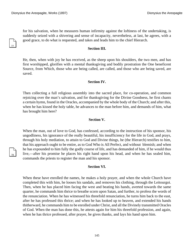78

for his salvation, when he measures human infirmity against the loftiness of the undertaking, is suddenly seized with a shivering and sense of incapacity, nevertheless, at last, he agrees, with a good grace, to do what is requested, and takes and leads him to the chief Hierarch.

#### **Section III.**

He, then, when with joy he has received, as the sheep upon his shoulders, the two men, and has first worshipped, glorifies with a mental thanksgiving and bodily prostration the One beneficent Source, from Which, those who are being called, are called, and those who are being saved, are saved.

## **Section IV.**

Then collecting a full religious assembly into the sacred place, for co-operation, and common rejoicing over the man's salvation, and for thanksgiving for the Divine Goodness, he first chants a certain hymn, found in the Oracles, accompanied by the whole body of the Church; and after this, when he has kissed the holy table, he advances to the man before him, and demands of him, what has brought him here?

## **Section V.**

When the man, out of love to God, has confessed, according to the instruction of his sponsor, his ungodliness, his ignorance of the really beautiful, his insufficiency for the life in God, and prays, through his holy mediation, to attain to God and Divine things, he (the Hierarch) testifies to him, that his approach ought to be entire, as to God Who is All Perfect, and without blemish; and when he has expounded to him fully the godly course of life, and has demanded of him, if he would thus live,—after his promise he places his right hand upon his head, and when he has sealed him, commands the priests to register the man and his sponsor.

#### **Section VI.**

When these have enrolled the names, he makes a holy prayer, and when the whole Church have completed this with him, he looses his sandals, and removes his clothing, through the Leitourgoi. Then, when he has placed him facing the west and beating his hands, averted towards the same quarter, he commands him thrice to breathe scorn upon Satan, and further, to profess the words of the renunciation. When he has witnessed his threefold renunciation, he turns him back to the east, after he has professed this thrice; and when he has looked up to heaven, and extended his hands thitherward, he commands him to be enrolled under Christ, and all the Divinely transmitted Oracles of God. When the man has done this, he attests again for him his threefold profession, and again, when he has thrice professed, after prayer, he gives thanks, and lays his hand upon him.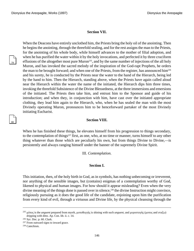#### **Section VII.**

79

80

When the Deacons have entirely unclothed him, the Priests bring the holy oil of the anointing. Then he begins the anointing, through the threefold sealing, and for the rest assigns the man to the Priests, for the anointing of his whole body, while himself advances to the mother of filial adoption, and when he has purified the water within it by the holy invocations, and perfected it by three cruciform effusions of the altogether most pure Muron<sup>235</sup>, and by the same number of injections of the all holy Muron, and has invoked the sacred melody of the inspiration of the God-rapt Prophets, he orders the man to be brought forward; and when one of the Priests, from the register, has announced him<sup>236</sup> and his surety, he is conducted by the Priests near the water to the hand of the Hierarch, being led by the hand to him. Then the Hierarch, standing above, when the Priests have again called aloud near the Hierarch within the water the name of the initiated, the Hierarch dips him three times, invoking the threefold Subsistence of the Divine Blessedness, at the three immersions and emersions of the initiated. The Priests then take him, and entrust him to the Sponsor and guide of his introduction; and when they, in conjunction with him, have cast over the initiated appropriate clothing, they lead him again to the Hierarch, who, when he has sealed the man with the most Divinely operating Muron, pronounces him to be henceforward partaker of the most Divinely initiating Eucharist.

## **Section VIII.**

When he has finished these things, he elevates himself from his progression to things secondary, to the contemplation of things<sup>237</sup> first, as one, who, at no time or manner, turns himself to any other thing whatever than those which are peculiarly his own, but from things Divine to Divine,—is persistently and always ranging himself under the banner of the supremely Divine Spirit.

III. *Contemplation.*

#### **Section I.**

This initiation, then, of the holy birth in God, as in symbols, has nothing unbecoming or irreverent, nor anything of the sensible images, but (contains) enigmas of a contemplation worthy of God, likened to physical and human images. For how should it appear misleading? Even when the very divine meaning of the things done is passed over in silence,<sup>238</sup> the divine Instruction might convince, religiously pursuing as it does the good life of the candidate, enjoining upon him the purification from every kind of evil, through a virtuous and Divine life, by the physical cleansing through the

<sup>235</sup> μύπος is the *unguent* prepared from myrrh, μυποθεγγὴς is shining with such *unguent,* and μυροσταγὴς (μυπος and σταζω) dripping with ditto. Ap. Con. lib. ii. c. 14.

<sup>236</sup> Syr. Doc. p. 60. Clark.

<sup>237</sup> From outward signs to inward grace.

<sup>238</sup> Catechism.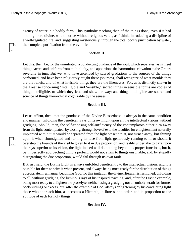agency of water in a bodily form. This symbolic teaching then of the things done, even if it had nothing more divine, would not be without religious value, as I think, introducing a discipline of a well-regulated life, and. suggesting mysteriously, through the total bodily purification by water, the complete purification from the evil life.

## **Section II.**

Let this, then, be, for the uninitiated, a conducting guidance of the soul, which separates, as is meet things sacred and uniform from multiplicity, and apportions the harmonious elevation to the Orders severally in turn. But we, who have ascended by sacred gradations to the sources of the things performed, and have been religiously taught these (sources), shall recognize of what moulds they are the reliefs, and of what invisible things they are the likenesses. For, as is distinctly shewn in the Treatise concerning "Intelligible and Sensible," sacred things in sensible forms are copies of things intelligible, to which they lead and shew the way; and things intelligible are source and science of things hierarchical cognizable by the senses.

# **Section III.**

Let us affirm, then, that the goodness of the Divine Blessedness is always in the same condition and manner, unfolding the beneficent rays of its own light upon all the intellectual visions without grudging. Should, then, the self-choosing self-sufficiency of the contemplators either turn away from the light contemplated, by closing, through love of evil, the faculties for enlightenment naturally implanted within it, it would be separated from the light present to it, not turned away, but shining upon it when shortsighted and turning its face from light generously running to it; or should it overstep the bounds of the visible given to it in due proportion, and rashly undertake to gaze upon the rays superior to its vision, the light indeed will do nothing beyond its proper functions, but it, by imperfectly approaching thing's perfect, would not attain to things unsuitable, and, by stupidly disregarding the due proportion, would fail through its own fault.

But, as I said, the Divine Light is always unfolded beneficently to the intellectual visions, and it is possible for them to seize it when present, and always being most ready for the distribution of things appropriate, in a manner becoming God. To this imitation the divine Hierarch is fashioned, unfolding to all, without grudging, the luminous rays of his inspired teaching, and, after the Divine example, being most ready to enlighten the proselyte, neither using a grudging nor an unholy wrath for former back-slidings or excess, but, after the example of God, always enlightening by his conducting light those who approach him, as becomes a Hierarch, in fitness, and order, and in proportion to the aptitude of each for holy things.

# **Section IV.**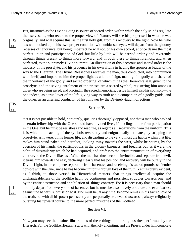84

85

But, inasmuch as the Divine Being is source of sacred order, within which the holy Minds regulate themselves, he, who recurs to the proper view of Nature, will see his proper self in what he was originally, and will acquire this, as the first holy gift, from his recovery to the light. Now he, who has well looked upon his own proper condition with unbiassed eyes, will depart from the gloomy recesses of ignorance, but being imperfect he will not, of his own accord, at once desire the most perfect union and participation of God, but little by little will be carried orderly and reverently through things present to things more forward, and through these to things foremost, and when perfected, to the supremely Divine summit. An illustration of this decorous and sacred order is the modesty of the proselyte, and his prudence in his own affairs in having the sponsor as leader of the way to the Hierarch. The Divine Blessedness receives the man, thus conducted, into communion with Itself, and imparts to him the proper light as a kind of sign, making him godly and sharer of the inheritance of the godly, and sacred ordering; of which things the Hierarch's seal, given to the proselyte, and the saving enrolment of the priests are a sacred symbol, registering him amongst those who are being saved, and placing in the sacred memorials, beside himself also his sponsor,—the one indeed, as a true lover of the life-giving way to truth and a companion of a godly guide, and the other, as an unerring conductor of his follower by the Divinely-taught directions.

#### **Section V.**

Yet it is not possible to hold, conjointly, qualities thoroughly opposed, nor that a man who has had a certain fellowship with the One should have divided lives, if he clings to the firm participation in the One; but he must be resistless and resolute, as regards all separations from the uniform. This it is which the teaching of the symbols reverently and enigmatically intimates, by stripping the proselyte, as it were, of his former life, and discarding to the very utmost the habits within that life, makes him stand naked and barefoot, looking away towards the west, whilst he spurns, by the aversion of his hands, the participations in the gloomy baseness, and breathes out, as it were, the habit of dissimilarity which he had acquired, and professes the entire renunciation of everything contrary to the Divine likeness. When the man has thus become invincible and separate from evil, it turns him towards the east, declaring clearly that his position and recovery will be purely in the Divine Light, in the complete separation from baseness; and receiving his sacred promises of entire consort with the One, since he has become uniform through love of the truth. Yet it is pretty evident, as I think, to those versed in Hierarchical matters, that things intellectual acquire the unchangeableness of the Godlike habit, by continuous and persistent struggles towards one, and by the entire destruction and annihilation of things contrary. For it is necessary that a man should not only depart from every kind of baseness, but he must be also bravely obdurate and ever fearless against the baneful submission to it. Nor must he, at any time, become remiss in his sacred love of the truth, but with all his power persistently and perpetually be elevated towards it, always religiously pursuing his upward course, to the more perfect mysteries of the Godhead.

# **Section VI.**

Now you may see the distinct illustrations of these things in the religious rites performed by the Hierarch. For the Godlike Hierarch starts with the holy anointing, and the Priests under him complete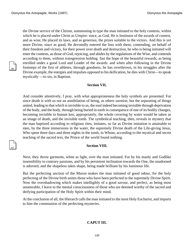87

the Divine service of the Chrism, summoning in type the man initiated to the holy contests, within which he is placed under Christ as Umpire: since, as God, He is Institutor of the awards of contest, and as wise, He placed its laws, and as generous, the prizes suitable to the victors. And this is yet more Divine, since as good, He devotedly entered the lists with them, contending, on behalf of their freedom and victory, for their power over death and destruction, he who is being initiated will enter the contests, as those of God, rejoicing, and abides by the regulations of the Wise, and contends according to them, without transgression holding fast the hope of the beautiful rewards, as being enrolled under a good Lord and Leader of the awards: and when after following in the Divine footsteps of the first of athletes, through goodness, he has overthrown, in his struggles after the Divine example, the energies and impulses opposed to his deification, he dies with Christ—to speak mystically —to sin, in Baptism.

# **Section VII.**

And consider attentively, I pray, with what appropriateness the holy symbols are presented. For since death is with us not an annihilation of being, as others surmise, but the separating of things united, leading to that which is invisible to us, the soul indeed becoming invisible through deprivation of the body, and the body, through being buried in earth in consequence of one of its bodily changes, becoming invisible to human ken, appropriately, the whole covering by water would be taken as an image of death, and the invisible tomb. The symbolical teaching, then, reveals in mystery that the man baptized according to religious rites, imitates, so far as Divine imitation is attainable to men, by the three immersions in the water, the supremely Divine death of the Life-giving Jesus, Who spent three days and three nights in the tomb, in Whom, according to the mystical and secret teaching of the sacred text, the Prince of the world found nothing.

# **Section VIII.**

Next, they throw garments, white as light, over the man initiated. For by his manly and Godlike insensibility to contrary passions, and by his persistent inclination towards the One, the unadorned is adorned, and the shapeless takes shape, being made brilliant by his luminous life.

But the perfecting unction of the Muron makes the man initiated of good odour, for the holy perfecting of the Divine birth unites those who have been perfected to the supremely Divine Spirit. Now the overshadowing which makes intelligibly of a good savour, and perfect, as being most unutterable, I leave to the mental consciousness of those who are deemed worthy of the sacred and deifying participation of the Holy Spirit within their mind.

At the conclusion of all, the Hierarch calls the man initiated to the most Holy Eucharist, and imparts to him the communion of the perfecting mysteries.

# **CAPUT III.**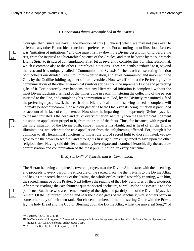89

90

#### I. *Concerning things accomplished in the Synaxis.*

Courage, then, since we have made mention of this (Eucharist) which we may not pass over to celebrate any other Hierarchical function in preference to it. For according to our illustrious Leader, it is "initiation of initiations," and one must first lay down the Divine description of it, before the rest, from the inspired and hierarchical science of the Oracles, and then be borne by the supremely Divine Spirit to its sacred contemplation. First, let us reverently consider this; for what reason that, which is common also to the other Hierarchical initiations, is pre-eminently attributed to it, beyond the rest; and it is uniquely called, "Communion and Synaxis," when each consecrating function both collects our divided lives into uniform deification, and gives communion and union with the One, by the Godlike folding together of our diversities. Now we affirm that the Perfecting by the communications of the other Hierarchical symbols springs from the supremely Divine and perfecting gifts of it. For it scarcely ever happens, that any Hierarchical initiation is completed without the most Divine Eucharist, as head of the things done in each, ministering the collecting of the person initiated to the One, and completing his communion with God, by the Divinely transmitted gift of the perfecting mysteries. If, then, each of the Hierarchical initiations, being indeed incomplete, will not make perfect our communion and our gathering to the One, even its being initiation is precluded on account of the lack of completeness. Now since the imparting of the supremely Divine mysteries to the man initiated is the head and tail of every initiation, naturally then the Hierarchical judgment hit upon an appellation propel to it, from the truth of the facts. Thus, for instance, with regard to the holy initiation of the Divine birth; since it imparts first-Light, and is head of all the Divine illuminations, we celebrate the true appellation from the enlightening effected. For, though it be common to all Hierarchical functions to impart the gift of sacred light to those initiated, yet it<sup>239</sup> gave to me the power to see first, and through its first light I am enlightened to gaze upon the other religious rites. Having said this, let us minutely investigate and examine hierarchically the accurate administration and contemplation of the most pure initiation, in every particular.

#### II. *Mysterion240 of Synaxis, that is, Communion.*

The Hierarch, having completed a reverent prayer, near the Divine Altar, starts with the incensing, and proceeds to every part of the enclosure of the sacred place; he then returns to the Divine Altar, and begins the sacred chanting of the Psalms, the whole ecclesiastical assembly chanting, with him, the sacred language of the Psalter. Next follows the reading of the Holy Scriptures by the Leitourgoi. After these readings the catechumens quit the sacred enclosure, as well as the "possessed," and the penitents. But those who are deemed worthy of the sight and participation of the Divine Mysteries remain. Of the Leitourgoi, some stand near the closed gates of the sanctuary, whilst others perform some other duty of their own rank. But chosen members of the ministering Order with the Priests lay the holy Bread and the Cup of Blessing upon the Divine Altar, whilst the universal  $\text{Song}^{241}$  of

<sup>239</sup> Baptism, Ap. C. lib. 3, c. 16.

<sup>240</sup> See Traicté de la Liturgie ou S. Messe selon l'usage et la forme des apostres, et de leur disciple Sainct Denys, Apostre des François, par. Gilb. Genebrard, archevesque d'Aix.

<sup>241</sup> Ap. C. lib. 8, s. 12, Lit. of Dionysius, p. 189.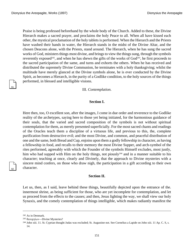92

Praise is being professed beforehand by the whole body of the Church. Added to these, the Divine Hierarch makes a sacred prayer, and proclaims the holy Peace to all. When all have kissed each other, the mystical proclamation of the holy tablets is performed. When the Hierarch and the Priests have washed their hands in water, the Hierarch stands in the midst of the Divine Altar, and the chosen Deacons alone, with the Priests, stand around. The Hierarch, when he has sung the sacred works of God, ministers things most divine, and brings to view the things sung, through the symbols reverently exposed<sup>242</sup>, and when he has shewn the gifts of the works of  $God<sup>243</sup>$ , he first proceeds to the sacred participation of the same, and turns and exhorts the others. When he has received and distributed the supremely Divine Communion, he terminates with a holy thanksgiving; whilst the multitude have merely glanced at the Divine symbols alone, he is ever conducted by the Divine Spirit, as becomes a Hierarch, in the purity of a Godlike condition, to the holy sources of the things performed, in blessed and intelligible visions.

#### III. *Contemplation.*

#### **Section I.**

Here then, too, O excellent son, after the images, I come in due order and reverence to the Godlike reality of the archetypes, saying here to those yet being initiated, for the harmonious guidance of their souls, that the varied and sacred composition of the symbols is not without spiritual contemplation for them, as merely presented superficially. For the most sacred chants and readings of the Oracles teach them a discipline of a virtuous life, and previous to this, the, complete purification from destructive evil; and the most Divine, and common, and peaceful distribution of one and the same, both Bread and Cup, enjoins upon them a godly fellowship in character, as having a fellowship in food, and recalls to their memory the most Divine Supper, and arch-symbol of the rites performed, agreeably with which the Founder of the symbols Himself excludes, most justly, him who had supped with Him on the holy things, not piously  $244$  and in a manner suitable to his character; teaching at once, clearly and Divinely, that the approach to Divine mysteries with a sincere mind confers, on those who draw nigh, the participation in a gift according to their own character.

## **Section II.**

Let us, then, as I said, leave behind these things, beautifully depicted upon the entrance of the. innermost shrine, as being sufficient for those, who are yet incomplete for contemplation, and let us proceed from the effects to the causes; and then, Jesus lighting the way, we shall view our holy Synaxis, and the comely contemplation of things intelligible, which makes radiantly manifest the

<sup>242</sup> As in Denmark.

<sup>243</sup> θεουργίων—Divine Mysteries?

<sup>244</sup> [John xiii. 11.](http://www.ccel.org/b/bible/asv/xml/asv.John.13.xml#John.13.11) St. Cyprian thought Judas was excluded; St. Augustine not. See Cornelius a Lapide on [John xiii. 11](http://www.ccel.org/b/bible/asv/xml/asv.John.13.xml#John.13.11) Ap. C. S, s. 14.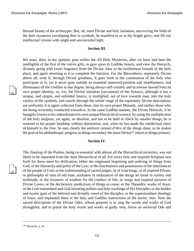94

blessed beauty of the archetypes. But, oh, most Divine and holy initiation, uncovering the folds of the dark mysteries enveloping thee in symbols, be manifest to us in thy bright glory, and fill our intellectual visions with single and unconcealed light.

#### **Section III.**

We must, then, in my opinion, pass within the All Holy Mysteries, after we have laid bare the intelligible of the first of the votive gifts, to gaze upon its Godlike beauty, and view the Hierarch, divinely going with sweet fragrance from the Divine Altar to the furthermost bounds of the holy place, and again returning to it to complete the function. For the Blessedness, supremely Divine above all, even if, through Divine goodness, It goes forth to the communion of the holy who participate in It, yet It never goes outside its essential unmoved position and steadfastness; and illuminates all the Godlike in due degree, being always self-centred, and in nowise moved from its own proper identity; so, too, the Divine initiation (sacrament) of the Synaxis, although it has a unique, and simple, and enfolded Source, is multiplied, out of love towards man, into the holy variety of the symbols, and travels through the whole range of the supremely Divine description; yet uniformly it is again collected from these, into its own proper Monady, and unifies those who are being reverently conducted towards it. In the same Godlike manner, the Divine Hierarch, if he benignly lowers to his subordinates his own unique Hierarchical science, by using the multiplicities of the holy enigmas, yet again, as absolute, and not to be held in check by smaller things, he is restored to his proper headship without diminution, and, when he has made the intellectual entry of himself to the One, he sees clearly the uniform *raisons d'être* of the things done, as he makes the goal of his philanthropic progress to things secondary the more Divine245 return to things primary.

#### **Section IV.**

The chanting of the Psalms, being co-essential with almost all the Hierarchical mysteries, was not likely to be separated from the most Hierarchical of all. For every holy and inspired Scripture sets forth for those meet for deification, either the originated beginning and ordering of things from God; or the Hierarchy and polity of the Law; or the distributions and possessions of the inheritances of the people of God; or the understanding of sacred judges, or of wise kings, or of inspired Priests: or philosophy of men of old time, unshaken in endurances of the things let loose in variety and multitude; or the treasures of wisdom for the conduct of life; or songs and inspired pictures of Divine Loves; or the declaratory predictions of things to come; or the Theandric works of Jesus; or the God-transmitted and God-imitating polities and holy teachings of His Disciples, or the hidden and mystic gaze of the beloved and divinely sweet of the disciples, or the supermundane theology of Jesus; and implanted them in the holy and Godlike instructions of the mystic rites. Now the sacred description of the Divine Odes, whose purpose is to sing the words and works of God throughout, and to praise the holy words and works of godly men, forms an universal Ode and

<sup>245</sup> Hieracles, p. 41.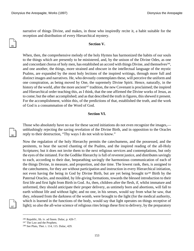narrative of things Divine, and makes, in those who inspiredly recite it, a habit suitable for the reception and distribution of every Hierarchical mystery.

#### **Section V.**

When, then, the comprehensive melody of the holy Hymns has harmonized the habits of our souls to the things which are presently to be ministered, and, by the unison of the Divine Odes, as one and concordant chorus of holy men, has established an accord with things Divine, and themselves<sup>246</sup>, and one another, the things, more strained and obscure in the intellectual language of the mystic Psalms, are expanded by the most holy lections of the inspired writings, through more full and distinct images and narratives. He, who devoutly contemplates these, will perceive the uniform and one conspiration, as being moved by One, the supremely Divine Spirit. Hence, naturally, in the history of the world, after the more ancient<sup>247</sup> tradition, the new Covenant is proclaimed; the inspired and Hierarchical order teaching this, as I think, that the one affirmed the Divine works of Jesus, as to come; but the other accomplished; and as that described the truth in figures, this shewed it present. For the accomplishment, within this, of the predictions of that, established the truth, and the work of God is a consummation of the Word of God.

#### **Section VI.**

Those who absolutely have no ear for these sacred initiations do not even recognize the images, unblushingly rejecting the saving revelation of the Divine Birth, and in opposition to the Oracles reply to their destruction, "Thy ways I do not wish to know."

Now the regulation of the holy Hierarchy permits the catechumens, and the possessed, and the penitents, to hear the sacred chanting of the Psalms, and the inspired reading of the all-Holy Scriptures; but it does not invite them to the next religious services and contemplations, but only the eyes of the initiated. For the Godlike Hierarchy is full of reverent justice, and distributes savingly to each, according to their due, bequeathing savingly the harmonious communication of each of the things Divine, in measure, and proportion, and due time. The lowest rank, then, is assigned to the catechumens, for they are without participation and instruction in every Hierarchical initiation, not even having the being in God by Divine Birth, but are yet being brought to<sup>248</sup> Birth by the Paternal Oracles, and moulded, by life-giving formations, towards the blessed introduction to their first life and first light from Birth in God. As, then, children after the flesh, if, whilst immature and unformed, they should anticipate their proper delivery, as untimely born and abortions, will fall to earth without life and without light; and no one, in his senses, would say from what he saw, that they, released from the darkness of the womb, were brought to the light (for the medical authority, which is learned in the functions of the body, would say that light operates on things receptive of light); so also the all-wise science of religious rites brings these first to delivery, by the preparatory

96

<sup>97</sup>

<sup>246</sup> Republic, lib. iv. ad finem. Dulac, p. 426-7.

<sup>247</sup> The Law and the Prophets.

<sup>248</sup> See Plato, Thet. i. 114, 115. Dulac, 429.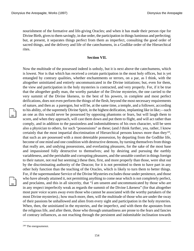nourishment of the formative and life-giving Oracles; and when it has made their person ripe for Divine Birth, gives to them savingly, in due order, the participation in things luminous and perfecting; but, at present, it separates things perfect from them as imperfect, consulting the good order of sacred things, and the delivery and life of the catechumens, in a Godlike order of the Hierarchical rites.

#### **Section VII.**

Now the multitude of the possessed indeed is unholy, but it is next above the catechumens, which is lowest. Nor is that which has received a certain participation in the most holy offices, but is yet entangled by contrary qualities, whether enchantments or terrors, on a par, as I think, with the altogether uninitiated and entirely uncommunicated in the Divine initiations; but, even for them, the view and participation in the holy mysteries is contracted, and very properly. For, if it be true that the altogether godly man, the worthy partaker of the Divine mysteries, the one carried to the very summit of the Divine likeness, to the best of his powers, in complete and most perfect deifications, does not even perform the things of the flesh, beyond the most necessary requirements of nature, and then as a parergon, but will be, at the same time, a temple, and a follower, according to his ability, of the supremely Divine Spirit, in the highest deification, implanting like in like;—such an one as this would never be possessed by opposing phantoms or fears, but will laugh them to scorn, and when they approach, will cast them down and put them to flight, and will act rather than comply, and in addition to the passionless and indomitableness of his own character, will be seen also a physician to others, for such "possessions" as these; (and *I* think further, yea, rather, I know certainly that the most impartial discrimination of Hierarchical persons knows more than they<sup>249</sup>, that such as are possessed with a most detestable possession, by departing from the Godlike life, become of one mind and one condition with destructive demons, by turning themselves from things that really are, and undying possessions, and everlasting pleasures, for the sake of the most base and impassioned folly destructive to themselves; and by desiring and pursuing the earthly variableness, and the perishable and corrupting pleasures, and the unstable comfort in things foreign to their nature, not real but seeming;) these then, first, and more properly than those, were shut out by the discriminating authority of the Deacon; for it is not permitted to them to have part in any other holy function than the teaching of the Oracles, which is likely to turn them to better things. For, if the supermundane Service of the Divine Mysteries excludes those under penitence, and those who have already attained it, not permitting anything to come near which is not completely perfect, and proclaims, and this in all sincerity, that "I am unseen and uncommunicated by those who are in any respect imperfectly weak as regards the summit of the Divine Likeness" (for that altogether most pure voice scares away even those who cannot be associated with the worthy partakers of the most Divine mysteries).; how much more, then, will the multitude of those who are under the sway of their passions be unhallowed and alien from every sight and participation in the holy mysteries. When, then, the uninitiated in the mysteries, and the imperfect, and with them the apostates from the religious life, and after them, those who through unmanliness are prone to the fears and fancies of contrary influences, as not reaching through the persistent and indomitable inclination towards

98

<sup>249</sup> The energoumenoi.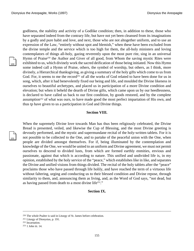101

godliness, the stability and activity of a Godlike condition; then, in addition to these, those who have separated indeed from the contrary life, but have not yet been cleansed from its imaginations by a godly and pure habit and love, and next, those who are not altogether uniform, and to use an expression of the Law, "entirely without spot and blemish," when these have been excluded from the divine temple and the service which is too high for them, the all-holy ministers and loving contemplators of things all-holy, gazing reverently upon the most pure rite, sing in an universal Hymn of Praise<sup>250</sup> the Author and Giver of all good, from Whom the saving mystic Rites were exhibited to us, which divinely work the sacred deification of those being initiated. Now this Hymn some indeed call a Hymn of Praise, others, the symbol of worship, but others, as I think, more divinely, a Hierarchical thanksgiving, as giving a summary of the holy gifts which come to us from God. For, it seems to me the record<sup>251</sup> of all the works of God related to have been done for us in song, which, after it had benevolently fixed our being and life, and moulded the Divine likeness in ourselves to beautiful archetypes, and placed us in participation of a more Divine condition and elevation; but when it beheld the dearth of Divine gifts, which came upon us by our heedlessness, is declared to have called us back to our first condition, by goods restored, and by the complete assumption<sup>252</sup> of what was ours, to have made good the most perfect impartation of His own, and thus tp have given to us a participation in God and Divine things.

#### **Section VIII.**

When the supremely Divine love towards Man has thus been religiously celebrated, the Divine Bread is presented, veiled, and likewise the Cup of Blessing, and the most Divine greeting is devoutly performed, and the mystic and supermundane recital of the holy-written tablets. For it is not possible to be collected to the One, and to partake of the peaceful union with the One, when people are divided amongst themselves. For if, being illuminated by the contemplation and knowledge of the One, we would be united to an uniform and Divine agreement, we must not permit ourselves to descend to divided lusts, from which are formed earthly enmities, envious and passionate, against that which is according to nature. This unified and undivided life is, in my opinion, established by the holy service of the "peace," which establishes like in like, and separates the Divine and unified visions from things divided. The recital of the holy tablets after the "peace" proclaims those who have passed through life holily, and have reached the term of a virtuous life without faltering, urging and conducting us to their blessed condition and Divine repose, through similarity to them, and, announcing them as living, and, as the Word of God says, "not dead, but as having passed from death to a most divine life<sup>253</sup>."

#### **Section IX.**

<sup>251</sup> Liturgy of Dionysius, p. 191.

<sup>250</sup> The whole Psalter is said in Liturgy of St. James before celebration.

<sup>252</sup> Incarnation.

<sup>253</sup> [1 John iii. 14](http://www.ccel.org/b/bible/asv/xml/asv.iJohn.3.xml#iJohn.3.14).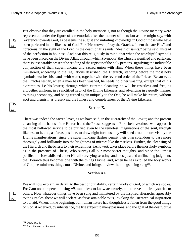103

104

But observe that they are enrolled in the holy memorials, not as though the Divine memory were represented under the figure of a memorial, after the manner of men; but as one might say, with reverence towards God, as beseems the august and unfailing knowledge in God of those who have been perfected in the likeness of God. For "He knoweth," say the Oracles, "them that are His," and "precious, in the sight of the Lord, is the death of His saints, "death of saints," being said, instead of the perfection in holiness. And bear this religiously in mind, that when the worshipful symbols have been placed on the Divine Altar, through which (symbols) the Christ is signified and partaken, there is inseparably present the reading of the register of the holy persons, signifying the indivisible conjunction of their supermundane and sacred union with Him. When these things have been ministered, according to the regulations described, the Hierarch, standing before the most holy symbols, washes his hands with water, together with the reverend order of the Priests. Because, as the Oracles testify, when a man has been washed, he needs no other washing, except that of his extremities, i.e his lowest; through which extreme cleansing he will be resistless and free, as altogether uniform, in a sanctified habit of the Divine Likeness, and advancing in a goodly manner to things secondary, and being turned again uniquely to the One, he will make his return, without spot and blemish, as preserving the fulness and completeness of the Divine Likeness.

#### **Section X.**

There was indeed the sacred laver, as we have said, in the Hierarchy of the Law<sup>254</sup>; and the present cleansing of the hands of the Hierarch and the Priests suggests it. For it behoves those who approach the most hallowed service to be purified even to the remotest imaginations of the soul, through likeness to it, and, as far as possible, to draw nigh; for thus they will shed around more visibly the Divine manifestations, since the supermundane flashes permit their own splendour to pass more thoroughly and brilliantly into the brightness of mirrors like themselves. Further, the cleansing of the Hierarch and the Priests to their extremities, i.e. lowest, takes place before the most holy symbols, as in the presence of Christ, Who surveys all our most secret thoughts, and since the utmost purification is established under His all-surveying scrutiny, and most just and unflinching judgment, the Hierarch thus becomes one with the things Divine, and, when he has extolled the holy works of God, he ministers things most Divine, and brings to view the things being sung<sup>255</sup>.

#### **Section XI.**

We will now explain, in detail, to the best of our ability, certain works of God, of which we spoke. For *I* am not competent to sing *all,* much less to know accurately, and to reveal their mysteries to others. Now whatever things have been sung and ministered by the inspired Hierarchs, agreeably to the Oracles, these we will declare, as far as attainable to us, invoking the Hierarchical inspiration to our aid. When, in the beginning, our human nature had thoughtlessly fallen from the good things of God, it received, by inheritance, the life subject to many passions, and the goal of the destructive

<sup>254</sup> [Deut. xxi. 6](http://www.ccel.org/b/bible/asv/xml/asv.Deut.21.xml#Deut.21.6).

<sup>255</sup> As is the use in Denmark.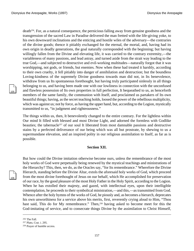death<sup>256</sup>. For, as a natural consequence, the pernicious falling away from genuine goodness and the transgression of the sacred Law in Paradise delivered the man fretted with the life-giving yoke, to his own downward inclinations and the enticing and hostile wiles of the adversary—the contraries of the divine goods; thence it pitiably exchanged for the eternal, the mortal, and, having had its own origin in deadly generations, the goal naturally corresponded with the beginning; but having willingly fallen from the Divine and elevating life, it was carried to the contrary extremity,—the variableness of many passions, and lead astray, and turned aside from the strait way leading to the true God,—and subjected to destructive and evil-working multitudes—naturally forgot that it was worshipping, not gods, or friends, but enemies. Now when these had treated it harshly, according to their own cruelty, it fell pitiably into danger of annihilation and destruction; but the boundless Loving-kindness of the supremely Divine goodness towards man did not, in Its benevolence, withdraw from us Its spontaneous forethought, but having truly participated sinlessly in all things belonging to us, and having been made one with our lowliness in connection with the unconfused and flawless possession of Its own properties in full perfection, It bequeathed to us, as henceforth members of the same family, the communion with Itself, and proclaimed us partakers of Its own beautiful things; having, as the secret teaching holds, loosed the power of the rebellious multiplicity, which was against us; not by force, as having the upper hand, but, according to the Logion, mystically transmitted to us, "in judgment and righteousness."

The things within us, then, It benevolently changed to the entire contrary. For the lightless within Our mind It filled with blessed and most Divine Light, and adorned the formless with Godlike beauties; the tabernacle<sup>257</sup> of our soul It liberated from most damnable passions and destructive stains by a perfected deliverance of our being which was all but prostrate, by shewing to us a supermundane elevation, and an inspired polity in our religious assimilation to Itself, as far as is possible.

# **Section XII.**

But how could the Divine imitation otherwise become ours, unless the remembrance of the most holy works of God were perpetually being renewed by the mystical teachings and ministrations of the Hierarchy? This, then, we do, as the Oracles say, "for Its remembrance." Wherefore the Divine Hierarch, standing before the Divine Altar, extols the aforesaid holy works of God, which proceed from the most divine forethought of Jesus on our behalf, which He accomplished for preservation of our race, by the good pleasure of the most Holy Father in the Holy Spirit, according to the Logion. When he has extolled their majesty, and gazed, with intellectual eyes, upon their intelligible contemplation, he proceeds to their symbolical ministration,—and this,—as transmitted from God. Whence after the holy hymns of the works of God, he piously and, as becomes a hierarch, deprecates his own unworthiness for a service above his merits, first, reverently crying aloud to Him, "Thou hast said, This do for My remembrance." Then,<sup>258</sup> having asked to become meet for this the God-imitating of service, and to consecrate things Divine by the assimilation to Christ Himself,

105

<sup>256</sup> The Fall.

<sup>257</sup> Plato, Crat. i. 295.

<sup>258</sup> Prayer of humble access.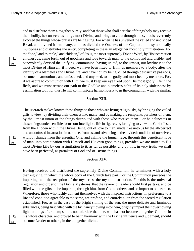and to distribute them altogether purely, and that those who shall partake of things holy may receive them holily, he consecrates things most Divine, and brings to view through the symbols reverently exposed the things whose praises are being sung. For when he has unveiled the veiled and undivided Bread, and divided it into many, and has divided the Oneness of the Cup to all, he symbolically multiplies and distributes the unity, completing in these an altogether most holy ministration. For the "one," and "simple," and "hidden," of Jesus, the most supremely Divine Word, by His incarnation amongst us, came forth, out of goodness and love towards man, to the compound and visible, and benevolently devised the unifying, communion, having united, to the utmost, our lowliness to the most Divine of Himself; if indeed we have been fitted to Him, as members to a body, after the identity of a blameless and Divine life, and have not, by being killed through destructive passions, become inharmonious, and unfastened, and unyoked, to the godly and most healthy members. For, if we aspire to communion with Him, we must keep our eye fixed upon His most godly Life in the flesh, and we must retrace our path to the Godlike and blameless habit of Its holy sinlessness by assimilation to It; for thus He will communicate harmoniously to us the communion with the similar.

#### **Section XIII.**

The Hierarch makes known these things to those who are living religiously, by bringing the veiled gifts to view, by dividing their oneness into many, and by making the recipients partakers of them, by the utmost union of the things distributed with those who receive them. For he delineates in these things under sensible forms our intelligible life in figures, by bringing to view the Christ Jesus from the Hidden within the Divine Being, out of love to man, made like unto us by the all-perfect and unconfused incarnation in our race, from us, and advancing to the divided condition of ourselves, without change from the essential One, and calling the human race, through this beneficent love of man, into participation with Himself and His own good things, provided we are united to His most Divine Life by our assimilation to it, as far as possible; and by this, in very truth, we shall have been perfected, as partakers of God and of Divine things.

#### **Section XIV.**

Having received and distributed the supremely Divine Communion, he terminates with a holy thanksgiving, in which the whole body of the Church take part. For the Communion precedes the imparting, and the reception of the mysteries, the mystic distribution. For this is the universal regulation and order of the Divine Mysteries, that the reverend Leader should first partake, and be filled with the gifts, to be imparted, through him, from God to others, and so impart to others also. Wherefore, those who rashly content themselves with the inspired instructions, in preference to a life and condition agreeable to the same, are profane, and entirely alien from the sacred regulation established. For, as in the case of the bright shining of the sun, the more delicate and luminous substances, being first filled with the brilliancy flowing into them, brightly impart their overflowing light to things after them; so it is not tolerable that one, who has not become altogether Godlike in his whole character, and proved to be in harmony with the Divine influence and judgment, should become Leader to others, in the altogether divine.



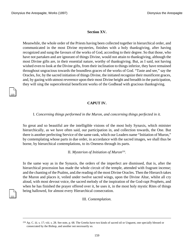# **Section XV.**

Meanwhile, the whole order of the Priests having been collected together in hierarchical order, and communicated in the most Divine mysteries, finishes with a holy thanksgiving, after having recognized and sung the favours of the works of God, according to their degree. So that those, who have not partaken and are ignorant of things Divine, would not attain to thanksgiving, although the most Divine gifts are, in their essential nature, worthy of thanksgiving. But, as I said, not having wished even to look at the Divine gifts, from their inclination to things inferior, they have remained throughout ungracious towards the boundless graces of the works of God. "Taste and see," say the Oracles, for, by the sacred initiation of things Divine, the initiated recognize their munificent graces, and, by gazing with utmost reverence upon their most Divine height and breadth in the participation, they will sing the supercelestial beneficent works of the Godhead with gracious thanksgiving.

# **CAPUT IV.**

# I. *Concerning things performed in the Muron, and concerning things perfected in it.*

So great and so beautiful are the intelligible visions of the most holy Synaxis, which minister hierarchically, as we have often said, our participation in, and collection towards, the One. But there is another perfecting Service of the same rank, which our Leaders name "Initiation of Muron," by contemplating whose parts in due order, in accordance with the sacred images, we shall thus be borne, by hierarchical contemplations, to its Oneness through its parts.

II. *Mysterion of Initiation of Muron<sup>259</sup> .*

In the same way as in the Synaxis, the orders of the imperfect are dismissed, that is, after the hierarchical procession has made the whole circuit of the temple, attended with fragrant incense; and the chanting of the Psalms, and.the reading of the most Divine Oracles. Then the Hierarch takes the Muron and places it, veiled under twelve sacred wings, upon the Divine Altar, whilst all cry aloud, with most devout voice, the sacred melody of the inspiration of the God-rapt Prophets, and when he has finished the prayer offered over it, he uses it, in the most holy mystic Rites of things being hallowed, for almost every Hierarchical consecration.

III. *Contemplation.*



<sup>259</sup> Ap. C. iii. s. 17; viii. s. 28. See note, p. 68. The Greeks have two kinds of sacred oil or Unguent, one specially blessed or consecrated by the Bishop, and another not necessarily so.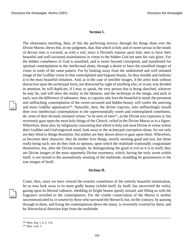#### **Section I.**

The elementary teaching, then, of this the perfecting service, through the things done over the Divine Muron, shews this, in my judgment, that, that which is holy and of sweet savour in the minds of devout men is covered, as with a veil, since it Divinely enjoins upon holy men to have their beautiful and well-savoured assimilations in virtue to the hidden God not seen for vain glory. For the hidden comeliness of God is unsullied, and is sweet beyond conception, and manifested for spiritual contemplation to the intellectual alone, through a desire to have the unsullied images of virtue in souls of the same pattern. For by looking away from the undistorted and well imitated image of the Godlike virtue to that contemplated and fragrant beauty, he thus moulds and fashions it to the most beautiful imitation. And, as in the case of sensible images, if the artist look without distraction upon the archetypal form, not distracted by sight of anything else, or in any way divided in attention, he will duplicate, if I may so speak, the very person that is being sketched, whoever he may be, and will shew the reality in the likeness, and the archetype in the image, and each in each, save the difference of substance; thus, to copyists who love the beautiful in mind, the persistent and unflinching contemplation of the sweet-savoured and hidden beauty will confer the unerring and most Godlike appearance<sup>260</sup>. Naturally, then, the divine copyists, who unflinchingly mould their own intellectual contemplation to the superessentially sweet and contemplated comeliness, do. none of their divinely imitated virtues "to be seen of men<sup>261</sup>, as the Divine text expresses it; but reverently gaze upon the most holy things of the Church, veiled in the Divine Muron as in a figure. Wherefore, these also, by religiously concealing that which is holy and most Divine in virtue within their Godlike and God-engraved mind, look away to the archetypal conception alone; for not only are they blind to things dissimilar, but neither are they drawn down to gaze upon them. Wherefore, as becomes their character, they do neither love things, merely seeming good and just, but those really being such; nor do they look to opinion, upon which the multitude irrationally congratulate themselves, but, after the Divine example, by distinguishing the good or evil as it is in itself, they are Divine images of the most supremely Divine sweetness, which, having the truly sweet within itself, is not turned to the anomalously seeming of the multitude, moulding Its genuineness to the true images of Itself.

## **Section II.**

Come, then, since we have viewed the exterior comeliness of the entirely beautiful ministration, let us now look away to its more godly beauty (whilst itself, by itself, has uncovered the veils), gazing upon its blessed radiance, shedding its bright beams openly around, and filling us with the fragrance unveiled to the contemplators. For the visible consecration of the Muron is neither uncommunicated in, or unseen by those who surround the Hierarch, but, on the contrary, by passing through to them, and fixing the contemplation above the many, is reverently covered by them, and by Hierarchical direction kept from the multitude.

112

<sup>260</sup> Plato, Rep. i. 6, ii. 116.

<sup>261</sup> [Matt. xxiii. 5](http://www.ccel.org/b/bible/asv/xml/asv.Matt.23.xml#Matt.23.5).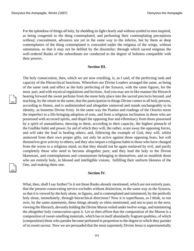115

For the splendour of things all holy, by shedding its light clearly and without symbol to men inspired, as being congenial to the thing contemplated, and perfuming their contemplating perceptions without; concealment, advances not yet in the same way to the inferior, but by them as deep contemplators of the thing contemplated is concealed under the enigmas of the wings, without ostentation, so that it may not be defiled by the dissimilar; through which sacred enigmas the well-ordered Ranks of the subordinate are conducted to the degree of holiness compatible with their powers.

#### **Section III.**

The holy consecration, then, which we are now extolling, is, as I said, of the perfecting rank and capacity of the Hierarchical functions. Wherefore our Divine Leaders arranged the same, as being of the same rank and effect as the holy perfecting of the Synaxis, with the same figures, for the most part, and with mystical regulations and lections. And you may see in like manner the Hierarch bearing forward the sweet perfume from the more holy place into the sacred precincts beyond, and teaching, by the return to the same, that the participation in things Divine comes to all holy persons, according to fitness, and is undiminished and altogether unmoved and stands unchangeably in its identity, as beseems Divine fixity. In the same way the Psalms and readings of the Oracles nurse the imperfect to a life-bringing adoption of sons, and form a religious inclination in those who are possessed with accursed spirits, and dispel the opposing fear and effeminacy from those possessed by a spirit of unmanliness; shewing to them, according to their capacity, the highest pinnacle of the Godlike habit and power, by aid of which they will, the rather, scare away the opposing forces, and will take the lead in healing others; and, following the example of God, they will, whilst unmoved from their own proper gifts, not only be active against those opposing fears, but will themselves give activity to others; and they also impart a religious habit to those who have changed from the worse to a religious mind, so that they should not be again enslaved by evil, and purify completely those who need to become altogether pure; and they lead the holy to the Divine likenesses, and contemplations and communions belonging to themselves, and so establish those who are entirely holy, in blessed and intelligible visions, fulfilling their uniform likeness of the One, and making them one.

#### **Section IV.**

What, then, shall I say further? Is it not those Ranks already mentioned, which are not entirely pure, that the present consecrating service excludes without distinction, in the same way as the Synaxis, so that it is viewed by the holy alone, in figures, and is contemplated and ministered, by the perfectly holy alone, immediately, through hierarchical directions? Now it is superfluous, as I think, to run over, by the same statements, these things already so often mentioned, and not to pass to the next, viewing the Hierarch, devoutly holding the Divine Muron veiled under twelve wings, and ministering the altogether holy consecration upon it. Let us then affirm that the composition of the Muron is a composition of sweet-smelling materials, which has in itself abundantly fragrant qualities, of which (composition) those who partake become perfumed in proportion to the degree to which they partake of its sweet savour. Now we are persuaded that the most supremely Divine Jesus is superessentially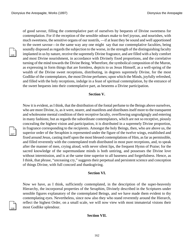117

118

of good savour, filling the contemplative part of ourselves by bequests of Divine sweetness for contemplation. For if the reception of the sensible odours make to feel joyous, and nourishes, with much sweetness, the sensitive organs of our nostrils, —if at least they be sound and well apportioned to the sweet savour—in the same way any one might say that our contemplative faculties, being soundly disposed as regards the subjection to the worse, in the strength of the distinguishing faculty implanted in us by nature, receive the supremely Divine fragrance, and are filled with a holy comfort and most Divine nourishment, in accordance with Divinely fixed proportions, and the correlative turning of the mind towards the Divine Being. Wherefore, the symbolical composition of the Muron, as expressing in form things that are formless, depicts to us Jesus Himself, as a well-spring of the wealth of the Divine sweet receptions, distributing, in degrees supremely Divine, for the most Godlike of the contemplators, the most Divine perfumes; upon which the Minds, joyfully refreshed, and filled with the holy receptions, indulge in a feast of spiritual contemplation, by the entrance of the sweet bequests into their contemplative part, as beseems a Divine participation.

## **Section V.**

Now it is evident, as I think, that the distribution of the fontal perfume to the Beings above ourselves, who are more Divine, is, as it were, nearer, and manifests and distributes itself more to the transparent and wholesome mental condition of their receptive faculty, overflowing ungrudgingly and entering in many fashions; but as regards the subordinate contemplators, which are not so receptive, piously concealing the highest vision and participation, it is distributed in a supremely Divine proportion, in fragrance corresponding to the recipients. Amongst the holy Beings, then, who are above us, the superior order of the Seraphim is represented under the figure of the twelve wings, established and fixed around Jesus, casting itself upon the most blessed contemplations of Him, as far as permissible, and filled reverently with the contemplated truth distributed in most pure receptions, and, to speak after the manner of men, crying aloud, with never silent lips, the frequent Hymn of Praise; for the sacred knowledge of the supermundane minds is both untiring, and possesses the Divine love without intermission, and is at the same time superior to all baseness and forgetfulness. Hence, as I think, that phrase, "unceasing cry," suggests their perpetual and persistent science and conception of things Divine, with full concord and thanksgiving.

#### **Section VI.**

Now we have, as I think, sufficiently contemplated, in the description of the super-heavenly Hierarchy, the incorporeal properties of the Seraphim, Divinely described in the Scriptures under sensible figures explanatory of the contemplated Beings, and we have made them evident to thy contemplating eyes. Nevertheless, since now also they who stand reverently around the Hierarch, reflect the highest Order, on a small scale, we will now view with most immaterial visions their most Godlike splendour.

#### **Section VII.**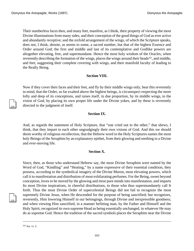Their numberless faces then, and many feet, manifest, as I think, their property of viewing the most Divine illuminations from many sides, and their conception of the good things of God as ever active and abundantly receptive; and the sixfold arrangement of the wings, of which the Scripture speaks, does not, I think, denote, as seems to some, a sacred number, but that of the highest Essence and Order around God; the first and middle and last of its contemplative and Godlike powers are altogether elevating, free, and supermundane. Hence the most holy wisdom of the Oracles, when reverently describing the formation of the wings, places the wings around their heads<sup>262</sup>, and middle, and feet; suggesting their complete covering with wings, and their manifold faculty of leading to the Really Being.

# **Section VIII.**

Now if they cover their faces and their feet, and fly by their middle wings only, bear this reverently in mind, that the Order, so far exalted above the highest beings, is circumspect respecting the more lofty and deep of its conceptions, and raises itself, in due proportion, by its middle wings, to the vision of God, by placing its own proper life under the Divine yokes, and by these is reverently directed to the judgment of itself.

# **Section IX.**

And, as regards the statement of Holy Scripture, that "one cried out to the other," that shews, I think, that they impart to each other ungrudgingly their own visions of God. And this we should deem worthy of religious recollection, that the Hebrew word in the Holy Scriptures names the most holy Beings of the Seraphim by an explanatory epithet, from their glowing and seething in a Divine and ever-moving life.

# **Section X.**

Since, then, as those who understand Hebrew say, the most Divine Seraphim were named by the Word of God, "Kindling" and "Heating," by a name expressive of their essential condition, they possess, according to the symbolical imagery of the Divine Muron, most elevating powers, which call it to manifestation and distribution of most exhilarating perfumes. For the Being, sweet beyond conception, loves to be moved by the glowing and most pure minds into manifestation, and imparts Its most Divine inspirations, in cheerful distributions, to those who thus supermundanely call It forth. Thus the most Divine Order of supercelestial Beings did not fail to recognize the most supremely Divine Jesus, when He descended for the purpose of being sanctified; but recognizes, reverently, Him lowering Himself in our belongings, through Divine and inexpressible goodness; and when viewing Him sanctified, in a manner befitting man, by the Father and Himself and the Holy Spirit, recognized its own supreme Head as being essentially unchanged, in whatever He may do as supreme God. Hence the tradition of the sacred symbols places the Seraphim near the Divine

119

<sup>262</sup> [Isa. vi. 2.](http://www.ccel.org/b/bible/asv/xml/asv.Isa.6.xml#Isa.6.2)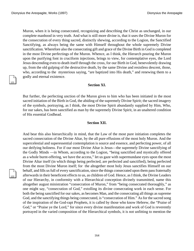Muron, when it is being consecrated, recognizing and describing the Christ as unchanged, in our complete manhood in very truth. And what is still more divine is, that it uses the Divine Muron for the consecration of every thing sacred, distinctly shewing, according to the Logion, the Sanctified Sanctifying, as always being the same with Himself throughout the whole supremely Divine sanctification. Wherefore also the consecrating gift and grace of the Divine Birth in God is completed in the most Divine perfectings of the Muron. Whence, as I think, the Hierarch pouring the Muron upon the purifying font in cruciform injections, brings to view, for contemplative eyes, the Lord Jesus descending even to death itself through the cross, for our Birth in God, benevolently drawing up, from the old gulping of the destructive death, by the same Divine and resistless descent, those, who, according to the mysterious saying, "are baptized into His death," and renewing them to a godly and eternal existence.

#### **Section XI.**

But further, the perfecting unction of the Muron gives to him who has been initiated in the most sacred initiation of the Birth in God, the abiding of the supremely Divine Spirit; the sacred imagery of the symbols, portraying, as I think, the most Divine Spirit abundantly supplied by Him, Who, for our sakes, has been sanctified as man by the supremely Divine Spirit, in an unaltered condition of His essential Godhead.

## **Section XII.**

And bear this also hierarchically in mind, that the Law of the most pure initiation completes the sacred consecration of the Divine Altar, by the all pure effusions of the most holy Muron. And the supercelestial and superessential contemplation is source and essence, and perfecting power, of all our deifying holiness. For if our most Divine Altar is Jesus—the supremely Divine sanctifying of the Godly Minds —in Whom, according to the Logion, "being sanctified and mystically offered as a whole burnt-offering, we have the access," let us gaze with supermundane eyes upon the most Divine Altar itself (in which things being perfected, are perfected and sanctified), being perfected from the most Divine Muron itself; for the altogether most holy Jesus sanctifies Himself on our behalf, and fills us full of every sanctification, since the things consecrated upon them pass fraternally afterwards in their beneficent effects to us, as children of God. Hence, as I think, the Divine Leaders of our Hierarchy, in conformity with a Hierarchical conception divinely transmitted, name this altogether august ministration "consecration of Muron," from "being consecrated thoroughly," as one might say, "consecration of God," extolling its divine consecrating work in each sense. For both the being sanctified for our sakes, as becomes Man, and the consecrating all things as supreme God, and the sanctifying things being consecrated, is "consecration of Him." As for the sacred song of the inspiration of the God-rapt Prophets, it is called by those who know Hebrew, the "Praise of God," or "Praise ye the Lord," for since every divine manifestation and work of God is reverently portrayed in the varied composition of the Hierarchical symbols, it is not unfitting to mention the

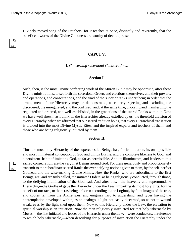Divinely moved song of the Prophets; for it teaches at once, distinctly and reverently, that the beneficent works of the Divine Goodness are worthy of devout praise.

#### **CAPUT V.**

I. *Concerning sacerdotal Consecrations.*

#### **Section I.**

Such, then, is the most Divine perfecting work of the Muron But it may be opportune, after these Divine ministrations, to set forth the sacerdotal Orders and elections themselves, and their powers, and operations, and consecrations, and the triad of the superior ranks under them; in order that the arrangement of our Hierarchy may be demonstrated, as entirely rejecting and excluding the disordered, the unregulated, and the confused; and, at the same time, choosing and manifesting the regulated and ordered, and well-established, in the gradations of the sacred Ranks within it. Now we have well shewn, as I think, in the Hierarchies already extolled by us, the threefold division of every Hierarchy, when we affirmed that our sacred tradition holds, that every Hierarchical transaction is divided into the most Divine Mystic Rites, and the inspired experts and teachers of them, and those who are being religiously initiated by them.

## **Section II.**

Thus the most holy Hierarchy of the supercelestial Beings has, for its initiation, its own possible and most immaterial conception of God and things Divine, and the complete likeness to God, and a persistent habit of imitating God, as far as permissible. And its illuminators, and leaders to this sacred consecration, are the very first Beings around God. For these generously and proportionately transmit to the subordinate sacred Ranks the ever deifying notions given to them, by the self-perfect Godhead and the wise-making Divine Minds. Now the Ranks, who are subordinate to the first Beings, are, and are truly called, the initiated Orders, as being religiously conducted, through those, to the deifying illumination of the Godhead. And after this,—the heavenly and supermundane Hierarchy,—the Godhead gave the Hierarchy under the Law, imparting its most holy gifts, for the benefit of our race, to them (as being children according to the Logion), by faint images of the true, and copies far from the Archetypes, and enigmas hard to understand, and types having the contemplation enveloped within, as an analogous light not easily discerned, so as not to wound weak, eyes by the light shed upon them. Now to this Hierarchy under the Law, the elevation to spiritual worship is an initiation. Now the men religiously instructed for that holy tabernacle by Moses,—the first initiated and leader of the Hierarchs under the Law,—were conductors; in reference to which holy tabernacle,—when describing for purposes of instruction the Hierarchy under the

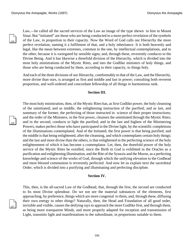126

127

Law,—he called all the sacred services of the Law an image of the type shewn to him in Mount Sinai. But "initiated" are those who are being conducted to a more perfect revelation of the symbols of the Law, in proportion to their capacity. Now the Word of God calls our Hierarchy the more perfect revelation, naming it a fulfilment of that, and a holy inheritance. It is both heavenly and legal, like the mean between extremes, common to the one, by intellectual contemplations, and to the other, because it is variegated by sensible signs; and, through these, reverently conduces to the Divine Being. And it has likewise a threefold division of the Hierarchy, which is divided into the most holy ministrations of the Mystic Rites, and into the Godlike ministers of holy things, and those who are being conducted by them, according to their capacity, to things holy.

And each of the three divisions of our Hierarchy, comformably to that of the Law, and the Hierarchy, more divine than ours, is arranged as first and middle and last in power; consulting both reverent proportion, and well-ordered and concordant fellowship of all things *in* harmonious rank.

#### **Section III.**

The most holy ministration, then, of the Mystic Rites has, as first Godlike power, the holy cleansing of the uninitiated; and as middle, the enlightening instruction of the purified; and as last, and summary of the former, the perfecting of those instructed in science of their proper instructions; and the order of the Ministers, in the first power, cleanses the uninitiated through the Mystic Rites; and in the second, conducts to light the purified; and in the last and highest of the Ministering Powers, makes perfect those who have participated in the Divine light, by the scientific completions of the illuminations contemplated. And of the Initiated, the first power is that being purified; and the middle is that being enlightened, after the cleansing, and which contemplates certain holy things; and the last and more divine than the others, is that enlightened in the perfecting science of the holy enlightenment of which it has become a contemplator. Let, then, the threefold power of the holy service of the Mystic Rites be extolled, since the Birth in God is exhibited in the Oracles as a purification and enlightening illumination, and the Rite of the Synaxis and the Muron, as a perfecting knowledge and science of the works of God, through which the unifying elevation to the Godhead and most blessed communion is reverently perfected. And now let us explain next the sacerdotal Order, which is divided into a purifying and illuminating and perfecting discipline.

#### **Section IV.**

This, then, is the all-sacred Law of the Godhead, that, through the first, the second are conducted to Its most Divine splendour. Do we not see the material substances of the elements, first approaching, by preference, things which are more congenial to them, and, through these, diffusing their own energy to other things? Naturally, then, the Head and Foundation of all good order, invisible and visible, causes the deifying rays to approach the more Godlike first, and through them, as being more transparent Minds, and more properly adapted for reception and transmission of Light, transmits light and manifestations to the subordinate, in proportions suitable to them.

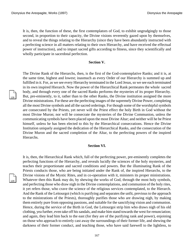129

It is, then, the function of these, the first contemplators of God, to exhibit ungrudgingly to those second, in proportion to their capacity, the Divine visions reverently gazed upon by themselves, and to reveal the things relating to the Hierarchy (since they have been abundantly instructed with a perfecting science in all matters relating to their own Hierarchy, and have received the effectual power of instruction), and to impart sacred gifts according to fitness, since they scientifically and wholly participate in sacerdotal perfection.

#### **Section V.**

The Divine Rank of the Hierarchs, then, is the first of the God-contemplative Ranks; and it is, at the same time, highest and lowest; inasmuch as every Order of our Hierarchy is summed up and fulfilled in it. For, as we see every Hierarchy terminated in the Lord Jesus, so we see each terminated in its own inspired Hierarch. Now the power of the Hierarchical Rank permeates the whole sacred body, and through every one of the sacred Ranks performs the mysteries of its proper Hierarchy. But, pre-eminently, to it, rather than to the other Ranks, the Divine institution assigned the more Divine ministrations. For these are the perfecting images of the supremely Divine Power, completing all the most Divine symbols and all the sacred orderings. For though some of the worshipful symbols are consecrated by the Priests, yet never will the Priest effect the holy Birth in God without the most Divine Muron; nor will he consecrate the mysteries of the Divine Communion, unless the communicating symbols have been placed upon the most Divine Altar; and neither will he be Priest himself, unless he has been elected to this by the Hierarchical consecrations. Hence the Divine Institution uniquely assigned the dedication of the Hierarchical Ranks, and the consecration of the Divine Muron and the sacred completion of the Altar, to the perfecting powers of the inspired Hierarchs.

## **Section VI.**

It is, then, the Hierarchical Rank which, full of the perfecting power, pre-eminently completes the perfecting functions of the Hierarchy, and reveals lucidly the sciences of the holy mysteries, and teaches their proportionate and sacred conditions and powers. But the illuminating Rank of the Priests conducts those, who are being initiated under the Rank of, the inspired Hierarchs, to the Divine visions of the Mystic Rites, and in co-operation with it, ministers its proper ministrations. Whatever then this Rank may do, by shewing the works of God, through the most holy symbols, and perfecting those who draw nigh in the Divine contemplations, and communion of the holy rites, it yet refers those, who crave the science of the religious services contemplated, to the Hierarch. And the Rank of the Leitourgoi (which is purifying and separates the unfit, previous to the approach to the ministrations of the Priests), thoroughly purifies those who are drawing nigh, by making them entirely pure from opposing passions, and suitable for the sanctifying vision and communion. Hence, during the service of the Birth in God, the Leitourgoi strip him who draws nigh of his old clothing, yea further, even take off his sandals, and make him stand towards the west for renunciation; and again, they lead him back to the east (for they are of the purifying rank and power), enjoining on those who approach to entirely cast away the surroundings of their former life, and shewing the darkness of their former conduct, and teaching those, who have said farewell to the lightless, to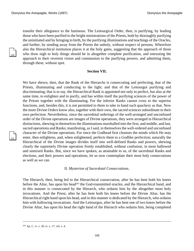

transfer their allegiance to the luminous. The Leitourgical Order, then, is purifying, by leading those who have been purified to the bright ministrations of the Priests, both by thoroughly purifying the uninitiated and by bringing to birth, by the purifying illuminations and teachings of the Oracles, and further, by sending away from the Priests the unholy, without respect of persons. Wherefore also the Hierarchical institution places it at the holy gates, suggesting that the approach of those who draw nigh to holy things should be in altogether complete purification, and entrusting the approach to their reverent vision and communion to the purifying powers, and admitting them, through these, without spot.

## **Section VII.**

We have shewn, then, that the Rank of the Hierarchs is consecrating and perfecting, that of the Priests, illuminating and conducting to the light; and that of the Leitourgoi purifying and discriminating; that is to say, the Hierarchical Rank is appointed not only to perfect, but also at the same time, to enlighten and to purify, and has within itself the purifying sciences of the power of the Priests together with the illuminating. For the inferior Ranks cannot cross to the superior functions, and, besides this, it is not permitted to them to take in hand such quackery as that. Now the more Divine Orders know also, together with their own, the sacred sciences subordinate to their own perfection. Nevertheless, since the sacerdotal orderings of the well-arranged and unconfused order of the Divine operations are images of Divine operations, they were arranged in Hierarchical distinctions, shewing in themselves the illuminations marshalled into the first, and middle, and last, sacred operations and Ranks; manifesting, as I said, in themselves the well-ordered and unconfused character of the Divine operations. For since the Godhead first cleanses the minds which He may enter, then enlightens, and, when enlightened, perfects them to a Godlike perfection; naturally the Hierarchical of the Divine images divides itself into well-defined Ranks and powers, shewing clearly the supremely Divine operation firmly established, without confusion, in most hallowed and unmixed Ranks. But, since we have spoken, as attainable to us, of the sacerdotal Ranks and elections, and their powers and operations, let us now contemplate their most holy consecrations as well as we can.

# II. *Mysterion of Sacerdotal Consecrations.*

The Hierarch, then, being led to the Hierarchical consecration, after he has bent both his knees before the Altar, has upon his head<sup>263</sup> the God-transmitted oracles, and the Hierarchical hand, and in this manner is consecrated by the Hierarch, who ordains him by the altogether most holy invocations. And the Priest, after he has bent both his knees before the Divine Altar, has the Hierarchical right hand upon his head, and in this manner is dedicated by the Hierarch, who ordains him with hallowing invocations. And the Leitourgos, after he has bent one of two knees before the Divine Altar, has upon his head the right hand of the Hierarch who ordains him, being completed

<sup>263</sup> Ap. C. iv. s. 20; iv. s. 17; viii. s. 4.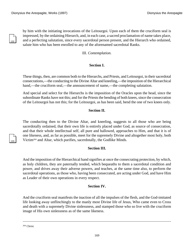133

by him with the initiating invocations of the Leitourgoi. Upon each of them the cruciform seal is impressed, by the ordaining Hierarch, and, in each case, a sacred proclamation of name takes place, and a perfecting salutation, since every sacerdotal person present, and the Hierarch who ordained, salute him who has been enrolled to any of the aforenamed sacerdotal Ranks.

III. *Contemplation.*

# **Section I.**

These things, then, are common both to the Hierarchs, and Priests, and Leitourgoi, in their sacerdotal consecrations,—the conducting to the Divine Altar and kneeling,—the imposition of the Hierarchical hand,—the cruciform seal,—the announcement of name,—the completing salutation.

And special and select for the Hierarchs is the imposition of the Oracles upon the head, since the subordinate Ranks have not this; and for the Priests the bending of both knees, since the consecration of the Leitourgoi has not this; for the Leitourgoi, as has been said, bend the one of two knees only.

# **Section II.**

The conducting then to the Divine Altar, and kneeling, suggests to all those who are being sacerdotally ordained, that their own life is entirely placed under God, as source of consecration, and that their whole intellectual self, all pure and hallowed, approaches to Him, and that it is of one likeness, and, as far as possible, meet for the supremely Divine and altogether most holy, both Victim264 and Altar, which purifies, sacerdotally, the Godlike Minds.

# **Section III.**

And the imposition of the Hierarchical hand signifies at once the consecrating protection, by which, as holy children, they are paternally tended, which bequeaths to them a sacerdotal condition and power, and drives away their adverse powers, and teaches, at the same time also, to perform the sacerdotal operations, as those who, having been consecrated, are acting under God, and have Him as Leader of their own operations in every respect.

# **Section IV.**

And the cruciform seal manifests the inaction of all the impulses of the flesh, and the God-imitated life looking away unflinchingly to the manly most Divine life of Jesus, Who came even to Cross and death with a supremely Divine sinlessness, and stamped those who so live with the cruciform image of His own sinlessness as of the same likeness.

<sup>264</sup> Christ.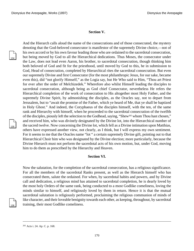## **Section V.**

134

135

And the Hierarch calls aloud the name of the consecrations and of those consecrated, the mystery denoting that the God-beloved consecrator is manifestor of the supremely Divine choice,—not of his own accord or by his own favour leading those who are ordained to the sacerdotal consecration, but being moved by God to all the Hierarchical dedications. Thus Moses, the consecrator under the Law, does not lead even Aaron, his brother, to sacerdotal consecration, though thinking him both beloved of God and fit for the priesthood, until moved by God to this, he in submission to God, Head of consecration, completed by Hierarchical rites the sacerdotal consecration. But even our supremely Divine and first Consecrator (for the most philanthropic Jesus, for our sake, became even this), did "not glorify Himself," as the Logia say, but He Who said to Him, "Thou art Priest for ever after the order of Melchizedek." Wherefore also whilst Himself leading the disciples to sacerdotal consecration, although being as God chief Consecrator, nevertheless He refers the Hierarchical completion of the work of consecration to His altogether most Holy Father, and the supremely Divine Spirit, by admonishing the disciples, as the Oracles say, not to depart from Jerusalem, but to "await the promise of the Father, which ye heard of Me, that ye shall be baptized in Holy Ghost." And indeed, the Coryphaeus of the disciples himself, with the ten, of the same rank and Hierarchy with himself, when he proceeded to the sacerdotal consecration of the twelfth of the disciples, piously left the selection to the Godhead, saying, "Shew265 whom Thou hast chosen," and received him, who was divinely designated by the Divine lot, into the Hierarchical number of the sacred twelve. Now concerning the Divine lot, which fell as a Divine intimation upon Matthias, others have expressed another view, not clearly, as I think, but I will express my own sentiment. For it seems to me that the Oracles name "lot " a certain supremely Divine gift, pointing out to that Hierarchical Choir him who was designated by the Divine election; more particularly, because the Divine Hierarch must not perform the sacerdotal acts of his own motion, but, under God, moving him to do them as prescribed by the Hierarchy and Heaven.

# **Section VI.**

Now the salutation, for the completion of the sacerdotal consecration, has a religious significance. For all the members of the sacerdotal Ranks present, as well as the Hierarch himself who has consecrated them, salute the ordained. For when, by sacerdotal habits and powers, and by Divine call and dedication, a religious mind has attained to sacerdotal completion, he is dearly loved by the most holy Orders of the same rank, being conducted to a most Godlike comeliness, loving the minds similar to himself, and religiously loved by them in return. Hence it is that the mutual sacerdotal salutation is religiously performed, proclaiming the religious communion of minds of like character, and their loveable benignity towards each other, as keeping, throughout, by sacerdotal training, their most Godlike comeliness.

<sup>136</sup>

<sup>265</sup> [Acts i. 24.](http://www.ccel.org/b/bible/asv/xml/asv.Acts.1.xml#Acts.1.24) Ap. C. p. 168.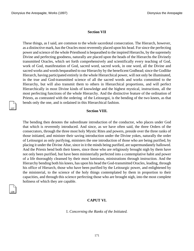#### **Section VII**

These things, as I said, are common to the whole sacerdotal consecration. The Hierarch, however, as a distinctive mark, has the Oracles most reverently placed upon his head. For since the perfecting power and science of the whole Priesthood is bequeathed to the inspired Hierarchs, by the supremely Divine and perfecting goodness, naturally are placed upon the heads of the Hierarchs the Divinely transmitted Oracles, which set forth comprehensively and scientifically every teaching of God, work of God, manifestation of God, sacred word, sacred work, in one word, all the Divine and sacred works and words bequeathed to our Hierarchy by the beneficent Godhead; since the Godlike Hierarch, having participated entirely in the whole Hierarchical power, will not only be illuminated, in the true and God-transmitted science of all the sacred words and works committed to the Hierarchy, but will also transmit them to others in Hierarchical proportions, and will perfect Hierarchically in most Divine kinds of knowledge and the highest mystical, instructions, all the most perfecting functions of the whole Hierarchy. And the distinctive feature of the ordination of Priests, as contrasted with the ordering of the Leitourgoi, is the bending of the two knees, as that bends only the one, and is ordained in this Hierarchical fashion.

#### **Section VIII.**

The bending then denotes the subordinate introduction of the conductor, who places under God that which is reverently introduced. And since, as we have often said, the three Orders of the consecrators, through the three most holy Mystic Rites and powers, preside over the three ranks of those initiated, and minister their saving introduction under the Divine yokes, naturally the order of Leitourgoi as only purifying, ministers the one introduction of those who are being purified, by placing it under the Divine Altar, since in it the minds being purified, are supermundanely hallowed. And the Priests bend both their knees, since those who are religiously brought nigh by them have not only been purified, but have been ministerially perfected into a contemplative habit and power of a life thoroughly cleansed by their most luminous, ministrations through instruction. And the Hierarchy bending both his knees, has upon his head the God-transmitted Oracles, leading, through his office of Hierarch, those who have been purified by the Leitourgic power, and enlightened by the ministerial, to the science of the holy things contemplated by them in proportion to their capacities, and through this science perfecting those who are brought nigh, into the most complete holiness of which they are capable.

# 138

137

# **CAPUT VI.**

I. *Concerning the Ranks of the Initiated.*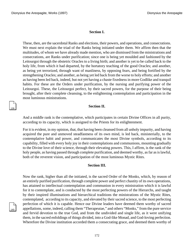# **Section I.**

These, then, are the sacerdotal Ranks and elections, their powers, and operations, and consecrations. We must next explain the triad of the Ranks being initiated under them. We affirm then that the multitudes, of whom we have already made mention, who are dismissed from the ministrations and consecrations, are Ranks under purification; since one is being yet moulded and fashioned by the Leitourgoi through the obstetric Oracles to a living birth; and another is yet to be called back to the holy life, from which it had departed, by the hortatory teaching of the good Oracles; and another, as being yet terrorized, through want of manliness, by opposing fears, and being fortified by the strengthening Oracles; and another, as being yet led back from the worse to holy efforts; and another as having been led back, indeed, but not yet having a chaste fixedness in more Godlike and tranquil habits. For these are the Orders under purification, by the nursing and purifying power of the Leitourgoi. These, the Leitourgoi perfect, by their sacred powers, for the purpose of their being brought, after their complete cleansing, to the enlightening contemplation and participation in the most luminous ministrations.

# **Section II.**

And a middle rank is the contemplative, which participates in certain Divine Offices in all purity, according to its capacity, which is assigned to the Priests for its enlightenment.

For it is evident, in my opinion, that, that having been cleansed from all unholy impurity, and having acquired the pure and unmoved steadfastness of its own mind, is led back, ministerially, to the contemplative habit and power, and communicates the most Divine symbols, according to its capability, filled with every holy joy in their contemplations and communions, mounting gradually to the Divine love of their science, through their elevating powers. This, I affirm, is the rank of the holy people, as having passed through complete purification, and deemed worthy, as far as is lawful, both of the reverent vision, and participation of the most luminous Mystic Rites.

# **Section III.**

Now the rank, higher than all the initiated, is the sacred Order of the Monks, which, by reason of an entirely purified purification, through complete power and perfect chastity of its own operations, has attained to intellectual contemplation and communion in every ministration which it is lawful for it to contemplate, and is conducted by the most perfecting powers of the Hierarchs, and taught by their inspired illuminations and hierarchical traditions the ministrations of the Mystic Rites, contemplated, according to its capacity, and elevated by their sacred science, to the most perfecting perfection of which it is capable. Hence our Divine leaders have deemed them worthy of sacred appellations, some, indeed, calling them "Therapeutae," and others "Monks," from the pure service and fervid devotion to the true God, and from the undivided and single life, as it were unifying them, in the sacred enfoldings of things divided, into a God-like Monad, and God-loving perfection. Wherefore the Divine institution accorded them a consecrating grace, and deemed them worthy of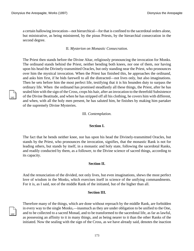a certain hallowing invocation—not hierarchical—for that is confined to the sacerdotal orders alone, but ministrative, as being ministered, by the pious Priests, by the hierarchial consecration in the second degree.

## II. *Mysterion on Monastic Consecration.*

The Priest then stands before the Divine Altar, religiously pronouncing the invocation for Monks. The ordinand stands behind the Priest, neither bending both knees, nor one of them, nor having upon his head the Divinely-transmitted Oracles, but only standing near the Priest, who pronounces over him the mystical invocation. When the Priest has finished this, he approaches the ordinand, and asks him first, if he bids farewell to all the distracted—not lives only, but also imaginations. Then he sets before him the most perfect life, testifying that it is his bounden duty to surpass the ordinary life. When the ordinand has promised steadfastly all these things, the Priest, after he has sealed him with the sign of the Cross, crops his hair, after an invocation to the threefold Subsistence of the Divine Beatitude, and when he has stripped off all his clothing, he covers him with different, and when, with all the holy men present, he has saluted him, he finishes by making him partaker of the supremely Divine Mysteries.

## III. *Contemplation.*

# **Section I.**

The fact that he bends neither knee, nor has upon his head the Divinely-transmitted Oracles, but stands by the Priest, who pronounces the invocation, signifies, that the monastic Rank is not for leading others, but stands by itself, in a monastic and holy state, following the sacerdotal Ranks, and readily conducted by them, as a follower, to the Divine science of sacred things, according to its capacity.

# **Section II.**

And the renunciation of the divided, not only lives, but even imaginations, shews the most perfect love of wisdom in the Monks, which exercises itself in science of the unifying commandments. For it is, as I said, not of the middle Rank of the initiated, but of the higher than all.

# **Section III.**

142

Therefore many of the things, which are done without reproach by the middle Rank, are forbidden in every way to the single Monks,—inasmuch as they are under obligation to be unified to the One, and to be collected to a sacred Monad, and to be transformed to the sacerdotal life, as far as lawful, as possessing an affinity to it in many things, and as being nearer to it than the other Ranks of the initiated. Now the sealing with the sign of the Cross, as we have already said, denotes the inaction

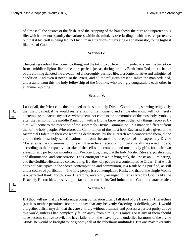144

of almost all the desires of the flesh. And the cropping of the hair shews the pure and unpretentious life, which does not beautify the darkness within the mind, by overlarding it with smeared pretence, but that it by itself is being led, not by human attractions but by single and monastic, to the highest likeness of God.

## **Section IV.**

The casting aside of the former clothing, and the taking a different, is intended to shew the transition from a middle religious life to the more perfect; just as, during the holy Birth from God, the exchange of the clothing denoted the elevation of a thoroughly purified life, to a contemplative and enlightened condition. And even if now also the Priest, and all the religious present, salute the man ordained, understand from this the holy fellowship of the Godlike, who lovingly congratulate each other in a Divine rejoicing.

## **Section V.**

Last of all, the Priest calls the ordained to the supremely Divine Communion, shewing religiously that the ordained, if he would really attain to the monastic and single elevation, will not merely contemplate the sacred mysteries within them, nor come to the communion of the most holy symbols, after the fashion of the middle Rank, but, with a Divine knowledge of the holy things received by him, will come to the reception of the supremely Divine Communion, in a manner different from that of the holy people. Wherefore, the Communion of the most holy Eucharist is also given to the sacerdotal Orders, in their consecrating dedications, by the Hierarch who consecrated them, at the end of their most holy sanctifications, not only because the reception of the supremely Divine Mysteries is the consummation of each Hierarchical reception, but because all the sacred Orders, according to their capacity, partake of the self-same common and most godly gifts, for their own elevation and perfection in deification. We conclude, then, that the holy Mystic Rites are, purification, and illumination, and consecration. The Leitourgoi are a purifying rank, the Priests an illuminating, and the Godlike Hierarchs a consecrating. But the holy people is a contemplative Order. That which does not participate in the sacred contemplation and communion, is a Rank being purified, as still under course of purification. The holy people is a contemplative Rank, and that of the single Monks is a perfected Rank. For thus our Hierarchy, reverently arranged in Ranks fixed by God, is like the Heavenly Hierarchies, preserving, so far as man can do, its God-imitated and Godlike characteristics.

# **Section VI.**

But thou wilt say that the Ranks undergoing purification utterly fall short of the Heavenly Hierarchies (for it is neither permitted nor true to say that any heavenly Ordering is defiled), yea, I would altogether affirm myself, that they are entirely without blemish, and possess a perfect purity above this world, unless I had completely fallen away from a religious mind. For if any of them should have become captive to evil, and have fallen from the heavenly and undefiled harmony of the divine Minds, he would be brought to the gloomy fall of the rebellious multitudes. But one may reverently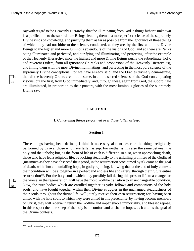146

<span id="page-180-0"></span>say with regard to the Heavenly Hierarchy, that the illuminating from God in things hitherto unknown is a purification to the subordinate Beings, leading them to a more perfect science of the supremely Divine kinds of knowledge, and purifying them as far as possible from the ignorance of those things of which they had not hitherto the science, conducted, as they are, by the first and more Divine Beings to the higher and more luminous splendours of the visions of God: and so there are Ranks being illuminated and perfected, and purifying and illuminating and perfecting, after the example of the Heavenly Hierarchy; since the highest and more Divine Beings purify the subordinate, holy, and reverent Orders, from all ignorance (in ranks and proportions of the Heavenly Hierarchies), and filling them with the most Divine illuminatings, and perfecting in the most pure science of the supremely Divine conceptions. For we have already said, and the Oracles divinely demonstrate, that all the heavenly Orders are not the same, in all the sacred sciences of the God-contemplating visions; but the first, from G.od immediately, and, through these, again from God, the subordinate are illuminated, in proportion to their powers, with the most luminous glories of the supremely Divine ray.

# **CAPUT VII.**

I. *Concerning things performed over those fallen asleep.*

#### **Section I.**

<span id="page-180-1"></span>These things having been defined, I think it necessary also to describe the things religiously performed by us over those who have fallen asleep. For neither is this also the same between the holy and the unholy; but, as the form of life of each is different, so also, when approaching death, those who have led a religious life, by looking steadfastly to the unfailing promises of the Godhead (inasmuch as they have observed their proof, in the resurrection proclaimed by it), come to the goal of death, with firm and unfailing hope, in godly rejoicing, knowing that at the end of holy contests their condition will be altogether in a perfect and endless life and safety, through their future entire resurrection<sup>266</sup>. For the holy souls, which may possibly fall during this present life to a change for the worse, in the regeneration, will have the most Godlike transition to an unchangeable condition. Now, the pure bodies which are enrolled together as yoke-fellows and companions of the holy souls, and have fought together within their Divine struggles in the unchanged steadfastness of their souls throughout the divine life, will jointly receive their own resurrection; for, having been united with the holy souls to which they were united in this present life, by having become members of Christ, they will receive in return the Godlike and imperishable immortality, and blessed repose. In this respect then the sleep of the holy is in comfort and unshaken hopes, as it attains the goal of the Divine contests.



<sup>266</sup> Soul first—body afterwards.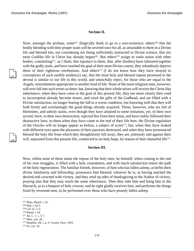<span id="page-181-4"></span>148

#### **Section II.**

<span id="page-181-3"></span>Now, amongst the profane, some<sup>267</sup> illogically think to go to a non-existence; others<sup>268</sup> that the bodily blending with their proper souls will be severed once for all, as unsuitable to them in a Divine life and blessed lots, not considering nor being sufficiently instructed in Divine science, that our most Godlike life in Christ has already begun<sup>269</sup>. But others<sup>270</sup> assign to souls union with other bodies, committing271, as I think, this injustice to them, that, after (bodies) have laboured together with the godly souls, and have reached the goal of their most Divine course, they relentlessly deprive them of their righteous retributions. And others<sup>272</sup> (I do not know how they have strayed to conceptions of such earthly tendency) say, that the most holy and blessed repose promised to the devout is similar to our life in this world, and unlawfully reject, for those who are equal to the Angels, nourishments appropriate to another kind of life. None of the most religious men, however, will ever fall into such errors as these; but, knowing that their whole selves will receive the Christ-like inheritance, when they have come to the goal of this present life, they see more clearly their road to incorruption already become nearer, and extol the gifts of the Godhead, and are filled with a Divine satisfaction, no longer fearing the fall to a worse condition, but knowing well that they will hold firmly and everlastingly the good things already acquired. Those, however, who are full of blemishes, and unholy stains, even though they have attained to some initiation, yet, of their own accord, have, to their own destruction, rejected this from their mind, and have rashly followed their destructive lusts, to them when they have come to the end of their life here, the Divine regulation of the Oracles will no longer appear as before, a subject of scorn<sup>273</sup>, but, when they have looked with different eyes upon the pleasures of their passions destroyed, and when they have pronounced blessed the holy life from which they thoughtlessly fell away, they are, piteously and against their will, separated from this present life, conducted to no holy hope, by reason of their shameful life<sup>274</sup>.

#### **Section III.**

Now, whilst none of these attain the repose of the holy men, he himself, when coming to the end of his own struggles, is filled with a holy consolation, and with much satisfaction enters the path of the holy regeneration. The familiar friends, however, of him who has fallen asleep, as befits their divine familiarity and fellowship, pronounce him blessed, whoever he is, as having reached the desired end crowned with victory, and they send up odes of thanksgiving to the Author of victory, praying also that they may reach the same inheritance. Then they take him and bring him to the Hierarch, as to a bequest of holy crowns; and he right gladly receives him, and performs the things fixed by reverend men, to be performed over those who have piously fallen asleep.

<span id="page-181-2"></span><span id="page-181-1"></span><span id="page-181-0"></span><sup>267</sup> Plato, Phaed. i. 54.

<sup>268</sup> Ibid. i. 62-3.

<sup>269</sup> [Col. iii. 3, 4](http://www.ccel.org/b/bible/asv/xml/asv.Col.3.xml#Col.3.3 Bible:Col.3.4).

<sup>270</sup> Phaed. i. 64.

<sup>271</sup> Ap. C. v. s. 5-7.

<sup>272</sup> [Matt. xxii. 28](http://www.ccel.org/b/bible/asv/xml/asv.Matt.22.xml#Matt.22.28).

<sup>273</sup> Republic, lib. i. p. 9. Cousin, Paris, 1833.

<sup>274</sup> [Ps. cxii. 10](http://www.ccel.org/b/bible/asv/xml/asv.Ps.12.xml#Ps.12.10).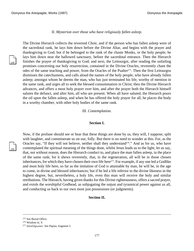150

#### II. *Mysterion over those who have religiously fallen asleep.*

<span id="page-182-2"></span>The Divine Hierarch collects the reverend Choir, and if the person who has fallen asleep were of the sacerdotal rank, he lays him down before the Divine Altar, and begins with the prayer and thanksgiving to God; but if he belonged to the rank of the chaste Monks, or the holy people, he lays him down near the hallowed sanctuary, before the sacerdotal entrance. Then the Hierarch finishes the prayer of thanksgiving to God; and next, the Leitourgoi, after reading the unfailing promises concerning our holy resurrection, contained in the Divine Oracles, reverently chant the odes of the same teaching and power, from the Oracles of the Psalter<sup>275</sup>. Then the first Leitourgos dismisses the catechumens, and calls aloud the names of the holy people, who have already fallen asleep; amongst whom he deems the man, who has just terminated his life, worthy of mention in the same rank, and urges all to seek the blessed consummation in Christ; then the Divine Hierarch advances, and offers a most holy prayer over him, and after the prayer both the Hierarch himself salutes the defunct, and after him, all who are present. When all have saluted, the Hierarch pours the oil upon the fallen asleep, and when he has offered the holy prayer for all, he places the body in a worthy chamber, with other holy bodies of the same rank.

III. *Contemplation.*

#### **Section I.**

<span id="page-182-3"></span>Now, if the profane should see or hear that these things are done by us, they will, I suppose, split with laughter, and commiserate us on our, folly. But there is no need to wonder at this. For, as the Oracles say, "If they will not believe, neither shall they understand?" $\delta$ ." And as for us, who have contemplated the spiritual meaning of the things done, whilst Jesus leads us to the light, let us say, that, not without reason, does the Hierarch conduct to, and place the man fallen asleep, in the place of the same rank; for it shews reverently, that, in the regeneration, all will be in those chosen inheritances, for which they have chosen their own life here<sup>277</sup>. For example, if any one led a Godlike and most holy life here, so far as the imitation of God is attainable by man, he will be, in the age to come, in divine and blessed inheritances; but if he led a life inferior to the divine likeness in the highest degree, but, nevertheless, a holy life, even this man will receive the holy and similar retributions. The Hierarch, having given thanks for this Divine righteousness, offers a sacred prayer, and extols the worshipful Godhead, as subjugating the unjust and tyrannical power against us all, and conducting us back to our own most just possessions (or judgments).

#### **Section II.**

<span id="page-182-1"></span><span id="page-182-0"></span><sup>275</sup> See Burial Office.

<sup>276</sup> [Wisdom iii. 9](http://www.ccel.org/b/bible/asv/xml/asv.Wis.3.xml#Wis.3.9).

<sup>&</sup>lt;sup>277</sup> άπεκλήρωσαν. See Papias, fragment 5.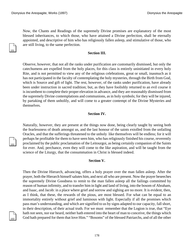<span id="page-183-0"></span>Now, the Chants and Readings of the supremely Divine promises are explanatory of the most blessed inheritances, to which those, who have attained a Divine perfection, shall be eternally appointed, and descriptive of him who has religiously fallen asleep, and stimulative of those, who are still living, to the same perfection.

#### **Section III.**

Observe, however, that not all the ranks under purification are customarily dismissed, but only the catechumens are expelled from the holy places, for this class is entirely uninitiated in every holy Rite, and is not permitted to view any of the religious celebrations, great or small, inasmuch as it has not participated in the faculty of contemplating the holy mysteries, through the Birth from God, which is Source and gift of light. The rest, however, of the ranks under purification, have already been under instruction in sacred tradition; but, as they have foolishly returned to an evil course it is incumbent to complete their proper elevation in advance, and they are reasonably dismissed from the supremely Divine contemplations and communions, as in holy symbols; for they will be injured, by partaking of them unholily, and will come to a greater contempt of the Divine Mysteries and themselves.

## **Section IV.**

<span id="page-183-1"></span>Naturally, however, they are present at the things now done, being clearly taught by seeing both the fearlessness of death amongst us, and the last honour of the saints extolled from the unfailing Oracles, and that the sufferings threatened to the unholy like themselves will be endless; for it will perhaps be profitable for them to have seen him, who has religiously finished his course, reverently proclaimed by the public proclamation of the Leitourgoi, as being certainly companion of the Saints for ever. And, perchance, even they will come to the like aspiration, and will be taught from the science of the Liturgy, that the consummation in Christ is blessed indeed.

#### **Section V.**

<span id="page-183-2"></span>Then the Divine Hierarch, advancing, offers a holy prayer over the man fallen asleep. After the prayer, both the Hierarch himself salutes him, and next all who are present. Now the prayer beseeches the supremely Divine Goodness to remit to the man fallen asleep all the failings committed by reason of human infirmity, and to transfer him in light and land of living, into the bosom of Abraham, and Isaac, and Jacob: in a place where grief and sorrow and sighing are no more. It is evident, then, as I think, that these, the rewards of the pious, are most blessed. For what can be equal to an immortality entirely without grief and luminous with light. Especially if all the promises which pass man's understanding, and which are signified to us by signs adapted to our capacity, fall short, in their description, of their actual truth. For we must remember that the Logion is true, that "Eye hath not seen, nor ear heard, neither hath entered into the heart of man to conceive, the things which God hath prepared for them that love Him." "Bosoms" of the blessed Patriarchs, and of all the other





153

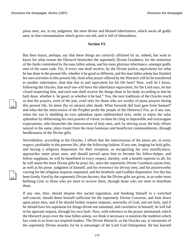pious men, are, in my judgment, the most divine and blessed inheritances, which await all godly men, in that consummation which grows not old, and is full of blessedness.

# **Section VI.**

<span id="page-184-0"></span>But thou mayst, perhaps, say that these things are correctly affirmed by us, indeed, but want to know for what reason the Hierarch beseeches the supremely Divine Goodness, for the remission of the faults committed by the man fallen asleep, and his most glorious inheritance, amongst godly men of the same rank. For, if every one shall receive, by the Divine justice, equivalents for what he has done in the present life, whether it be good or different, and the man fallen asleep has finished his own activities in this present life, from what prayer offered by the Hierarch will he be transferred to another inheritance, than that due to and equivalent for his life here? Now, well do I know, following the Oracles, that each one will have the inheritance equivalent; for the Lord says, he has closed respecting him, and each one shall receive the things done in his body according to that he hath done, whether it be good, or whether it be bad." Yea, the sure traditions of the Oracles teach us that the prayers, even of the just, avail only for those who are worthy of pious prayers during this present life, let alone (by no means) after death. What forsooth did Saul gain from Samuel? and what did the intercession of the Prophet profit the people of the Hebrews? For, as if any one, when the sun is shedding its own splendour upon unblemished eyes, seeks to enjoy the solar splendour by obliterating his own powers of vision; so does he cling to impossible and extravagant expectations, who beseeches the intercessions of holy men, and, by driving away the holy efforts natural to the same, plays truant from the most luminous and beneficent commandments, through heedlessness of the Divine gifts.

<span id="page-184-1"></span>Nevertheless, according to the Oracles, I affirm that the intercessions of the pious are, in every respect, profitable in this present life, after the following fashion. If any one, longing for holy gifts, and having a religious disposition for their reception, as recognizing his own insufficiency, approaches some pious man, and should prevail upon him to become his fellow-helper, and fellow-suppliant, he will be benefitted in every respect, thereby, with a benefit superior to all; for he will attain the most Divine gifts he prays for, since the supremely Divine Goodness assists him, as well as his pious judgment of himself, and his reverence for devout men, and his praiseworthy craving for the religious requests requested, and his brotherly and Godlike disposition. For this has been firmly fixed by the supremely Divine decrees, that the Divine gifts are given, in an order most befitting God, to those who are meet to receive them, through those who are meet to distribute them.

If any one, then, should despise this sacred regulation, and betaking himself to a wretched self-conceit, should deem himself sufficient for the supremely Divine Converse, and look down upon pious men, and if he should further request requests, unworthy of God, and not holy, and if he should have his aspiration for things divine not sustained, and correlative to himself, he will fail in his ignorant request, through his own fault. Now, with reference to the prayer mentioned, which the Hierarch prays over the man fallen asleep, we think it necessary to mention the tradition which has come to us from our inspired leaders. The Divine Hierarch, as the Oracles say, is interpreter of the supremely Divine awards; for he is messenger of the Lord God Omnipotent. He has learned

155

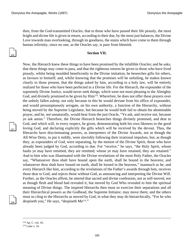<span id="page-185-2"></span>157

<span id="page-185-3"></span><span id="page-185-0"></span>158

<span id="page-185-1"></span>then, from the God-transmitted Oracles, that to those who have passed their life piously, the most bright and divine life is given in return, according to their due, by the most just balances, the Divine Love towards man overlooking, through its goodness, the stains which have come to them through human infirmity, since no one, as the Oracles say, is pure from blemish.

## **Section VII.**

Now, the Hierarch knew these things to have been promised by the infallible Oracles; and he asks, that these things may come to pass, and that the righteous returns be given to those who have lived piously, whilst being moulded beneficently to the Divine imitation, he beseeches gifts for others, as favours to himself; and, whilst knowing that the promises will be unfailing, he makes known clearly to those present, that the things asked by him, according to a holy law, will be entirely realized for those who have been perfected in a Divine life. For the Hierarch, the expounder of the supremely Divine Justice, would never seek things, which were not most pleasing to the Almighty God, and divinely promised to be given by Him<sup>278</sup>. Wherefore, he does not offer these prayers over the unholy fallen asleep, not only because in this he would deviate from his office of expounder, and would presumptuously arrogate, on his own authority, a function of the Hierarchy, without being moved by the Supreme Legislator, but because he would both fail to obtain his abominable prayer, and he, not unnaturally, would hear from the just Oracle, "Ye ask, and receive not, because ye ask amiss." Therefore, the Divine Hierarch beseeches things divinely promised, and dear to God, and which will, in every respect, be given, demonstrating both his own likeness to the good loving God, and declaring explicitly the gifts which will be received by the devout. Thus, the Hierarchs have discriminating powers, as interpreters of the Divine Awards, not as though the All-Wise Deity, to put it mildly, were slavishly following their irrational impulses, but, as though they, as expounders of God, were separating, by the motion of the Divine Spirit, those who have already been judged by God, according to due. For "receive," he says, "the Holy Spirit, whose faults ye may have remitted, they are remitted; whose ye may have retained, they are retained." And to him who was illuminated with the Divine revelations of the most Holy Father, the Oracles say, "Whatsoever thou shalt have bound upon the earth, shall be bound in the heavens; and whatsoever thou shalt have loosed on earth, shall be loosed in the heavens," inasmuch as he, and every Hierarch like him, according to the revelations of the Father's awards through him, receives those dear to God, and rejects those without God, as announcing and interpreting the Divine Will. Further, as the Oracles affirm, he uttered that sacred and divine confession, not as self-moved, nor as though flesh and blood had revealed it, but moved by God Who revealed to him the spiritual meaning of Divine things. The inspired Hierarchs then must so exercise their separations and all their Hierarchical powers as the Godhead, the Supreme Initiator, may move them; and the others must so cling to the Hierarchs as moved by God, in what they may do hierarchically, "For he who despiseth you," He says, "despiseth Me279."

<sup>278</sup> Ap. C. viii. 43. <sup>279</sup> [Luke x. 16.](http://www.ccel.org/b/bible/asv/xml/asv.Luke.10.xml#Luke.10.16)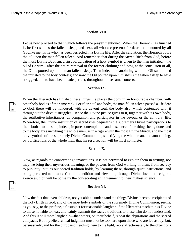160

#### **Section VIII.**

Let us now proceed to that, which follows the prayer mentioned. When the Hierarch has finished it, he first salutes the fallen asleep, and next, all who are present; for dear and honoured by all Godlike men is he who has been perfected in a Divine life. After the salutation, the Hierarch pours the oil upon the man fallen asleep. And remember, that during the sacred Birth from God, before the most Divine Baptism, a first participation of a holy symbol is given to the man initiated—the oil of Chrism—after the entire removal of the former clothing; and now, at the conclusion of all, the Oil is poured upon the man fallen asleep. Then indeed the anointing with the Oil summoned the initiated to the holy contests; and now the Oil poured upon him shews the fallen asleep to have struggled, and to have been made perfect, throughout those same contests.

## **Section IX.**

<span id="page-186-0"></span>When the Hierarch has finished these things, he places the body in an honourable chamber, with other holy bodies of the same rank. For if, in soul and body, the man fallen asleep passed a life dear to God, there will be honoured, with the devout soul, the body also, which contended with it throughout the devout struggles. Hence the Divine justice gives to it, together with its own body, the retributive inheritances, as companion and participator in the devout, or the contrary, life. Wherefore, the Divine institution of sacred rites bequeaths the supremely Divine participations to them both—to the soul, indeed, in pure contemplation and in science of the things being done, and to the body, by sanctifying the whole man, as in a figure with the most Divine Muron, and the most holy symbols of the supremely Divine Communion, sanctifying the whole man, and announcing, by purifications of the whole man, that his resurrection will be most complete.

## **Section X.**

<span id="page-186-1"></span>Now, as regards the consecrating" invocations, it is not permitted to explain them in writing, nor may we bring their mysterious meaning, or the powers from God working in them, from secrecy to publicity; but, as our sacred tradition holds, by learning these, through quiet instructions, and being perfected to a more Godlike condition and elevation, through Divine love and religious exercises, thou wilt be borne by the consecrating enlightenment to their highest science.

#### **Section XI.**

Now the fact that even children, not yet able to understand the things Divine, become recipients of the holy Birth in God, and of the most holy symbols of the supremely Divine Communion, seems, as you say, to the profane, a fit subject for reasonable laughter, if the Hierarchs teach things Divine to those not able to hear, and vainly transmit the sacred traditions to those who do not understand. And this is still more laughable—that others, on their behalf, repeat the abjurations and the sacred compacts. But thy Hierarchical judgment must not be too hard upon those who are led astray, but, persuasively, and for the purpose of leading them to the light, reply affectionately to the objections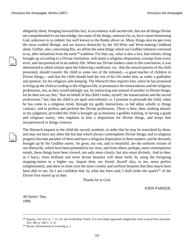162

<span id="page-187-1"></span>alleged by them, bringing forward this fact, in accordance with sacred rule, that not all things Divine are comprehended in our knowledge, but many of the things, unknown by us, have causes beseeming God, unknown to us indeed, but well known to the Ranks above us. Many things also escape even the most exalted Beings, and are known distinctly by the All-Wise and Wise-making Godhead alone. Further, also, concerning this, we affirm the same things which our Godlike initiators conveyed to us, after initiations from the early<sup>280</sup> tradition. For they say, what is also a fact, that infants, being brought up according to a Divine institution, will attain a religious disposition, exempt from every error, and inexperienced in an unholy-life. When our Divine leaders came to this conclusion, it was determined to admit infants upon the following conditions, viz.: that the natural parents of the child presented, should transfer the child to some one of the initiated,—a good teacher of children in Divine things,—and that the child should lead the rest of his life under him, as under a godfather and sponsor, for his religious safe-keeping. The Hierarch then requires him, when he has promised to bring up the child according to the religious life, to pronounce the renunciations and the religious professions, not, as they would jokingly say, by instructing one instead of another in Divine things; for he does not say this, "that on behalf of this child I make, myself, the renunciations and the sacred professions," but, that the child is set apart and enlisted; i.e. I promise to persuade the child, when he has come to a religious mind, through my godly instructions, to bid adieu wholly to things contrary, and to profess and perform the Divine professions. There is here, then, nothing absurd, in my judgment, provided the child is brought up as beseems a godlike training, in having a guide and religious surety, who implants in him a disposition for Divine things, and keeps him inexperienced in things contrary.

<span id="page-187-2"></span>The Hierarch imparts to the child the sacred, symbols, in order that he may be nourished by them, and may not have any other life but that which always contemplates Divine things; and in religious progress become partaker of them and have a religious disposition in these matters, and be devoutly brought up by his Godlike surety. So great, my son, and so beautiful, are the uniform visions of our Hierarchy, which have been presented to my view; and from others, perhaps, more contemplative minds, these things have been viewed, not only more clearly, but also more divinely. And to thee, as I fancy, more brilliant and more divine beauties will shine forth, by using the foregoing stepping-stones to a higher ray. Impart then, my friend, thyself also, to me, more perfect enlightenment, and shew to mine eyes the more comely and uniform beauties that thou mayst have been able to see, for I am confident that, by what has been said, I shall strike the sparks<sup>281</sup> of the Divine Fire stored up in thee.

Thanks be to God.

JOHN PARKER.

<span id="page-187-0"></span>*All Saints' Day*, 1898.

<sup>280</sup> ἄρχαίας. See [Acts xv. 7, 21, 16](http://www.ccel.org/b/bible/asv/xml/asv.Acts.15.xml#Acts.15.7 Bible:Acts.15.21 Bible:Acts.15.16); and Archbishop Trench. Yet even Dupin ignorantly alleged that word as proof Post-Apostolic. Nov. Bib. p. 100; C. ii. 41.

<sup>281</sup> Bacon, Advancement in Learning, p. 2.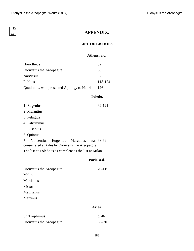# <span id="page-188-0"></span><sup>163</sup> **APPENDIX.**

# **LIST OF BISHOPS.**

# **Athens. a.d.**

| Hierotheus                                      | 52      |
|-------------------------------------------------|---------|
| Dionysius the Areopagite                        | 58      |
| <b>Narcissus</b>                                | 67      |
| Publius                                         | 118-124 |
| Quadratus, who presented Apology to Hadrian 126 |         |

# **Toledo.**

- 1. Eugenius 69-121
- 2. Melantius
- 3. Pelagius
- 4. Patrummus
- 5. Eusebius
- 6. Quintus

7. Vincentius Eugenius Marcellus was 68-69 consecrated at Arles by Dionysius the Areopagite

The list at Toledo is as complete as the list at Milan.

# **Paris. a.d.**

| Dionysius the Areopagite | 70-119 |
|--------------------------|--------|
| Mallo                    |        |
| <b>Martianus</b>         |        |
| Victor                   |        |
| Maurianus                |        |
| <b>Martinus</b>          |        |
|                          |        |

# **Arles.**

| St. Trophimus            | c. 46 |
|--------------------------|-------|
| Dionysius the Areopagite | 68–70 |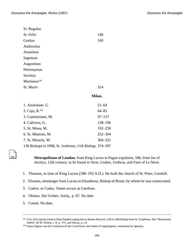| St. Regulus              |     |
|--------------------------|-----|
| St. Felix                | 140 |
| <b>Gratius</b>           | 160 |
| Ambrosius                |     |
| Anastinus                |     |
| Ingenuus                 |     |
| Augustinus               |     |
| Hieronymus               |     |
| <b>Savitius</b>          |     |
| Martianus <sup>282</sup> |     |
| St. Marin                | 314 |

## **Milan.**

| 1. Anotolone, G.                                       | $51 - 64$   |
|--------------------------------------------------------|-------------|
| 2. Cajo, R. <sup>283</sup>                             | $64 - 85$   |
| 3. Castrinziano, M.                                    | $97 - 137$  |
| 4. Calivero, G.                                        | $138 - 190$ |
| 5. St. Mona, M.                                        | $192 - 250$ |
| 6. St. Materno, M.                                     | $252 - 304$ |
| 7. St. Mirocle, M.                                     | 304–325     |
| 136 Bishops to 1898, St. Ambrose, 11th Bishop, 374–397 |             |

<span id="page-189-0"></span>

<sup>164</sup> **Metropolitans of London**, from King Lucius to Pagan expulsion, 586, from list of Jocelyn, 12th century, to be found in Stow, Ussher, Godwin, and Fasti of Le Neve.

- 1. Theonus, in time of King Lucius (186–193 A.D.). He built the church of St. Peter, Cornhill.
- 2. Elvanus, messenger from Lucius to Eleutherus, Bishop of Rome, by whom he was consecrated.
- 3. Cadwr, or Cadoc. Name occurs at Caerleon.
- 4. Obinus. See Ussher, Antiq., p. 67. No date.
- 5. Conan. No date.

<sup>282</sup> A.D. 254 Cyprian wrote to Pope Stephen urging him to depose Marcion, 15th or 18th Bishop from St. Trophimus. See "Monuments inédits" de M. Faillon, t. II. p. 375, and Darras, p. 14.

<sup>283</sup> Gaius Oppius was the Centurion of the Crucifixion, and father of Agothoppius, mentioned by Ignatius.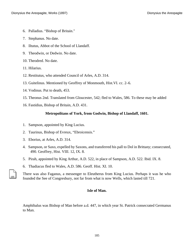- 6. Palladius. "Bishop of Britain."
- 7. Stephanus. No date.
- 8. Iltutus, Abbot of the School of Llandaff.
- 9. Theodwin, or Dedwin. No date.
- 10. Theodred. No date.
- 11. Hilarius.

- 12. Restitutus, who attended Council of Arles, A.D. 314.
- 13. Guitelinus. Mentioned by Geoffrey of Monmouth, Hist.VI. cc. 2–6.
- 14. Vodinus. Put to death, 453.
- 15. Theonus 2nd. Translated from Gloucester, 542; fled to Wales, 586. To these may be added
- 16. Fastidius, Bishop of Britain, A.D. 431.

# **Metropolitans of York, from Godwin, Bishop of Llandaff, 1601.**

- 1. Sampson, appointed by King Lucius.
- 2. Taurinus, Bishop of Evreux, "Ebroicensis."
- 3. Eborius, at Arles, A.D. 314.
- 4. Sampson, or Saxo, expelled by Saxons, and transferred his pall to Dol in Brittany; consecrated, 490. Geoffrey, Hist. VIII. 12, IX. 8.
- <span id="page-190-0"></span>5. Pirah, appointed by King Arthur, A.D. 522, in place of Sampson, A.D. 522. Ibid. IX. 8.
- 6. Thadiacus fled to Wales, A.D. 586. Geoff. Hist. XI. 10.

There was also Faganus, a messenger to Eleutherus from King Lucius. Perhaps it was he who founded the See of Congresbury, not far from what is now Wells, which lasted till 721.

# **Isle of Man.**

Amphibalus was Bishop of Man before a.d. 447, in which year St. Patrick consecrated Germanus to Man.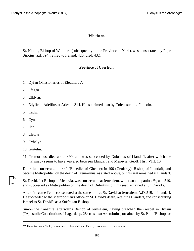# **Whithern.**

St. Ninian, Bishop of Whithern (subsequently in the Province of York), was consecrated by Pope Siricius, a.d. 394; retired to Ireland, 420; died, 432.

# **Province of Caerleon.**

- 1. Dyfan (Missionaries of Eleutherus).
- 2. Ffagan
- 3. Elldyrn.
- 4. Edyfield. Adelfius at Aries in 314. He is claimed also by Colchester and Lincoln.
- 5. Cadwr.
- 6. Cynan.
- 7. Ilan.
- 8. Llewyr.
- 9. Cyhelyn.
- 10. Guitelin.

166

<span id="page-191-0"></span>11. Tremorinus, died about 490, and was succeeded by Dubritius of Llandaff, after which the Primacy seems to have wavered between Llandaff and Menevia. Geoff. Hist. VIII. 10.

Dubritius consecrated in 449 (Benedict of Gloster); in 490 (Geoffrey), Bishop of Llandaff, and became Metropolitan on the death of Tremorinus, as stated' above, but his seat remained at Llandaff.

St. David, 1st Bishop of Menevia, was consecrated at Jerusalem, with two companions<sup>284</sup>, a.d. 519, and succeeded as Metropolitan on the death of Dubritius, but his seat remained at St. David's.

After him came Teilo, consecrated at the same time as St. David, at Jerusalem, A.D. 519, to Llandaff. He succeeded to the Metropolitan's office on St. David's death, retaining Llandaff, and consecrating Ismael to St. David's as a Suffragan Bishop.

Simon the Cananite, afterwards Bishop of Jerusalem, having preached the Gospel in Britain ("Apostolic Constitutions," Lagarde, p. 284); as also Aristobulus, ordained by St. Paul "Bishop for

<sup>284</sup> These two were Teilo, consecrated to Llandaff, and Patern, consecrated to Llanbadarn.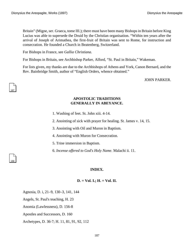<span id="page-192-4"></span>168

Britain" (Migne, ser. Graeca, tome III.); there must have been many Bishops in Britain before King Lucius was able to supersede the Druid by the Christian organisation. "Within ten years after the arrival of Joseph of Arimathea, the first-fruit of Britain was sent to Rome, for instruction and consecration. He founded a Church in Beatenberg, Switzerland.

For Bishops in France, see *Gallia Christiana.*

For Bishops in Britain, see Archbishop Parker, Alford, "St. Paul in Britain," Wakeman.

<span id="page-192-3"></span>For lists given, my thanks are due to the Archbishops of Athens and York, Canon Bernard, and the Rev. Bainbridge Smith, author of "English Orders, whence obtained."

JOHN PARKER.

# **APOSTOLIC TRADITIONS GENERALLY IN ABEYANCE.**

<span id="page-192-2"></span><span id="page-192-1"></span>1. Washing of feet. [St. John xiii. 4-14.](http://www.ccel.org/b/bible/asv/xml/asv.John.13.xml#John.13.4)

2. Anointing of sick with prayer for healing. [St. James v. 14, 15](http://www.ccel.org/b/bible/asv/xml/asv.Jas.5.xml#Jas.5.14 Bible:Jas.5.15).

3. Anointing with Oil and Muron in Baptism.

<span id="page-192-0"></span>4. Anointing with Muron for Consecration.

- 5. Trine immersion in Baptism.
- 6. *Incense offered to God's Holy Name.* [Malachi ii. 11.](http://www.ccel.org/b/bible/asv/xml/asv.Mal.2.xml#Mal.2.11)

#### **INDEX.**

#### **D. = Vol. I.; H. = Vol. II.**

Agnosia, D. i, 21–9, 130–3, 141, 144

Angels, St. Paul's teaching, H. 23

Anomia (Lawlessness), D. 156-8

Apostles and Successors, D. 160

Archetypes, D. 36-7; H. 11, 81, 91, 92, 112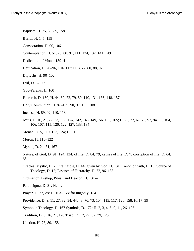- Baptism, H. 75, 86, 89, 158
- Burial, H. 145–159
- Consecration, H. 90, 106
- Contemplation, H. 51, 70, 80, 91, 111, 124, 132, 141, 149
- Dedication of Monk, 139–41
- Deification, D. 26–96, 104, 117; H. 3, 77, 80, 88, 97
- Diptychs; H. 90–102
- Evil, D. 52, 72.
- God-Parents; H. 160
- Hierarch, D. 160; H. 44, 69, 72, 79, 89, 110, 131, 136, 148, 157
- Holy Communion, H. 87–109, 90, 97, 106, 108
- Incense, H. 89, 92, 110, 113
- Jesus, D. 16, 21, 22, 23, 117, 124, 142, 143, 149,156, 162, 165; H. 20, 27, 67, 70, 92, 94, 95, 104, 106, 107, 115, 120, 122, 127, 133, 134
- Monad, D. 5, 110, 123, 124; H. 31
- Muron, H. 110–122
- Mystic, D. 21, 31, 167
- Nature, of God, D. 91, 124, 134; of life, D. 84, 79; causes of life, D. 7; corruption of life, D. 64, 65
- Oracles, Mystic, H. 7; Intelligible, H. 44; given by God, H. 131; Canon of truth, D. 15; Source of Theology, D. 12; Essence of Hierarchy, H. 72, 96, 138
- Ordination, Bishop, Priest, and Deacon, H. 131–7
- Paradeigma, D. 81; H. 4r,
- Prayer, D. 27, 28; H. 153–158; for ungodly, 154
- Providence, D. 9, 11, 27, 32, 34, 44, 48, 70, 73, 104, 115, 117, 120, 158; H. 17, 39
- Symbolic Theology, D. 167 Symbols, D. 172; H. 2, 3, 4, 5, 9, 11, 26, 105
- Tradition, D. 6, 16, 21, 170 Triad, D. 17, 27, 37, 79, 125
- Unction, H. 78, 80, 158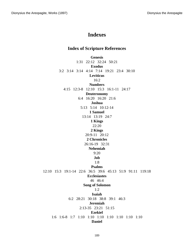# **Indexes**

# **Index of Scripture References**

**Genesis** [1:31](#page-119-0) [22:12](#page-123-0) [32:24](#page-141-0)  [50:21](#page-82-0) **Exodus** [3:2](#page-120-0)  [3:14](#page-20-0)  [3:14](#page-118-0) [4:14](#page-82-1) [7:14](#page-81-0)  [19:21](#page-85-0) [23:4](#page-82-2)  [30:10](#page-85-1) **Leviticus** [16:2](#page-84-0) **Numbers** [4:15](#page-85-2)  [12:3-8](#page-82-3) [12:10](#page-85-3) [15:3](#page-116-0)  [16:1-11](#page-82-4) [24:17](#page-120-1) **Deuteronomy** [6:4](#page-122-0) [16:20](#page-85-4) [16:20](#page-86-0)  [21:6](#page-161-0) **Joshua** [5:13](#page-117-0) [5:14](#page-117-0)  [10:12-14](#page-81-1) **1 Samuel** [13:14](#page-82-5) [13:19](#page-84-1)  [24:7](#page-82-5) **1 Kings** [22:20](#page-90-0) **2 Kings** [20:9-11](#page-81-2) [20:12](#page-81-3) **2 Chronicles** [26:16-19](#page-84-2)  [32:31](#page-81-3) **Nehemiah** [9:20](#page-20-1) **Job** [1:8](#page-82-6) **Psalms** [12:10](#page-181-0) [15:3](#page-83-0)  [19:1-14](#page-116-1)  [22:6](#page-120-2) [36:5](#page-118-1) [39:6](#page-79-0)  [45:13](#page-118-2) [51:9](#page-122-1)  [91:11](#page-83-1)  [119:18](#page-122-2) **Ecclesiastes** [46](#page-12-0)  [46:4](#page-81-1) **Song of Solomon** [1:2](#page-120-3) **Isaiah** [6:2](#page-168-0)  [28:21](#page-81-1) [30:18](#page-84-3) [38:8](#page-81-2)  [39:1](#page-81-3) [46:3](#page-85-5) **Jeremiah** [2:13-35](#page-87-0) [23:21](#page-85-6)  [51:15](#page-118-3) **Ezekiel** [1:6](#page-117-1) [1:6-8](#page-117-2) [1:7](#page-117-3)  [1:10](#page-117-4) [1:10](#page-117-5)  [1:10](#page-117-6)  [1:10](#page-143-0) [1:10](#page-144-0) [1:10](#page-144-1)  [1:10](#page-144-2) **Daniel**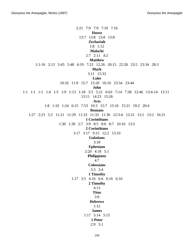[2:21](#page-80-0)  [7:9](#page-117-7) [7:9](#page-117-8)  [7:10](#page-124-0) [7:16](#page-124-1) **Hosea** [13:7](#page-120-4) [13:8](#page-120-5)  [13:8](#page-120-6)  [13:8](#page-120-7) **Zechariah** [1:8](#page-117-9) [1:12](#page-83-2) **Malachi** [2:7](#page-85-7) [2:11](#page-192-0)  [4:2](#page-120-8) **Matthew** [1:1-16](#page-82-7)  [2:13](#page-124-2) [5:45](#page-83-3)  [5:48](#page-122-3)  [6:19](#page-83-4) [7:23](#page-85-8) [12:26](#page-84-4)  [20:15](#page-20-2) [22:28](#page-181-1)  [23:5](#page-165-0)  [23:34](#page-94-0) [28:3](#page-119-1) **Mark** [3:11](#page-84-5) [15:33](#page-81-4) **Luke** [10:16](#page-185-0)  [11:9](#page-116-2)  [15:7](#page-83-5) [15:20](#page-83-6)  [16:10](#page-87-1) [23:34](#page-83-7) [23:44](#page-81-4) **John** [1:1](#page-118-4) [1:1](#page-138-0)  [1:1](#page-146-0)  [1:4](#page-118-5) [1:5](#page-120-9)  [1:9](#page-115-0)  [1:13](#page-149-0) [1:18](#page-124-3)  [3:5](#page-149-1)  [5:21](#page-20-3) [6:63](#page-20-4) [7:14](#page-116-3)  [7:38](#page-120-10) [12:46](#page-122-4) [13:4-14](#page-192-1)  [13:11](#page-156-0) [13:11](#page-156-0) [14:23](#page-148-0)  [15:26](#page-20-5) **Acts** [1:8](#page-14-0)  [1:10](#page-119-2) [1:24](#page-175-0)  [6:15](#page-119-3)  [7:53](#page-123-1) [10:3](#page-123-2)  [15:7](#page-187-0) [15:16](#page-187-0) [15:21](#page-187-0)  [19:2](#page-85-9) [20:4](#page-79-1) **Romans** [1:27](#page-87-2)  [2:23](#page-85-10)  [5:2](#page-115-1) [11:21](#page-88-0)  [11:29](#page-52-0)  [11:33](#page-79-2) [11:33](#page-118-3)  [11:36](#page-115-2) [12:3-6](#page-85-11) [12:21](#page-83-8)  [13:1](#page-116-4) [13:2](#page-116-4) [16:21](#page-79-1) **1 Corinthians** [1:30](#page-20-6) [1:30](#page-20-6)  [2:7](#page-80-1)  [3:9](#page-122-5) [8:5](#page-26-0)  [8:6](#page-26-0) [8:7](#page-118-6) [10:16](#page-116-5)  [13:5](#page-83-9) **2 Corinthians** [3:17](#page-20-7)  [3:17](#page-20-7) [9:15](#page-79-3)  [12:2](#page-124-4) [13:10](#page-86-1) **Galatians** [3:18](#page-123-3) **Ephesians** [2:20](#page-120-11) [4:18](#page-85-12)  [5:1](#page-122-6) **Philippians** [4:7](#page-79-4) **Colossians** [3:3](#page-181-2)  [3:4](#page-181-2) **1 Timothy** [1:17](#page-79-5)  [3:5](#page-86-2) [4:16](#page-85-13)  [6:6](#page-79-6)  [6:16](#page-118-7) [6:16](#page-124-3) **2 Timothy** [4:13](#page-88-1) **Titus** [3:9](#page-79-7) **Hebrews** [1:12](#page-20-8) **James** [1:17](#page-115-3) [5:14](#page-192-2)  [5:15](#page-192-2) **1 Peter** [2:9](#page-116-6)  [5:1](#page-115-4)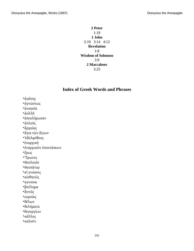**2 Peter** [1:19](#page-120-1) **1 John** [2:10](#page-83-10) [3:14](#page-160-0)  [4:12](#page-124-3) **Revelation** [1:8](#page-20-9) **Wisdom of Solomon** [3:9](#page-182-0) **2 Maccabees** [3:25](#page-117-0)

# **Index of Greek Words and Phrases**

- •[ἀγάπης](#page-35-0)
- •[ἀγνώστως](#page-12-1)
- •[ἀνοησία](#page-15-0)
- •[ἀολλῆ](#page-31-0)
- •[ἀπεκλήρωσαν](#page-182-1)
- •[ἁπλοῦς](#page-103-0)
- •[ἄρχαίας](#page-187-0)
- •[ἅγια τῶν ἅγιων](#page-120-12)
- •[Ἀδελφόθεος](#page-11-0)
- •[ἐναρχικὴ](#page-112-0)
- •[ἐναρχικῶν ὑποστὰσεων](#page-112-0)
- •[ἔρως](#page-35-0)
- •[Ἔρωτος](#page-35-1)
- •[Θεολογία](#page-117-10)
- •[Θεοπάτορ](#page-11-1)
- •[αἰ γνώσεις](#page-77-0)
- •[αἰσθητῶς](#page-109-0)
- •[αγνοσια](#page-55-0)
- •[βούλημα](#page-110-0)
- •[διττός](#page-103-0)
- •[ευροίας](#page-30-0)
- •[θέλων](#page-110-1)
- •[θελήματα](#page-110-2)
- •[θεουργίων](#page-156-1)
- •[κάλλος](#page-32-0)
- •[καλοῦν](#page-32-1)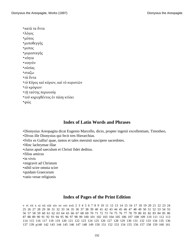- •[κατὰ τα ὄντα](#page-109-1)
- •[λόγος](#page-23-0)
- •[μύπος](#page-151-0)
- •[μυποθεγγὴς](#page-151-0)
- •[μυπος](#page-151-0)
- •[μυροσταγὴς](#page-151-0)
- •[νόητα](#page-116-7)
- •[νοητὸν](#page-31-1)
- •[οὐσίας](#page-57-0)
- •[σταζω](#page-151-0)
- •[τὰ ὄντα](#page-64-0)
- •[τὸ Κῦρος καί κύριον, καὶ τὸ κυριστῶν](#page-68-0)
- •[τὸ κρύφιον](#page-124-5)
- •[τῇ ταύτης περιουσίᾳ](#page-78-0)
- •[τοῦ κηρυχθέντος ἐν πάσῃ κτίσει](#page-14-1)
- $\cdot$ [φῶς](#page-31-1)

# **Index of Latin Words and Phrases**

- •[Dionysius Areopagita dicat Eugenio Marcello, dicto, propter ingenii excellentiam, Timotheo,](#page-109-2)
- •[Divus ille Dionysius qui fecit tres Hierarchias.](#page-103-1)
- •[Felix es Gallia! quae, tantos et tales meruisti suscipere sacerdotes.](#page-7-0)
- •[Hinc lachrymae illae](#page-103-2)
- •[clarus apud saeculum et Christi fidei deditus.](#page-13-0)
- •[filius amicus](#page-13-1)
- •[in vivis](#page-13-2)
- •[migravit ad Christum](#page-13-3)
- •[nihil scire omnia scire](#page-113-0)
- •[quidam Graecorum](#page-113-1)
- •[ratio verae religionis](#page-103-3)

# **Index of Pages of the Print Edition**

[v](#page-7-1) [vi](#page-9-0) [vii](#page-10-0) [x](#page-11-2) [xi](#page-12-2) [xii](#page-12-3) [xiii](#page-12-4) [xiv](#page-13-4) [xv](#page-13-5) [xvi](#page-14-2) [xvii](#page-14-3) [2](#page-15-1) [3](#page-15-2) [4](#page-16-0) [5](#page-16-1) [6](#page-17-0) [7](#page-17-1) [8](#page-17-2) [9](#page-18-0) [10](#page-18-1) [11](#page-19-0) [12](#page-19-1) [13](#page-20-10) [14](#page-20-11) [15](#page-21-0) [16](#page-21-1) [17](#page-22-0) [18](#page-22-1) [19](#page-22-2) [20](#page-23-1) [21](#page-23-2) [22](#page-24-0) [23](#page-24-1) [24](#page-25-0) [26](#page-26-1) [27](#page-26-2) [28](#page-27-0) [29](#page-27-1) [30](#page-27-2) [31](#page-28-0) [32](#page-28-1) [33](#page-29-0) [34](#page-29-1) [35](#page-30-1) [36](#page-30-2) [37](#page-30-3) [38](#page-31-2) [39](#page-31-3) [40](#page-32-2) [41](#page-32-3) [42](#page-33-0) [43](#page-33-1) [44](#page-34-0) [45](#page-34-1) [46](#page-34-2) [47](#page-35-2) [48](#page-35-3) [49](#page-36-0) [50](#page-36-1) [51](#page-37-0) [52](#page-37-1) [53](#page-38-0) [54](#page-38-1) [55](#page-39-0) [57](#page-39-2) [58](#page-40-0) [59](#page-40-1) [60](#page-41-0) [61](#page-41-1) [62](#page-41-2) [63](#page-42-0) [64](#page-42-1) [65](#page-43-0) [66](#page-43-1) [67](#page-44-0) [68](#page-44-1) [69](#page-45-0) [70](#page-45-1) [71](#page-45-2) [72](#page-46-0) [73](#page-46-1) [74](#page-47-0) [75](#page-47-1) [76](#page-48-0) [77](#page-48-1) [78](#page-49-0) [79](#page-49-1) [80](#page-50-0) [81](#page-50-1) [82](#page-50-2) [83](#page-51-0) [84](#page-51-1) [85](#page-52-1) [86](#page-52-2) [88](#page-53-1) [89](#page-54-0) [90](#page-54-1) [91](#page-54-2) [92](#page-55-1) [93](#page-55-2) [94](#page-56-0) [95](#page-56-1) [96](#page-57-1) [97](#page-57-2) [98](#page-58-0) [99](#page-58-1) [100](#page-59-0) [101](#page-59-1) [102](#page-59-2) [103](#page-60-0) [104](#page-61-0) [105](#page-61-1) [106](#page-61-2) [107](#page-62-0) [108](#page-62-1) [109](#page-63-0) [110](#page-63-1) [111](#page-64-1) [112](#page-64-2) [113](#page-65-0) [115](#page-66-0) [116](#page-66-1) [117](#page-67-0) [118](#page-67-1) [119](#page-67-2) [120](#page-68-1) [121](#page-68-2) [122](#page-69-0) [123](#page-69-1) [124](#page-70-0) [125](#page-70-1) [126](#page-71-0) [127](#page-71-1) [128](#page-71-2) [129](#page-72-0) [130](#page-72-1) [131](#page-73-0) [132](#page-73-1) [133](#page-74-0) [134](#page-74-1) [135](#page-75-0) [136](#page-75-1) [139](#page-76-1) [p140](#page-77-1) [142](#page-78-1) [143](#page-78-2) [144](#page-79-8) [145](#page-79-9) [146](#page-80-2) [147](#page-80-3) [148](#page-81-5) [149](#page-81-6) [150](#page-82-8) [151](#page-82-9) [152](#page-83-11) [153](#page-83-12) [154](#page-84-6) [155](#page-84-7) [156](#page-84-8) [157](#page-85-14) [158](#page-85-15) [159](#page-86-3) [160](#page-86-4) [161](#page-87-3)